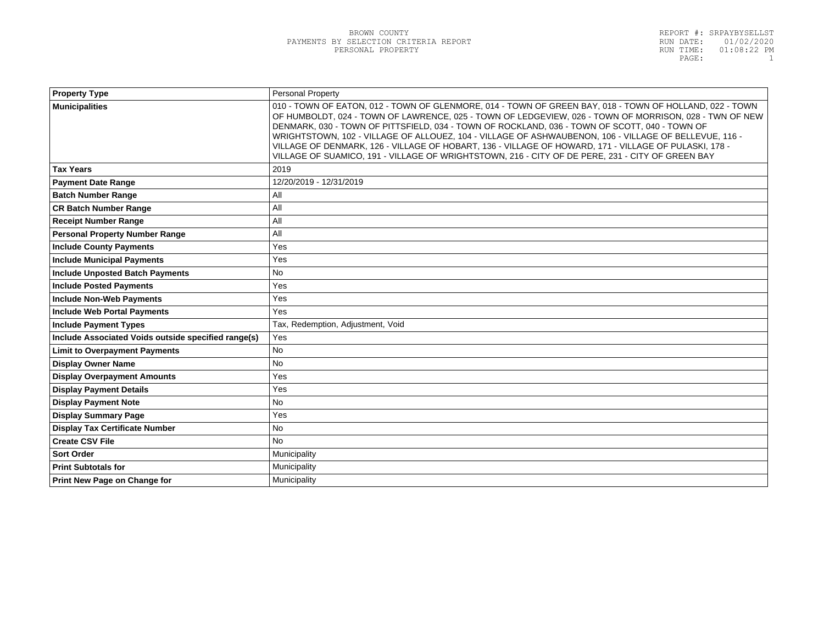| <b>Property Type</b>                                | <b>Personal Property</b>                                                                                                                                                                                                                                                                                                                                                                                                                                                                                                                                                                                                                 |  |
|-----------------------------------------------------|------------------------------------------------------------------------------------------------------------------------------------------------------------------------------------------------------------------------------------------------------------------------------------------------------------------------------------------------------------------------------------------------------------------------------------------------------------------------------------------------------------------------------------------------------------------------------------------------------------------------------------------|--|
| <b>Municipalities</b>                               | 010 - TOWN OF EATON, 012 - TOWN OF GLENMORE, 014 - TOWN OF GREEN BAY, 018 - TOWN OF HOLLAND, 022 - TOWN<br>OF HUMBOLDT, 024 - TOWN OF LAWRENCE, 025 - TOWN OF LEDGEVIEW, 026 - TOWN OF MORRISON, 028 - TWN OF NEW<br>DENMARK, 030 - TOWN OF PITTSFIELD, 034 - TOWN OF ROCKLAND, 036 - TOWN OF SCOTT, 040 - TOWN OF<br>WRIGHTSTOWN, 102 - VILLAGE OF ALLOUEZ, 104 - VILLAGE OF ASHWAUBENON, 106 - VILLAGE OF BELLEVUE, 116 -<br>VILLAGE OF DENMARK, 126 - VILLAGE OF HOBART, 136 - VILLAGE OF HOWARD, 171 - VILLAGE OF PULASKI, 178 -<br>VILLAGE OF SUAMICO, 191 - VILLAGE OF WRIGHTSTOWN, 216 - CITY OF DE PERE, 231 - CITY OF GREEN BAY |  |
| <b>Tax Years</b>                                    | 2019                                                                                                                                                                                                                                                                                                                                                                                                                                                                                                                                                                                                                                     |  |
| <b>Payment Date Range</b>                           | 12/20/2019 - 12/31/2019                                                                                                                                                                                                                                                                                                                                                                                                                                                                                                                                                                                                                  |  |
| <b>Batch Number Range</b>                           | All                                                                                                                                                                                                                                                                                                                                                                                                                                                                                                                                                                                                                                      |  |
| <b>CR Batch Number Range</b>                        | All                                                                                                                                                                                                                                                                                                                                                                                                                                                                                                                                                                                                                                      |  |
| <b>Receipt Number Range</b>                         | All                                                                                                                                                                                                                                                                                                                                                                                                                                                                                                                                                                                                                                      |  |
| <b>Personal Property Number Range</b>               | All                                                                                                                                                                                                                                                                                                                                                                                                                                                                                                                                                                                                                                      |  |
| <b>Include County Payments</b>                      | Yes                                                                                                                                                                                                                                                                                                                                                                                                                                                                                                                                                                                                                                      |  |
| <b>Include Municipal Payments</b>                   | Yes                                                                                                                                                                                                                                                                                                                                                                                                                                                                                                                                                                                                                                      |  |
| <b>Include Unposted Batch Payments</b>              | <b>No</b>                                                                                                                                                                                                                                                                                                                                                                                                                                                                                                                                                                                                                                |  |
| <b>Include Posted Payments</b>                      | Yes                                                                                                                                                                                                                                                                                                                                                                                                                                                                                                                                                                                                                                      |  |
| <b>Include Non-Web Payments</b>                     | Yes                                                                                                                                                                                                                                                                                                                                                                                                                                                                                                                                                                                                                                      |  |
| <b>Include Web Portal Payments</b>                  | Yes                                                                                                                                                                                                                                                                                                                                                                                                                                                                                                                                                                                                                                      |  |
| <b>Include Payment Types</b>                        | Tax, Redemption, Adjustment, Void                                                                                                                                                                                                                                                                                                                                                                                                                                                                                                                                                                                                        |  |
| Include Associated Voids outside specified range(s) | Yes                                                                                                                                                                                                                                                                                                                                                                                                                                                                                                                                                                                                                                      |  |
| <b>Limit to Overpayment Payments</b>                | <b>No</b>                                                                                                                                                                                                                                                                                                                                                                                                                                                                                                                                                                                                                                |  |
| <b>Display Owner Name</b>                           | <b>No</b>                                                                                                                                                                                                                                                                                                                                                                                                                                                                                                                                                                                                                                |  |
| <b>Display Overpayment Amounts</b>                  | Yes                                                                                                                                                                                                                                                                                                                                                                                                                                                                                                                                                                                                                                      |  |
| <b>Display Payment Details</b>                      | Yes                                                                                                                                                                                                                                                                                                                                                                                                                                                                                                                                                                                                                                      |  |
| <b>Display Payment Note</b>                         | <b>No</b>                                                                                                                                                                                                                                                                                                                                                                                                                                                                                                                                                                                                                                |  |
| <b>Display Summary Page</b>                         | Yes                                                                                                                                                                                                                                                                                                                                                                                                                                                                                                                                                                                                                                      |  |
| <b>Display Tax Certificate Number</b>               | <b>No</b>                                                                                                                                                                                                                                                                                                                                                                                                                                                                                                                                                                                                                                |  |
| <b>Create CSV File</b>                              | <b>No</b>                                                                                                                                                                                                                                                                                                                                                                                                                                                                                                                                                                                                                                |  |
| <b>Sort Order</b>                                   | Municipality                                                                                                                                                                                                                                                                                                                                                                                                                                                                                                                                                                                                                             |  |
| <b>Print Subtotals for</b>                          | Municipality                                                                                                                                                                                                                                                                                                                                                                                                                                                                                                                                                                                                                             |  |
| Print New Page on Change for                        | Municipality                                                                                                                                                                                                                                                                                                                                                                                                                                                                                                                                                                                                                             |  |
|                                                     |                                                                                                                                                                                                                                                                                                                                                                                                                                                                                                                                                                                                                                          |  |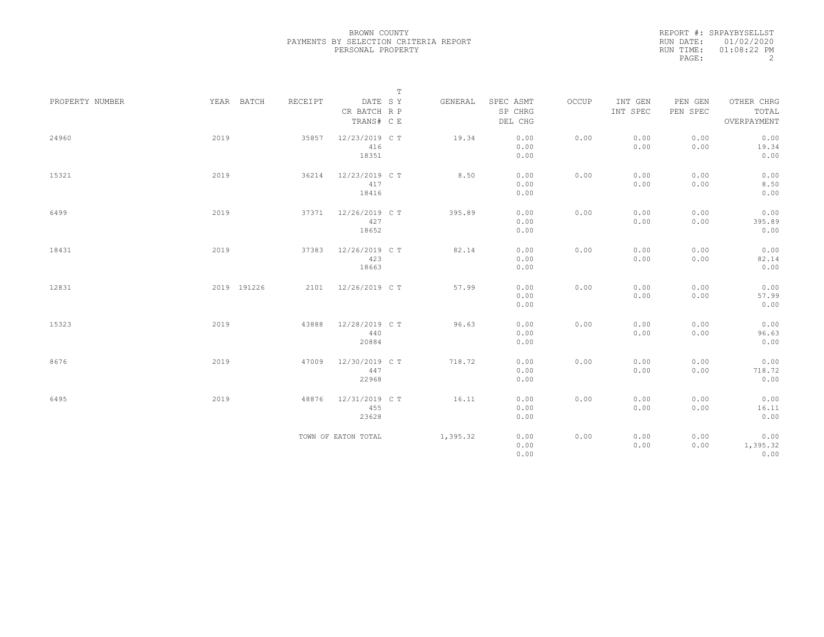|                 |             |         |                                       | $\mathbb T$ |                                 |       |                     |                     |                                    |
|-----------------|-------------|---------|---------------------------------------|-------------|---------------------------------|-------|---------------------|---------------------|------------------------------------|
| PROPERTY NUMBER | YEAR BATCH  | RECEIPT | DATE SY<br>CR BATCH R P<br>TRANS# C E | GENERAL     | SPEC ASMT<br>SP CHRG<br>DEL CHG | OCCUP | INT GEN<br>INT SPEC | PEN GEN<br>PEN SPEC | OTHER CHRG<br>TOTAL<br>OVERPAYMENT |
| 24960           | 2019        | 35857   | 12/23/2019 C T<br>416<br>18351        | 19.34       | 0.00<br>0.00<br>0.00            | 0.00  | 0.00<br>0.00        | 0.00<br>0.00        | 0.00<br>19.34<br>0.00              |
| 15321           | 2019        | 36214   | 12/23/2019 C T<br>417<br>18416        | 8.50        | 0.00<br>0.00<br>0.00            | 0.00  | 0.00<br>0.00        | 0.00<br>0.00        | 0.00<br>8.50<br>0.00               |
| 6499            | 2019        | 37371   | 12/26/2019 C T<br>427<br>18652        | 395.89      | 0.00<br>0.00<br>0.00            | 0.00  | 0.00<br>0.00        | 0.00<br>0.00        | 0.00<br>395.89<br>0.00             |
| 18431           | 2019        | 37383   | 12/26/2019 C T<br>423<br>18663        | 82.14       | 0.00<br>0.00<br>0.00            | 0.00  | 0.00<br>0.00        | 0.00<br>0.00        | 0.00<br>82.14<br>0.00              |
| 12831           | 2019 191226 |         | 2101 12/26/2019 CT                    | 57.99       | 0.00<br>0.00<br>0.00            | 0.00  | 0.00<br>0.00        | 0.00<br>0.00        | 0.00<br>57.99<br>0.00              |
| 15323           | 2019        | 43888   | 12/28/2019 C T<br>440<br>20884        | 96.63       | 0.00<br>0.00<br>0.00            | 0.00  | 0.00<br>0.00        | 0.00<br>0.00        | 0.00<br>96.63<br>0.00              |
| 8676            | 2019        | 47009   | 12/30/2019 C T<br>447<br>22968        | 718.72      | 0.00<br>0.00<br>0.00            | 0.00  | 0.00<br>0.00        | 0.00<br>0.00        | 0.00<br>718.72<br>0.00             |
| 6495            | 2019        | 48876   | 12/31/2019 C T<br>455<br>23628        | 16.11       | 0.00<br>0.00<br>0.00            | 0.00  | 0.00<br>0.00        | 0.00<br>0.00        | 0.00<br>16.11<br>0.00              |
|                 |             |         | TOWN OF EATON TOTAL                   | 1,395.32    | 0.00<br>0.00<br>0.00            | 0.00  | 0.00<br>0.00        | 0.00<br>0.00        | 0.00<br>1,395.32<br>0.00           |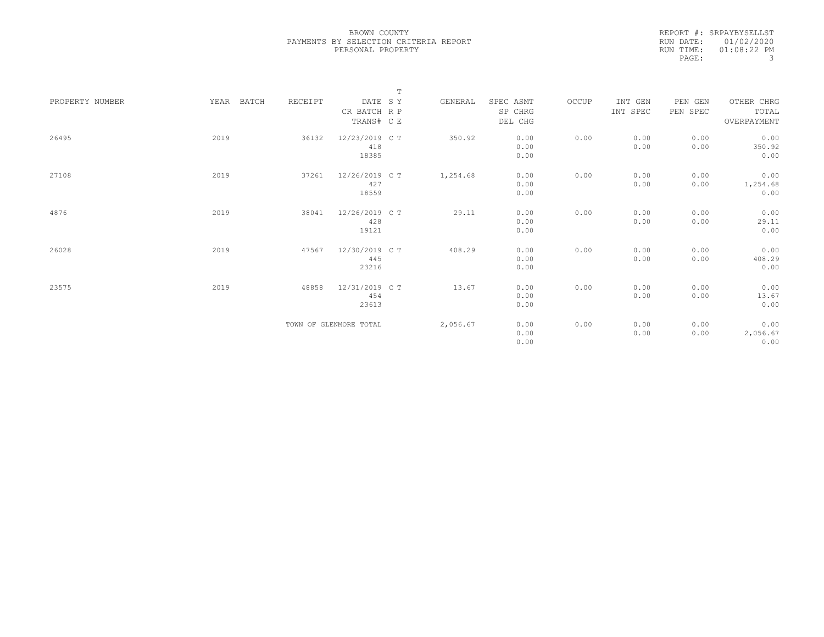|                 |               |         | $\mathbb T$            |          |              |       |          |          |                  |
|-----------------|---------------|---------|------------------------|----------|--------------|-------|----------|----------|------------------|
| PROPERTY NUMBER | YEAR<br>BATCH | RECEIPT | DATE SY                | GENERAL  | SPEC ASMT    | OCCUP | INT GEN  | PEN GEN  | OTHER CHRG       |
|                 |               |         | CR BATCH R P           |          | SP CHRG      |       | INT SPEC | PEN SPEC | TOTAL            |
|                 |               |         | TRANS# C E             |          | DEL CHG      |       |          |          | OVERPAYMENT      |
|                 |               |         |                        |          |              |       |          |          |                  |
| 26495           | 2019          | 36132   | 12/23/2019 C T         | 350.92   | 0.00         | 0.00  | 0.00     | 0.00     | 0.00             |
|                 |               |         | 418                    |          | 0.00         |       | 0.00     | 0.00     | 350.92           |
|                 |               |         | 18385                  |          | 0.00         |       |          |          | 0.00             |
|                 |               |         |                        |          |              |       |          |          |                  |
| 27108           | 2019          | 37261   | 12/26/2019 C T         | 1,254.68 | 0.00         | 0.00  | 0.00     | 0.00     | 0.00             |
|                 |               |         | 427                    |          | 0.00         |       | 0.00     | 0.00     | 1,254.68         |
|                 |               |         | 18559                  |          | 0.00         |       |          |          | 0.00             |
|                 |               |         |                        |          |              |       |          |          |                  |
| 4876            | 2019          | 38041   | 12/26/2019 C T         | 29.11    | 0.00         | 0.00  | 0.00     | 0.00     | 0.00             |
|                 |               |         | 428                    |          | 0.00         |       | 0.00     | 0.00     | 29.11            |
|                 |               |         | 19121                  |          | 0.00         |       |          |          | 0.00             |
|                 |               |         |                        |          |              |       |          |          |                  |
| 26028           | 2019          | 47567   | 12/30/2019 C T         | 408.29   | 0.00         | 0.00  | 0.00     | 0.00     | 0.00             |
|                 |               |         | 445                    |          | 0.00         |       | 0.00     | 0.00     | 408.29           |
|                 |               |         | 23216                  |          | 0.00         |       |          |          | 0.00             |
|                 |               |         |                        |          |              |       |          |          |                  |
| 23575           | 2019          | 48858   | 12/31/2019 C T         | 13.67    | 0.00         | 0.00  | 0.00     | 0.00     | 0.00             |
|                 |               |         | 454                    |          | 0.00         |       | 0.00     | 0.00     | 13.67            |
|                 |               |         | 23613                  |          | 0.00         |       |          |          | 0.00             |
|                 |               |         |                        |          |              |       |          |          |                  |
|                 |               |         |                        |          |              |       |          |          |                  |
|                 |               |         | TOWN OF GLENMORE TOTAL | 2,056.67 | 0.00         | 0.00  | 0.00     | 0.00     | 0.00             |
|                 |               |         |                        |          | 0.00<br>0.00 |       | 0.00     | 0.00     | 2,056.67<br>0.00 |
|                 |               |         |                        |          |              |       |          |          |                  |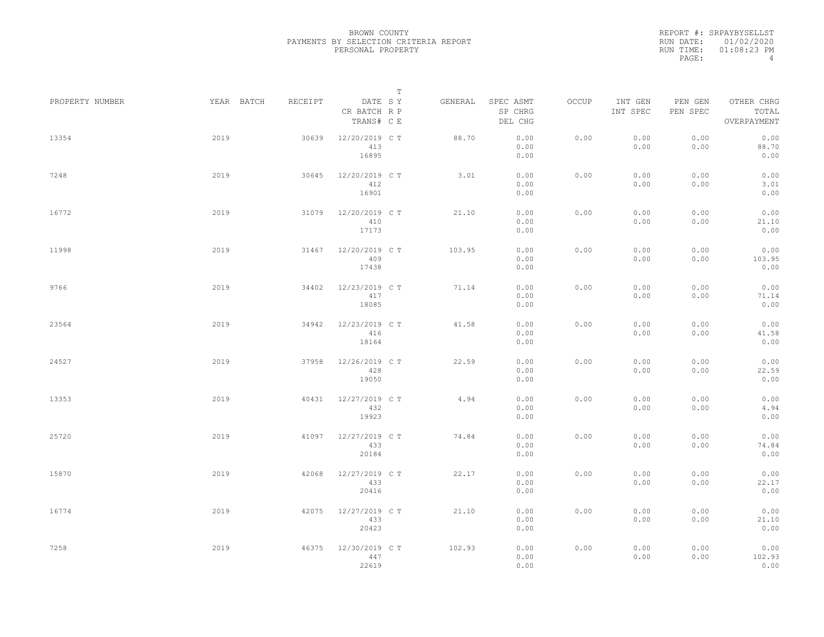|                 |      |            |         |                                       | $\mathbb T$ |         |                                 |       |                     |                     |                                    |  |
|-----------------|------|------------|---------|---------------------------------------|-------------|---------|---------------------------------|-------|---------------------|---------------------|------------------------------------|--|
| PROPERTY NUMBER |      | YEAR BATCH | RECEIPT | DATE SY<br>CR BATCH R P<br>TRANS# C E |             | GENERAL | SPEC ASMT<br>SP CHRG<br>DEL CHG | OCCUP | INT GEN<br>INT SPEC | PEN GEN<br>PEN SPEC | OTHER CHRG<br>TOTAL<br>OVERPAYMENT |  |
| 13354           | 2019 |            | 30639   | 12/20/2019 C T<br>413<br>16895        |             | 88.70   | 0.00<br>0.00<br>0.00            | 0.00  | 0.00<br>0.00        | 0.00<br>0.00        | 0.00<br>88.70<br>0.00              |  |
| 7248            | 2019 |            | 30645   | 12/20/2019 C T<br>412<br>16901        |             | 3.01    | 0.00<br>0.00<br>0.00            | 0.00  | 0.00<br>0.00        | 0.00<br>0.00        | 0.00<br>3.01<br>0.00               |  |
| 16772           | 2019 |            | 31079   | 12/20/2019 C T<br>410<br>17173        |             | 21.10   | 0.00<br>0.00<br>0.00            | 0.00  | 0.00<br>0.00        | 0.00<br>0.00        | 0.00<br>21.10<br>0.00              |  |
| 11998           | 2019 |            | 31467   | 12/20/2019 C T<br>409<br>17438        |             | 103.95  | 0.00<br>0.00<br>0.00            | 0.00  | 0.00<br>0.00        | 0.00<br>0.00        | 0.00<br>103.95<br>0.00             |  |
| 9766            | 2019 |            | 34402   | 12/23/2019 C T<br>417<br>18085        |             | 71.14   | 0.00<br>0.00<br>0.00            | 0.00  | 0.00<br>0.00        | 0.00<br>0.00        | 0.00<br>71.14<br>0.00              |  |
| 23564           | 2019 |            | 34942   | 12/23/2019 C T<br>416<br>18164        |             | 41.58   | 0.00<br>0.00<br>0.00            | 0.00  | 0.00<br>0.00        | 0.00<br>0.00        | 0.00<br>41.58<br>0.00              |  |
| 24527           | 2019 |            | 37958   | 12/26/2019 C T<br>428<br>19050        |             | 22.59   | 0.00<br>0.00<br>0.00            | 0.00  | 0.00<br>0.00        | 0.00<br>0.00        | 0.00<br>22.59<br>0.00              |  |
| 13353           | 2019 |            | 40431   | 12/27/2019 C T<br>432<br>19923        |             | 4.94    | 0.00<br>0.00<br>0.00            | 0.00  | 0.00<br>0.00        | 0.00<br>0.00        | 0.00<br>4.94<br>0.00               |  |
| 25720           | 2019 |            | 41097   | 12/27/2019 C T<br>433<br>20184        |             | 74.84   | 0.00<br>0.00<br>0.00            | 0.00  | 0.00<br>0.00        | 0.00<br>0.00        | 0.00<br>74.84<br>0.00              |  |
| 15870           | 2019 |            | 42068   | 12/27/2019 C T<br>433<br>20416        |             | 22.17   | 0.00<br>0.00<br>0.00            | 0.00  | 0.00<br>0.00        | 0.00<br>0.00        | 0.00<br>22.17<br>0.00              |  |
| 16774           | 2019 |            | 42075   | 12/27/2019 C T<br>433<br>20423        |             | 21.10   | 0.00<br>0.00<br>0.00            | 0.00  | 0.00<br>0.00        | 0.00<br>0.00        | 0.00<br>21.10<br>0.00              |  |
| 7258            | 2019 |            | 46375   | 12/30/2019 C T<br>447<br>22619        |             | 102.93  | 0.00<br>0.00<br>0.00            | 0.00  | 0.00<br>0.00        | 0.00<br>0.00        | 0.00<br>102.93<br>0.00             |  |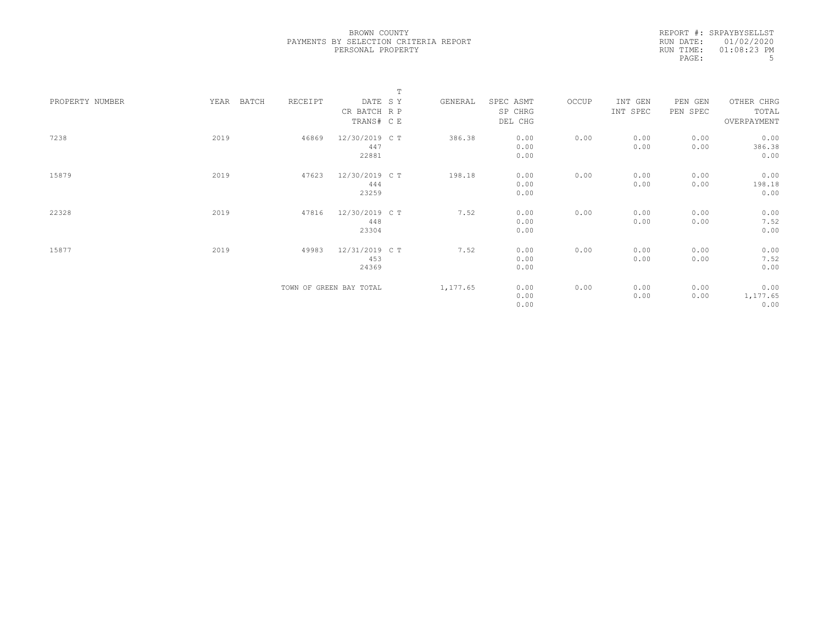|                 |      |       |         |                         | $\mathbb T$ |          |           |       |          |          |             |  |
|-----------------|------|-------|---------|-------------------------|-------------|----------|-----------|-------|----------|----------|-------------|--|
| PROPERTY NUMBER | YEAR | BATCH | RECEIPT | DATE SY                 |             | GENERAL  | SPEC ASMT | OCCUP | INT GEN  | PEN GEN  | OTHER CHRG  |  |
|                 |      |       |         | CR BATCH R P            |             |          | SP CHRG   |       | INT SPEC | PEN SPEC | TOTAL       |  |
|                 |      |       |         | TRANS# C E              |             |          | DEL CHG   |       |          |          | OVERPAYMENT |  |
|                 |      |       |         |                         |             |          |           |       |          |          |             |  |
| 7238            | 2019 |       | 46869   | 12/30/2019 C T          |             | 386.38   | 0.00      | 0.00  | 0.00     | 0.00     | 0.00        |  |
|                 |      |       |         | 447                     |             |          | 0.00      |       | 0.00     | 0.00     | 386.38      |  |
|                 |      |       |         | 22881                   |             |          | 0.00      |       |          |          | 0.00        |  |
|                 |      |       |         |                         |             |          |           |       |          |          |             |  |
| 15879           | 2019 |       | 47623   | 12/30/2019 C T          |             | 198.18   | 0.00      | 0.00  | 0.00     | 0.00     | 0.00        |  |
|                 |      |       |         | 444                     |             |          | 0.00      |       | 0.00     | 0.00     | 198.18      |  |
|                 |      |       |         | 23259                   |             |          | 0.00      |       |          |          | 0.00        |  |
| 22328           | 2019 |       | 47816   | 12/30/2019 C T          |             | 7.52     | 0.00      | 0.00  | 0.00     | 0.00     | 0.00        |  |
|                 |      |       |         | 448                     |             |          | 0.00      |       | 0.00     | 0.00     | 7.52        |  |
|                 |      |       |         | 23304                   |             |          | 0.00      |       |          |          | 0.00        |  |
|                 |      |       |         |                         |             |          |           |       |          |          |             |  |
| 15877           | 2019 |       | 49983   | 12/31/2019 C T          |             | 7.52     | 0.00      | 0.00  | 0.00     | 0.00     | 0.00        |  |
|                 |      |       |         | 453                     |             |          | 0.00      |       | 0.00     | 0.00     | 7.52        |  |
|                 |      |       |         | 24369                   |             |          | 0.00      |       |          |          | 0.00        |  |
|                 |      |       |         |                         |             |          |           |       |          |          |             |  |
|                 |      |       |         | TOWN OF GREEN BAY TOTAL |             | 1,177.65 | 0.00      | 0.00  | 0.00     | 0.00     | 0.00        |  |
|                 |      |       |         |                         |             |          | 0.00      |       | 0.00     | 0.00     | 1,177.65    |  |
|                 |      |       |         |                         |             |          | 0.00      |       |          |          | 0.00        |  |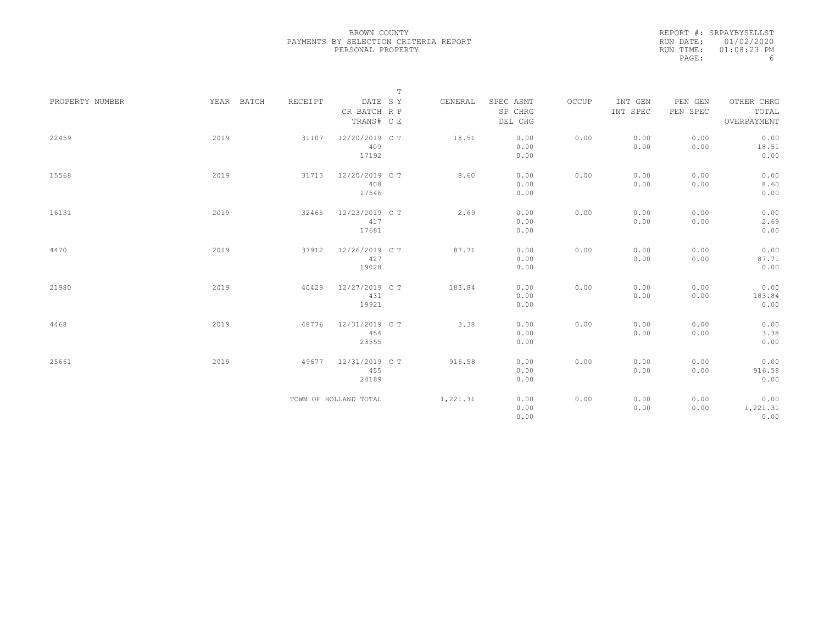|                 |            |         |                         | $\mathbb T$ |                      |       |                     |                     |                     |
|-----------------|------------|---------|-------------------------|-------------|----------------------|-------|---------------------|---------------------|---------------------|
| PROPERTY NUMBER | YEAR BATCH | RECEIPT | DATE SY<br>CR BATCH R P | GENERAL     | SPEC ASMT<br>SP CHRG | OCCUP | INT GEN<br>INT SPEC | PEN GEN<br>PEN SPEC | OTHER CHRG<br>TOTAL |
|                 |            |         | TRANS# C E              |             | DEL CHG              |       |                     |                     | OVERPAYMENT         |
| 22459           | 2019       | 31107   | 12/20/2019 C T          | 18.51       | 0.00                 | 0.00  | 0.00                | 0.00                | 0.00                |
|                 |            |         | 409<br>17192            |             | 0.00<br>0.00         |       | 0.00                | 0.00                | 18.51<br>0.00       |
|                 |            |         |                         |             |                      |       |                     |                     |                     |
| 15568           | 2019       | 31713   | 12/20/2019 C T          | 8.60        | 0.00                 | 0.00  | 0.00                | 0.00                | 0.00                |
|                 |            |         | 408                     |             | 0.00                 |       | 0.00                | 0.00                | 8.60                |
|                 |            |         | 17546                   |             | 0.00                 |       |                     |                     | 0.00                |
| 16131           | 2019       | 32465   | 12/23/2019 C T          | 2.69        | 0.00                 | 0.00  | 0.00                | 0.00                | 0.00                |
|                 |            |         | 417                     |             | 0.00                 |       | 0.00                | 0.00                | 2.69                |
|                 |            |         | 17681                   |             | 0.00                 |       |                     |                     | 0.00                |
| 4470            | 2019       | 37912   | 12/26/2019 C T          | 87.71       | 0.00                 | 0.00  | 0.00                | 0.00                | 0.00                |
|                 |            |         | 427                     |             | 0.00                 |       | 0.00                | 0.00                | 87.71               |
|                 |            |         | 19028                   |             | 0.00                 |       |                     |                     | 0.00                |
| 21980           | 2019       | 40429   | 12/27/2019 C T          | 183.84      | 0.00                 | 0.00  | 0.00                | 0.00                | 0.00                |
|                 |            |         | 431                     |             | 0.00                 |       | 0.00                | 0.00                | 183.84              |
|                 |            |         | 19921                   |             | 0.00                 |       |                     |                     | 0.00                |
| 4468            | 2019       | 48776   | 12/31/2019 C T          | 3.38        | 0.00                 | 0.00  | 0.00                | 0.00                | 0.00                |
|                 |            |         | 454                     |             | 0.00                 |       | 0.00                | 0.00                | 3.38                |
|                 |            |         | 23555                   |             | 0.00                 |       |                     |                     | 0.00                |
|                 |            |         |                         |             |                      |       |                     |                     |                     |
| 25661           | 2019       | 49677   | 12/31/2019 C T          | 916.58      | 0.00                 | 0.00  | 0.00                | 0.00                | 0.00                |
|                 |            |         | 455                     |             | 0.00                 |       | 0.00                | 0.00                | 916.58              |
|                 |            |         | 24189                   |             | 0.00                 |       |                     |                     | 0.00                |
|                 |            |         | TOWN OF HOLLAND TOTAL   | 1,221.31    | 0.00                 | 0.00  | 0.00                | 0.00                | 0.00                |
|                 |            |         |                         |             | 0.00                 |       | 0.00                | 0.00                | 1,221.31            |
|                 |            |         |                         |             | 0.00                 |       |                     |                     | 0.00                |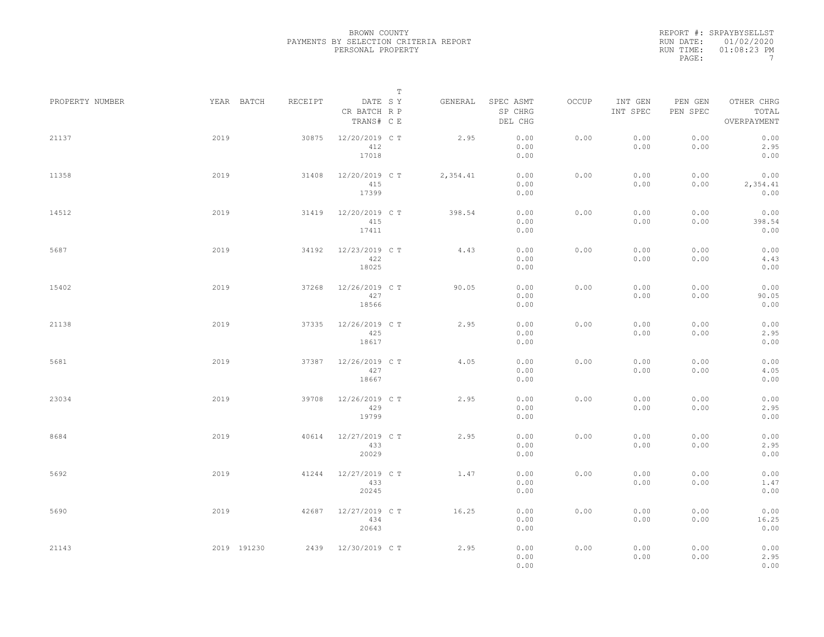|                 |             |         | $\mathbb T$                           |          |                                 |              |                     |                     |                                    |
|-----------------|-------------|---------|---------------------------------------|----------|---------------------------------|--------------|---------------------|---------------------|------------------------------------|
| PROPERTY NUMBER | YEAR BATCH  | RECEIPT | DATE SY<br>CR BATCH R P<br>TRANS# C E | GENERAL  | SPEC ASMT<br>SP CHRG<br>DEL CHG | <b>OCCUP</b> | INT GEN<br>INT SPEC | PEN GEN<br>PEN SPEC | OTHER CHRG<br>TOTAL<br>OVERPAYMENT |
| 21137           | 2019        | 30875   | 12/20/2019 C T<br>412<br>17018        | 2.95     | 0.00<br>0.00<br>0.00            | 0.00         | 0.00<br>0.00        | 0.00<br>0.00        | 0.00<br>2.95<br>0.00               |
| 11358           | 2019        | 31408   | 12/20/2019 C T<br>415<br>17399        | 2,354.41 | 0.00<br>0.00<br>0.00            | 0.00         | 0.00<br>0.00        | 0.00<br>0.00        | 0.00<br>2,354.41<br>0.00           |
| 14512           | 2019        | 31419   | 12/20/2019 C T<br>415<br>17411        | 398.54   | 0.00<br>0.00<br>0.00            | 0.00         | 0.00<br>0.00        | 0.00<br>0.00        | 0.00<br>398.54<br>0.00             |
| 5687            | 2019        | 34192   | 12/23/2019 C T<br>422<br>18025        | 4.43     | 0.00<br>0.00<br>0.00            | 0.00         | 0.00<br>0.00        | 0.00<br>0.00        | 0.00<br>4.43<br>0.00               |
| 15402           | 2019        | 37268   | 12/26/2019 C T<br>427<br>18566        | 90.05    | 0.00<br>0.00<br>0.00            | 0.00         | 0.00<br>0.00        | 0.00<br>0.00        | 0.00<br>90.05<br>0.00              |
| 21138           | 2019        | 37335   | 12/26/2019 C T<br>425<br>18617        | 2.95     | 0.00<br>0.00<br>0.00            | 0.00         | 0.00<br>0.00        | 0.00<br>0.00        | 0.00<br>2.95<br>0.00               |
| 5681            | 2019        | 37387   | 12/26/2019 C T<br>427<br>18667        | 4.05     | 0.00<br>0.00<br>0.00            | 0.00         | 0.00<br>0.00        | 0.00<br>0.00        | 0.00<br>4.05<br>0.00               |
| 23034           | 2019        | 39708   | 12/26/2019 C T<br>429<br>19799        | 2.95     | 0.00<br>0.00<br>0.00            | 0.00         | 0.00<br>0.00        | 0.00<br>0.00        | 0.00<br>2.95<br>0.00               |
| 8684            | 2019        | 40614   | 12/27/2019 C T<br>433<br>20029        | 2.95     | 0.00<br>0.00<br>0.00            | 0.00         | 0.00<br>0.00        | 0.00<br>0.00        | 0.00<br>2.95<br>0.00               |
| 5692            | 2019        | 41244   | 12/27/2019 C T<br>433<br>20245        | 1.47     | 0.00<br>0.00<br>0.00            | 0.00         | 0.00<br>0.00        | 0.00<br>0.00        | 0.00<br>1.47<br>0.00               |
| 5690            | 2019        | 42687   | 12/27/2019 C T<br>434<br>20643        | 16.25    | 0.00<br>0.00<br>0.00            | 0.00         | 0.00<br>0.00        | 0.00<br>0.00        | 0.00<br>16.25<br>0.00              |
| 21143           | 2019 191230 |         | 2439 12/30/2019 C T                   | 2.95     | 0.00<br>0.00<br>0.00            | 0.00         | 0.00<br>0.00        | 0.00<br>0.00        | 0.00<br>2.95<br>0.00               |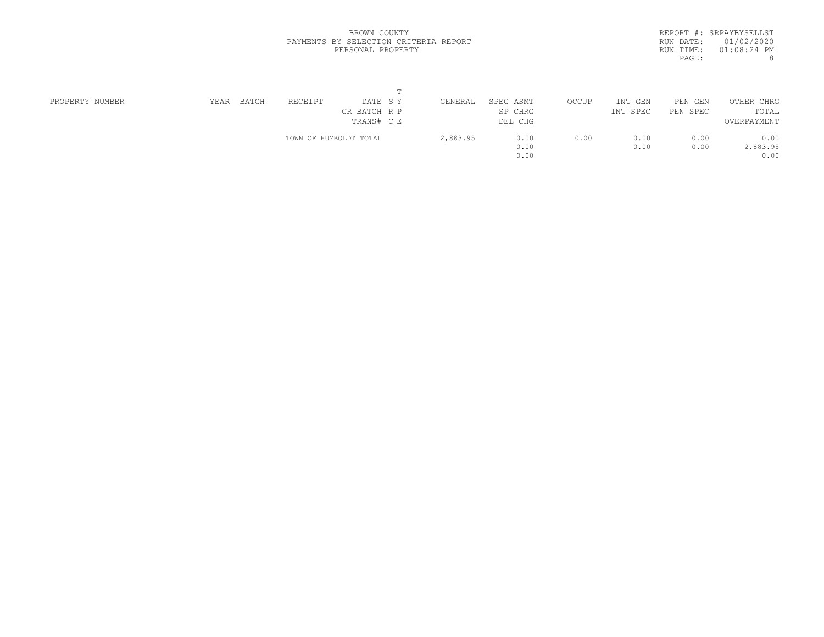|           | REPORT #: SRPAYBYSELLST |
|-----------|-------------------------|
|           | RUN DATE: 01/02/2020    |
| RUN TIME: | $01:08:24$ PM           |
| PAGE:     | 8                       |

| PROPERTY NUMBER | YEAR | BATCH | RECEIPT | DATE SY                | GENERAL  | SPEC ASMT | OCCUP | INT<br>GEN | PEN GEN  | OTHER CHRG  |  |
|-----------------|------|-------|---------|------------------------|----------|-----------|-------|------------|----------|-------------|--|
|                 |      |       |         | CR BATCH R P           |          | SP CHRG   |       | INT SPEC   | PEN SPEC | TOTAL       |  |
|                 |      |       |         | TRANS# C E             |          | DEL CHG   |       |            |          | OVERPAYMENT |  |
|                 |      |       |         | TOWN OF HUMBOLDT TOTAL | 2,883.95 | 0.00      | 0.00  | 0.00       | 0.00     | 0.00        |  |
|                 |      |       |         |                        |          | 0.00      |       | 0.00       | 0.00     | 2,883.95    |  |
|                 |      |       |         |                        |          | 0.00      |       |            |          | 0.00        |  |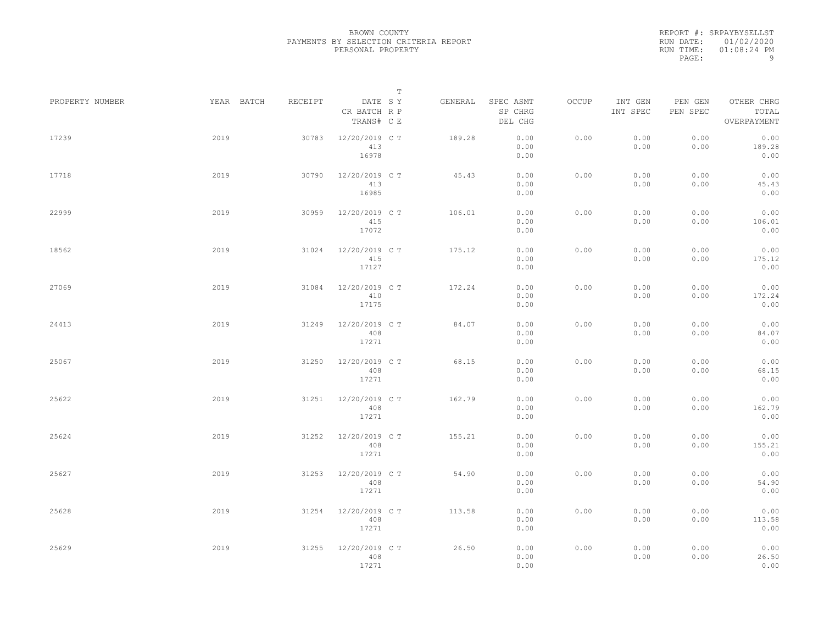|                 |            |         | $\mathbb T$                           |         |                                 |       |                     |                     |                                    |
|-----------------|------------|---------|---------------------------------------|---------|---------------------------------|-------|---------------------|---------------------|------------------------------------|
| PROPERTY NUMBER | YEAR BATCH | RECEIPT | DATE SY<br>CR BATCH R P<br>TRANS# C E | GENERAL | SPEC ASMT<br>SP CHRG<br>DEL CHG | OCCUP | INT GEN<br>INT SPEC | PEN GEN<br>PEN SPEC | OTHER CHRG<br>TOTAL<br>OVERPAYMENT |
| 17239           | 2019       | 30783   | 12/20/2019 C T<br>413<br>16978        | 189.28  | 0.00<br>0.00<br>0.00            | 0.00  | 0.00<br>0.00        | 0.00<br>0.00        | 0.00<br>189.28<br>0.00             |
| 17718           | 2019       | 30790   | 12/20/2019 C T<br>413<br>16985        | 45.43   | 0.00<br>0.00<br>0.00            | 0.00  | 0.00<br>0.00        | 0.00<br>0.00        | 0.00<br>45.43<br>0.00              |
| 22999           | 2019       | 30959   | 12/20/2019 C T<br>415<br>17072        | 106.01  | 0.00<br>0.00<br>0.00            | 0.00  | 0.00<br>0.00        | 0.00<br>0.00        | 0.00<br>106.01<br>0.00             |
| 18562           | 2019       | 31024   | 12/20/2019 C T<br>415<br>17127        | 175.12  | 0.00<br>0.00<br>0.00            | 0.00  | 0.00<br>0.00        | 0.00<br>0.00        | 0.00<br>175.12<br>0.00             |
| 27069           | 2019       | 31084   | 12/20/2019 C T<br>410<br>17175        | 172.24  | 0.00<br>0.00<br>0.00            | 0.00  | 0.00<br>0.00        | 0.00<br>0.00        | 0.00<br>172.24<br>0.00             |
| 24413           | 2019       | 31249   | 12/20/2019 C T<br>408<br>17271        | 84.07   | 0.00<br>0.00<br>0.00            | 0.00  | 0.00<br>0.00        | 0.00<br>0.00        | 0.00<br>84.07<br>0.00              |
| 25067           | 2019       | 31250   | 12/20/2019 C T<br>408<br>17271        | 68.15   | 0.00<br>0.00<br>0.00            | 0.00  | 0.00<br>0.00        | 0.00<br>0.00        | 0.00<br>68.15<br>0.00              |
| 25622           | 2019       | 31251   | 12/20/2019 C T<br>408<br>17271        | 162.79  | 0.00<br>0.00<br>0.00            | 0.00  | 0.00<br>0.00        | 0.00<br>0.00        | 0.00<br>162.79<br>0.00             |
| 25624           | 2019       | 31252   | 12/20/2019 C T<br>408<br>17271        | 155.21  | 0.00<br>0.00<br>0.00            | 0.00  | 0.00<br>0.00        | 0.00<br>0.00        | 0.00<br>155.21<br>0.00             |
| 25627           | 2019       | 31253   | 12/20/2019 C T<br>408<br>17271        | 54.90   | 0.00<br>0.00<br>0.00            | 0.00  | 0.00<br>0.00        | 0.00<br>0.00        | 0.00<br>54.90<br>0.00              |
| 25628           | 2019       | 31254   | 12/20/2019 C T<br>408<br>17271        | 113.58  | 0.00<br>0.00<br>0.00            | 0.00  | 0.00<br>0.00        | 0.00<br>0.00        | 0.00<br>113.58<br>0.00             |
| 25629           | 2019       | 31255   | 12/20/2019 C T<br>408<br>17271        | 26.50   | 0.00<br>0.00<br>0.00            | 0.00  | 0.00<br>0.00        | 0.00<br>0.00        | 0.00<br>26.50<br>0.00              |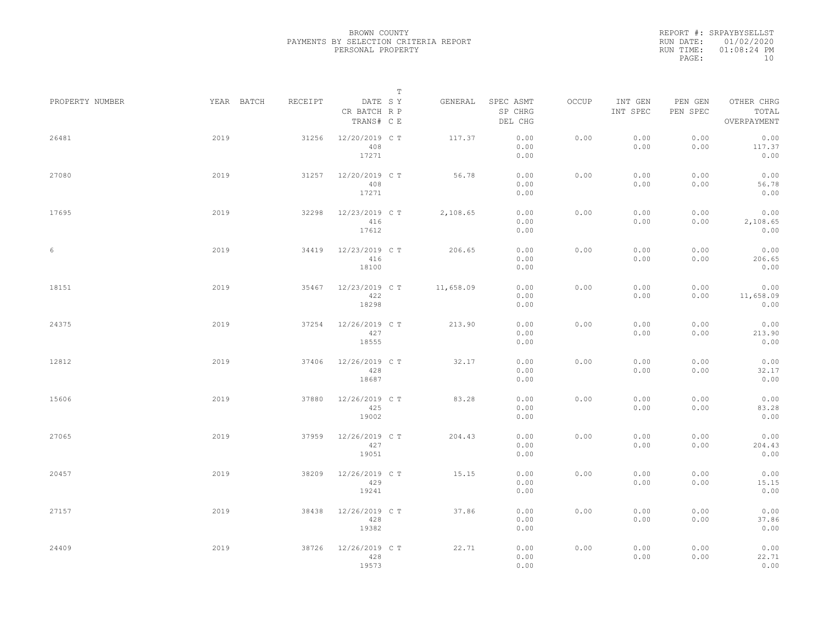|                 |      |            |         |                                       | T |           |                                 |       |                     |                     |                                    |  |
|-----------------|------|------------|---------|---------------------------------------|---|-----------|---------------------------------|-------|---------------------|---------------------|------------------------------------|--|
| PROPERTY NUMBER |      | YEAR BATCH | RECEIPT | DATE SY<br>CR BATCH R P<br>TRANS# C E |   | GENERAL   | SPEC ASMT<br>SP CHRG<br>DEL CHG | OCCUP | INT GEN<br>INT SPEC | PEN GEN<br>PEN SPEC | OTHER CHRG<br>TOTAL<br>OVERPAYMENT |  |
| 26481           | 2019 |            | 31256   | 12/20/2019 C T<br>408<br>17271        |   | 117.37    | 0.00<br>0.00<br>0.00            | 0.00  | 0.00<br>0.00        | 0.00<br>0.00        | 0.00<br>117.37<br>0.00             |  |
| 27080           | 2019 |            | 31257   | 12/20/2019 C T<br>408<br>17271        |   | 56.78     | 0.00<br>0.00<br>0.00            | 0.00  | 0.00<br>0.00        | 0.00<br>0.00        | 0.00<br>56.78<br>0.00              |  |
| 17695           | 2019 |            | 32298   | 12/23/2019 C T<br>416<br>17612        |   | 2,108.65  | 0.00<br>0.00<br>0.00            | 0.00  | 0.00<br>0.00        | 0.00<br>0.00        | 0.00<br>2,108.65<br>0.00           |  |
| 6               | 2019 |            | 34419   | 12/23/2019 C T<br>416<br>18100        |   | 206.65    | 0.00<br>0.00<br>0.00            | 0.00  | 0.00<br>0.00        | 0.00<br>0.00        | 0.00<br>206.65<br>0.00             |  |
| 18151           | 2019 |            | 35467   | 12/23/2019 C T<br>422<br>18298        |   | 11,658.09 | 0.00<br>0.00<br>0.00            | 0.00  | 0.00<br>0.00        | 0.00<br>0.00        | 0.00<br>11,658.09<br>0.00          |  |
| 24375           | 2019 |            | 37254   | 12/26/2019 C T<br>427<br>18555        |   | 213.90    | 0.00<br>0.00<br>0.00            | 0.00  | 0.00<br>0.00        | 0.00<br>0.00        | 0.00<br>213.90<br>0.00             |  |
| 12812           | 2019 |            | 37406   | 12/26/2019 C T<br>428<br>18687        |   | 32.17     | 0.00<br>0.00<br>0.00            | 0.00  | 0.00<br>0.00        | 0.00<br>0.00        | 0.00<br>32.17<br>0.00              |  |
| 15606           | 2019 |            | 37880   | 12/26/2019 C T<br>425<br>19002        |   | 83.28     | 0.00<br>0.00<br>0.00            | 0.00  | 0.00<br>0.00        | 0.00<br>0.00        | 0.00<br>83.28<br>0.00              |  |
| 27065           | 2019 |            | 37959   | 12/26/2019 C T<br>427<br>19051        |   | 204.43    | 0.00<br>0.00<br>0.00            | 0.00  | 0.00<br>0.00        | 0.00<br>0.00        | 0.00<br>204.43<br>0.00             |  |
| 20457           | 2019 |            | 38209   | 12/26/2019 C T<br>429<br>19241        |   | 15.15     | 0.00<br>0.00<br>0.00            | 0.00  | 0.00<br>0.00        | 0.00<br>0.00        | 0.00<br>15.15<br>0.00              |  |
| 27157           | 2019 |            | 38438   | 12/26/2019 C T<br>428<br>19382        |   | 37.86     | 0.00<br>0.00<br>0.00            | 0.00  | 0.00<br>0.00        | 0.00<br>0.00        | 0.00<br>37.86<br>0.00              |  |
| 24409           | 2019 |            | 38726   | 12/26/2019 C T<br>428<br>19573        |   | 22.71     | 0.00<br>0.00<br>0.00            | 0.00  | 0.00<br>0.00        | 0.00<br>0.00        | 0.00<br>22.71<br>0.00              |  |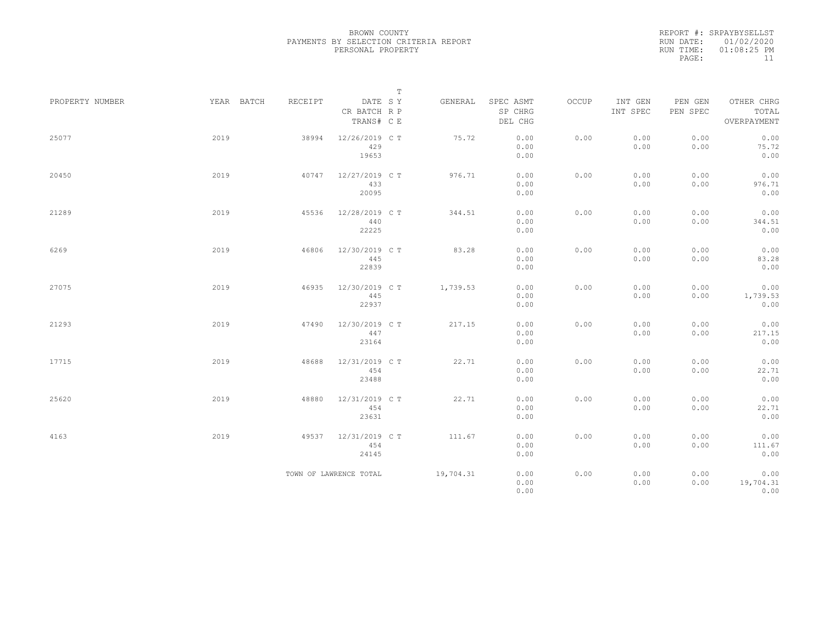|                 |            |         | $\mathbb T$                           |           |                                 |       |                     |                     |                                    |
|-----------------|------------|---------|---------------------------------------|-----------|---------------------------------|-------|---------------------|---------------------|------------------------------------|
| PROPERTY NUMBER | YEAR BATCH | RECEIPT | DATE SY<br>CR BATCH R P<br>TRANS# C E | GENERAL   | SPEC ASMT<br>SP CHRG<br>DEL CHG | OCCUP | INT GEN<br>INT SPEC | PEN GEN<br>PEN SPEC | OTHER CHRG<br>TOTAL<br>OVERPAYMENT |
| 25077           | 2019       | 38994   | 12/26/2019 C T<br>429<br>19653        | 75.72     | 0.00<br>0.00<br>0.00            | 0.00  | 0.00<br>0.00        | 0.00<br>0.00        | 0.00<br>75.72<br>0.00              |
| 20450           | 2019       | 40747   | 12/27/2019 C T<br>433<br>20095        | 976.71    | 0.00<br>0.00<br>0.00            | 0.00  | 0.00<br>0.00        | 0.00<br>0.00        | 0.00<br>976.71<br>0.00             |
| 21289           | 2019       | 45536   | 12/28/2019 C T<br>440<br>22225        | 344.51    | 0.00<br>0.00<br>0.00            | 0.00  | 0.00<br>0.00        | 0.00<br>0.00        | 0.00<br>344.51<br>0.00             |
| 6269            | 2019       | 46806   | 12/30/2019 C T<br>445<br>22839        | 83.28     | 0.00<br>0.00<br>0.00            | 0.00  | 0.00<br>0.00        | 0.00<br>0.00        | 0.00<br>83.28<br>0.00              |
| 27075           | 2019       | 46935   | 12/30/2019 C T<br>445<br>22937        | 1,739.53  | 0.00<br>0.00<br>0.00            | 0.00  | 0.00<br>0.00        | 0.00<br>0.00        | 0.00<br>1,739.53<br>0.00           |
| 21293           | 2019       | 47490   | 12/30/2019 C T<br>447<br>23164        | 217.15    | 0.00<br>0.00<br>0.00            | 0.00  | 0.00<br>0.00        | 0.00<br>0.00        | 0.00<br>217.15<br>0.00             |
| 17715           | 2019       | 48688   | 12/31/2019 C T<br>454<br>23488        | 22.71     | 0.00<br>0.00<br>0.00            | 0.00  | 0.00<br>0.00        | 0.00<br>0.00        | 0.00<br>22.71<br>0.00              |
| 25620           | 2019       | 48880   | 12/31/2019 C T<br>454<br>23631        | 22.71     | 0.00<br>0.00<br>0.00            | 0.00  | 0.00<br>0.00        | 0.00<br>0.00        | 0.00<br>22.71<br>0.00              |
| 4163            | 2019       | 49537   | 12/31/2019 C T<br>454<br>24145        | 111.67    | 0.00<br>0.00<br>0.00            | 0.00  | 0.00<br>0.00        | 0.00<br>0.00        | 0.00<br>111.67<br>0.00             |
|                 |            |         | TOWN OF LAWRENCE TOTAL                | 19,704.31 | 0.00<br>0.00<br>0.00            | 0.00  | 0.00<br>0.00        | 0.00<br>0.00        | 0.00<br>19,704.31<br>0.00          |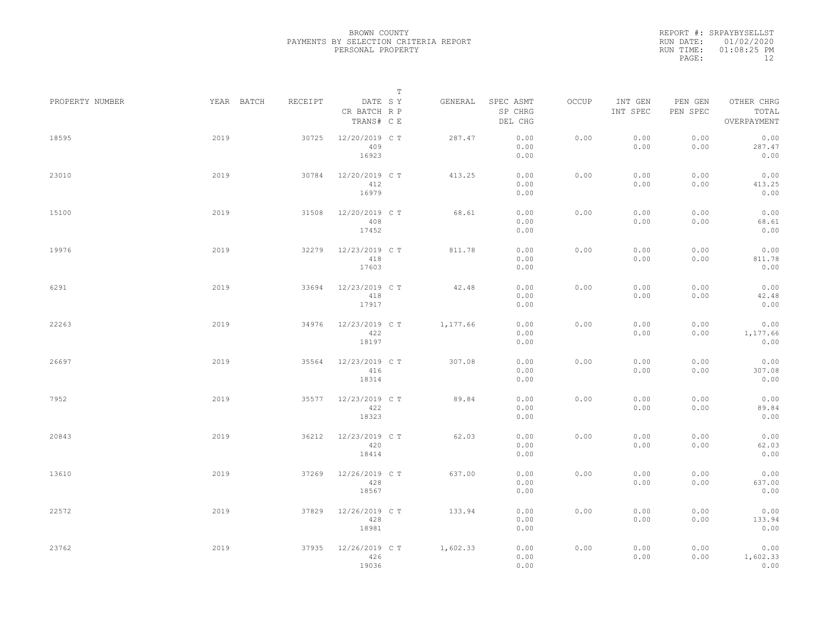|                 |            |         |                                       | $\mathbb T$ |          |                                 |       |                     |                     |                                    |  |
|-----------------|------------|---------|---------------------------------------|-------------|----------|---------------------------------|-------|---------------------|---------------------|------------------------------------|--|
| PROPERTY NUMBER | YEAR BATCH | RECEIPT | DATE SY<br>CR BATCH R P<br>TRANS# C E |             | GENERAL  | SPEC ASMT<br>SP CHRG<br>DEL CHG | OCCUP | INT GEN<br>INT SPEC | PEN GEN<br>PEN SPEC | OTHER CHRG<br>TOTAL<br>OVERPAYMENT |  |
| 18595           | 2019       | 30725   | 12/20/2019 C T<br>409<br>16923        |             | 287.47   | 0.00<br>0.00<br>0.00            | 0.00  | 0.00<br>0.00        | 0.00<br>0.00        | 0.00<br>287.47<br>0.00             |  |
| 23010           | 2019       | 30784   | 12/20/2019 C T<br>412<br>16979        |             | 413.25   | 0.00<br>0.00<br>0.00            | 0.00  | 0.00<br>0.00        | 0.00<br>0.00        | 0.00<br>413.25<br>0.00             |  |
| 15100           | 2019       | 31508   | 12/20/2019 C T<br>408<br>17452        |             | 68.61    | 0.00<br>0.00<br>0.00            | 0.00  | 0.00<br>0.00        | 0.00<br>0.00        | 0.00<br>68.61<br>0.00              |  |
| 19976           | 2019       | 32279   | 12/23/2019 C T<br>418<br>17603        |             | 811.78   | 0.00<br>0.00<br>0.00            | 0.00  | 0.00<br>0.00        | 0.00<br>0.00        | 0.00<br>811.78<br>0.00             |  |
| 6291            | 2019       | 33694   | 12/23/2019 C T<br>418<br>17917        |             | 42.48    | 0.00<br>0.00<br>0.00            | 0.00  | 0.00<br>0.00        | 0.00<br>0.00        | 0.00<br>42.48<br>0.00              |  |
| 22263           | 2019       | 34976   | 12/23/2019 C T<br>422<br>18197        |             | 1,177.66 | 0.00<br>0.00<br>0.00            | 0.00  | 0.00<br>0.00        | 0.00<br>0.00        | 0.00<br>1,177.66<br>0.00           |  |
| 26697           | 2019       | 35564   | 12/23/2019 C T<br>416<br>18314        |             | 307.08   | 0.00<br>0.00<br>0.00            | 0.00  | 0.00<br>0.00        | 0.00<br>0.00        | 0.00<br>307.08<br>0.00             |  |
| 7952            | 2019       | 35577   | 12/23/2019 C T<br>422<br>18323        |             | 89.84    | 0.00<br>0.00<br>0.00            | 0.00  | 0.00<br>0.00        | 0.00<br>0.00        | 0.00<br>89.84<br>0.00              |  |
| 20843           | 2019       | 36212   | 12/23/2019 C T<br>420<br>18414        |             | 62.03    | 0.00<br>0.00<br>0.00            | 0.00  | 0.00<br>0.00        | 0.00<br>0.00        | 0.00<br>62.03<br>0.00              |  |
| 13610           | 2019       | 37269   | 12/26/2019 C T<br>428<br>18567        |             | 637.00   | 0.00<br>0.00<br>0.00            | 0.00  | 0.00<br>0.00        | 0.00<br>0.00        | 0.00<br>637.00<br>0.00             |  |
| 22572           | 2019       | 37829   | 12/26/2019 C T<br>428<br>18981        |             | 133.94   | 0.00<br>0.00<br>0.00            | 0.00  | 0.00<br>0.00        | 0.00<br>0.00        | 0.00<br>133.94<br>0.00             |  |
| 23762           | 2019       | 37935   | 12/26/2019 C T<br>426<br>19036        |             | 1,602.33 | 0.00<br>0.00<br>0.00            | 0.00  | 0.00<br>0.00        | 0.00<br>0.00        | 0.00<br>1,602.33<br>0.00           |  |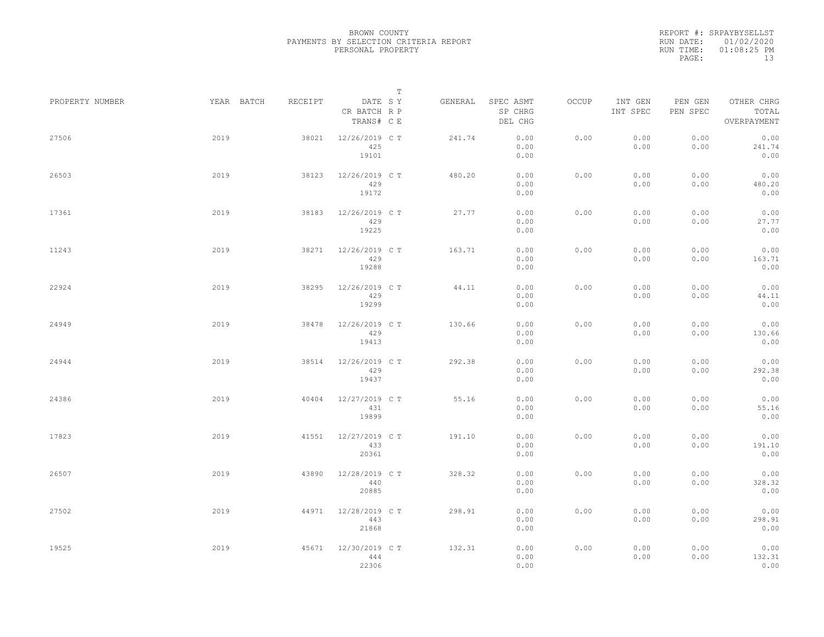|                 |            |         | $\mathbb T$                           |         |                                 |       |                     |                     |                                    |
|-----------------|------------|---------|---------------------------------------|---------|---------------------------------|-------|---------------------|---------------------|------------------------------------|
| PROPERTY NUMBER | YEAR BATCH | RECEIPT | DATE SY<br>CR BATCH R P<br>TRANS# C E | GENERAL | SPEC ASMT<br>SP CHRG<br>DEL CHG | OCCUP | INT GEN<br>INT SPEC | PEN GEN<br>PEN SPEC | OTHER CHRG<br>TOTAL<br>OVERPAYMENT |
| 27506           | 2019       | 38021   | 12/26/2019 C T<br>425<br>19101        | 241.74  | 0.00<br>0.00<br>0.00            | 0.00  | 0.00<br>0.00        | 0.00<br>0.00        | 0.00<br>241.74<br>0.00             |
| 26503           | 2019       | 38123   | 12/26/2019 C T<br>429<br>19172        | 480.20  | 0.00<br>0.00<br>0.00            | 0.00  | 0.00<br>0.00        | 0.00<br>0.00        | 0.00<br>480.20<br>0.00             |
| 17361           | 2019       | 38183   | 12/26/2019 C T<br>429<br>19225        | 27.77   | 0.00<br>0.00<br>0.00            | 0.00  | 0.00<br>0.00        | 0.00<br>0.00        | 0.00<br>27.77<br>0.00              |
| 11243           | 2019       | 38271   | 12/26/2019 C T<br>429<br>19288        | 163.71  | 0.00<br>0.00<br>0.00            | 0.00  | 0.00<br>0.00        | 0.00<br>0.00        | 0.00<br>163.71<br>0.00             |
| 22924           | 2019       | 38295   | 12/26/2019 C T<br>429<br>19299        | 44.11   | 0.00<br>0.00<br>0.00            | 0.00  | 0.00<br>0.00        | 0.00<br>0.00        | 0.00<br>44.11<br>0.00              |
| 24949           | 2019       | 38478   | 12/26/2019 C T<br>429<br>19413        | 130.66  | 0.00<br>0.00<br>0.00            | 0.00  | 0.00<br>0.00        | 0.00<br>0.00        | 0.00<br>130.66<br>0.00             |
| 24944           | 2019       | 38514   | 12/26/2019 C T<br>429<br>19437        | 292.38  | 0.00<br>0.00<br>0.00            | 0.00  | 0.00<br>0.00        | 0.00<br>0.00        | 0.00<br>292.38<br>0.00             |
| 24386           | 2019       | 40404   | 12/27/2019 C T<br>431<br>19899        | 55.16   | 0.00<br>0.00<br>0.00            | 0.00  | 0.00<br>0.00        | 0.00<br>0.00        | 0.00<br>55.16<br>0.00              |
| 17823           | 2019       | 41551   | 12/27/2019 C T<br>433<br>20361        | 191.10  | 0.00<br>0.00<br>0.00            | 0.00  | 0.00<br>0.00        | 0.00<br>0.00        | 0.00<br>191.10<br>0.00             |
| 26507           | 2019       | 43890   | 12/28/2019 C T<br>440<br>20885        | 328.32  | 0.00<br>0.00<br>0.00            | 0.00  | 0.00<br>0.00        | 0.00<br>0.00        | 0.00<br>328.32<br>0.00             |
| 27502           | 2019       | 44971   | 12/28/2019 C T<br>443<br>21868        | 298.91  | 0.00<br>0.00<br>0.00            | 0.00  | 0.00<br>0.00        | 0.00<br>0.00        | 0.00<br>298.91<br>0.00             |
| 19525           | 2019       | 45671   | 12/30/2019 C T<br>444<br>22306        | 132.31  | 0.00<br>0.00<br>0.00            | 0.00  | 0.00<br>0.00        | 0.00<br>0.00        | 0.00<br>132.31<br>0.00             |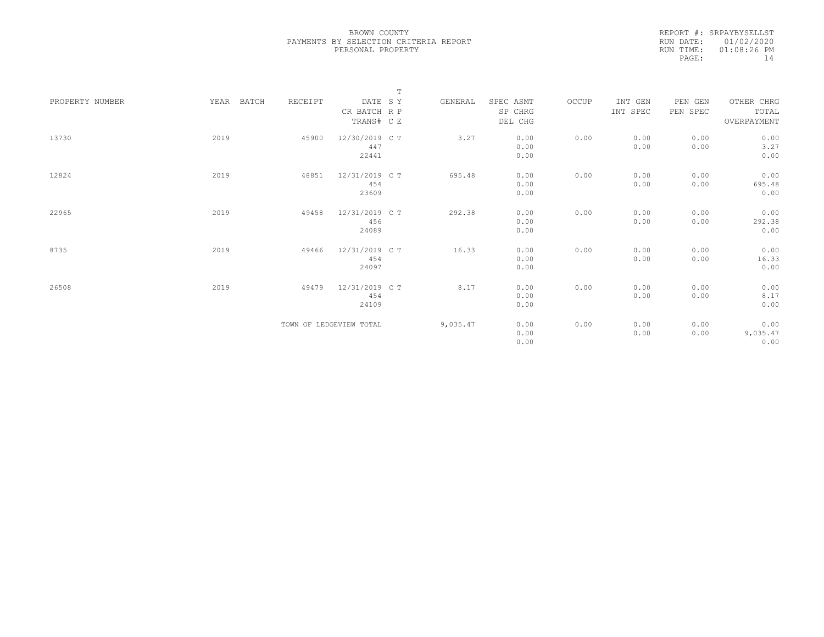|                 |               |         | $\mathbb T$             |          |           |       |          |          |             |
|-----------------|---------------|---------|-------------------------|----------|-----------|-------|----------|----------|-------------|
| PROPERTY NUMBER | YEAR<br>BATCH | RECEIPT | DATE SY                 | GENERAL  | SPEC ASMT | OCCUP | INT GEN  | PEN GEN  | OTHER CHRG  |
|                 |               |         | CR BATCH R P            |          | SP CHRG   |       | INT SPEC | PEN SPEC | TOTAL       |
|                 |               |         | TRANS# C E              |          | DEL CHG   |       |          |          | OVERPAYMENT |
|                 |               |         |                         |          |           |       |          |          |             |
| 13730           | 2019          | 45900   | 12/30/2019 C T          | 3.27     | 0.00      | 0.00  | 0.00     | 0.00     | 0.00        |
|                 |               |         | 447                     |          | 0.00      |       | 0.00     | 0.00     | 3.27        |
|                 |               |         | 22441                   |          | 0.00      |       |          |          | 0.00        |
|                 |               |         |                         |          |           |       |          |          |             |
| 12824           | 2019          | 48851   | 12/31/2019 C T          | 695.48   | 0.00      | 0.00  | 0.00     | 0.00     | 0.00        |
|                 |               |         | 454                     |          | 0.00      |       | 0.00     | 0.00     | 695.48      |
|                 |               |         | 23609                   |          | 0.00      |       |          |          | 0.00        |
|                 |               |         |                         |          |           |       |          |          |             |
| 22965           | 2019          | 49458   | 12/31/2019 C T          | 292.38   | 0.00      | 0.00  | 0.00     | 0.00     | 0.00        |
|                 |               |         | 456                     |          | 0.00      |       | 0.00     | 0.00     | 292.38      |
|                 |               |         | 24089                   |          | 0.00      |       |          |          | 0.00        |
|                 |               |         |                         |          |           |       |          |          |             |
| 8735            | 2019          | 49466   | 12/31/2019 C T          | 16.33    | 0.00      | 0.00  | 0.00     | 0.00     | 0.00        |
|                 |               |         | 454                     |          | 0.00      |       | 0.00     | 0.00     | 16.33       |
|                 |               |         | 24097                   |          | 0.00      |       |          |          | 0.00        |
|                 |               |         |                         |          |           |       |          |          |             |
| 26508           | 2019          | 49479   | 12/31/2019 C T          | 8.17     | 0.00      | 0.00  | 0.00     | 0.00     | 0.00        |
|                 |               |         | 454                     |          | 0.00      |       | 0.00     | 0.00     | 8.17        |
|                 |               |         | 24109                   |          | 0.00      |       |          |          | 0.00        |
|                 |               |         |                         |          |           |       |          |          |             |
|                 |               |         | TOWN OF LEDGEVIEW TOTAL | 9,035.47 | 0.00      | 0.00  | 0.00     | 0.00     | 0.00        |
|                 |               |         |                         |          | 0.00      |       | 0.00     | 0.00     | 9,035.47    |
|                 |               |         |                         |          | 0.00      |       |          |          | 0.00        |
|                 |               |         |                         |          |           |       |          |          |             |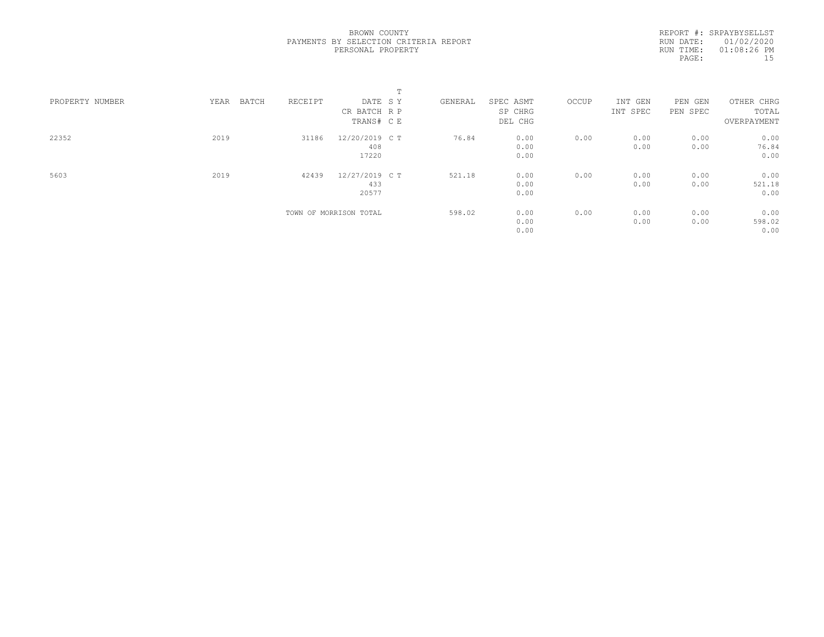|                 |               |         | $\blacksquare$<br>÷.   |         |           |       |          |          |             |  |
|-----------------|---------------|---------|------------------------|---------|-----------|-------|----------|----------|-------------|--|
| PROPERTY NUMBER | YEAR<br>BATCH | RECEIPT | DATE SY                | GENERAL | SPEC ASMT | OCCUP | INT GEN  | PEN GEN  | OTHER CHRG  |  |
|                 |               |         | CR BATCH R P           |         | SP CHRG   |       | INT SPEC | PEN SPEC | TOTAL       |  |
|                 |               |         | TRANS# C E             |         | DEL CHG   |       |          |          | OVERPAYMENT |  |
| 22352           | 2019          | 31186   | 12/20/2019 C T         | 76.84   | 0.00      | 0.00  | 0.00     | 0.00     | 0.00        |  |
|                 |               |         | 408                    |         | 0.00      |       | 0.00     | 0.00     | 76.84       |  |
|                 |               |         | 17220                  |         | 0.00      |       |          |          | 0.00        |  |
| 5603            | 2019          | 42439   | 12/27/2019 C T         | 521.18  | 0.00      | 0.00  | 0.00     | 0.00     | 0.00        |  |
|                 |               |         | 433                    |         | 0.00      |       | 0.00     | 0.00     | 521.18      |  |
|                 |               |         | 20577                  |         | 0.00      |       |          |          | 0.00        |  |
|                 |               |         | TOWN OF MORRISON TOTAL | 598.02  | 0.00      | 0.00  | 0.00     | 0.00     | 0.00        |  |
|                 |               |         |                        |         | 0.00      |       | 0.00     | 0.00     | 598.02      |  |
|                 |               |         |                        |         | 0.00      |       |          |          | 0.00        |  |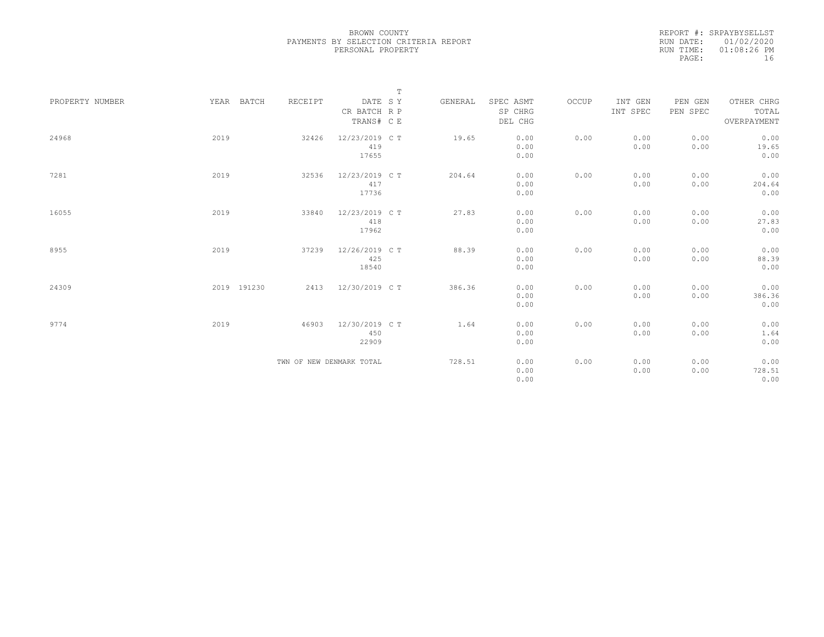|                 |             |                          |                                       | $\mathbb T$ |         |                                 |       |                     |                     |                                    |
|-----------------|-------------|--------------------------|---------------------------------------|-------------|---------|---------------------------------|-------|---------------------|---------------------|------------------------------------|
| PROPERTY NUMBER | YEAR BATCH  | RECEIPT                  | DATE SY<br>CR BATCH R P<br>TRANS# C E |             | GENERAL | SPEC ASMT<br>SP CHRG<br>DEL CHG | OCCUP | INT GEN<br>INT SPEC | PEN GEN<br>PEN SPEC | OTHER CHRG<br>TOTAL<br>OVERPAYMENT |
| 24968           | 2019        | 32426                    | 12/23/2019 C T<br>419<br>17655        |             | 19.65   | 0.00<br>0.00<br>0.00            | 0.00  | 0.00<br>0.00        | 0.00<br>0.00        | 0.00<br>19.65<br>0.00              |
| 7281            | 2019        | 32536                    | 12/23/2019 C T<br>417<br>17736        |             | 204.64  | 0.00<br>0.00<br>0.00            | 0.00  | 0.00<br>0.00        | 0.00<br>0.00        | 0.00<br>204.64<br>0.00             |
| 16055           | 2019        | 33840                    | 12/23/2019 C T<br>418<br>17962        |             | 27.83   | 0.00<br>0.00<br>0.00            | 0.00  | 0.00<br>0.00        | 0.00<br>0.00        | 0.00<br>27.83<br>0.00              |
| 8955            | 2019        | 37239                    | 12/26/2019 C T<br>425<br>18540        |             | 88.39   | 0.00<br>0.00<br>0.00            | 0.00  | 0.00<br>0.00        | 0.00<br>0.00        | 0.00<br>88.39<br>0.00              |
| 24309           | 2019 191230 | 2413                     | 12/30/2019 C T                        |             | 386.36  | 0.00<br>0.00<br>0.00            | 0.00  | 0.00<br>0.00        | 0.00<br>0.00        | 0.00<br>386.36<br>0.00             |
| 9774            | 2019        | 46903                    | 12/30/2019 C T<br>450<br>22909        |             | 1.64    | 0.00<br>0.00<br>0.00            | 0.00  | 0.00<br>0.00        | 0.00<br>0.00        | 0.00<br>1.64<br>0.00               |
|                 |             | TWN OF NEW DENMARK TOTAL |                                       |             | 728.51  | 0.00<br>0.00<br>0.00            | 0.00  | 0.00<br>0.00        | 0.00<br>0.00        | 0.00<br>728.51<br>0.00             |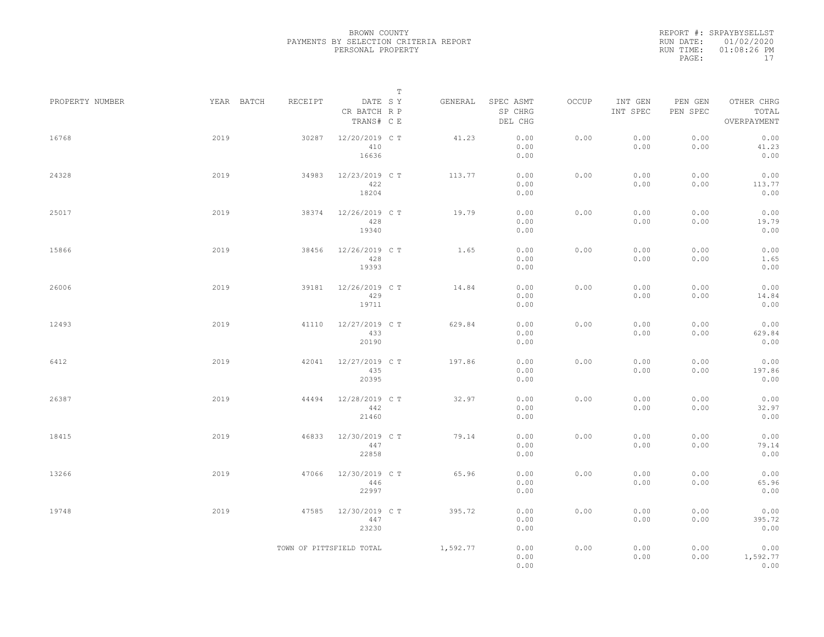|                 |            |                          | $\mathbb T$                           |          |                                 |       |                     |                     |                                    |
|-----------------|------------|--------------------------|---------------------------------------|----------|---------------------------------|-------|---------------------|---------------------|------------------------------------|
| PROPERTY NUMBER | YEAR BATCH | RECEIPT                  | DATE SY<br>CR BATCH R P<br>TRANS# C E | GENERAL  | SPEC ASMT<br>SP CHRG<br>DEL CHG | OCCUP | INT GEN<br>INT SPEC | PEN GEN<br>PEN SPEC | OTHER CHRG<br>TOTAL<br>OVERPAYMENT |
| 16768           | 2019       | 30287                    | 12/20/2019 C T<br>410<br>16636        | 41.23    | 0.00<br>0.00<br>0.00            | 0.00  | 0.00<br>0.00        | 0.00<br>0.00        | 0.00<br>41.23<br>0.00              |
| 24328           | 2019       | 34983                    | 12/23/2019 C T<br>422<br>18204        | 113.77   | 0.00<br>0.00<br>0.00            | 0.00  | 0.00<br>0.00        | 0.00<br>0.00        | 0.00<br>113.77<br>0.00             |
| 25017           | 2019       | 38374                    | 12/26/2019 C T<br>428<br>19340        | 19.79    | 0.00<br>0.00<br>0.00            | 0.00  | 0.00<br>0.00        | 0.00<br>0.00        | 0.00<br>19.79<br>0.00              |
| 15866           | 2019       | 38456                    | 12/26/2019 C T<br>428<br>19393        | 1.65     | 0.00<br>0.00<br>0.00            | 0.00  | 0.00<br>0.00        | 0.00<br>0.00        | 0.00<br>1.65<br>0.00               |
| 26006           | 2019       | 39181                    | 12/26/2019 C T<br>429<br>19711        | 14.84    | 0.00<br>0.00<br>0.00            | 0.00  | 0.00<br>0.00        | 0.00<br>0.00        | 0.00<br>14.84<br>0.00              |
| 12493           | 2019       | 41110                    | 12/27/2019 C T<br>433<br>20190        | 629.84   | 0.00<br>0.00<br>0.00            | 0.00  | 0.00<br>0.00        | 0.00<br>0.00        | 0.00<br>629.84<br>0.00             |
| 6412            | 2019       | 42041                    | 12/27/2019 C T<br>435<br>20395        | 197.86   | 0.00<br>0.00<br>0.00            | 0.00  | 0.00<br>0.00        | 0.00<br>0.00        | 0.00<br>197.86<br>0.00             |
| 26387           | 2019       | 44494                    | 12/28/2019 C T<br>442<br>21460        | 32.97    | 0.00<br>0.00<br>0.00            | 0.00  | 0.00<br>0.00        | 0.00<br>0.00        | 0.00<br>32.97<br>0.00              |
| 18415           | 2019       | 46833                    | 12/30/2019 C T<br>447<br>22858        | 79.14    | 0.00<br>0.00<br>0.00            | 0.00  | 0.00<br>0.00        | 0.00<br>0.00        | 0.00<br>79.14<br>0.00              |
| 13266           | 2019       | 47066                    | 12/30/2019 C T<br>446<br>22997        | 65.96    | 0.00<br>0.00<br>0.00            | 0.00  | 0.00<br>0.00        | 0.00<br>0.00        | 0.00<br>65.96<br>0.00              |
| 19748           | 2019       | 47585                    | 12/30/2019 C T<br>447<br>23230        | 395.72   | 0.00<br>0.00<br>0.00            | 0.00  | 0.00<br>0.00        | 0.00<br>0.00        | 0.00<br>395.72<br>0.00             |
|                 |            | TOWN OF PITTSFIELD TOTAL |                                       | 1,592.77 | 0.00<br>0.00<br>0.00            | 0.00  | 0.00<br>0.00        | 0.00<br>0.00        | 0.00<br>1,592.77<br>0.00           |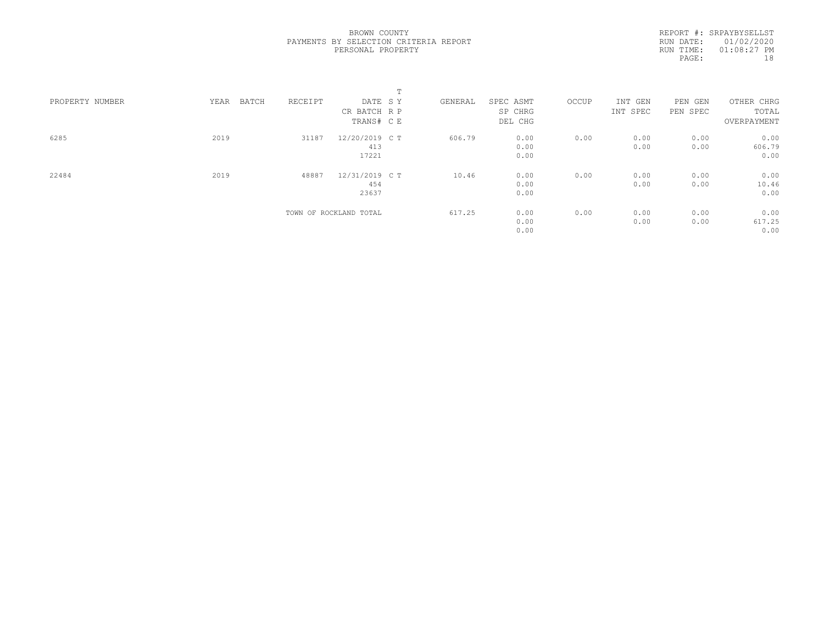|                 |               |         |                        | $\blacksquare$<br>÷. |           |       |          |          |             |
|-----------------|---------------|---------|------------------------|----------------------|-----------|-------|----------|----------|-------------|
| PROPERTY NUMBER | YEAR<br>BATCH | RECEIPT | DATE SY                | GENERAL              | SPEC ASMT | OCCUP | INT GEN  | PEN GEN  | OTHER CHRG  |
|                 |               |         | CR BATCH R P           |                      | SP CHRG   |       | INT SPEC | PEN SPEC | TOTAL       |
|                 |               |         | TRANS# C E             |                      | DEL CHG   |       |          |          | OVERPAYMENT |
| 6285            | 2019          | 31187   | 12/20/2019 C T         | 606.79               | 0.00      | 0.00  | 0.00     | 0.00     | 0.00        |
|                 |               |         | 413                    |                      | 0.00      |       | 0.00     | 0.00     | 606.79      |
|                 |               |         | 17221                  |                      | 0.00      |       |          |          | 0.00        |
| 22484           | 2019          | 48887   | 12/31/2019 C T         | 10.46                | 0.00      | 0.00  | 0.00     | 0.00     | 0.00        |
|                 |               |         | 454                    |                      | 0.00      |       | 0.00     | 0.00     | 10.46       |
|                 |               |         | 23637                  |                      | 0.00      |       |          |          | 0.00        |
|                 |               |         | TOWN OF ROCKLAND TOTAL | 617.25               | 0.00      | 0.00  | 0.00     | 0.00     | 0.00        |
|                 |               |         |                        |                      | 0.00      |       | 0.00     | 0.00     | 617.25      |
|                 |               |         |                        |                      | 0.00      |       |          |          | 0.00        |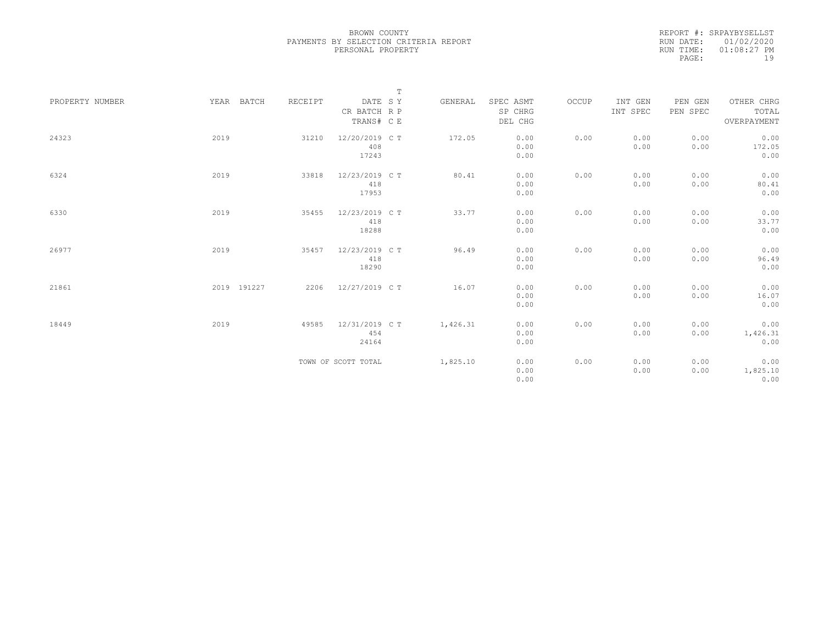|                 |             |         |                                       | $\mathbb T$ |          |                                 |       |                     |                     |                                    |
|-----------------|-------------|---------|---------------------------------------|-------------|----------|---------------------------------|-------|---------------------|---------------------|------------------------------------|
| PROPERTY NUMBER | YEAR BATCH  | RECEIPT | DATE SY<br>CR BATCH R P<br>TRANS# C E |             | GENERAL  | SPEC ASMT<br>SP CHRG<br>DEL CHG | OCCUP | INT GEN<br>INT SPEC | PEN GEN<br>PEN SPEC | OTHER CHRG<br>TOTAL<br>OVERPAYMENT |
| 24323           | 2019        | 31210   | 12/20/2019 C T<br>408<br>17243        |             | 172.05   | 0.00<br>0.00<br>0.00            | 0.00  | 0.00<br>0.00        | 0.00<br>0.00        | 0.00<br>172.05<br>0.00             |
| 6324            | 2019        | 33818   | 12/23/2019 C T<br>418<br>17953        |             | 80.41    | 0.00<br>0.00<br>0.00            | 0.00  | 0.00<br>0.00        | 0.00<br>0.00        | 0.00<br>80.41<br>0.00              |
| 6330            | 2019        | 35455   | 12/23/2019 C T<br>418<br>18288        |             | 33.77    | 0.00<br>0.00<br>0.00            | 0.00  | 0.00<br>0.00        | 0.00<br>0.00        | 0.00<br>33.77<br>0.00              |
| 26977           | 2019        | 35457   | 12/23/2019 C T<br>418<br>18290        |             | 96.49    | 0.00<br>0.00<br>0.00            | 0.00  | 0.00<br>0.00        | 0.00<br>0.00        | 0.00<br>96.49<br>0.00              |
| 21861           | 2019 191227 | 2206    | 12/27/2019 C T                        |             | 16.07    | 0.00<br>0.00<br>0.00            | 0.00  | 0.00<br>0.00        | 0.00<br>0.00        | 0.00<br>16.07<br>0.00              |
| 18449           | 2019        | 49585   | 12/31/2019 C T<br>454<br>24164        |             | 1,426.31 | 0.00<br>0.00<br>0.00            | 0.00  | 0.00<br>0.00        | 0.00<br>0.00        | 0.00<br>1,426.31<br>0.00           |
|                 |             |         | TOWN OF SCOTT TOTAL                   |             | 1,825.10 | 0.00<br>0.00<br>0.00            | 0.00  | 0.00<br>0.00        | 0.00<br>0.00        | 0.00<br>1,825.10<br>0.00           |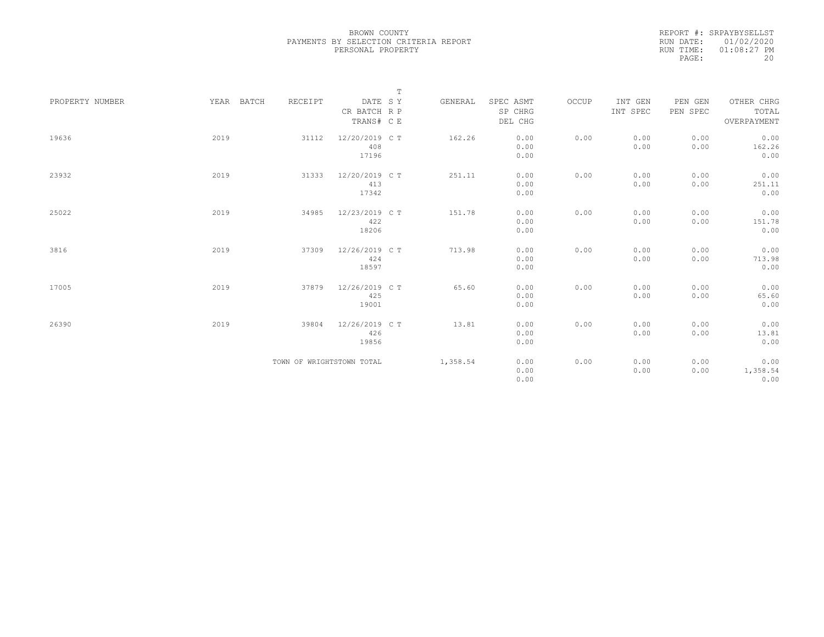|                 |            |                           |                                       | $\mathbb T$ |          |                                 |       |                     |                     |                                    |
|-----------------|------------|---------------------------|---------------------------------------|-------------|----------|---------------------------------|-------|---------------------|---------------------|------------------------------------|
| PROPERTY NUMBER | YEAR BATCH | RECEIPT                   | DATE SY<br>CR BATCH R P<br>TRANS# C E |             | GENERAL  | SPEC ASMT<br>SP CHRG<br>DEL CHG | OCCUP | INT GEN<br>INT SPEC | PEN GEN<br>PEN SPEC | OTHER CHRG<br>TOTAL<br>OVERPAYMENT |
| 19636           | 2019       | 31112                     | 12/20/2019 C T<br>408<br>17196        |             | 162.26   | 0.00<br>0.00<br>0.00            | 0.00  | 0.00<br>0.00        | 0.00<br>0.00        | 0.00<br>162.26<br>0.00             |
| 23932           | 2019       | 31333                     | 12/20/2019 C T<br>413<br>17342        |             | 251.11   | 0.00<br>0.00<br>0.00            | 0.00  | 0.00<br>0.00        | 0.00<br>0.00        | 0.00<br>251.11<br>0.00             |
| 25022           | 2019       | 34985                     | 12/23/2019 C T<br>422<br>18206        |             | 151.78   | 0.00<br>0.00<br>0.00            | 0.00  | 0.00<br>0.00        | 0.00<br>0.00        | 0.00<br>151.78<br>0.00             |
| 3816            | 2019       | 37309                     | 12/26/2019 C T<br>424<br>18597        |             | 713.98   | 0.00<br>0.00<br>0.00            | 0.00  | 0.00<br>0.00        | 0.00<br>0.00        | 0.00<br>713.98<br>0.00             |
| 17005           | 2019       | 37879                     | 12/26/2019 C T<br>425<br>19001        |             | 65.60    | 0.00<br>0.00<br>0.00            | 0.00  | 0.00<br>0.00        | 0.00<br>0.00        | 0.00<br>65.60<br>0.00              |
| 26390           | 2019       | 39804                     | 12/26/2019 C T<br>426<br>19856        |             | 13.81    | 0.00<br>0.00<br>0.00            | 0.00  | 0.00<br>0.00        | 0.00<br>0.00        | 0.00<br>13.81<br>0.00              |
|                 |            | TOWN OF WRIGHTSTOWN TOTAL |                                       |             | 1,358.54 | 0.00<br>0.00<br>0.00            | 0.00  | 0.00<br>0.00        | 0.00<br>0.00        | 0.00<br>1,358.54<br>0.00           |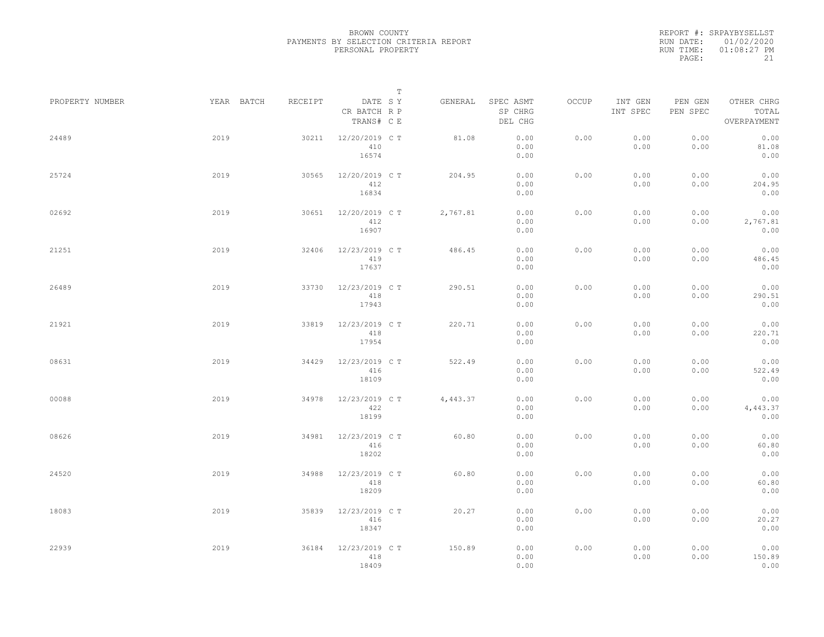|                 |      |            |         |                                       | $\mathbb T$ |          |                                 |       |                     |                     |                                    |  |
|-----------------|------|------------|---------|---------------------------------------|-------------|----------|---------------------------------|-------|---------------------|---------------------|------------------------------------|--|
| PROPERTY NUMBER |      | YEAR BATCH | RECEIPT | DATE SY<br>CR BATCH R P<br>TRANS# C E |             | GENERAL  | SPEC ASMT<br>SP CHRG<br>DEL CHG | OCCUP | INT GEN<br>INT SPEC | PEN GEN<br>PEN SPEC | OTHER CHRG<br>TOTAL<br>OVERPAYMENT |  |
| 24489           | 2019 |            | 30211   | 12/20/2019 C T<br>410<br>16574        |             | 81.08    | 0.00<br>0.00<br>0.00            | 0.00  | 0.00<br>0.00        | 0.00<br>0.00        | 0.00<br>81.08<br>0.00              |  |
| 25724           | 2019 |            | 30565   | 12/20/2019 C T<br>412<br>16834        |             | 204.95   | 0.00<br>0.00<br>0.00            | 0.00  | 0.00<br>0.00        | 0.00<br>0.00        | 0.00<br>204.95<br>0.00             |  |
| 02692           | 2019 |            | 30651   | 12/20/2019 C T<br>412<br>16907        |             | 2,767.81 | 0.00<br>0.00<br>0.00            | 0.00  | 0.00<br>0.00        | 0.00<br>0.00        | 0.00<br>2,767.81<br>0.00           |  |
| 21251           | 2019 |            | 32406   | 12/23/2019 C T<br>419<br>17637        |             | 486.45   | 0.00<br>0.00<br>0.00            | 0.00  | 0.00<br>0.00        | 0.00<br>0.00        | 0.00<br>486.45<br>0.00             |  |
| 26489           | 2019 |            | 33730   | 12/23/2019 C T<br>418<br>17943        |             | 290.51   | 0.00<br>0.00<br>0.00            | 0.00  | 0.00<br>0.00        | 0.00<br>0.00        | 0.00<br>290.51<br>0.00             |  |
| 21921           | 2019 |            | 33819   | 12/23/2019 C T<br>418<br>17954        |             | 220.71   | 0.00<br>0.00<br>0.00            | 0.00  | 0.00<br>0.00        | 0.00<br>0.00        | 0.00<br>220.71<br>0.00             |  |
| 08631           | 2019 |            | 34429   | 12/23/2019 C T<br>416<br>18109        |             | 522.49   | 0.00<br>0.00<br>0.00            | 0.00  | 0.00<br>0.00        | 0.00<br>0.00        | 0.00<br>522.49<br>0.00             |  |
| 00088           | 2019 |            | 34978   | 12/23/2019 C T<br>422<br>18199        |             | 4,443.37 | 0.00<br>0.00<br>0.00            | 0.00  | 0.00<br>0.00        | 0.00<br>0.00        | 0.00<br>4,443.37<br>0.00           |  |
| 08626           | 2019 |            | 34981   | 12/23/2019 C T<br>416<br>18202        |             | 60.80    | 0.00<br>0.00<br>0.00            | 0.00  | 0.00<br>0.00        | 0.00<br>0.00        | 0.00<br>60.80<br>0.00              |  |
| 24520           | 2019 |            | 34988   | 12/23/2019 C T<br>418<br>18209        |             | 60.80    | 0.00<br>0.00<br>0.00            | 0.00  | 0.00<br>0.00        | 0.00<br>0.00        | 0.00<br>60.80<br>0.00              |  |
| 18083           | 2019 |            | 35839   | 12/23/2019 C T<br>416<br>18347        |             | 20.27    | 0.00<br>0.00<br>0.00            | 0.00  | 0.00<br>0.00        | 0.00<br>0.00        | 0.00<br>20.27<br>0.00              |  |
| 22939           | 2019 |            | 36184   | 12/23/2019 C T<br>418<br>18409        |             | 150.89   | 0.00<br>0.00<br>0.00            | 0.00  | 0.00<br>0.00        | 0.00<br>0.00        | 0.00<br>150.89<br>0.00             |  |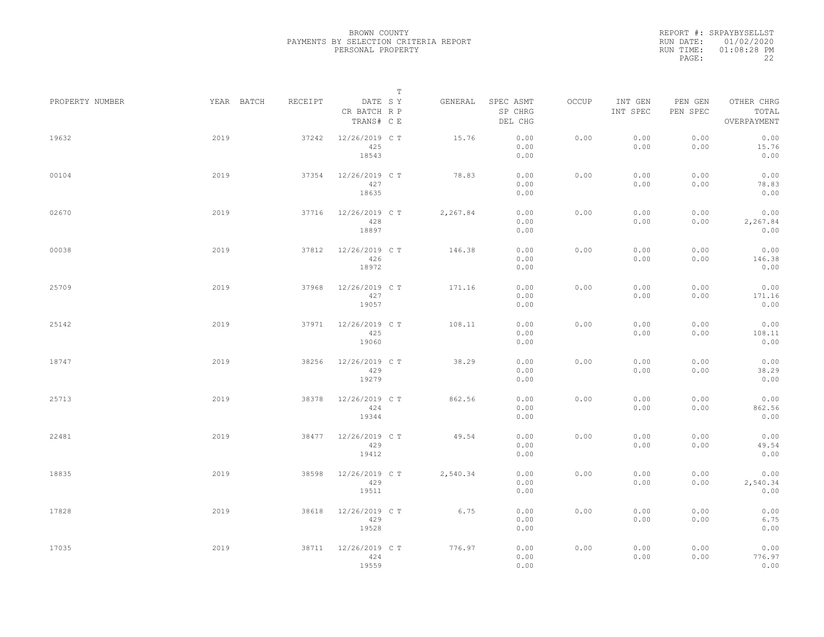|                 |            |         |                                       | $\mathbb T$ |                                 |       |                     |                     |                                    |  |
|-----------------|------------|---------|---------------------------------------|-------------|---------------------------------|-------|---------------------|---------------------|------------------------------------|--|
| PROPERTY NUMBER | YEAR BATCH | RECEIPT | DATE SY<br>CR BATCH R P<br>TRANS# C E | GENERAL     | SPEC ASMT<br>SP CHRG<br>DEL CHG | OCCUP | INT GEN<br>INT SPEC | PEN GEN<br>PEN SPEC | OTHER CHRG<br>TOTAL<br>OVERPAYMENT |  |
| 19632           | 2019       | 37242   | 12/26/2019 C T<br>425<br>18543        | 15.76       | 0.00<br>0.00<br>0.00            | 0.00  | 0.00<br>0.00        | 0.00<br>0.00        | 0.00<br>15.76<br>0.00              |  |
| 00104           | 2019       | 37354   | 12/26/2019 C T<br>427<br>18635        | 78.83       | 0.00<br>0.00<br>0.00            | 0.00  | 0.00<br>0.00        | 0.00<br>0.00        | 0.00<br>78.83<br>0.00              |  |
| 02670           | 2019       | 37716   | 12/26/2019 C T<br>428<br>18897        | 2,267.84    | 0.00<br>0.00<br>0.00            | 0.00  | 0.00<br>0.00        | 0.00<br>0.00        | 0.00<br>2,267.84<br>0.00           |  |
| 00038           | 2019       | 37812   | 12/26/2019 C T<br>426<br>18972        | 146.38      | 0.00<br>0.00<br>0.00            | 0.00  | 0.00<br>0.00        | 0.00<br>0.00        | 0.00<br>146.38<br>0.00             |  |
| 25709           | 2019       | 37968   | 12/26/2019 C T<br>427<br>19057        | 171.16      | 0.00<br>0.00<br>0.00            | 0.00  | 0.00<br>0.00        | 0.00<br>0.00        | 0.00<br>171.16<br>0.00             |  |
| 25142           | 2019       | 37971   | 12/26/2019 C T<br>425<br>19060        | 108.11      | 0.00<br>0.00<br>0.00            | 0.00  | 0.00<br>0.00        | 0.00<br>0.00        | 0.00<br>108.11<br>0.00             |  |
| 18747           | 2019       | 38256   | 12/26/2019 C T<br>429<br>19279        | 38.29       | 0.00<br>0.00<br>0.00            | 0.00  | 0.00<br>0.00        | 0.00<br>0.00        | 0.00<br>38.29<br>0.00              |  |
| 25713           | 2019       | 38378   | 12/26/2019 C T<br>424<br>19344        | 862.56      | 0.00<br>0.00<br>0.00            | 0.00  | 0.00<br>0.00        | 0.00<br>0.00        | 0.00<br>862.56<br>0.00             |  |
| 22481           | 2019       | 38477   | 12/26/2019 C T<br>429<br>19412        | 49.54       | 0.00<br>0.00<br>0.00            | 0.00  | 0.00<br>0.00        | 0.00<br>0.00        | 0.00<br>49.54<br>0.00              |  |
| 18835           | 2019       | 38598   | 12/26/2019 C T<br>429<br>19511        | 2,540.34    | 0.00<br>0.00<br>0.00            | 0.00  | 0.00<br>0.00        | 0.00<br>0.00        | 0.00<br>2,540.34<br>0.00           |  |
| 17828           | 2019       | 38618   | 12/26/2019 C T<br>429<br>19528        | 6.75        | 0.00<br>0.00<br>0.00            | 0.00  | 0.00<br>0.00        | 0.00<br>0.00        | 0.00<br>6.75<br>0.00               |  |
| 17035           | 2019       | 38711   | 12/26/2019 C T<br>424<br>19559        | 776.97      | 0.00<br>0.00<br>0.00            | 0.00  | 0.00<br>0.00        | 0.00<br>0.00        | 0.00<br>776.97<br>0.00             |  |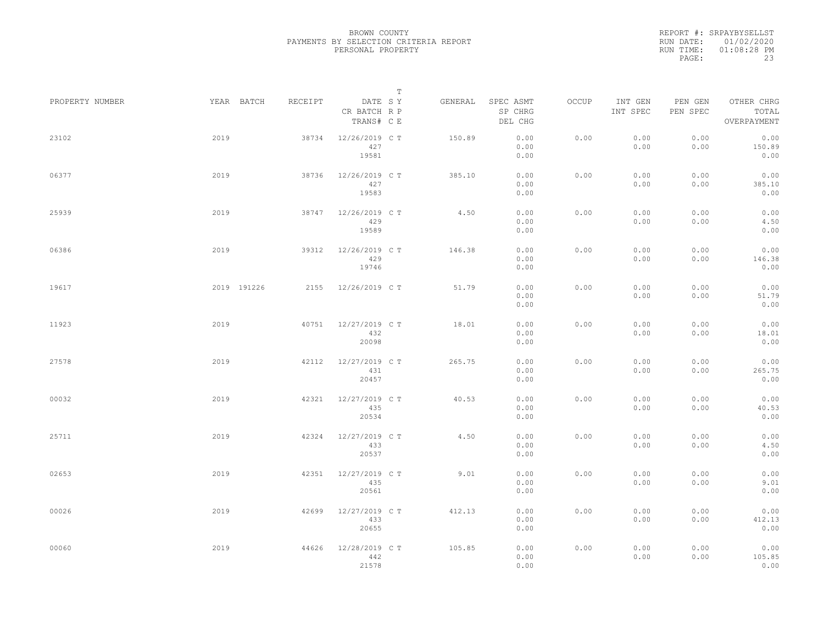|                 |      |             |         |                                       | $\mathbb T$ |         |                                 |       |                     |                     |                                    |  |
|-----------------|------|-------------|---------|---------------------------------------|-------------|---------|---------------------------------|-------|---------------------|---------------------|------------------------------------|--|
| PROPERTY NUMBER |      | YEAR BATCH  | RECEIPT | DATE SY<br>CR BATCH R P<br>TRANS# C E |             | GENERAL | SPEC ASMT<br>SP CHRG<br>DEL CHG | OCCUP | INT GEN<br>INT SPEC | PEN GEN<br>PEN SPEC | OTHER CHRG<br>TOTAL<br>OVERPAYMENT |  |
| 23102           | 2019 |             | 38734   | 12/26/2019 C T<br>427<br>19581        |             | 150.89  | 0.00<br>0.00<br>0.00            | 0.00  | 0.00<br>0.00        | 0.00<br>0.00        | 0.00<br>150.89<br>0.00             |  |
| 06377           | 2019 |             | 38736   | 12/26/2019 C T<br>427<br>19583        |             | 385.10  | 0.00<br>0.00<br>0.00            | 0.00  | 0.00<br>0.00        | 0.00<br>0.00        | 0.00<br>385.10<br>0.00             |  |
| 25939           | 2019 |             | 38747   | 12/26/2019 C T<br>429<br>19589        |             | 4.50    | 0.00<br>0.00<br>0.00            | 0.00  | 0.00<br>0.00        | 0.00<br>0.00        | 0.00<br>4.50<br>0.00               |  |
| 06386           | 2019 |             | 39312   | 12/26/2019 C T<br>429<br>19746        |             | 146.38  | 0.00<br>0.00<br>0.00            | 0.00  | 0.00<br>0.00        | 0.00<br>0.00        | 0.00<br>146.38<br>0.00             |  |
| 19617           |      | 2019 191226 | 2155    | 12/26/2019 C T                        |             | 51.79   | 0.00<br>0.00<br>0.00            | 0.00  | 0.00<br>0.00        | 0.00<br>0.00        | 0.00<br>51.79<br>0.00              |  |
| 11923           | 2019 |             | 40751   | 12/27/2019 C T<br>432<br>20098        |             | 18.01   | 0.00<br>0.00<br>0.00            | 0.00  | 0.00<br>0.00        | 0.00<br>0.00        | 0.00<br>18.01<br>0.00              |  |
| 27578           | 2019 |             | 42112   | 12/27/2019 C T<br>431<br>20457        |             | 265.75  | 0.00<br>0.00<br>0.00            | 0.00  | 0.00<br>0.00        | 0.00<br>0.00        | 0.00<br>265.75<br>0.00             |  |
| 00032           | 2019 |             | 42321   | 12/27/2019 C T<br>435<br>20534        |             | 40.53   | 0.00<br>0.00<br>0.00            | 0.00  | 0.00<br>0.00        | 0.00<br>0.00        | 0.00<br>40.53<br>0.00              |  |
| 25711           | 2019 |             | 42324   | 12/27/2019 C T<br>433<br>20537        |             | 4.50    | 0.00<br>0.00<br>0.00            | 0.00  | 0.00<br>0.00        | 0.00<br>0.00        | 0.00<br>4.50<br>0.00               |  |
| 02653           | 2019 |             | 42351   | 12/27/2019 C T<br>435<br>20561        |             | 9.01    | 0.00<br>0.00<br>0.00            | 0.00  | 0.00<br>0.00        | 0.00<br>0.00        | 0.00<br>9.01<br>0.00               |  |
| 00026           | 2019 |             | 42699   | 12/27/2019 C T<br>433<br>20655        |             | 412.13  | 0.00<br>0.00<br>0.00            | 0.00  | 0.00<br>0.00        | 0.00<br>0.00        | 0.00<br>412.13<br>0.00             |  |
| 00060           | 2019 |             | 44626   | 12/28/2019 C T<br>442<br>21578        |             | 105.85  | 0.00<br>0.00<br>0.00            | 0.00  | 0.00<br>0.00        | 0.00<br>0.00        | 0.00<br>105.85<br>0.00             |  |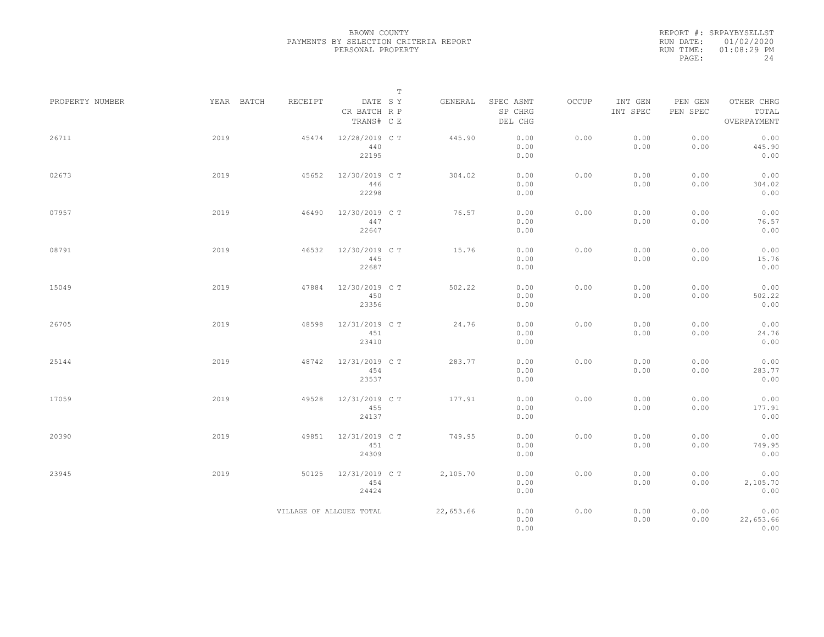|                 |            |                          |                                       | $\mathbb T$ |           |                                 |       |                     |                     |                                    |
|-----------------|------------|--------------------------|---------------------------------------|-------------|-----------|---------------------------------|-------|---------------------|---------------------|------------------------------------|
| PROPERTY NUMBER | YEAR BATCH | RECEIPT                  | DATE SY<br>CR BATCH R P<br>TRANS# C E |             | GENERAL   | SPEC ASMT<br>SP CHRG<br>DEL CHG | OCCUP | INT GEN<br>INT SPEC | PEN GEN<br>PEN SPEC | OTHER CHRG<br>TOTAL<br>OVERPAYMENT |
| 26711           | 2019       | 45474                    | 12/28/2019 C T<br>440<br>22195        |             | 445.90    | 0.00<br>0.00<br>0.00            | 0.00  | 0.00<br>0.00        | 0.00<br>0.00        | 0.00<br>445.90<br>0.00             |
| 02673           | 2019       | 45652                    | 12/30/2019 C T<br>446<br>22298        |             | 304.02    | 0.00<br>0.00<br>0.00            | 0.00  | 0.00<br>0.00        | 0.00<br>0.00        | 0.00<br>304.02<br>0.00             |
| 07957           | 2019       | 46490                    | 12/30/2019 C T<br>447<br>22647        |             | 76.57     | 0.00<br>0.00<br>0.00            | 0.00  | 0.00<br>0.00        | 0.00<br>0.00        | 0.00<br>76.57<br>0.00              |
| 08791           | 2019       | 46532                    | 12/30/2019 C T<br>445<br>22687        |             | 15.76     | 0.00<br>0.00<br>0.00            | 0.00  | 0.00<br>0.00        | 0.00<br>0.00        | 0.00<br>15.76<br>0.00              |
| 15049           | 2019       | 47884                    | 12/30/2019 C T<br>450<br>23356        |             | 502.22    | 0.00<br>0.00<br>0.00            | 0.00  | 0.00<br>0.00        | 0.00<br>0.00        | 0.00<br>502.22<br>0.00             |
| 26705           | 2019       | 48598                    | 12/31/2019 C T<br>451<br>23410        |             | 24.76     | 0.00<br>0.00<br>0.00            | 0.00  | 0.00<br>0.00        | 0.00<br>0.00        | 0.00<br>24.76<br>0.00              |
| 25144           | 2019       | 48742                    | 12/31/2019 C T<br>454<br>23537        |             | 283.77    | 0.00<br>0.00<br>0.00            | 0.00  | 0.00<br>0.00        | 0.00<br>0.00        | 0.00<br>283.77<br>0.00             |
| 17059           | 2019       | 49528                    | 12/31/2019 C T<br>455<br>24137        |             | 177.91    | 0.00<br>0.00<br>0.00            | 0.00  | 0.00<br>0.00        | 0.00<br>0.00        | 0.00<br>177.91<br>0.00             |
| 20390           | 2019       | 49851                    | 12/31/2019 C T<br>451<br>24309        |             | 749.95    | 0.00<br>0.00<br>0.00            | 0.00  | 0.00<br>0.00        | 0.00<br>0.00        | 0.00<br>749.95<br>0.00             |
| 23945           | 2019       | 50125                    | 12/31/2019 C T<br>454<br>24424        |             | 2,105.70  | 0.00<br>0.00<br>0.00            | 0.00  | 0.00<br>0.00        | 0.00<br>0.00        | 0.00<br>2,105.70<br>0.00           |
|                 |            | VILLAGE OF ALLOUEZ TOTAL |                                       |             | 22,653.66 | 0.00<br>0.00<br>0.00            | 0.00  | 0.00<br>0.00        | 0.00<br>0.00        | 0.00<br>22,653.66<br>0.00          |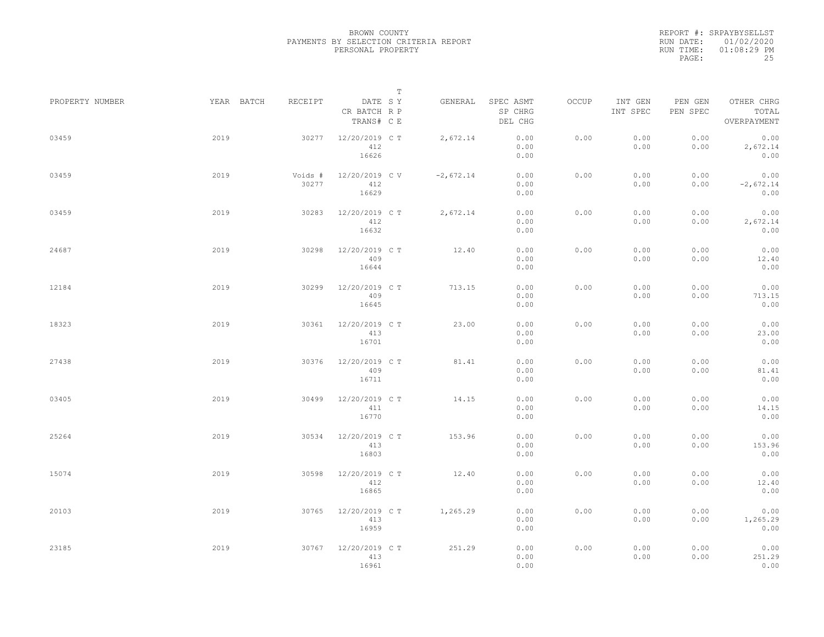|                 |            |                  | $\mathbb T$                           |             |                                 |       |                     |                     |                                    |  |
|-----------------|------------|------------------|---------------------------------------|-------------|---------------------------------|-------|---------------------|---------------------|------------------------------------|--|
| PROPERTY NUMBER | YEAR BATCH | RECEIPT          | DATE SY<br>CR BATCH R P<br>TRANS# C E | GENERAL     | SPEC ASMT<br>SP CHRG<br>DEL CHG | OCCUP | INT GEN<br>INT SPEC | PEN GEN<br>PEN SPEC | OTHER CHRG<br>TOTAL<br>OVERPAYMENT |  |
| 03459           | 2019       | 30277            | 12/20/2019 C T<br>412<br>16626        | 2,672.14    | 0.00<br>0.00<br>0.00            | 0.00  | 0.00<br>0.00        | 0.00<br>0.00        | 0.00<br>2,672.14<br>0.00           |  |
| 03459           | 2019       | Voids #<br>30277 | 12/20/2019 CV<br>412<br>16629         | $-2,672.14$ | 0.00<br>0.00<br>0.00            | 0.00  | 0.00<br>0.00        | 0.00<br>0.00        | 0.00<br>$-2,672.14$<br>0.00        |  |
| 03459           | 2019       | 30283            | 12/20/2019 C T<br>412<br>16632        | 2,672.14    | 0.00<br>0.00<br>0.00            | 0.00  | 0.00<br>0.00        | 0.00<br>0.00        | 0.00<br>2,672.14<br>0.00           |  |
| 24687           | 2019       | 30298            | 12/20/2019 C T<br>409<br>16644        | 12.40       | 0.00<br>0.00<br>0.00            | 0.00  | 0.00<br>0.00        | 0.00<br>0.00        | 0.00<br>12.40<br>0.00              |  |
| 12184           | 2019       | 30299            | 12/20/2019 C T<br>409<br>16645        | 713.15      | 0.00<br>0.00<br>0.00            | 0.00  | 0.00<br>0.00        | 0.00<br>0.00        | 0.00<br>713.15<br>0.00             |  |
| 18323           | 2019       | 30361            | 12/20/2019 C T<br>413<br>16701        | 23.00       | 0.00<br>0.00<br>0.00            | 0.00  | 0.00<br>0.00        | 0.00<br>0.00        | 0.00<br>23.00<br>0.00              |  |
| 27438           | 2019       | 30376            | 12/20/2019 C T<br>409<br>16711        | 81.41       | 0.00<br>0.00<br>0.00            | 0.00  | 0.00<br>0.00        | 0.00<br>0.00        | 0.00<br>81.41<br>0.00              |  |
| 03405           | 2019       | 30499            | 12/20/2019 C T<br>411<br>16770        | 14.15       | 0.00<br>0.00<br>0.00            | 0.00  | 0.00<br>0.00        | 0.00<br>0.00        | 0.00<br>14.15<br>0.00              |  |
| 25264           | 2019       | 30534            | 12/20/2019 C T<br>413<br>16803        | 153.96      | 0.00<br>0.00<br>0.00            | 0.00  | 0.00<br>0.00        | 0.00<br>0.00        | 0.00<br>153.96<br>0.00             |  |
| 15074           | 2019       | 30598            | 12/20/2019 C T<br>412<br>16865        | 12.40       | 0.00<br>0.00<br>0.00            | 0.00  | 0.00<br>0.00        | 0.00<br>0.00        | 0.00<br>12.40<br>0.00              |  |
| 20103           | 2019       | 30765            | 12/20/2019 C T<br>413<br>16959        | 1,265.29    | 0.00<br>0.00<br>0.00            | 0.00  | 0.00<br>0.00        | 0.00<br>0.00        | 0.00<br>1,265.29<br>0.00           |  |
| 23185           | 2019       | 30767            | 12/20/2019 C T<br>413<br>16961        | 251.29      | 0.00<br>0.00<br>0.00            | 0.00  | 0.00<br>0.00        | 0.00<br>0.00        | 0.00<br>251.29<br>0.00             |  |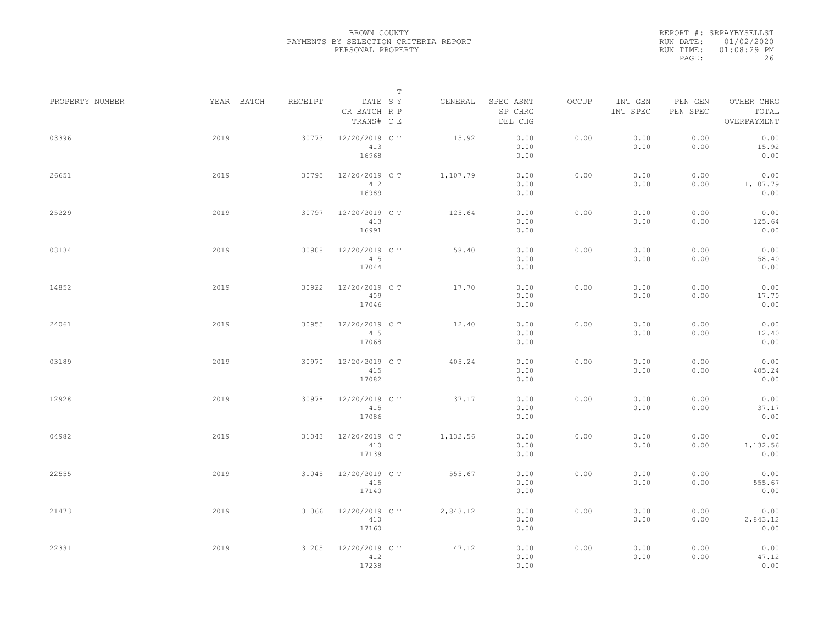|                 |            |         | $\mathbb T$                           |          |                                 |       |                     |                     |                                    |
|-----------------|------------|---------|---------------------------------------|----------|---------------------------------|-------|---------------------|---------------------|------------------------------------|
| PROPERTY NUMBER | YEAR BATCH | RECEIPT | DATE SY<br>CR BATCH R P<br>TRANS# C E | GENERAL  | SPEC ASMT<br>SP CHRG<br>DEL CHG | OCCUP | INT GEN<br>INT SPEC | PEN GEN<br>PEN SPEC | OTHER CHRG<br>TOTAL<br>OVERPAYMENT |
| 03396           | 2019       | 30773   | 12/20/2019 C T<br>413<br>16968        | 15.92    | 0.00<br>0.00<br>0.00            | 0.00  | 0.00<br>0.00        | 0.00<br>0.00        | 0.00<br>15.92<br>0.00              |
| 26651           | 2019       | 30795   | 12/20/2019 C T<br>412<br>16989        | 1,107.79 | 0.00<br>0.00<br>0.00            | 0.00  | 0.00<br>0.00        | 0.00<br>0.00        | 0.00<br>1,107.79<br>0.00           |
| 25229           | 2019       | 30797   | 12/20/2019 C T<br>413<br>16991        | 125.64   | 0.00<br>0.00<br>0.00            | 0.00  | 0.00<br>0.00        | 0.00<br>0.00        | 0.00<br>125.64<br>0.00             |
| 03134           | 2019       | 30908   | 12/20/2019 C T<br>415<br>17044        | 58.40    | 0.00<br>0.00<br>0.00            | 0.00  | 0.00<br>0.00        | 0.00<br>0.00        | 0.00<br>58.40<br>0.00              |
| 14852           | 2019       | 30922   | 12/20/2019 C T<br>409<br>17046        | 17.70    | 0.00<br>0.00<br>0.00            | 0.00  | 0.00<br>0.00        | 0.00<br>0.00        | 0.00<br>17.70<br>0.00              |
| 24061           | 2019       | 30955   | 12/20/2019 C T<br>415<br>17068        | 12.40    | 0.00<br>0.00<br>0.00            | 0.00  | 0.00<br>0.00        | 0.00<br>0.00        | 0.00<br>12.40<br>0.00              |
| 03189           | 2019       | 30970   | 12/20/2019 C T<br>415<br>17082        | 405.24   | 0.00<br>0.00<br>0.00            | 0.00  | 0.00<br>0.00        | 0.00<br>0.00        | 0.00<br>405.24<br>0.00             |
| 12928           | 2019       | 30978   | 12/20/2019 C T<br>415<br>17086        | 37.17    | 0.00<br>0.00<br>0.00            | 0.00  | 0.00<br>0.00        | 0.00<br>0.00        | 0.00<br>37.17<br>0.00              |
| 04982           | 2019       | 31043   | 12/20/2019 C T<br>410<br>17139        | 1,132.56 | 0.00<br>0.00<br>0.00            | 0.00  | 0.00<br>0.00        | 0.00<br>0.00        | 0.00<br>1,132.56<br>0.00           |
| 22555           | 2019       | 31045   | 12/20/2019 C T<br>415<br>17140        | 555.67   | 0.00<br>0.00<br>0.00            | 0.00  | 0.00<br>0.00        | 0.00<br>0.00        | 0.00<br>555.67<br>0.00             |
| 21473           | 2019       | 31066   | 12/20/2019 C T<br>410<br>17160        | 2,843.12 | 0.00<br>0.00<br>0.00            | 0.00  | 0.00<br>0.00        | 0.00<br>0.00        | 0.00<br>2,843.12<br>0.00           |
| 22331           | 2019       | 31205   | 12/20/2019 C T<br>412<br>17238        | 47.12    | 0.00<br>0.00<br>0.00            | 0.00  | 0.00<br>0.00        | 0.00<br>0.00        | 0.00<br>47.12<br>0.00              |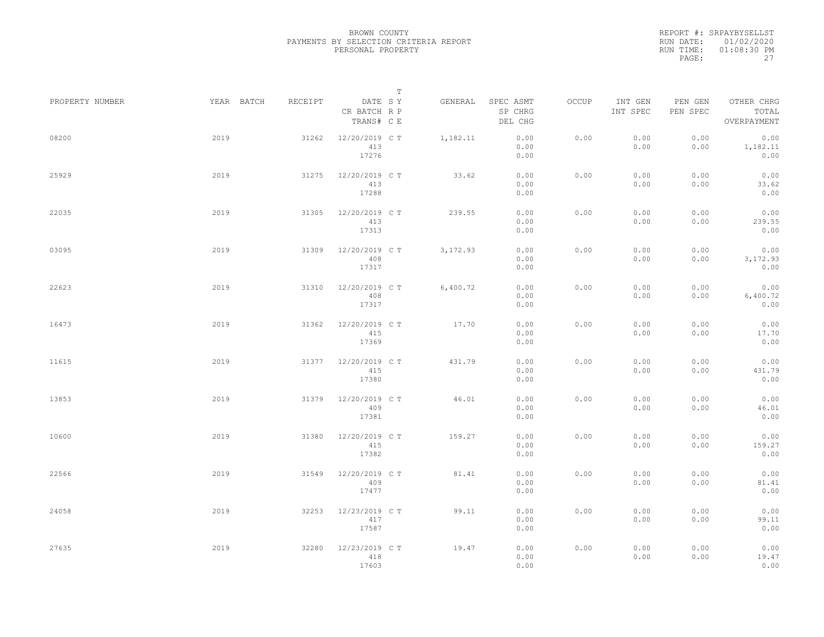|                 |            |         | $\mathbb T$                           |           |                                 |       |                     |                     |                                    |
|-----------------|------------|---------|---------------------------------------|-----------|---------------------------------|-------|---------------------|---------------------|------------------------------------|
| PROPERTY NUMBER | YEAR BATCH | RECEIPT | DATE SY<br>CR BATCH R P<br>TRANS# C E | GENERAL   | SPEC ASMT<br>SP CHRG<br>DEL CHG | OCCUP | INT GEN<br>INT SPEC | PEN GEN<br>PEN SPEC | OTHER CHRG<br>TOTAL<br>OVERPAYMENT |
| 08200           | 2019       | 31262   | 12/20/2019 C T<br>413<br>17276        | 1,182.11  | 0.00<br>0.00<br>0.00            | 0.00  | 0.00<br>0.00        | 0.00<br>0.00        | 0.00<br>1,182.11<br>0.00           |
| 25929           | 2019       | 31275   | 12/20/2019 C T<br>413<br>17288        | 33.62     | 0.00<br>0.00<br>0.00            | 0.00  | 0.00<br>0.00        | 0.00<br>0.00        | 0.00<br>33.62<br>0.00              |
| 22035           | 2019       | 31305   | 12/20/2019 C T<br>413<br>17313        | 239.55    | 0.00<br>0.00<br>0.00            | 0.00  | 0.00<br>0.00        | 0.00<br>0.00        | 0.00<br>239.55<br>0.00             |
| 03095           | 2019       | 31309   | 12/20/2019 C T<br>408<br>17317        | 3, 172.93 | 0.00<br>0.00<br>0.00            | 0.00  | 0.00<br>0.00        | 0.00<br>0.00        | 0.00<br>3,172.93<br>0.00           |
| 22623           | 2019       | 31310   | 12/20/2019 C T<br>408<br>17317        | 6,400.72  | 0.00<br>0.00<br>0.00            | 0.00  | 0.00<br>0.00        | 0.00<br>0.00        | 0.00<br>6,400.72<br>0.00           |
| 16473           | 2019       | 31362   | 12/20/2019 C T<br>415<br>17369        | 17.70     | 0.00<br>0.00<br>0.00            | 0.00  | 0.00<br>0.00        | 0.00<br>0.00        | 0.00<br>17.70<br>0.00              |
| 11615           | 2019       | 31377   | 12/20/2019 C T<br>415<br>17380        | 431.79    | 0.00<br>0.00<br>0.00            | 0.00  | 0.00<br>0.00        | 0.00<br>0.00        | 0.00<br>431.79<br>0.00             |
| 13853           | 2019       | 31379   | 12/20/2019 C T<br>409<br>17381        | 46.01     | 0.00<br>0.00<br>0.00            | 0.00  | 0.00<br>0.00        | 0.00<br>0.00        | 0.00<br>46.01<br>0.00              |
| 10600           | 2019       | 31380   | 12/20/2019 C T<br>415<br>17382        | 159.27    | 0.00<br>0.00<br>0.00            | 0.00  | 0.00<br>0.00        | 0.00<br>0.00        | 0.00<br>159.27<br>0.00             |
| 22566           | 2019       | 31549   | 12/20/2019 C T<br>409<br>17477        | 81.41     | 0.00<br>0.00<br>0.00            | 0.00  | 0.00<br>0.00        | 0.00<br>0.00        | 0.00<br>81.41<br>0.00              |
| 24058           | 2019       | 32253   | 12/23/2019 C T<br>417<br>17587        | 99.11     | 0.00<br>0.00<br>0.00            | 0.00  | 0.00<br>0.00        | 0.00<br>0.00        | 0.00<br>99.11<br>0.00              |
| 27635           | 2019       | 32280   | 12/23/2019 C T<br>418<br>17603        | 19.47     | 0.00<br>0.00<br>0.00            | 0.00  | 0.00<br>0.00        | 0.00<br>0.00        | 0.00<br>19.47<br>0.00              |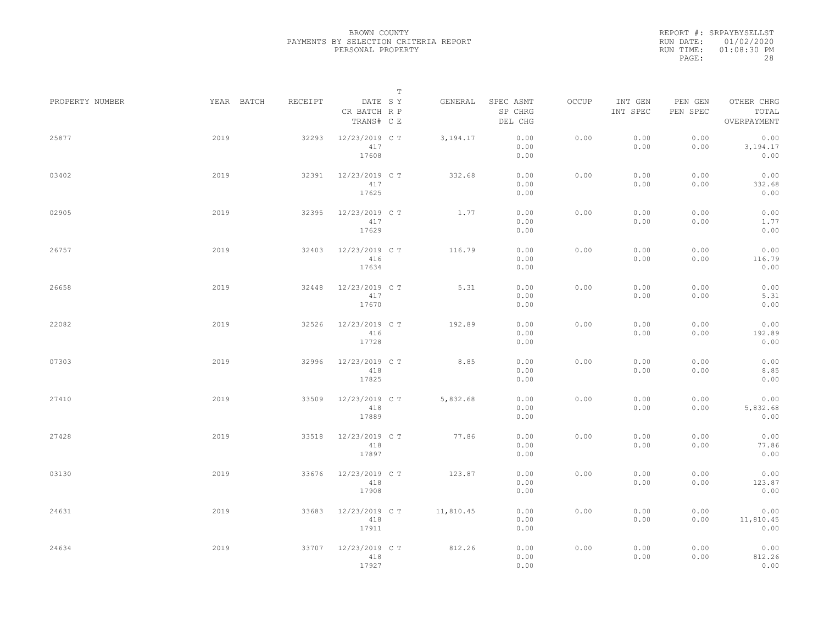|                 |            |         | $\mathbb T$                           |            |                                 |       |                     |                     |                                    |
|-----------------|------------|---------|---------------------------------------|------------|---------------------------------|-------|---------------------|---------------------|------------------------------------|
| PROPERTY NUMBER | YEAR BATCH | RECEIPT | DATE SY<br>CR BATCH R P<br>TRANS# C E | GENERAL    | SPEC ASMT<br>SP CHRG<br>DEL CHG | OCCUP | INT GEN<br>INT SPEC | PEN GEN<br>PEN SPEC | OTHER CHRG<br>TOTAL<br>OVERPAYMENT |
| 25877           | 2019       | 32293   | 12/23/2019 C T<br>417<br>17608        | 3, 194. 17 | 0.00<br>0.00<br>0.00            | 0.00  | 0.00<br>0.00        | 0.00<br>0.00        | 0.00<br>3,194.17<br>0.00           |
| 03402           | 2019       | 32391   | 12/23/2019 C T<br>417<br>17625        | 332.68     | 0.00<br>0.00<br>0.00            | 0.00  | 0.00<br>0.00        | 0.00<br>0.00        | 0.00<br>332.68<br>0.00             |
| 02905           | 2019       | 32395   | 12/23/2019 C T<br>417<br>17629        | 1.77       | 0.00<br>0.00<br>0.00            | 0.00  | 0.00<br>0.00        | 0.00<br>0.00        | 0.00<br>1.77<br>0.00               |
| 26757           | 2019       | 32403   | 12/23/2019 C T<br>416<br>17634        | 116.79     | 0.00<br>0.00<br>0.00            | 0.00  | 0.00<br>0.00        | 0.00<br>0.00        | 0.00<br>116.79<br>0.00             |
| 26658           | 2019       | 32448   | 12/23/2019 C T<br>417<br>17670        | 5.31       | 0.00<br>0.00<br>0.00            | 0.00  | 0.00<br>0.00        | 0.00<br>0.00        | 0.00<br>5.31<br>0.00               |
| 22082           | 2019       | 32526   | 12/23/2019 C T<br>416<br>17728        | 192.89     | 0.00<br>0.00<br>0.00            | 0.00  | 0.00<br>0.00        | 0.00<br>0.00        | 0.00<br>192.89<br>0.00             |
| 07303           | 2019       | 32996   | 12/23/2019 C T<br>418<br>17825        | 8.85       | 0.00<br>0.00<br>0.00            | 0.00  | 0.00<br>0.00        | 0.00<br>0.00        | 0.00<br>8.85<br>0.00               |
| 27410           | 2019       | 33509   | 12/23/2019 C T<br>418<br>17889        | 5,832.68   | 0.00<br>0.00<br>0.00            | 0.00  | 0.00<br>0.00        | 0.00<br>0.00        | 0.00<br>5,832.68<br>0.00           |
| 27428           | 2019       | 33518   | 12/23/2019 C T<br>418<br>17897        | 77.86      | 0.00<br>0.00<br>0.00            | 0.00  | 0.00<br>0.00        | 0.00<br>0.00        | 0.00<br>77.86<br>0.00              |
| 03130           | 2019       | 33676   | 12/23/2019 C T<br>418<br>17908        | 123.87     | 0.00<br>0.00<br>0.00            | 0.00  | 0.00<br>0.00        | 0.00<br>0.00        | 0.00<br>123.87<br>0.00             |
| 24631           | 2019       | 33683   | 12/23/2019 C T<br>418<br>17911        | 11,810.45  | 0.00<br>0.00<br>0.00            | 0.00  | 0.00<br>0.00        | 0.00<br>0.00        | 0.00<br>11,810.45<br>0.00          |
| 24634           | 2019       | 33707   | 12/23/2019 C T<br>418<br>17927        | 812.26     | 0.00<br>0.00<br>0.00            | 0.00  | 0.00<br>0.00        | 0.00<br>0.00        | 0.00<br>812.26<br>0.00             |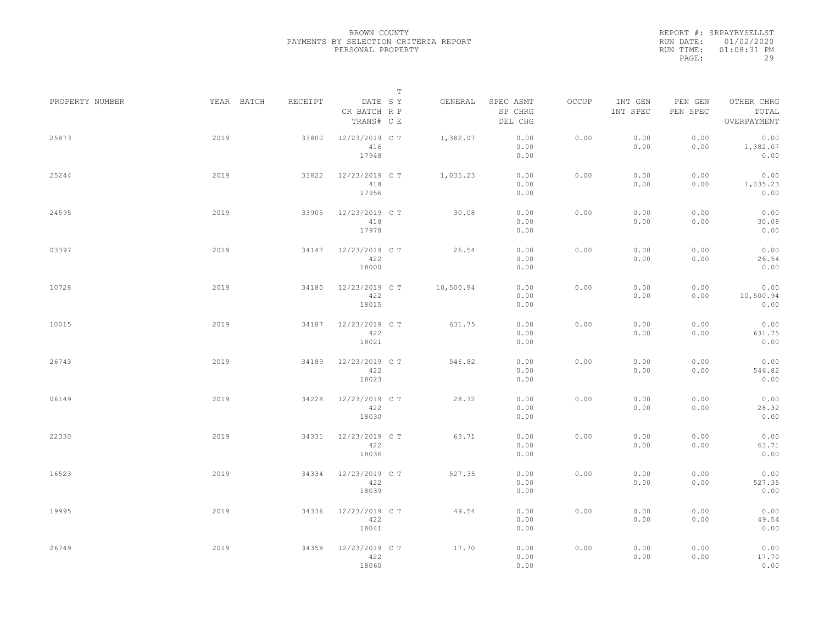|                 |            |         | $\mathbb T$                           |           |                                 |       |                     |                     |                                    |  |
|-----------------|------------|---------|---------------------------------------|-----------|---------------------------------|-------|---------------------|---------------------|------------------------------------|--|
| PROPERTY NUMBER | YEAR BATCH | RECEIPT | DATE SY<br>CR BATCH R P<br>TRANS# C E | GENERAL   | SPEC ASMT<br>SP CHRG<br>DEL CHG | OCCUP | INT GEN<br>INT SPEC | PEN GEN<br>PEN SPEC | OTHER CHRG<br>TOTAL<br>OVERPAYMENT |  |
| 25873           | 2019       | 33800   | 12/23/2019 C T<br>416<br>17948        | 1,382.07  | 0.00<br>0.00<br>0.00            | 0.00  | 0.00<br>0.00        | 0.00<br>0.00        | 0.00<br>1,382.07<br>0.00           |  |
| 25244           | 2019       | 33822   | 12/23/2019 C T<br>418<br>17956        | 1,035.23  | 0.00<br>0.00<br>0.00            | 0.00  | 0.00<br>0.00        | 0.00<br>0.00        | 0.00<br>1,035.23<br>0.00           |  |
| 24595           | 2019       | 33905   | 12/23/2019 C T<br>418<br>17978        | 30.08     | 0.00<br>0.00<br>0.00            | 0.00  | 0.00<br>0.00        | 0.00<br>0.00        | 0.00<br>30.08<br>0.00              |  |
| 03397           | 2019       | 34147   | 12/23/2019 C T<br>422<br>18000        | 26.54     | 0.00<br>0.00<br>0.00            | 0.00  | 0.00<br>0.00        | 0.00<br>0.00        | 0.00<br>26.54<br>0.00              |  |
| 10728           | 2019       | 34180   | 12/23/2019 C T<br>422<br>18015        | 10,500.94 | 0.00<br>0.00<br>0.00            | 0.00  | 0.00<br>0.00        | 0.00<br>0.00        | 0.00<br>10,500.94<br>0.00          |  |
| 10015           | 2019       | 34187   | 12/23/2019 C T<br>422<br>18021        | 631.75    | 0.00<br>0.00<br>0.00            | 0.00  | 0.00<br>0.00        | 0.00<br>0.00        | 0.00<br>631.75<br>0.00             |  |
| 26743           | 2019       | 34189   | 12/23/2019 C T<br>422<br>18023        | 546.82    | 0.00<br>0.00<br>0.00            | 0.00  | 0.00<br>0.00        | 0.00<br>0.00        | 0.00<br>546.82<br>0.00             |  |
| 06149           | 2019       | 34228   | 12/23/2019 C T<br>422<br>18030        | 28.32     | 0.00<br>0.00<br>0.00            | 0.00  | 0.00<br>0.00        | 0.00<br>0.00        | 0.00<br>28.32<br>0.00              |  |
| 22330           | 2019       | 34331   | 12/23/2019 C T<br>422<br>18036        | 63.71     | 0.00<br>0.00<br>0.00            | 0.00  | 0.00<br>0.00        | 0.00<br>0.00        | 0.00<br>63.71<br>0.00              |  |
| 16523           | 2019       | 34334   | 12/23/2019 C T<br>422<br>18039        | 527.35    | 0.00<br>0.00<br>0.00            | 0.00  | 0.00<br>0.00        | 0.00<br>0.00        | 0.00<br>527.35<br>0.00             |  |
| 19995           | 2019       | 34336   | 12/23/2019 C T<br>422<br>18041        | 49.54     | 0.00<br>0.00<br>0.00            | 0.00  | 0.00<br>0.00        | 0.00<br>0.00        | 0.00<br>49.54<br>0.00              |  |
| 26749           | 2019       | 34358   | 12/23/2019 C T<br>422<br>18060        | 17.70     | 0.00<br>0.00<br>0.00            | 0.00  | 0.00<br>0.00        | 0.00<br>0.00        | 0.00<br>17.70<br>0.00              |  |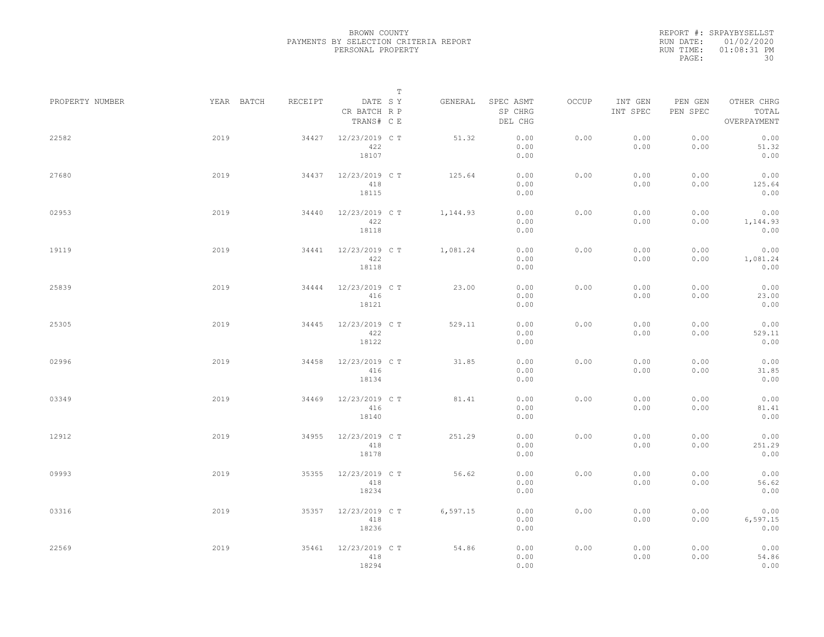|                 |            |         | $\mathbb T$                           |          |                                 |       |                     |                     |                                    |
|-----------------|------------|---------|---------------------------------------|----------|---------------------------------|-------|---------------------|---------------------|------------------------------------|
| PROPERTY NUMBER | YEAR BATCH | RECEIPT | DATE SY<br>CR BATCH R P<br>TRANS# C E | GENERAL  | SPEC ASMT<br>SP CHRG<br>DEL CHG | OCCUP | INT GEN<br>INT SPEC | PEN GEN<br>PEN SPEC | OTHER CHRG<br>TOTAL<br>OVERPAYMENT |
| 22582           | 2019       | 34427   | 12/23/2019 C T<br>422<br>18107        | 51.32    | 0.00<br>0.00<br>0.00            | 0.00  | 0.00<br>0.00        | 0.00<br>0.00        | 0.00<br>51.32<br>0.00              |
| 27680           | 2019       | 34437   | 12/23/2019 C T<br>418<br>18115        | 125.64   | 0.00<br>0.00<br>0.00            | 0.00  | 0.00<br>0.00        | 0.00<br>0.00        | 0.00<br>125.64<br>0.00             |
| 02953           | 2019       | 34440   | 12/23/2019 C T<br>422<br>18118        | 1,144.93 | 0.00<br>0.00<br>0.00            | 0.00  | 0.00<br>0.00        | 0.00<br>0.00        | 0.00<br>1,144.93<br>0.00           |
| 19119           | 2019       | 34441   | 12/23/2019 C T<br>422<br>18118        | 1,081.24 | 0.00<br>0.00<br>0.00            | 0.00  | 0.00<br>0.00        | 0.00<br>0.00        | 0.00<br>1,081.24<br>0.00           |
| 25839           | 2019       | 34444   | 12/23/2019 C T<br>416<br>18121        | 23.00    | 0.00<br>0.00<br>0.00            | 0.00  | 0.00<br>0.00        | 0.00<br>0.00        | 0.00<br>23.00<br>0.00              |
| 25305           | 2019       | 34445   | 12/23/2019 C T<br>422<br>18122        | 529.11   | 0.00<br>0.00<br>0.00            | 0.00  | 0.00<br>0.00        | 0.00<br>0.00        | 0.00<br>529.11<br>0.00             |
| 02996           | 2019       | 34458   | 12/23/2019 C T<br>416<br>18134        | 31.85    | 0.00<br>0.00<br>0.00            | 0.00  | 0.00<br>0.00        | 0.00<br>0.00        | 0.00<br>31.85<br>0.00              |
| 03349           | 2019       | 34469   | 12/23/2019 C T<br>416<br>18140        | 81.41    | 0.00<br>0.00<br>0.00            | 0.00  | 0.00<br>0.00        | 0.00<br>0.00        | 0.00<br>81.41<br>0.00              |
| 12912           | 2019       | 34955   | 12/23/2019 C T<br>418<br>18178        | 251.29   | 0.00<br>0.00<br>0.00            | 0.00  | 0.00<br>0.00        | 0.00<br>0.00        | 0.00<br>251.29<br>0.00             |
| 09993           | 2019       | 35355   | 12/23/2019 C T<br>418<br>18234        | 56.62    | 0.00<br>0.00<br>0.00            | 0.00  | 0.00<br>0.00        | 0.00<br>0.00        | 0.00<br>56.62<br>0.00              |
| 03316           | 2019       | 35357   | 12/23/2019 C T<br>418<br>18236        | 6,597.15 | 0.00<br>0.00<br>0.00            | 0.00  | 0.00<br>0.00        | 0.00<br>0.00        | 0.00<br>6,597.15<br>0.00           |
| 22569           | 2019       | 35461   | 12/23/2019 C T<br>418<br>18294        | 54.86    | 0.00<br>0.00<br>0.00            | 0.00  | 0.00<br>0.00        | 0.00<br>0.00        | 0.00<br>54.86<br>0.00              |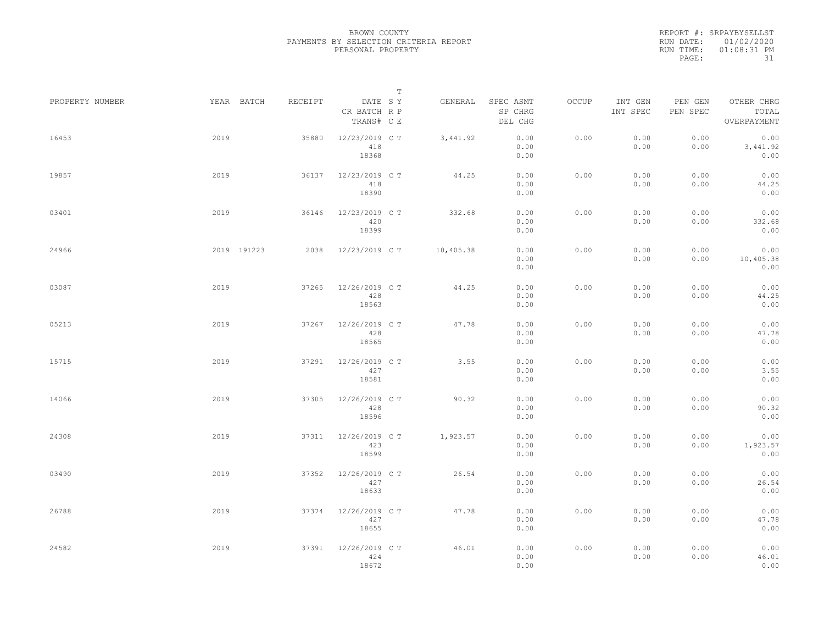|                 |      |             |         |                                       | $\mathbb T$ |           |                                 |       |                     |                     |                                    |  |
|-----------------|------|-------------|---------|---------------------------------------|-------------|-----------|---------------------------------|-------|---------------------|---------------------|------------------------------------|--|
| PROPERTY NUMBER |      | YEAR BATCH  | RECEIPT | DATE SY<br>CR BATCH R P<br>TRANS# C E |             | GENERAL   | SPEC ASMT<br>SP CHRG<br>DEL CHG | OCCUP | INT GEN<br>INT SPEC | PEN GEN<br>PEN SPEC | OTHER CHRG<br>TOTAL<br>OVERPAYMENT |  |
| 16453           | 2019 |             | 35880   | 12/23/2019 C T<br>418<br>18368        |             | 3,441.92  | 0.00<br>0.00<br>0.00            | 0.00  | 0.00<br>0.00        | 0.00<br>0.00        | 0.00<br>3,441.92<br>0.00           |  |
| 19857           | 2019 |             | 36137   | 12/23/2019 C T<br>418<br>18390        |             | 44.25     | 0.00<br>0.00<br>0.00            | 0.00  | 0.00<br>0.00        | 0.00<br>0.00        | 0.00<br>44.25<br>0.00              |  |
| 03401           | 2019 |             | 36146   | 12/23/2019 C T<br>420<br>18399        |             | 332.68    | 0.00<br>0.00<br>0.00            | 0.00  | 0.00<br>0.00        | 0.00<br>0.00        | 0.00<br>332.68<br>0.00             |  |
| 24966           |      | 2019 191223 | 2038    | 12/23/2019 C T                        |             | 10,405.38 | 0.00<br>0.00<br>0.00            | 0.00  | 0.00<br>0.00        | 0.00<br>0.00        | 0.00<br>10,405.38<br>0.00          |  |
| 03087           | 2019 |             | 37265   | 12/26/2019 C T<br>428<br>18563        |             | 44.25     | 0.00<br>0.00<br>0.00            | 0.00  | 0.00<br>0.00        | 0.00<br>0.00        | 0.00<br>44.25<br>0.00              |  |
| 05213           | 2019 |             | 37267   | 12/26/2019 C T<br>428<br>18565        |             | 47.78     | 0.00<br>0.00<br>0.00            | 0.00  | 0.00<br>0.00        | 0.00<br>0.00        | 0.00<br>47.78<br>0.00              |  |
| 15715           | 2019 |             | 37291   | 12/26/2019 C T<br>427<br>18581        |             | 3.55      | 0.00<br>0.00<br>0.00            | 0.00  | 0.00<br>0.00        | 0.00<br>0.00        | 0.00<br>3.55<br>0.00               |  |
| 14066           | 2019 |             | 37305   | 12/26/2019 C T<br>428<br>18596        |             | 90.32     | 0.00<br>0.00<br>0.00            | 0.00  | 0.00<br>0.00        | 0.00<br>0.00        | 0.00<br>90.32<br>0.00              |  |
| 24308           | 2019 |             | 37311   | 12/26/2019 C T<br>423<br>18599        |             | 1,923.57  | 0.00<br>0.00<br>0.00            | 0.00  | 0.00<br>0.00        | 0.00<br>0.00        | 0.00<br>1,923.57<br>0.00           |  |
| 03490           | 2019 |             | 37352   | 12/26/2019 C T<br>427<br>18633        |             | 26.54     | 0.00<br>0.00<br>0.00            | 0.00  | 0.00<br>0.00        | 0.00<br>0.00        | 0.00<br>26.54<br>0.00              |  |
| 26788           | 2019 |             | 37374   | 12/26/2019 C T<br>427<br>18655        |             | 47.78     | 0.00<br>0.00<br>0.00            | 0.00  | 0.00<br>0.00        | 0.00<br>0.00        | 0.00<br>47.78<br>0.00              |  |
| 24582           | 2019 |             | 37391   | 12/26/2019 C T<br>424<br>18672        |             | 46.01     | 0.00<br>0.00<br>0.00            | 0.00  | 0.00<br>0.00        | 0.00<br>0.00        | 0.00<br>46.01<br>0.00              |  |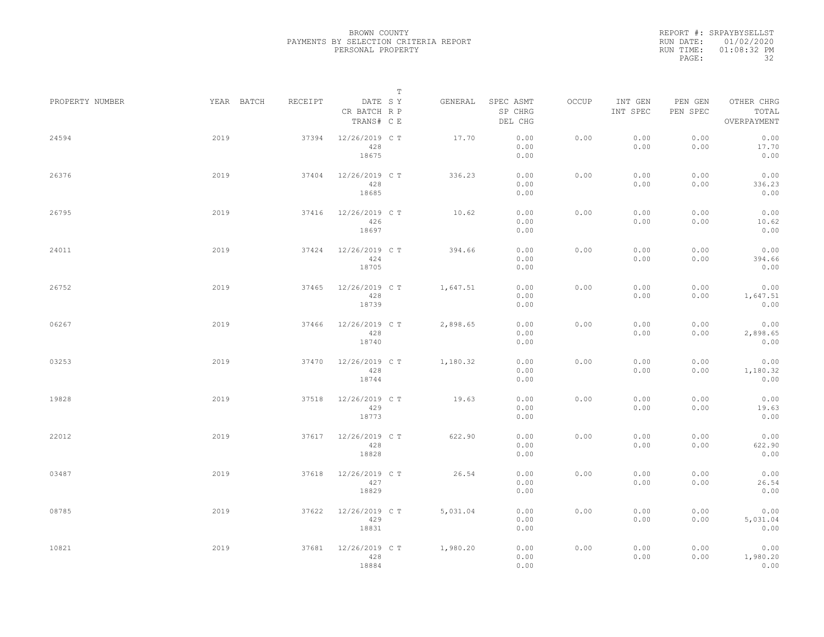|                 |            |         |                                       | $\mathbb T$ |          |                                 |       |                     |                     |                                    |  |
|-----------------|------------|---------|---------------------------------------|-------------|----------|---------------------------------|-------|---------------------|---------------------|------------------------------------|--|
| PROPERTY NUMBER | YEAR BATCH | RECEIPT | DATE SY<br>CR BATCH R P<br>TRANS# C E |             | GENERAL  | SPEC ASMT<br>SP CHRG<br>DEL CHG | OCCUP | INT GEN<br>INT SPEC | PEN GEN<br>PEN SPEC | OTHER CHRG<br>TOTAL<br>OVERPAYMENT |  |
| 24594           | 2019       | 37394   | 12/26/2019 C T<br>428<br>18675        |             | 17.70    | 0.00<br>0.00<br>0.00            | 0.00  | 0.00<br>0.00        | 0.00<br>0.00        | 0.00<br>17.70<br>0.00              |  |
| 26376           | 2019       | 37404   | 12/26/2019 C T<br>428<br>18685        |             | 336.23   | 0.00<br>0.00<br>0.00            | 0.00  | 0.00<br>0.00        | 0.00<br>0.00        | 0.00<br>336.23<br>0.00             |  |
| 26795           | 2019       | 37416   | 12/26/2019 C T<br>426<br>18697        |             | 10.62    | 0.00<br>0.00<br>0.00            | 0.00  | 0.00<br>0.00        | 0.00<br>0.00        | 0.00<br>10.62<br>0.00              |  |
| 24011           | 2019       | 37424   | 12/26/2019 C T<br>424<br>18705        |             | 394.66   | 0.00<br>0.00<br>0.00            | 0.00  | 0.00<br>0.00        | 0.00<br>0.00        | 0.00<br>394.66<br>0.00             |  |
| 26752           | 2019       | 37465   | 12/26/2019 C T<br>428<br>18739        |             | 1,647.51 | 0.00<br>0.00<br>0.00            | 0.00  | 0.00<br>0.00        | 0.00<br>0.00        | 0.00<br>1,647.51<br>0.00           |  |
| 06267           | 2019       | 37466   | 12/26/2019 C T<br>428<br>18740        |             | 2,898.65 | 0.00<br>0.00<br>0.00            | 0.00  | 0.00<br>0.00        | 0.00<br>0.00        | 0.00<br>2,898.65<br>0.00           |  |
| 03253           | 2019       | 37470   | 12/26/2019 C T<br>428<br>18744        |             | 1,180.32 | 0.00<br>0.00<br>0.00            | 0.00  | 0.00<br>0.00        | 0.00<br>0.00        | 0.00<br>1,180.32<br>0.00           |  |
| 19828           | 2019       | 37518   | 12/26/2019 C T<br>429<br>18773        |             | 19.63    | 0.00<br>0.00<br>0.00            | 0.00  | 0.00<br>0.00        | 0.00<br>0.00        | 0.00<br>19.63<br>0.00              |  |
| 22012           | 2019       | 37617   | 12/26/2019 C T<br>428<br>18828        |             | 622.90   | 0.00<br>0.00<br>0.00            | 0.00  | 0.00<br>0.00        | 0.00<br>0.00        | 0.00<br>622.90<br>0.00             |  |
| 03487           | 2019       | 37618   | 12/26/2019 C T<br>427<br>18829        |             | 26.54    | 0.00<br>0.00<br>0.00            | 0.00  | 0.00<br>0.00        | 0.00<br>0.00        | 0.00<br>26.54<br>0.00              |  |
| 08785           | 2019       | 37622   | 12/26/2019 C T<br>429<br>18831        |             | 5,031.04 | 0.00<br>0.00<br>0.00            | 0.00  | 0.00<br>0.00        | 0.00<br>0.00        | 0.00<br>5,031.04<br>0.00           |  |
| 10821           | 2019       | 37681   | 12/26/2019 C T<br>428<br>18884        |             | 1,980.20 | 0.00<br>0.00<br>0.00            | 0.00  | 0.00<br>0.00        | 0.00<br>0.00        | 0.00<br>1,980.20<br>0.00           |  |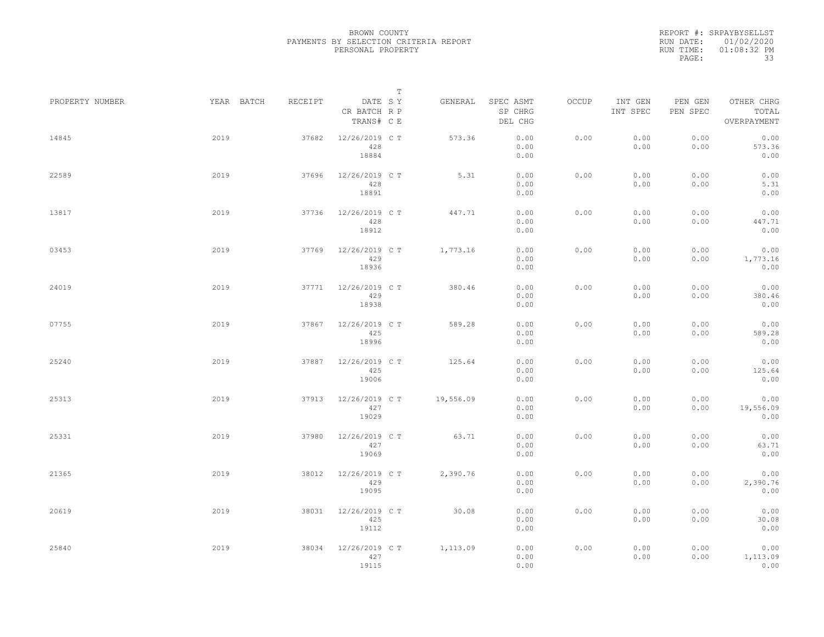|                 |      |            |         |                                       | $\mathbb T$ |           |                                 |       |                     |                     |                                    |  |
|-----------------|------|------------|---------|---------------------------------------|-------------|-----------|---------------------------------|-------|---------------------|---------------------|------------------------------------|--|
| PROPERTY NUMBER |      | YEAR BATCH | RECEIPT | DATE SY<br>CR BATCH R P<br>TRANS# C E |             | GENERAL   | SPEC ASMT<br>SP CHRG<br>DEL CHG | OCCUP | INT GEN<br>INT SPEC | PEN GEN<br>PEN SPEC | OTHER CHRG<br>TOTAL<br>OVERPAYMENT |  |
| 14845           | 2019 |            | 37682   | 12/26/2019 C T<br>428<br>18884        |             | 573.36    | 0.00<br>0.00<br>0.00            | 0.00  | 0.00<br>0.00        | 0.00<br>0.00        | 0.00<br>573.36<br>0.00             |  |
| 22589           | 2019 |            | 37696   | 12/26/2019 C T<br>428<br>18891        |             | 5.31      | 0.00<br>0.00<br>0.00            | 0.00  | 0.00<br>0.00        | 0.00<br>0.00        | 0.00<br>5.31<br>0.00               |  |
| 13817           | 2019 |            | 37736   | 12/26/2019 C T<br>428<br>18912        |             | 447.71    | 0.00<br>0.00<br>0.00            | 0.00  | 0.00<br>0.00        | 0.00<br>0.00        | 0.00<br>447.71<br>0.00             |  |
| 03453           | 2019 |            | 37769   | 12/26/2019 C T<br>429<br>18936        |             | 1,773.16  | 0.00<br>0.00<br>0.00            | 0.00  | 0.00<br>0.00        | 0.00<br>0.00        | 0.00<br>1,773.16<br>0.00           |  |
| 24019           | 2019 |            | 37771   | 12/26/2019 C T<br>429<br>18938        |             | 380.46    | 0.00<br>0.00<br>0.00            | 0.00  | 0.00<br>0.00        | 0.00<br>0.00        | 0.00<br>380.46<br>0.00             |  |
| 07755           | 2019 |            | 37867   | 12/26/2019 C T<br>425<br>18996        |             | 589.28    | 0.00<br>0.00<br>0.00            | 0.00  | 0.00<br>0.00        | 0.00<br>0.00        | 0.00<br>589.28<br>0.00             |  |
| 25240           | 2019 |            | 37887   | 12/26/2019 C T<br>425<br>19006        |             | 125.64    | 0.00<br>0.00<br>0.00            | 0.00  | 0.00<br>0.00        | 0.00<br>0.00        | 0.00<br>125.64<br>0.00             |  |
| 25313           | 2019 |            | 37913   | 12/26/2019 C T<br>427<br>19029        |             | 19,556.09 | 0.00<br>0.00<br>0.00            | 0.00  | 0.00<br>0.00        | 0.00<br>0.00        | 0.00<br>19,556.09<br>0.00          |  |
| 25331           | 2019 |            | 37980   | 12/26/2019 C T<br>427<br>19069        |             | 63.71     | 0.00<br>0.00<br>0.00            | 0.00  | 0.00<br>0.00        | 0.00<br>0.00        | 0.00<br>63.71<br>0.00              |  |
| 21365           | 2019 |            | 38012   | 12/26/2019 C T<br>429<br>19095        |             | 2,390.76  | 0.00<br>0.00<br>0.00            | 0.00  | 0.00<br>0.00        | 0.00<br>0.00        | 0.00<br>2,390.76<br>0.00           |  |
| 20619           | 2019 |            | 38031   | 12/26/2019 C T<br>425<br>19112        |             | 30.08     | 0.00<br>0.00<br>0.00            | 0.00  | 0.00<br>0.00        | 0.00<br>0.00        | 0.00<br>30.08<br>0.00              |  |
| 25840           | 2019 |            | 38034   | 12/26/2019 C T<br>427<br>19115        |             | 1,113.09  | 0.00<br>0.00<br>0.00            | 0.00  | 0.00<br>0.00        | 0.00<br>0.00        | 0.00<br>1,113.09<br>0.00           |  |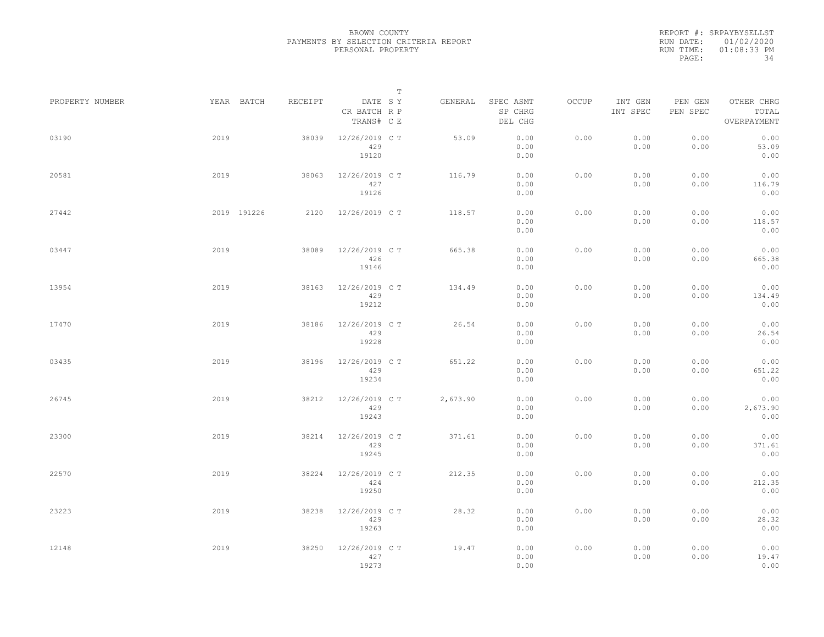|                 |             |         | $\mathbb T$                           |          |                                 |       |                     |                     |                                    |
|-----------------|-------------|---------|---------------------------------------|----------|---------------------------------|-------|---------------------|---------------------|------------------------------------|
| PROPERTY NUMBER | YEAR BATCH  | RECEIPT | DATE SY<br>CR BATCH R P<br>TRANS# C E | GENERAL  | SPEC ASMT<br>SP CHRG<br>DEL CHG | OCCUP | INT GEN<br>INT SPEC | PEN GEN<br>PEN SPEC | OTHER CHRG<br>TOTAL<br>OVERPAYMENT |
| 03190           | 2019        | 38039   | 12/26/2019 C T<br>429<br>19120        | 53.09    | 0.00<br>0.00<br>0.00            | 0.00  | 0.00<br>0.00        | 0.00<br>0.00        | 0.00<br>53.09<br>0.00              |
| 20581           | 2019        | 38063   | 12/26/2019 C T<br>427<br>19126        | 116.79   | 0.00<br>0.00<br>0.00            | 0.00  | 0.00<br>0.00        | 0.00<br>0.00        | 0.00<br>116.79<br>0.00             |
| 27442           | 2019 191226 | 2120    | 12/26/2019 C T                        | 118.57   | 0.00<br>0.00<br>0.00            | 0.00  | 0.00<br>0.00        | 0.00<br>0.00        | 0.00<br>118.57<br>0.00             |
| 03447           | 2019        | 38089   | 12/26/2019 C T<br>426<br>19146        | 665.38   | 0.00<br>0.00<br>0.00            | 0.00  | 0.00<br>0.00        | 0.00<br>0.00        | 0.00<br>665.38<br>0.00             |
| 13954           | 2019        | 38163   | 12/26/2019 C T<br>429<br>19212        | 134.49   | 0.00<br>0.00<br>0.00            | 0.00  | 0.00<br>0.00        | 0.00<br>0.00        | 0.00<br>134.49<br>0.00             |
| 17470           | 2019        | 38186   | 12/26/2019 C T<br>429<br>19228        | 26.54    | 0.00<br>0.00<br>0.00            | 0.00  | 0.00<br>0.00        | 0.00<br>0.00        | 0.00<br>26.54<br>0.00              |
| 03435           | 2019        | 38196   | 12/26/2019 C T<br>429<br>19234        | 651.22   | 0.00<br>0.00<br>0.00            | 0.00  | 0.00<br>0.00        | 0.00<br>0.00        | 0.00<br>651.22<br>0.00             |
| 26745           | 2019        | 38212   | 12/26/2019 C T<br>429<br>19243        | 2,673.90 | 0.00<br>0.00<br>0.00            | 0.00  | 0.00<br>0.00        | 0.00<br>0.00        | 0.00<br>2,673.90<br>0.00           |
| 23300           | 2019        | 38214   | 12/26/2019 C T<br>429<br>19245        | 371.61   | 0.00<br>0.00<br>0.00            | 0.00  | 0.00<br>0.00        | 0.00<br>0.00        | 0.00<br>371.61<br>0.00             |
| 22570           | 2019        | 38224   | 12/26/2019 C T<br>424<br>19250        | 212.35   | 0.00<br>0.00<br>0.00            | 0.00  | 0.00<br>0.00        | 0.00<br>0.00        | 0.00<br>212.35<br>0.00             |
| 23223           | 2019        | 38238   | 12/26/2019 C T<br>429<br>19263        | 28.32    | 0.00<br>0.00<br>0.00            | 0.00  | 0.00<br>0.00        | 0.00<br>0.00        | 0.00<br>28.32<br>0.00              |
| 12148           | 2019        | 38250   | 12/26/2019 C T<br>427<br>19273        | 19.47    | 0.00<br>0.00<br>0.00            | 0.00  | 0.00<br>0.00        | 0.00<br>0.00        | 0.00<br>19.47<br>0.00              |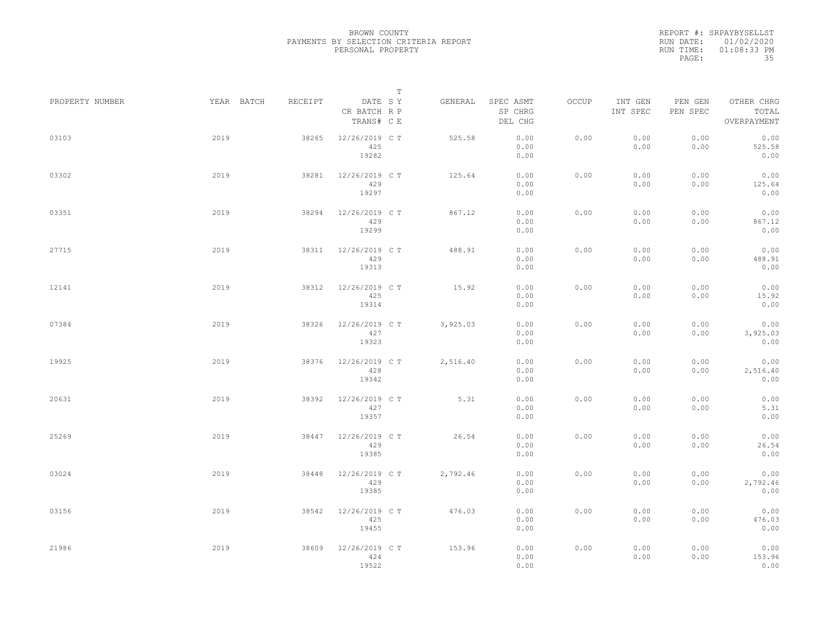|                 |            |         |                                       | $\mathbb T$ |                                 |       |                     |                     |                                    |  |
|-----------------|------------|---------|---------------------------------------|-------------|---------------------------------|-------|---------------------|---------------------|------------------------------------|--|
| PROPERTY NUMBER | YEAR BATCH | RECEIPT | DATE SY<br>CR BATCH R P<br>TRANS# C E | GENERAL     | SPEC ASMT<br>SP CHRG<br>DEL CHG | OCCUP | INT GEN<br>INT SPEC | PEN GEN<br>PEN SPEC | OTHER CHRG<br>TOTAL<br>OVERPAYMENT |  |
| 03103           | 2019       | 38265   | 12/26/2019 C T<br>425<br>19282        | 525.58      | 0.00<br>0.00<br>0.00            | 0.00  | 0.00<br>0.00        | 0.00<br>0.00        | 0.00<br>525.58<br>0.00             |  |
| 03302           | 2019       | 38281   | 12/26/2019 C T<br>429<br>19297        | 125.64      | 0.00<br>0.00<br>0.00            | 0.00  | 0.00<br>0.00        | 0.00<br>0.00        | 0.00<br>125.64<br>0.00             |  |
| 03351           | 2019       | 38294   | 12/26/2019 C T<br>429<br>19299        | 867.12      | 0.00<br>0.00<br>0.00            | 0.00  | 0.00<br>0.00        | 0.00<br>0.00        | 0.00<br>867.12<br>0.00             |  |
| 27715           | 2019       | 38311   | 12/26/2019 C T<br>429<br>19313        | 488.91      | 0.00<br>0.00<br>0.00            | 0.00  | 0.00<br>0.00        | 0.00<br>0.00        | 0.00<br>488.91<br>0.00             |  |
| 12141           | 2019       | 38312   | 12/26/2019 C T<br>425<br>19314        | 15.92       | 0.00<br>0.00<br>0.00            | 0.00  | 0.00<br>0.00        | 0.00<br>0.00        | 0.00<br>15.92<br>0.00              |  |
| 07384           | 2019       | 38326   | 12/26/2019 C T<br>427<br>19323        | 3,925.03    | 0.00<br>0.00<br>0.00            | 0.00  | 0.00<br>0.00        | 0.00<br>0.00        | 0.00<br>3,925.03<br>0.00           |  |
| 19925           | 2019       | 38376   | 12/26/2019 C T<br>428<br>19342        | 2,516.40    | 0.00<br>0.00<br>0.00            | 0.00  | 0.00<br>0.00        | 0.00<br>0.00        | 0.00<br>2,516.40<br>0.00           |  |
| 20631           | 2019       | 38392   | 12/26/2019 C T<br>427<br>19357        | 5.31        | 0.00<br>0.00<br>0.00            | 0.00  | 0.00<br>0.00        | 0.00<br>0.00        | 0.00<br>5.31<br>0.00               |  |
| 25269           | 2019       | 38447   | 12/26/2019 C T<br>429<br>19385        | 26.54       | 0.00<br>0.00<br>0.00            | 0.00  | 0.00<br>0.00        | 0.00<br>0.00        | 0.00<br>26.54<br>0.00              |  |
| 03024           | 2019       | 38448   | 12/26/2019 C T<br>429<br>19385        | 2,792.46    | 0.00<br>0.00<br>0.00            | 0.00  | 0.00<br>0.00        | 0.00<br>0.00        | 0.00<br>2,792.46<br>0.00           |  |
| 03156           | 2019       | 38542   | 12/26/2019 C T<br>425<br>19455        | 476.03      | 0.00<br>0.00<br>0.00            | 0.00  | 0.00<br>0.00        | 0.00<br>0.00        | 0.00<br>476.03<br>0.00             |  |
| 21986           | 2019       | 38609   | 12/26/2019 C T<br>424<br>19522        | 153.96      | 0.00<br>0.00<br>0.00            | 0.00  | 0.00<br>0.00        | 0.00<br>0.00        | 0.00<br>153.96<br>0.00             |  |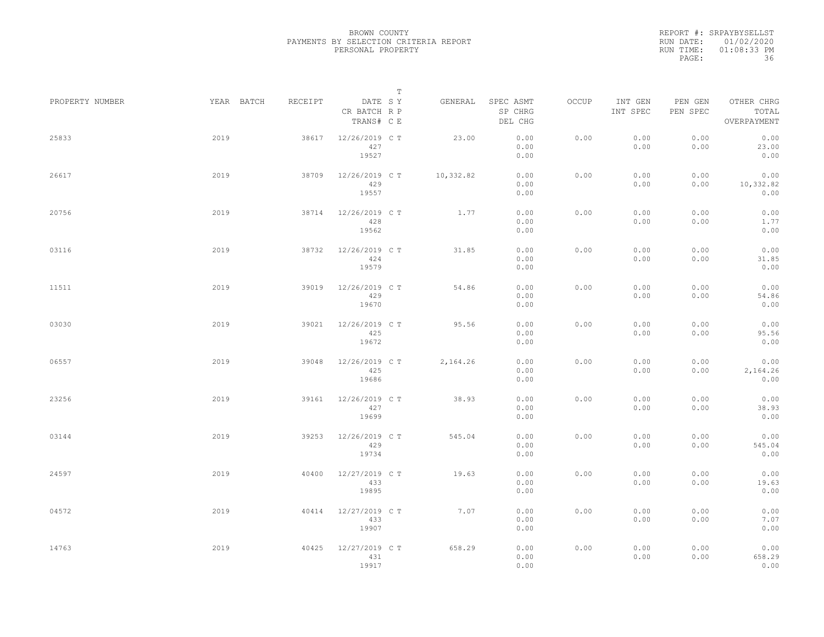|                 |            |         | $\mathbb T$                           |           |                                 |       |                     |                     |                                    |
|-----------------|------------|---------|---------------------------------------|-----------|---------------------------------|-------|---------------------|---------------------|------------------------------------|
| PROPERTY NUMBER | YEAR BATCH | RECEIPT | DATE SY<br>CR BATCH R P<br>TRANS# C E | GENERAL   | SPEC ASMT<br>SP CHRG<br>DEL CHG | OCCUP | INT GEN<br>INT SPEC | PEN GEN<br>PEN SPEC | OTHER CHRG<br>TOTAL<br>OVERPAYMENT |
| 25833           | 2019       | 38617   | 12/26/2019 C T<br>427<br>19527        | 23.00     | 0.00<br>0.00<br>0.00            | 0.00  | 0.00<br>0.00        | 0.00<br>0.00        | 0.00<br>23.00<br>0.00              |
| 26617           | 2019       | 38709   | 12/26/2019 C T<br>429<br>19557        | 10,332.82 | 0.00<br>0.00<br>0.00            | 0.00  | 0.00<br>0.00        | 0.00<br>0.00        | 0.00<br>10,332.82<br>0.00          |
| 20756           | 2019       | 38714   | 12/26/2019 C T<br>428<br>19562        | 1.77      | 0.00<br>0.00<br>0.00            | 0.00  | 0.00<br>0.00        | 0.00<br>0.00        | 0.00<br>1.77<br>0.00               |
| 03116           | 2019       | 38732   | 12/26/2019 C T<br>424<br>19579        | 31.85     | 0.00<br>0.00<br>0.00            | 0.00  | 0.00<br>0.00        | 0.00<br>0.00        | 0.00<br>31.85<br>0.00              |
| 11511           | 2019       | 39019   | 12/26/2019 C T<br>429<br>19670        | 54.86     | 0.00<br>0.00<br>0.00            | 0.00  | 0.00<br>0.00        | 0.00<br>0.00        | 0.00<br>54.86<br>0.00              |
| 03030           | 2019       | 39021   | 12/26/2019 C T<br>425<br>19672        | 95.56     | 0.00<br>0.00<br>0.00            | 0.00  | 0.00<br>0.00        | 0.00<br>0.00        | 0.00<br>95.56<br>0.00              |
| 06557           | 2019       | 39048   | 12/26/2019 C T<br>425<br>19686        | 2,164.26  | 0.00<br>0.00<br>0.00            | 0.00  | 0.00<br>0.00        | 0.00<br>0.00        | 0.00<br>2,164.26<br>0.00           |
| 23256           | 2019       | 39161   | 12/26/2019 C T<br>427<br>19699        | 38.93     | 0.00<br>0.00<br>0.00            | 0.00  | 0.00<br>0.00        | 0.00<br>0.00        | 0.00<br>38.93<br>0.00              |
| 03144           | 2019       | 39253   | 12/26/2019 C T<br>429<br>19734        | 545.04    | 0.00<br>0.00<br>0.00            | 0.00  | 0.00<br>0.00        | 0.00<br>0.00        | 0.00<br>545.04<br>0.00             |
| 24597           | 2019       | 40400   | 12/27/2019 C T<br>433<br>19895        | 19.63     | 0.00<br>0.00<br>0.00            | 0.00  | 0.00<br>0.00        | 0.00<br>0.00        | 0.00<br>19.63<br>0.00              |
| 04572           | 2019       | 40414   | 12/27/2019 C T<br>433<br>19907        | 7.07      | 0.00<br>0.00<br>0.00            | 0.00  | 0.00<br>0.00        | 0.00<br>0.00        | 0.00<br>7.07<br>0.00               |
| 14763           | 2019       | 40425   | 12/27/2019 C T<br>431<br>19917        | 658.29    | 0.00<br>0.00<br>0.00            | 0.00  | 0.00<br>0.00        | 0.00<br>0.00        | 0.00<br>658.29<br>0.00             |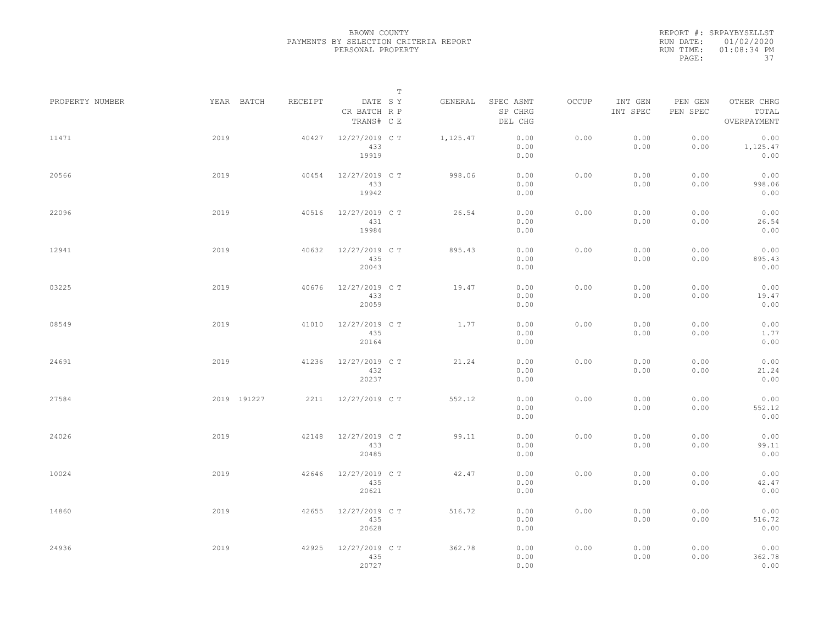REPORT #: SRPAYBYSELLST RUN DATE: 01/02/2020 RUN TIME: 01:08:34 PM PAGE: 37

|                 |      |             |         |                                       | $\mathbb T$ |          |                                 |       |                     |                     |                                    |  |
|-----------------|------|-------------|---------|---------------------------------------|-------------|----------|---------------------------------|-------|---------------------|---------------------|------------------------------------|--|
| PROPERTY NUMBER |      | YEAR BATCH  | RECEIPT | DATE SY<br>CR BATCH R P<br>TRANS# C E |             | GENERAL  | SPEC ASMT<br>SP CHRG<br>DEL CHG | OCCUP | INT GEN<br>INT SPEC | PEN GEN<br>PEN SPEC | OTHER CHRG<br>TOTAL<br>OVERPAYMENT |  |
| 11471           | 2019 |             | 40427   | 12/27/2019 C T<br>433<br>19919        |             | 1,125.47 | 0.00<br>0.00<br>0.00            | 0.00  | 0.00<br>0.00        | 0.00<br>0.00        | 0.00<br>1,125.47<br>0.00           |  |
| 20566           | 2019 |             | 40454   | 12/27/2019 C T<br>433<br>19942        |             | 998.06   | 0.00<br>0.00<br>0.00            | 0.00  | 0.00<br>0.00        | 0.00<br>0.00        | 0.00<br>998.06<br>0.00             |  |
| 22096           | 2019 |             | 40516   | 12/27/2019 C T<br>431<br>19984        |             | 26.54    | 0.00<br>0.00<br>0.00            | 0.00  | 0.00<br>0.00        | 0.00<br>0.00        | 0.00<br>26.54<br>0.00              |  |
| 12941           | 2019 |             | 40632   | 12/27/2019 C T<br>435<br>20043        |             | 895.43   | 0.00<br>0.00<br>0.00            | 0.00  | 0.00<br>0.00        | 0.00<br>0.00        | 0.00<br>895.43<br>0.00             |  |
| 03225           | 2019 |             | 40676   | 12/27/2019 C T<br>433<br>20059        |             | 19.47    | 0.00<br>0.00<br>0.00            | 0.00  | 0.00<br>0.00        | 0.00<br>0.00        | 0.00<br>19.47<br>0.00              |  |
| 08549           | 2019 |             | 41010   | 12/27/2019 C T<br>435<br>20164        |             | 1.77     | 0.00<br>0.00<br>0.00            | 0.00  | 0.00<br>0.00        | 0.00<br>0.00        | 0.00<br>1.77<br>0.00               |  |
| 24691           | 2019 |             | 41236   | 12/27/2019 C T<br>432<br>20237        |             | 21.24    | 0.00<br>0.00<br>0.00            | 0.00  | 0.00<br>0.00        | 0.00<br>0.00        | 0.00<br>21.24<br>0.00              |  |
| 27584           |      | 2019 191227 | 2211    | 12/27/2019 C T                        |             | 552.12   | 0.00<br>0.00<br>0.00            | 0.00  | 0.00<br>0.00        | 0.00<br>0.00        | 0.00<br>552.12<br>0.00             |  |
| 24026           | 2019 |             | 42148   | 12/27/2019 C T<br>433<br>20485        |             | 99.11    | 0.00<br>0.00<br>0.00            | 0.00  | 0.00<br>0.00        | 0.00<br>0.00        | 0.00<br>99.11<br>0.00              |  |
| 10024           | 2019 |             | 42646   | 12/27/2019 C T<br>435<br>20621        |             | 42.47    | 0.00<br>0.00<br>0.00            | 0.00  | 0.00<br>0.00        | 0.00<br>0.00        | 0.00<br>42.47<br>0.00              |  |
| 14860           | 2019 |             | 42655   | 12/27/2019 C T<br>435<br>20628        |             | 516.72   | 0.00<br>0.00<br>0.00            | 0.00  | 0.00<br>0.00        | 0.00<br>0.00        | 0.00<br>516.72<br>0.00             |  |
| 24936           | 2019 |             | 42925   | 12/27/2019 C T<br>435<br>20727        |             | 362.78   | 0.00<br>0.00<br>0.00            | 0.00  | 0.00<br>0.00        | 0.00<br>0.00        | 0.00<br>362.78<br>0.00             |  |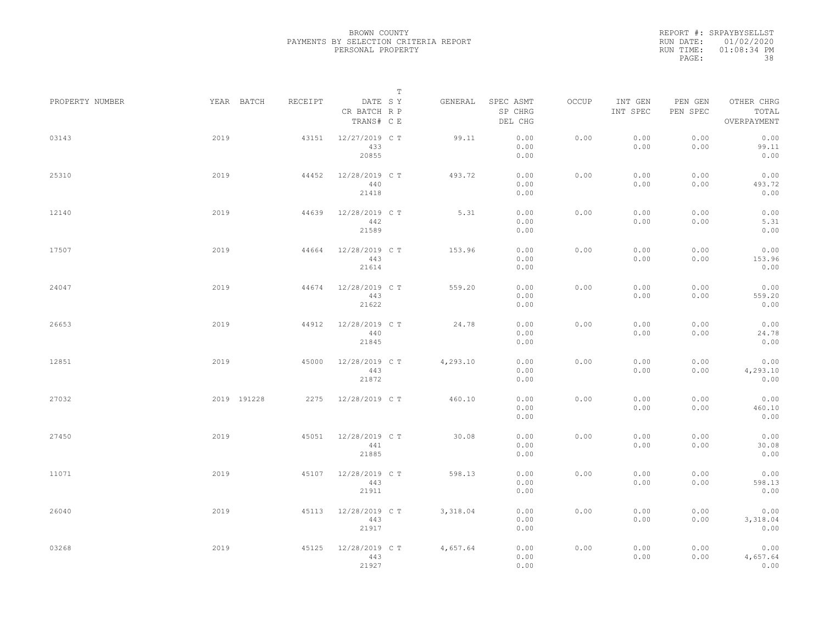REPORT #: SRPAYBYSELLST RUN DATE: 01/02/2020 RUN TIME: 01:08:34 PM PAGE: 38

|                 |             |         |                                       | $\mathbb T$ |                                 |       |                     |                     |                                    |  |
|-----------------|-------------|---------|---------------------------------------|-------------|---------------------------------|-------|---------------------|---------------------|------------------------------------|--|
| PROPERTY NUMBER | YEAR BATCH  | RECEIPT | DATE SY<br>CR BATCH R P<br>TRANS# C E | GENERAL     | SPEC ASMT<br>SP CHRG<br>DEL CHG | OCCUP | INT GEN<br>INT SPEC | PEN GEN<br>PEN SPEC | OTHER CHRG<br>TOTAL<br>OVERPAYMENT |  |
| 03143           | 2019        | 43151   | 12/27/2019 C T<br>433<br>20855        | 99.11       | 0.00<br>0.00<br>0.00            | 0.00  | 0.00<br>0.00        | 0.00<br>0.00        | 0.00<br>99.11<br>0.00              |  |
| 25310           | 2019        | 44452   | 12/28/2019 C T<br>440<br>21418        | 493.72      | 0.00<br>0.00<br>0.00            | 0.00  | 0.00<br>0.00        | 0.00<br>0.00        | 0.00<br>493.72<br>0.00             |  |
| 12140           | 2019        | 44639   | 12/28/2019 C T<br>442<br>21589        | 5.31        | 0.00<br>0.00<br>0.00            | 0.00  | 0.00<br>0.00        | 0.00<br>0.00        | 0.00<br>5.31<br>0.00               |  |
| 17507           | 2019        | 44664   | 12/28/2019 C T<br>443<br>21614        | 153.96      | 0.00<br>0.00<br>0.00            | 0.00  | 0.00<br>0.00        | 0.00<br>0.00        | 0.00<br>153.96<br>0.00             |  |
| 24047           | 2019        | 44674   | 12/28/2019 C T<br>443<br>21622        | 559.20      | 0.00<br>0.00<br>0.00            | 0.00  | 0.00<br>0.00        | 0.00<br>0.00        | 0.00<br>559.20<br>0.00             |  |
| 26653           | 2019        | 44912   | 12/28/2019 C T<br>440<br>21845        | 24.78       | 0.00<br>0.00<br>0.00            | 0.00  | 0.00<br>0.00        | 0.00<br>0.00        | 0.00<br>24.78<br>0.00              |  |
| 12851           | 2019        | 45000   | 12/28/2019 C T<br>443<br>21872        | 4,293.10    | 0.00<br>0.00<br>0.00            | 0.00  | 0.00<br>0.00        | 0.00<br>0.00        | 0.00<br>4,293.10<br>0.00           |  |
| 27032           | 2019 191228 | 2275    | 12/28/2019 C T                        | 460.10      | 0.00<br>0.00<br>0.00            | 0.00  | 0.00<br>0.00        | 0.00<br>0.00        | 0.00<br>460.10<br>0.00             |  |
| 27450           | 2019        | 45051   | 12/28/2019 C T<br>441<br>21885        | 30.08       | 0.00<br>0.00<br>0.00            | 0.00  | 0.00<br>0.00        | 0.00<br>0.00        | 0.00<br>30.08<br>0.00              |  |
| 11071           | 2019        | 45107   | 12/28/2019 C T<br>443<br>21911        | 598.13      | 0.00<br>0.00<br>0.00            | 0.00  | 0.00<br>0.00        | 0.00<br>0.00        | 0.00<br>598.13<br>0.00             |  |
| 26040           | 2019        | 45113   | 12/28/2019 C T<br>443<br>21917        | 3,318.04    | 0.00<br>0.00<br>0.00            | 0.00  | 0.00<br>0.00        | 0.00<br>0.00        | 0.00<br>3,318.04<br>0.00           |  |
| 03268           | 2019        | 45125   | 12/28/2019 C T<br>443<br>21927        | 4,657.64    | 0.00<br>0.00<br>0.00            | 0.00  | 0.00<br>0.00        | 0.00<br>0.00        | 0.00<br>4,657.64<br>0.00           |  |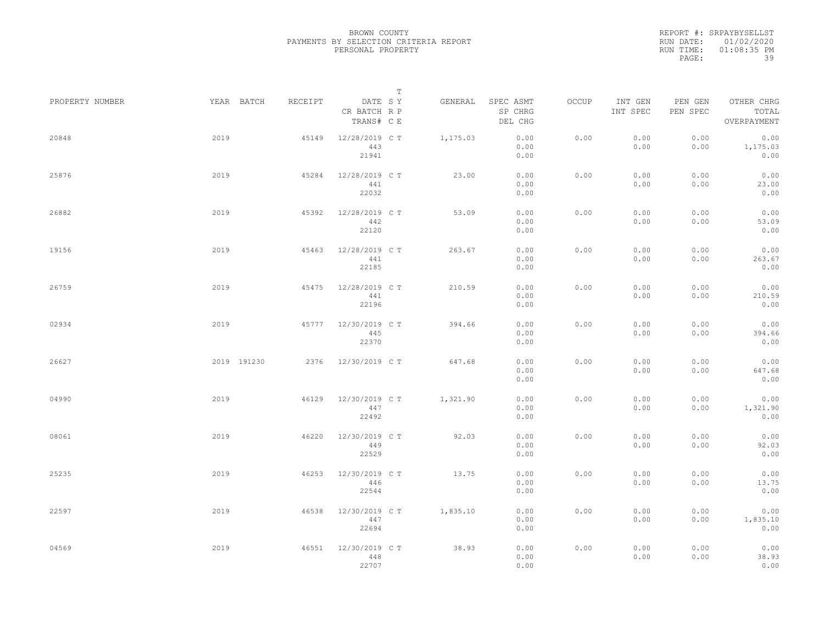REPORT #: SRPAYBYSELLST RUN DATE: 01/02/2020 RUN TIME: 01:08:35 PM PAGE: 39

|                 |             |         | $\mathbb T$                           |          |                                 |       |                     |                     |                                    |
|-----------------|-------------|---------|---------------------------------------|----------|---------------------------------|-------|---------------------|---------------------|------------------------------------|
| PROPERTY NUMBER | YEAR BATCH  | RECEIPT | DATE SY<br>CR BATCH R P<br>TRANS# C E | GENERAL  | SPEC ASMT<br>SP CHRG<br>DEL CHG | OCCUP | INT GEN<br>INT SPEC | PEN GEN<br>PEN SPEC | OTHER CHRG<br>TOTAL<br>OVERPAYMENT |
| 20848           | 2019        | 45149   | 12/28/2019 C T<br>443<br>21941        | 1,175.03 | 0.00<br>0.00<br>0.00            | 0.00  | 0.00<br>0.00        | 0.00<br>0.00        | 0.00<br>1,175.03<br>0.00           |
| 25876           | 2019        | 45284   | 12/28/2019 C T<br>441<br>22032        | 23.00    | 0.00<br>0.00<br>0.00            | 0.00  | 0.00<br>0.00        | 0.00<br>0.00        | 0.00<br>23.00<br>0.00              |
| 26882           | 2019        | 45392   | 12/28/2019 C T<br>442<br>22120        | 53.09    | 0.00<br>0.00<br>0.00            | 0.00  | 0.00<br>0.00        | 0.00<br>0.00        | 0.00<br>53.09<br>0.00              |
| 19156           | 2019        | 45463   | 12/28/2019 C T<br>441<br>22185        | 263.67   | 0.00<br>0.00<br>0.00            | 0.00  | 0.00<br>0.00        | 0.00<br>0.00        | 0.00<br>263.67<br>0.00             |
| 26759           | 2019        | 45475   | 12/28/2019 C T<br>441<br>22196        | 210.59   | 0.00<br>0.00<br>0.00            | 0.00  | 0.00<br>0.00        | 0.00<br>0.00        | 0.00<br>210.59<br>0.00             |
| 02934           | 2019        | 45777   | 12/30/2019 C T<br>445<br>22370        | 394.66   | 0.00<br>0.00<br>0.00            | 0.00  | 0.00<br>0.00        | 0.00<br>0.00        | 0.00<br>394.66<br>0.00             |
| 26627           | 2019 191230 | 2376    | 12/30/2019 C T                        | 647.68   | 0.00<br>0.00<br>0.00            | 0.00  | 0.00<br>0.00        | 0.00<br>0.00        | 0.00<br>647.68<br>0.00             |
| 04990           | 2019        | 46129   | 12/30/2019 C T<br>447<br>22492        | 1,321.90 | 0.00<br>0.00<br>0.00            | 0.00  | 0.00<br>0.00        | 0.00<br>0.00        | 0.00<br>1,321.90<br>0.00           |
| 08061           | 2019        | 46220   | 12/30/2019 C T<br>449<br>22529        | 92.03    | 0.00<br>0.00<br>0.00            | 0.00  | 0.00<br>0.00        | 0.00<br>0.00        | 0.00<br>92.03<br>0.00              |
| 25235           | 2019        | 46253   | 12/30/2019 C T<br>446<br>22544        | 13.75    | 0.00<br>0.00<br>0.00            | 0.00  | 0.00<br>0.00        | 0.00<br>0.00        | 0.00<br>13.75<br>0.00              |
| 22597           | 2019        | 46538   | 12/30/2019 C T<br>447<br>22694        | 1,835.10 | 0.00<br>0.00<br>0.00            | 0.00  | 0.00<br>0.00        | 0.00<br>0.00        | 0.00<br>1,835.10<br>0.00           |
| 04569           | 2019        | 46551   | 12/30/2019 C T<br>448<br>22707        | 38.93    | 0.00<br>0.00<br>0.00            | 0.00  | 0.00<br>0.00        | 0.00<br>0.00        | 0.00<br>38.93<br>0.00              |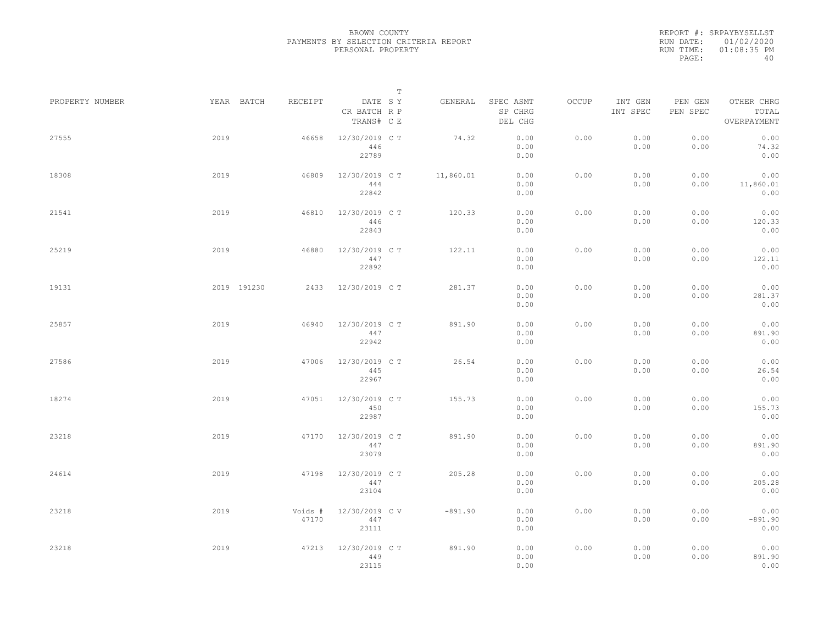REPORT #: SRPAYBYSELLST RUN DATE: 01/02/2020 RUN TIME: 01:08:35 PM PAGE: 40

|                 |             |                  | $\mathbb T$                           |           |                                 |       |                     |                     |                                    |
|-----------------|-------------|------------------|---------------------------------------|-----------|---------------------------------|-------|---------------------|---------------------|------------------------------------|
| PROPERTY NUMBER | YEAR BATCH  | RECEIPT          | DATE SY<br>CR BATCH R P<br>TRANS# C E | GENERAL   | SPEC ASMT<br>SP CHRG<br>DEL CHG | OCCUP | INT GEN<br>INT SPEC | PEN GEN<br>PEN SPEC | OTHER CHRG<br>TOTAL<br>OVERPAYMENT |
| 27555           | 2019        | 46658            | 12/30/2019 C T<br>446<br>22789        | 74.32     | 0.00<br>0.00<br>0.00            | 0.00  | 0.00<br>0.00        | 0.00<br>0.00        | 0.00<br>74.32<br>0.00              |
| 18308           | 2019        | 46809            | 12/30/2019 C T<br>444<br>22842        | 11,860.01 | 0.00<br>0.00<br>0.00            | 0.00  | 0.00<br>0.00        | 0.00<br>0.00        | 0.00<br>11,860.01<br>0.00          |
| 21541           | 2019        | 46810            | 12/30/2019 C T<br>446<br>22843        | 120.33    | 0.00<br>0.00<br>0.00            | 0.00  | 0.00<br>0.00        | 0.00<br>0.00        | 0.00<br>120.33<br>0.00             |
| 25219           | 2019        | 46880            | 12/30/2019 C T<br>447<br>22892        | 122.11    | 0.00<br>0.00<br>0.00            | 0.00  | 0.00<br>0.00        | 0.00<br>0.00        | 0.00<br>122.11<br>0.00             |
| 19131           | 2019 191230 | 2433             | 12/30/2019 C T                        | 281.37    | 0.00<br>0.00<br>0.00            | 0.00  | 0.00<br>0.00        | 0.00<br>0.00        | 0.00<br>281.37<br>0.00             |
| 25857           | 2019        | 46940            | 12/30/2019 C T<br>447<br>22942        | 891.90    | 0.00<br>0.00<br>0.00            | 0.00  | 0.00<br>0.00        | 0.00<br>0.00        | 0.00<br>891.90<br>0.00             |
| 27586           | 2019        | 47006            | 12/30/2019 C T<br>445<br>22967        | 26.54     | 0.00<br>0.00<br>0.00            | 0.00  | 0.00<br>0.00        | 0.00<br>0.00        | 0.00<br>26.54<br>0.00              |
| 18274           | 2019        | 47051            | 12/30/2019 C T<br>450<br>22987        | 155.73    | 0.00<br>0.00<br>0.00            | 0.00  | 0.00<br>0.00        | 0.00<br>0.00        | 0.00<br>155.73<br>0.00             |
| 23218           | 2019        | 47170            | 12/30/2019 C T<br>447<br>23079        | 891.90    | 0.00<br>0.00<br>0.00            | 0.00  | 0.00<br>0.00        | 0.00<br>0.00        | 0.00<br>891.90<br>0.00             |
| 24614           | 2019        | 47198            | 12/30/2019 C T<br>447<br>23104        | 205.28    | 0.00<br>0.00<br>0.00            | 0.00  | 0.00<br>0.00        | 0.00<br>0.00        | 0.00<br>205.28<br>0.00             |
| 23218           | 2019        | Voids #<br>47170 | 12/30/2019 C V<br>447<br>23111        | $-891.90$ | 0.00<br>0.00<br>0.00            | 0.00  | 0.00<br>0.00        | 0.00<br>0.00        | 0.00<br>$-891.90$<br>0.00          |
| 23218           | 2019        | 47213            | 12/30/2019 C T<br>449<br>23115        | 891.90    | 0.00<br>0.00<br>0.00            | 0.00  | 0.00<br>0.00        | 0.00<br>0.00        | 0.00<br>891.90<br>0.00             |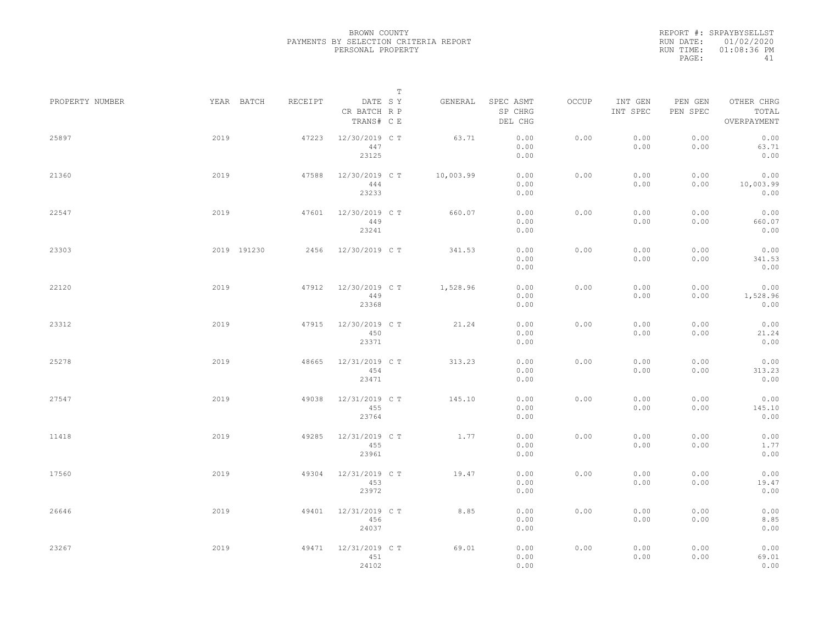REPORT #: SRPAYBYSELLST RUN DATE: 01/02/2020 RUN TIME: 01:08:36 PM PAGE: 41

|                 |             |         | $\mathbb T$                           |           |                                 |       |                     |                     |                                    |
|-----------------|-------------|---------|---------------------------------------|-----------|---------------------------------|-------|---------------------|---------------------|------------------------------------|
| PROPERTY NUMBER | YEAR BATCH  | RECEIPT | DATE SY<br>CR BATCH R P<br>TRANS# C E | GENERAL   | SPEC ASMT<br>SP CHRG<br>DEL CHG | OCCUP | INT GEN<br>INT SPEC | PEN GEN<br>PEN SPEC | OTHER CHRG<br>TOTAL<br>OVERPAYMENT |
| 25897           | 2019        | 47223   | 12/30/2019 C T<br>447<br>23125        | 63.71     | 0.00<br>0.00<br>0.00            | 0.00  | 0.00<br>0.00        | 0.00<br>0.00        | 0.00<br>63.71<br>0.00              |
| 21360           | 2019        | 47588   | 12/30/2019 C T<br>444<br>23233        | 10,003.99 | 0.00<br>0.00<br>0.00            | 0.00  | 0.00<br>0.00        | 0.00<br>0.00        | 0.00<br>10,003.99<br>0.00          |
| 22547           | 2019        | 47601   | 12/30/2019 C T<br>449<br>23241        | 660.07    | 0.00<br>0.00<br>0.00            | 0.00  | 0.00<br>0.00        | 0.00<br>0.00        | 0.00<br>660.07<br>0.00             |
| 23303           | 2019 191230 | 2456    | 12/30/2019 C T                        | 341.53    | 0.00<br>0.00<br>0.00            | 0.00  | 0.00<br>0.00        | 0.00<br>0.00        | 0.00<br>341.53<br>0.00             |
| 22120           | 2019        | 47912   | 12/30/2019 C T<br>449<br>23368        | 1,528.96  | 0.00<br>0.00<br>0.00            | 0.00  | 0.00<br>0.00        | 0.00<br>0.00        | 0.00<br>1,528.96<br>0.00           |
| 23312           | 2019        | 47915   | 12/30/2019 C T<br>450<br>23371        | 21.24     | 0.00<br>0.00<br>0.00            | 0.00  | 0.00<br>0.00        | 0.00<br>0.00        | 0.00<br>21.24<br>0.00              |
| 25278           | 2019        | 48665   | 12/31/2019 C T<br>454<br>23471        | 313.23    | 0.00<br>0.00<br>0.00            | 0.00  | 0.00<br>0.00        | 0.00<br>0.00        | 0.00<br>313.23<br>0.00             |
| 27547           | 2019        | 49038   | 12/31/2019 C T<br>455<br>23764        | 145.10    | 0.00<br>0.00<br>0.00            | 0.00  | 0.00<br>0.00        | 0.00<br>0.00        | 0.00<br>145.10<br>0.00             |
| 11418           | 2019        | 49285   | 12/31/2019 C T<br>455<br>23961        | 1.77      | 0.00<br>0.00<br>0.00            | 0.00  | 0.00<br>0.00        | 0.00<br>0.00        | 0.00<br>1.77<br>0.00               |
| 17560           | 2019        | 49304   | 12/31/2019 C T<br>453<br>23972        | 19.47     | 0.00<br>0.00<br>0.00            | 0.00  | 0.00<br>0.00        | 0.00<br>0.00        | 0.00<br>19.47<br>0.00              |
| 26646           | 2019        | 49401   | 12/31/2019 C T<br>456<br>24037        | 8.85      | 0.00<br>0.00<br>0.00            | 0.00  | 0.00<br>0.00        | 0.00<br>0.00        | 0.00<br>8.85<br>0.00               |
| 23267           | 2019        | 49471   | 12/31/2019 C T<br>451<br>24102        | 69.01     | 0.00<br>0.00<br>0.00            | 0.00  | 0.00<br>0.00        | 0.00<br>0.00        | 0.00<br>69.01<br>0.00              |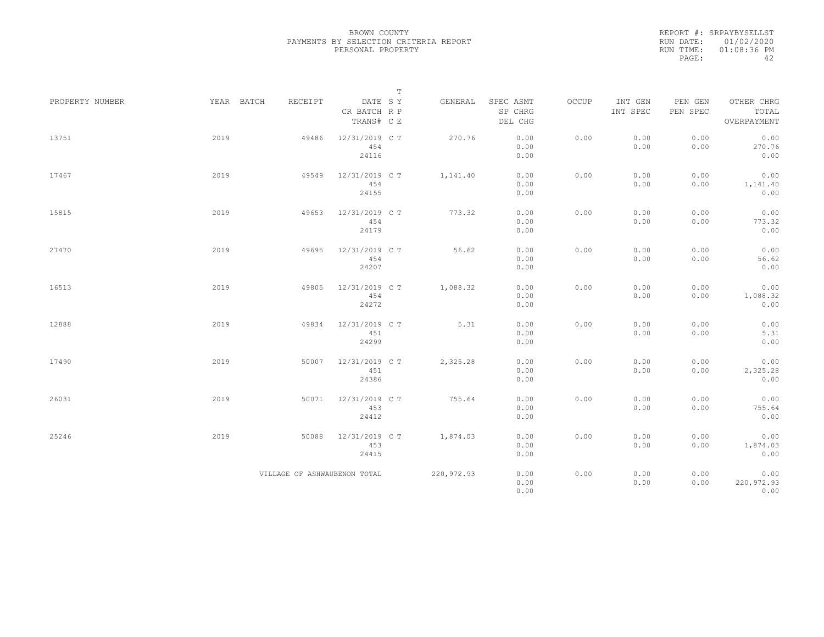REPORT #: SRPAYBYSELLST RUN DATE: 01/02/2020 RUN TIME: 01:08:36 PM PAGE: 42

|                 |            |                              | $\mathbb T$                           |            |                                 |       |                     |                     |                                    |
|-----------------|------------|------------------------------|---------------------------------------|------------|---------------------------------|-------|---------------------|---------------------|------------------------------------|
| PROPERTY NUMBER | YEAR BATCH | RECEIPT                      | DATE SY<br>CR BATCH R P<br>TRANS# C E | GENERAL    | SPEC ASMT<br>SP CHRG<br>DEL CHG | OCCUP | INT GEN<br>INT SPEC | PEN GEN<br>PEN SPEC | OTHER CHRG<br>TOTAL<br>OVERPAYMENT |
| 13751           | 2019       | 49486                        | 12/31/2019 C T<br>454<br>24116        | 270.76     | 0.00<br>0.00<br>0.00            | 0.00  | 0.00<br>0.00        | 0.00<br>0.00        | 0.00<br>270.76<br>0.00             |
| 17467           | 2019       | 49549                        | 12/31/2019 C T<br>454<br>24155        | 1,141.40   | 0.00<br>0.00<br>0.00            | 0.00  | 0.00<br>0.00        | 0.00<br>0.00        | 0.00<br>1,141.40<br>0.00           |
| 15815           | 2019       | 49653                        | 12/31/2019 C T<br>454<br>24179        | 773.32     | 0.00<br>0.00<br>0.00            | 0.00  | 0.00<br>0.00        | 0.00<br>0.00        | 0.00<br>773.32<br>0.00             |
| 27470           | 2019       | 49695                        | 12/31/2019 C T<br>454<br>24207        | 56.62      | 0.00<br>0.00<br>0.00            | 0.00  | 0.00<br>0.00        | 0.00<br>0.00        | 0.00<br>56.62<br>0.00              |
| 16513           | 2019       | 49805                        | 12/31/2019 C T<br>454<br>24272        | 1,088.32   | 0.00<br>0.00<br>0.00            | 0.00  | 0.00<br>0.00        | 0.00<br>0.00        | 0.00<br>1,088.32<br>0.00           |
| 12888           | 2019       | 49834                        | 12/31/2019 C T<br>451<br>24299        | 5.31       | 0.00<br>0.00<br>0.00            | 0.00  | 0.00<br>0.00        | 0.00<br>0.00        | 0.00<br>5.31<br>0.00               |
| 17490           | 2019       | 50007                        | 12/31/2019 C T<br>451<br>24386        | 2,325.28   | 0.00<br>0.00<br>0.00            | 0.00  | 0.00<br>0.00        | 0.00<br>0.00        | 0.00<br>2,325.28<br>0.00           |
| 26031           | 2019       | 50071                        | 12/31/2019 C T<br>453<br>24412        | 755.64     | 0.00<br>0.00<br>0.00            | 0.00  | 0.00<br>0.00        | 0.00<br>0.00        | 0.00<br>755.64<br>0.00             |
| 25246           | 2019       | 50088                        | 12/31/2019 C T<br>453<br>24415        | 1,874.03   | 0.00<br>0.00<br>0.00            | 0.00  | 0.00<br>0.00        | 0.00<br>0.00        | 0.00<br>1,874.03<br>0.00           |
|                 |            | VILLAGE OF ASHWAUBENON TOTAL |                                       | 220,972.93 | 0.00<br>0.00<br>0.00            | 0.00  | 0.00<br>0.00        | 0.00<br>0.00        | 0.00<br>220,972.93<br>0.00         |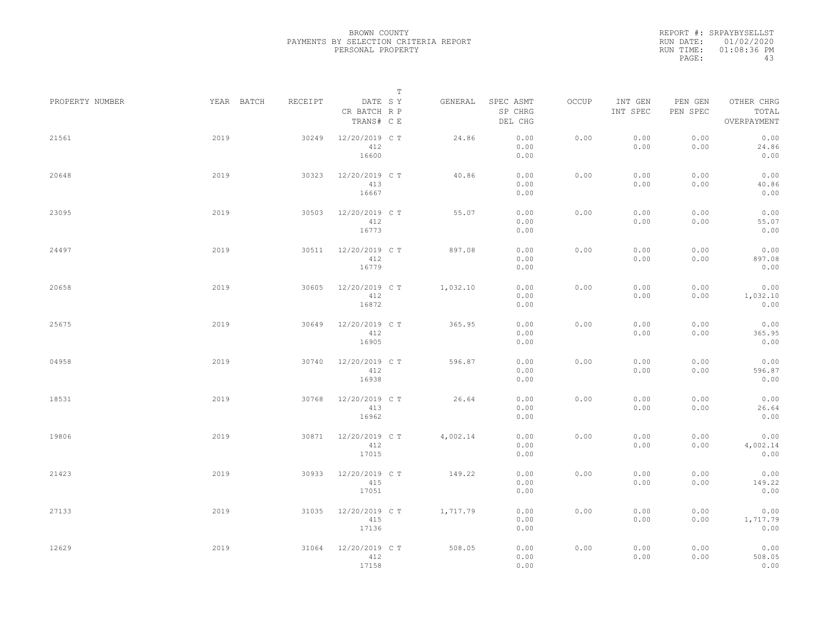REPORT #: SRPAYBYSELLST RUN DATE: 01/02/2020 RUN TIME: 01:08:36 PM PAGE: 43

|                 |            |         | $\mathbb T$                           |          |                                 |       |                     |                     |                                    |
|-----------------|------------|---------|---------------------------------------|----------|---------------------------------|-------|---------------------|---------------------|------------------------------------|
| PROPERTY NUMBER | YEAR BATCH | RECEIPT | DATE SY<br>CR BATCH R P<br>TRANS# C E | GENERAL  | SPEC ASMT<br>SP CHRG<br>DEL CHG | OCCUP | INT GEN<br>INT SPEC | PEN GEN<br>PEN SPEC | OTHER CHRG<br>TOTAL<br>OVERPAYMENT |
| 21561           | 2019       | 30249   | 12/20/2019 C T<br>412<br>16600        | 24.86    | 0.00<br>0.00<br>0.00            | 0.00  | 0.00<br>0.00        | 0.00<br>0.00        | 0.00<br>24.86<br>0.00              |
| 20648           | 2019       | 30323   | 12/20/2019 C T<br>413<br>16667        | 40.86    | 0.00<br>0.00<br>0.00            | 0.00  | 0.00<br>0.00        | 0.00<br>0.00        | 0.00<br>40.86<br>0.00              |
| 23095           | 2019       | 30503   | 12/20/2019 C T<br>412<br>16773        | 55.07    | 0.00<br>0.00<br>0.00            | 0.00  | 0.00<br>0.00        | 0.00<br>0.00        | 0.00<br>55.07<br>0.00              |
| 24497           | 2019       | 30511   | 12/20/2019 C T<br>412<br>16779        | 897.08   | 0.00<br>0.00<br>0.00            | 0.00  | 0.00<br>0.00        | 0.00<br>0.00        | 0.00<br>897.08<br>0.00             |
| 20658           | 2019       | 30605   | 12/20/2019 C T<br>412<br>16872        | 1,032.10 | 0.00<br>0.00<br>0.00            | 0.00  | 0.00<br>0.00        | 0.00<br>0.00        | 0.00<br>1,032.10<br>0.00           |
| 25675           | 2019       | 30649   | 12/20/2019 C T<br>412<br>16905        | 365.95   | 0.00<br>0.00<br>0.00            | 0.00  | 0.00<br>0.00        | 0.00<br>0.00        | 0.00<br>365.95<br>0.00             |
| 04958           | 2019       | 30740   | 12/20/2019 C T<br>412<br>16938        | 596.87   | 0.00<br>0.00<br>0.00            | 0.00  | 0.00<br>0.00        | 0.00<br>0.00        | 0.00<br>596.87<br>0.00             |
| 18531           | 2019       | 30768   | 12/20/2019 C T<br>413<br>16962        | 26.64    | 0.00<br>0.00<br>0.00            | 0.00  | 0.00<br>0.00        | 0.00<br>0.00        | 0.00<br>26.64<br>0.00              |
| 19806           | 2019       | 30871   | 12/20/2019 C T<br>412<br>17015        | 4,002.14 | 0.00<br>0.00<br>0.00            | 0.00  | 0.00<br>0.00        | 0.00<br>0.00        | 0.00<br>4,002.14<br>0.00           |
| 21423           | 2019       | 30933   | 12/20/2019 C T<br>415<br>17051        | 149.22   | 0.00<br>0.00<br>0.00            | 0.00  | 0.00<br>0.00        | 0.00<br>0.00        | 0.00<br>149.22<br>0.00             |
| 27133           | 2019       | 31035   | 12/20/2019 C T<br>415<br>17136        | 1,717.79 | 0.00<br>0.00<br>0.00            | 0.00  | 0.00<br>0.00        | 0.00<br>0.00        | 0.00<br>1,717.79<br>0.00           |
| 12629           | 2019       | 31064   | 12/20/2019 C T<br>412<br>17158        | 508.05   | 0.00<br>0.00<br>0.00            | 0.00  | 0.00<br>0.00        | 0.00<br>0.00        | 0.00<br>508.05<br>0.00             |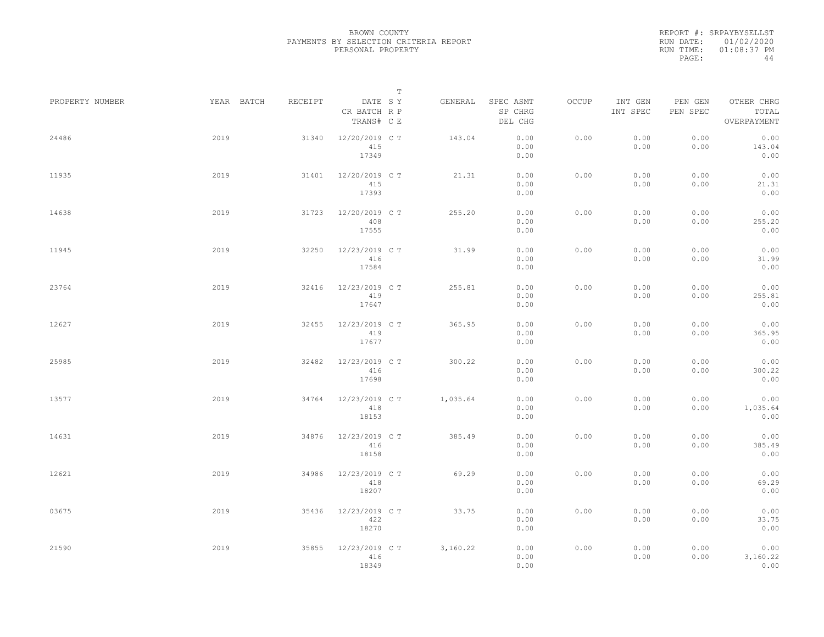REPORT #: SRPAYBYSELLST RUN DATE: 01/02/2020 RUN TIME: 01:08:37 PM PAGE: 44

|                 |            |         | $\mathbb T$                           |          |                                 |       |                     |                     |                                    |
|-----------------|------------|---------|---------------------------------------|----------|---------------------------------|-------|---------------------|---------------------|------------------------------------|
| PROPERTY NUMBER | YEAR BATCH | RECEIPT | DATE SY<br>CR BATCH R P<br>TRANS# C E | GENERAL  | SPEC ASMT<br>SP CHRG<br>DEL CHG | OCCUP | INT GEN<br>INT SPEC | PEN GEN<br>PEN SPEC | OTHER CHRG<br>TOTAL<br>OVERPAYMENT |
| 24486           | 2019       | 31340   | 12/20/2019 C T<br>415<br>17349        | 143.04   | 0.00<br>0.00<br>0.00            | 0.00  | 0.00<br>0.00        | 0.00<br>0.00        | 0.00<br>143.04<br>0.00             |
| 11935           | 2019       | 31401   | 12/20/2019 C T<br>415<br>17393        | 21.31    | 0.00<br>0.00<br>0.00            | 0.00  | 0.00<br>0.00        | 0.00<br>0.00        | 0.00<br>21.31<br>0.00              |
| 14638           | 2019       | 31723   | 12/20/2019 C T<br>408<br>17555        | 255.20   | 0.00<br>0.00<br>0.00            | 0.00  | 0.00<br>0.00        | 0.00<br>0.00        | 0.00<br>255.20<br>0.00             |
| 11945           | 2019       | 32250   | 12/23/2019 C T<br>416<br>17584        | 31.99    | 0.00<br>0.00<br>0.00            | 0.00  | 0.00<br>0.00        | 0.00<br>0.00        | 0.00<br>31.99<br>0.00              |
| 23764           | 2019       | 32416   | 12/23/2019 C T<br>419<br>17647        | 255.81   | 0.00<br>0.00<br>0.00            | 0.00  | 0.00<br>0.00        | 0.00<br>0.00        | 0.00<br>255.81<br>0.00             |
| 12627           | 2019       | 32455   | 12/23/2019 C T<br>419<br>17677        | 365.95   | 0.00<br>0.00<br>0.00            | 0.00  | 0.00<br>0.00        | 0.00<br>0.00        | 0.00<br>365.95<br>0.00             |
| 25985           | 2019       | 32482   | 12/23/2019 C T<br>416<br>17698        | 300.22   | 0.00<br>0.00<br>0.00            | 0.00  | 0.00<br>0.00        | 0.00<br>0.00        | 0.00<br>300.22<br>0.00             |
| 13577           | 2019       | 34764   | 12/23/2019 C T<br>418<br>18153        | 1,035.64 | 0.00<br>0.00<br>0.00            | 0.00  | 0.00<br>0.00        | 0.00<br>0.00        | 0.00<br>1,035.64<br>0.00           |
| 14631           | 2019       | 34876   | 12/23/2019 C T<br>416<br>18158        | 385.49   | 0.00<br>0.00<br>0.00            | 0.00  | 0.00<br>0.00        | 0.00<br>0.00        | 0.00<br>385.49<br>0.00             |
| 12621           | 2019       | 34986   | 12/23/2019 C T<br>418<br>18207        | 69.29    | 0.00<br>0.00<br>0.00            | 0.00  | 0.00<br>0.00        | 0.00<br>0.00        | 0.00<br>69.29<br>0.00              |
| 03675           | 2019       | 35436   | 12/23/2019 C T<br>422<br>18270        | 33.75    | 0.00<br>0.00<br>0.00            | 0.00  | 0.00<br>0.00        | 0.00<br>0.00        | 0.00<br>33.75<br>0.00              |
| 21590           | 2019       | 35855   | 12/23/2019 C T<br>416<br>18349        | 3,160.22 | 0.00<br>0.00<br>0.00            | 0.00  | 0.00<br>0.00        | 0.00<br>0.00        | 0.00<br>3,160.22<br>0.00           |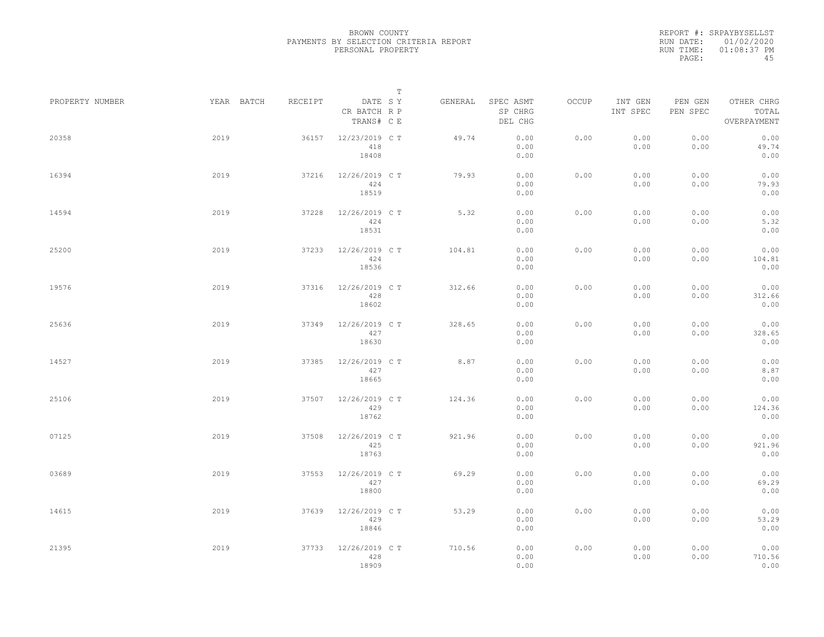REPORT #: SRPAYBYSELLST RUN DATE: 01/02/2020 RUN TIME: 01:08:37 PM PAGE: 45

|                 |            |         |                                       | $\mathbb T$ |         |                                 |       |                     |                     |                                    |  |
|-----------------|------------|---------|---------------------------------------|-------------|---------|---------------------------------|-------|---------------------|---------------------|------------------------------------|--|
| PROPERTY NUMBER | YEAR BATCH | RECEIPT | DATE SY<br>CR BATCH R P<br>TRANS# C E |             | GENERAL | SPEC ASMT<br>SP CHRG<br>DEL CHG | OCCUP | INT GEN<br>INT SPEC | PEN GEN<br>PEN SPEC | OTHER CHRG<br>TOTAL<br>OVERPAYMENT |  |
| 20358           | 2019       | 36157   | 12/23/2019 C T<br>418<br>18408        |             | 49.74   | 0.00<br>0.00<br>0.00            | 0.00  | 0.00<br>0.00        | 0.00<br>0.00        | 0.00<br>49.74<br>0.00              |  |
| 16394           | 2019       | 37216   | 12/26/2019 C T<br>424<br>18519        |             | 79.93   | 0.00<br>0.00<br>0.00            | 0.00  | 0.00<br>0.00        | 0.00<br>0.00        | 0.00<br>79.93<br>0.00              |  |
| 14594           | 2019       | 37228   | 12/26/2019 C T<br>424<br>18531        |             | 5.32    | 0.00<br>0.00<br>0.00            | 0.00  | 0.00<br>0.00        | 0.00<br>0.00        | 0.00<br>5.32<br>0.00               |  |
| 25200           | 2019       | 37233   | 12/26/2019 C T<br>424<br>18536        |             | 104.81  | 0.00<br>0.00<br>0.00            | 0.00  | 0.00<br>0.00        | 0.00<br>0.00        | 0.00<br>104.81<br>0.00             |  |
| 19576           | 2019       | 37316   | 12/26/2019 C T<br>428<br>18602        |             | 312.66  | 0.00<br>0.00<br>0.00            | 0.00  | 0.00<br>0.00        | 0.00<br>0.00        | 0.00<br>312.66<br>0.00             |  |
| 25636           | 2019       | 37349   | 12/26/2019 C T<br>427<br>18630        |             | 328.65  | 0.00<br>0.00<br>0.00            | 0.00  | 0.00<br>0.00        | 0.00<br>0.00        | 0.00<br>328.65<br>0.00             |  |
| 14527           | 2019       | 37385   | 12/26/2019 C T<br>427<br>18665        |             | 8.87    | 0.00<br>0.00<br>0.00            | 0.00  | 0.00<br>0.00        | 0.00<br>0.00        | 0.00<br>8.87<br>0.00               |  |
| 25106           | 2019       | 37507   | 12/26/2019 C T<br>429<br>18762        |             | 124.36  | 0.00<br>0.00<br>0.00            | 0.00  | 0.00<br>0.00        | 0.00<br>0.00        | 0.00<br>124.36<br>0.00             |  |
| 07125           | 2019       | 37508   | 12/26/2019 C T<br>425<br>18763        |             | 921.96  | 0.00<br>0.00<br>0.00            | 0.00  | 0.00<br>0.00        | 0.00<br>0.00        | 0.00<br>921.96<br>0.00             |  |
| 03689           | 2019       | 37553   | 12/26/2019 C T<br>427<br>18800        |             | 69.29   | 0.00<br>0.00<br>0.00            | 0.00  | 0.00<br>0.00        | 0.00<br>0.00        | 0.00<br>69.29<br>0.00              |  |
| 14615           | 2019       | 37639   | 12/26/2019 C T<br>429<br>18846        |             | 53.29   | 0.00<br>0.00<br>0.00            | 0.00  | 0.00<br>0.00        | 0.00<br>0.00        | 0.00<br>53.29<br>0.00              |  |
| 21395           | 2019       | 37733   | 12/26/2019 C T<br>428<br>18909        |             | 710.56  | 0.00<br>0.00<br>0.00            | 0.00  | 0.00<br>0.00        | 0.00<br>0.00        | 0.00<br>710.56<br>0.00             |  |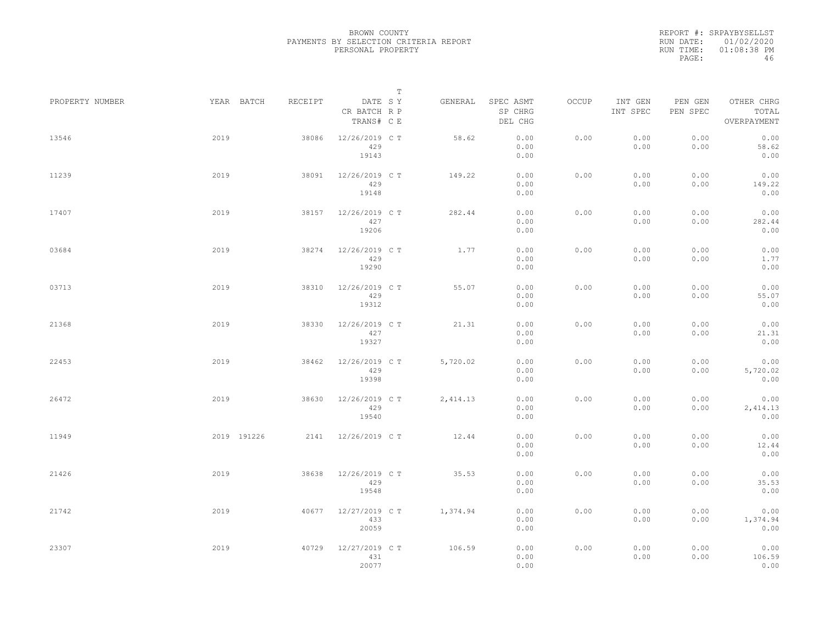REPORT #: SRPAYBYSELLST RUN DATE: 01/02/2020 RUN TIME: 01:08:38 PM PAGE: 46

|                 |             |         |                                       | $\mathbb T$ |          |                                 |       |                     |                     |                                    |
|-----------------|-------------|---------|---------------------------------------|-------------|----------|---------------------------------|-------|---------------------|---------------------|------------------------------------|
| PROPERTY NUMBER | YEAR BATCH  | RECEIPT | DATE SY<br>CR BATCH R P<br>TRANS# C E |             | GENERAL  | SPEC ASMT<br>SP CHRG<br>DEL CHG | OCCUP | INT GEN<br>INT SPEC | PEN GEN<br>PEN SPEC | OTHER CHRG<br>TOTAL<br>OVERPAYMENT |
| 13546           | 2019        | 38086   | 12/26/2019 C T<br>429<br>19143        |             | 58.62    | 0.00<br>0.00<br>0.00            | 0.00  | 0.00<br>0.00        | 0.00<br>0.00        | 0.00<br>58.62<br>0.00              |
| 11239           | 2019        | 38091   | 12/26/2019 C T<br>429<br>19148        |             | 149.22   | 0.00<br>0.00<br>0.00            | 0.00  | 0.00<br>0.00        | 0.00<br>0.00        | 0.00<br>149.22<br>0.00             |
| 17407           | 2019        | 38157   | 12/26/2019 C T<br>427<br>19206        |             | 282.44   | 0.00<br>0.00<br>0.00            | 0.00  | 0.00<br>0.00        | 0.00<br>0.00        | 0.00<br>282.44<br>0.00             |
| 03684           | 2019        | 38274   | 12/26/2019 C T<br>429<br>19290        |             | 1.77     | 0.00<br>0.00<br>0.00            | 0.00  | 0.00<br>0.00        | 0.00<br>0.00        | 0.00<br>1.77<br>0.00               |
| 03713           | 2019        | 38310   | 12/26/2019 C T<br>429<br>19312        |             | 55.07    | 0.00<br>0.00<br>0.00            | 0.00  | 0.00<br>0.00        | 0.00<br>0.00        | 0.00<br>55.07<br>0.00              |
| 21368           | 2019        | 38330   | 12/26/2019 C T<br>427<br>19327        |             | 21.31    | 0.00<br>0.00<br>0.00            | 0.00  | 0.00<br>0.00        | 0.00<br>0.00        | 0.00<br>21.31<br>0.00              |
| 22453           | 2019        | 38462   | 12/26/2019 C T<br>429<br>19398        |             | 5,720.02 | 0.00<br>0.00<br>0.00            | 0.00  | 0.00<br>0.00        | 0.00<br>0.00        | 0.00<br>5,720.02<br>0.00           |
| 26472           | 2019        | 38630   | 12/26/2019 C T<br>429<br>19540        |             | 2,414.13 | 0.00<br>0.00<br>0.00            | 0.00  | 0.00<br>0.00        | 0.00<br>0.00        | 0.00<br>2,414.13<br>0.00           |
| 11949           | 2019 191226 | 2141    | 12/26/2019 C T                        |             | 12.44    | 0.00<br>0.00<br>0.00            | 0.00  | 0.00<br>0.00        | 0.00<br>0.00        | 0.00<br>12.44<br>0.00              |
| 21426           | 2019        | 38638   | 12/26/2019 C T<br>429<br>19548        |             | 35.53    | 0.00<br>0.00<br>0.00            | 0.00  | 0.00<br>0.00        | 0.00<br>0.00        | 0.00<br>35.53<br>0.00              |
| 21742           | 2019        | 40677   | 12/27/2019 C T<br>433<br>20059        |             | 1,374.94 | 0.00<br>0.00<br>0.00            | 0.00  | 0.00<br>0.00        | 0.00<br>0.00        | 0.00<br>1,374.94<br>0.00           |
| 23307           | 2019        | 40729   | 12/27/2019 C T<br>431<br>20077        |             | 106.59   | 0.00<br>0.00<br>0.00            | 0.00  | 0.00<br>0.00        | 0.00<br>0.00        | 0.00<br>106.59<br>0.00             |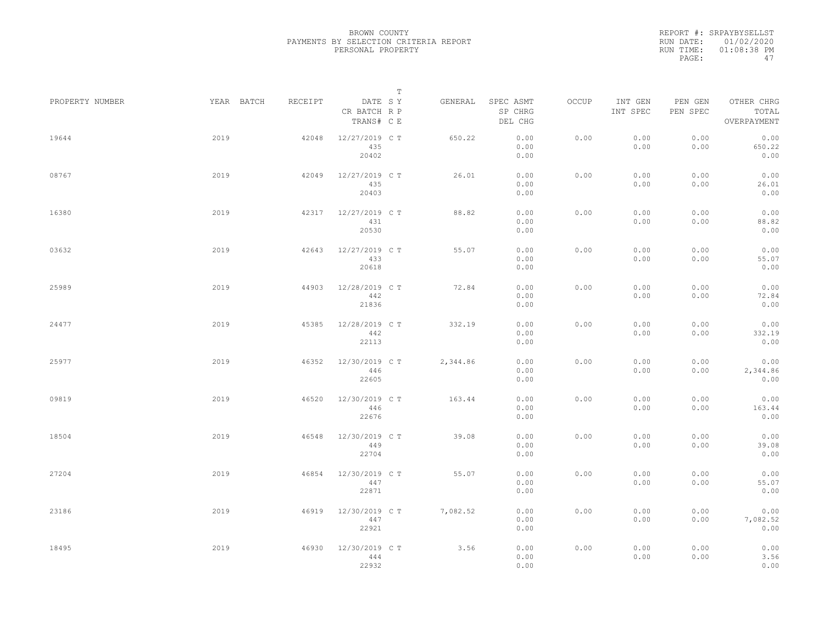REPORT #: SRPAYBYSELLST RUN DATE: 01/02/2020 RUN TIME: 01:08:38 PM PAGE: 47

|                 |            |         | $\mathbb T$                           |          |                                 |              |                     |                     |                                    |
|-----------------|------------|---------|---------------------------------------|----------|---------------------------------|--------------|---------------------|---------------------|------------------------------------|
| PROPERTY NUMBER | YEAR BATCH | RECEIPT | DATE SY<br>CR BATCH R P<br>TRANS# C E | GENERAL  | SPEC ASMT<br>SP CHRG<br>DEL CHG | <b>OCCUP</b> | INT GEN<br>INT SPEC | PEN GEN<br>PEN SPEC | OTHER CHRG<br>TOTAL<br>OVERPAYMENT |
| 19644           | 2019       | 42048   | 12/27/2019 C T<br>435<br>20402        | 650.22   | 0.00<br>0.00<br>0.00            | 0.00         | 0.00<br>0.00        | 0.00<br>0.00        | 0.00<br>650.22<br>0.00             |
| 08767           | 2019       | 42049   | 12/27/2019 C T<br>435<br>20403        | 26.01    | 0.00<br>0.00<br>0.00            | 0.00         | 0.00<br>0.00        | 0.00<br>0.00        | 0.00<br>26.01<br>0.00              |
| 16380           | 2019       | 42317   | 12/27/2019 C T<br>431<br>20530        | 88.82    | 0.00<br>0.00<br>0.00            | 0.00         | 0.00<br>0.00        | 0.00<br>0.00        | 0.00<br>88.82<br>0.00              |
| 03632           | 2019       | 42643   | 12/27/2019 C T<br>433<br>20618        | 55.07    | 0.00<br>0.00<br>0.00            | 0.00         | 0.00<br>0.00        | 0.00<br>0.00        | 0.00<br>55.07<br>0.00              |
| 25989           | 2019       | 44903   | 12/28/2019 C T<br>442<br>21836        | 72.84    | 0.00<br>0.00<br>0.00            | 0.00         | 0.00<br>0.00        | 0.00<br>0.00        | 0.00<br>72.84<br>0.00              |
| 24477           | 2019       | 45385   | 12/28/2019 C T<br>442<br>22113        | 332.19   | 0.00<br>0.00<br>0.00            | 0.00         | 0.00<br>0.00        | 0.00<br>0.00        | 0.00<br>332.19<br>0.00             |
| 25977           | 2019       | 46352   | 12/30/2019 C T<br>446<br>22605        | 2,344.86 | 0.00<br>0.00<br>0.00            | 0.00         | 0.00<br>0.00        | 0.00<br>0.00        | 0.00<br>2,344.86<br>0.00           |
| 09819           | 2019       | 46520   | 12/30/2019 C T<br>446<br>22676        | 163.44   | 0.00<br>0.00<br>0.00            | 0.00         | 0.00<br>0.00        | 0.00<br>0.00        | 0.00<br>163.44<br>0.00             |
| 18504           | 2019       | 46548   | 12/30/2019 C T<br>449<br>22704        | 39.08    | 0.00<br>0.00<br>0.00            | 0.00         | 0.00<br>0.00        | 0.00<br>0.00        | 0.00<br>39.08<br>0.00              |
| 27204           | 2019       | 46854   | 12/30/2019 C T<br>447<br>22871        | 55.07    | 0.00<br>0.00<br>0.00            | 0.00         | 0.00<br>0.00        | 0.00<br>0.00        | 0.00<br>55.07<br>0.00              |
| 23186           | 2019       | 46919   | 12/30/2019 C T<br>447<br>22921        | 7,082.52 | 0.00<br>0.00<br>0.00            | 0.00         | 0.00<br>0.00        | 0.00<br>0.00        | 0.00<br>7,082.52<br>0.00           |
| 18495           | 2019       | 46930   | 12/30/2019 C T<br>444<br>22932        | 3.56     | 0.00<br>0.00<br>0.00            | 0.00         | 0.00<br>0.00        | 0.00<br>0.00        | 0.00<br>3.56<br>0.00               |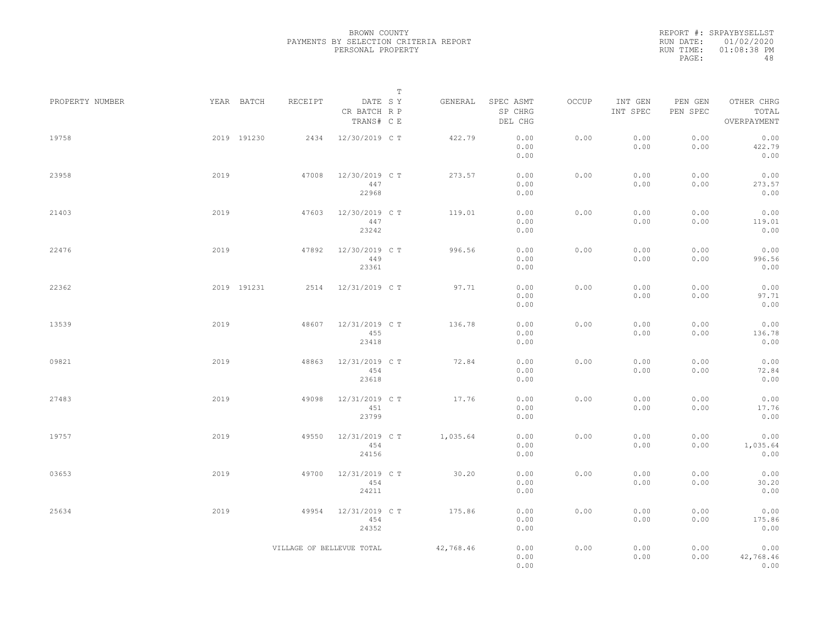REPORT #: SRPAYBYSELLST RUN DATE: 01/02/2020 RUN TIME: 01:08:38 PM PAGE: 48

|                 |             |                           | $\mathbb T$                           |           |                                 |       |                     |                     |                                    |  |
|-----------------|-------------|---------------------------|---------------------------------------|-----------|---------------------------------|-------|---------------------|---------------------|------------------------------------|--|
| PROPERTY NUMBER | YEAR BATCH  | RECEIPT                   | DATE SY<br>CR BATCH R P<br>TRANS# C E | GENERAL   | SPEC ASMT<br>SP CHRG<br>DEL CHG | OCCUP | INT GEN<br>INT SPEC | PEN GEN<br>PEN SPEC | OTHER CHRG<br>TOTAL<br>OVERPAYMENT |  |
| 19758           | 2019 191230 | 2434                      | 12/30/2019 C T                        | 422.79    | 0.00<br>0.00<br>0.00            | 0.00  | 0.00<br>0.00        | 0.00<br>0.00        | 0.00<br>422.79<br>0.00             |  |
| 23958           | 2019        | 47008                     | 12/30/2019 C T<br>447<br>22968        | 273.57    | 0.00<br>0.00<br>0.00            | 0.00  | 0.00<br>0.00        | 0.00<br>0.00        | 0.00<br>273.57<br>0.00             |  |
| 21403           | 2019        | 47603                     | 12/30/2019 C T<br>447<br>23242        | 119.01    | 0.00<br>0.00<br>0.00            | 0.00  | 0.00<br>0.00        | 0.00<br>0.00        | 0.00<br>119.01<br>0.00             |  |
| 22476           | 2019        | 47892                     | 12/30/2019 C T<br>449<br>23361        | 996.56    | 0.00<br>0.00<br>0.00            | 0.00  | 0.00<br>0.00        | 0.00<br>0.00        | 0.00<br>996.56<br>0.00             |  |
| 22362           | 2019 191231 | 2514                      | 12/31/2019 C T                        | 97.71     | 0.00<br>0.00<br>0.00            | 0.00  | 0.00<br>0.00        | 0.00<br>0.00        | 0.00<br>97.71<br>0.00              |  |
| 13539           | 2019        | 48607                     | 12/31/2019 C T<br>455<br>23418        | 136.78    | 0.00<br>0.00<br>0.00            | 0.00  | 0.00<br>0.00        | 0.00<br>0.00        | 0.00<br>136.78<br>0.00             |  |
| 09821           | 2019        | 48863                     | 12/31/2019 C T<br>454<br>23618        | 72.84     | 0.00<br>0.00<br>0.00            | 0.00  | 0.00<br>0.00        | 0.00<br>0.00        | 0.00<br>72.84<br>0.00              |  |
| 27483           | 2019        | 49098                     | 12/31/2019 C T<br>451<br>23799        | 17.76     | 0.00<br>0.00<br>0.00            | 0.00  | 0.00<br>0.00        | 0.00<br>0.00        | 0.00<br>17.76<br>0.00              |  |
| 19757           | 2019        | 49550                     | 12/31/2019 C T<br>454<br>24156        | 1,035.64  | 0.00<br>0.00<br>0.00            | 0.00  | 0.00<br>0.00        | 0.00<br>0.00        | 0.00<br>1,035.64<br>0.00           |  |
| 03653           | 2019        | 49700                     | 12/31/2019 C T<br>454<br>24211        | 30.20     | 0.00<br>0.00<br>0.00            | 0.00  | 0.00<br>0.00        | 0.00<br>0.00        | 0.00<br>30.20<br>0.00              |  |
| 25634           | 2019        | 49954                     | 12/31/2019 C T<br>454<br>24352        | 175.86    | 0.00<br>0.00<br>0.00            | 0.00  | 0.00<br>0.00        | 0.00<br>0.00        | 0.00<br>175.86<br>0.00             |  |
|                 |             | VILLAGE OF BELLEVUE TOTAL |                                       | 42,768.46 | 0.00<br>0.00<br>0.00            | 0.00  | 0.00<br>0.00        | 0.00<br>0.00        | 0.00<br>42,768.46<br>0.00          |  |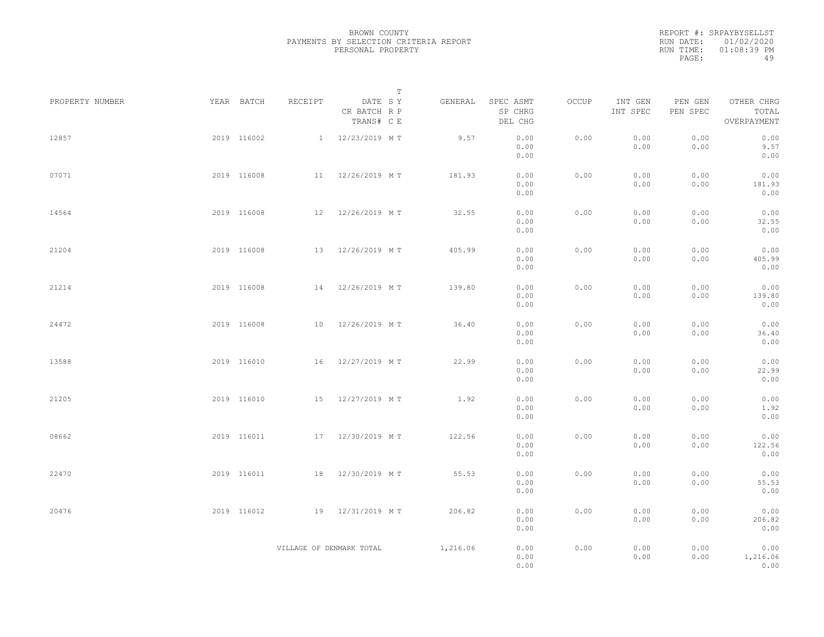|           | REPORT #: SRPAYBYSELLST |
|-----------|-------------------------|
|           | RUN DATE: 01/02/2020    |
| RUN TIME: | $01:08:39$ PM           |
| PAGE:     | 49                      |

| PROPERTY NUMBER | YEAR BATCH  | RECEIPT                  | DATE SY<br>CR BATCH R P<br>TRANS# C E | T | GENERAL  | SPEC ASMT<br>SP CHRG<br>DEL CHG | OCCUP | INT GEN<br>INT SPEC | PEN GEN<br>PEN SPEC | OTHER CHRG<br>TOTAL<br>OVERPAYMENT |  |
|-----------------|-------------|--------------------------|---------------------------------------|---|----------|---------------------------------|-------|---------------------|---------------------|------------------------------------|--|
| 12857           | 2019 116002 |                          | 1 12/23/2019 MT                       |   | 9.57     | 0.00<br>0.00<br>0.00            | 0.00  | 0.00<br>0.00        | 0.00<br>0.00        | 0.00<br>9.57<br>0.00               |  |
| 07071           | 2019 116008 |                          | 11 12/26/2019 MT                      |   | 181.93   | 0.00<br>0.00<br>0.00            | 0.00  | 0.00<br>0.00        | 0.00<br>0.00        | 0.00<br>181.93<br>0.00             |  |
| 14564           | 2019 116008 |                          | 12 12/26/2019 MT                      |   | 32.55    | 0.00<br>0.00<br>0.00            | 0.00  | 0.00<br>0.00        | 0.00<br>0.00        | 0.00<br>32.55<br>0.00              |  |
| 21204           | 2019 116008 |                          | 13 12/26/2019 MT                      |   | 405.99   | 0.00<br>0.00<br>0.00            | 0.00  | 0.00<br>0.00        | 0.00<br>0.00        | 0.00<br>405.99<br>0.00             |  |
| 21214           | 2019 116008 |                          | 14 12/26/2019 MT                      |   | 139.80   | 0.00<br>0.00<br>0.00            | 0.00  | 0.00<br>0.00        | 0.00<br>0.00        | 0.00<br>139.80<br>0.00             |  |
| 24472           | 2019 116008 | 10                       | 12/26/2019 MT                         |   | 36.40    | 0.00<br>0.00<br>0.00            | 0.00  | 0.00<br>0.00        | 0.00<br>0.00        | 0.00<br>36.40<br>0.00              |  |
| 13588           | 2019 116010 |                          | 16 12/27/2019 MT                      |   | 22.99    | 0.00<br>0.00<br>0.00            | 0.00  | 0.00<br>0.00        | 0.00<br>0.00        | 0.00<br>22.99<br>0.00              |  |
| 21205           | 2019 116010 |                          | 15 12/27/2019 MT                      |   | 1.92     | 0.00<br>0.00<br>0.00            | 0.00  | 0.00<br>0.00        | 0.00<br>0.00        | 0.00<br>1.92<br>0.00               |  |
| 08662           | 2019 116011 |                          | 17 12/30/2019 MT                      |   | 122.56   | 0.00<br>0.00<br>0.00            | 0.00  | 0.00<br>0.00        | 0.00<br>0.00        | 0.00<br>122.56<br>0.00             |  |
| 22470           | 2019 116011 |                          | 18 12/30/2019 MT                      |   | 55.53    | 0.00<br>0.00<br>0.00            | 0.00  | 0.00<br>0.00        | 0.00<br>0.00        | 0.00<br>55.53<br>0.00              |  |
| 20476           | 2019 116012 |                          | 19 12/31/2019 MT                      |   | 206.82   | 0.00<br>0.00<br>0.00            | 0.00  | 0.00<br>0.00        | 0.00<br>0.00        | 0.00<br>206.82<br>0.00             |  |
|                 |             | VILLAGE OF DENMARK TOTAL |                                       |   | 1,216.06 | 0.00<br>0.00<br>0.00            | 0.00  | 0.00<br>0.00        | 0.00<br>0.00        | 0.00<br>1,216.06<br>0.00           |  |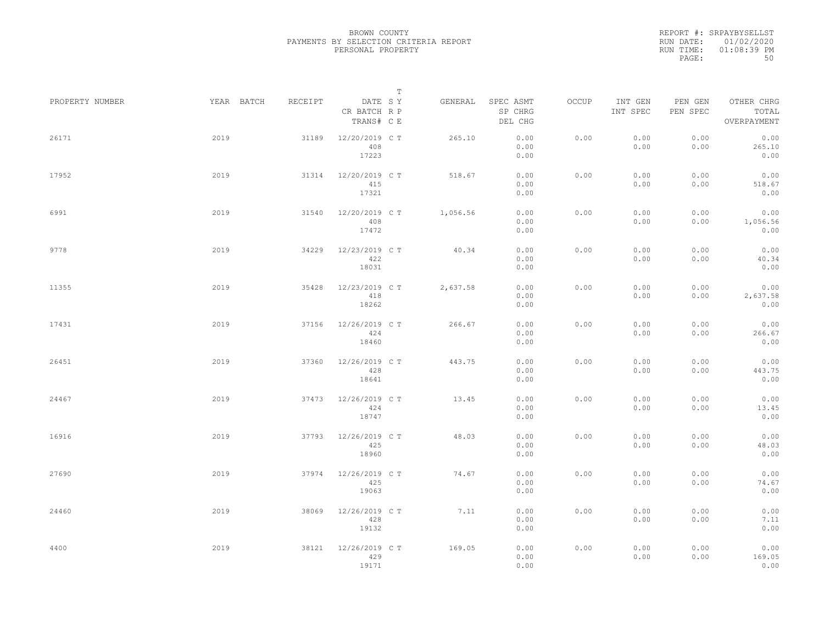REPORT #: SRPAYBYSELLST RUN DATE: 01/02/2020 RUN TIME: 01:08:39 PM PAGE: 50

|                 |            |         |                                       | $\mathbb T$ |                                 |       |                     |                     |                                    |
|-----------------|------------|---------|---------------------------------------|-------------|---------------------------------|-------|---------------------|---------------------|------------------------------------|
| PROPERTY NUMBER | YEAR BATCH | RECEIPT | DATE SY<br>CR BATCH R P<br>TRANS# C E | GENERAL     | SPEC ASMT<br>SP CHRG<br>DEL CHG | OCCUP | INT GEN<br>INT SPEC | PEN GEN<br>PEN SPEC | OTHER CHRG<br>TOTAL<br>OVERPAYMENT |
| 26171           | 2019       | 31189   | 12/20/2019 C T<br>408<br>17223        | 265.10      | 0.00<br>0.00<br>0.00            | 0.00  | 0.00<br>0.00        | 0.00<br>0.00        | 0.00<br>265.10<br>0.00             |
| 17952           | 2019       | 31314   | 12/20/2019 C T<br>415<br>17321        | 518.67      | 0.00<br>0.00<br>0.00            | 0.00  | 0.00<br>0.00        | 0.00<br>0.00        | 0.00<br>518.67<br>0.00             |
| 6991            | 2019       | 31540   | 12/20/2019 C T<br>408<br>17472        | 1,056.56    | 0.00<br>0.00<br>0.00            | 0.00  | 0.00<br>0.00        | 0.00<br>0.00        | 0.00<br>1,056.56<br>0.00           |
| 9778            | 2019       | 34229   | 12/23/2019 C T<br>422<br>18031        | 40.34       | 0.00<br>0.00<br>0.00            | 0.00  | 0.00<br>0.00        | 0.00<br>0.00        | 0.00<br>40.34<br>0.00              |
| 11355           | 2019       | 35428   | 12/23/2019 C T<br>418<br>18262        | 2,637.58    | 0.00<br>0.00<br>0.00            | 0.00  | 0.00<br>0.00        | 0.00<br>0.00        | 0.00<br>2,637.58<br>0.00           |
| 17431           | 2019       | 37156   | 12/26/2019 C T<br>424<br>18460        | 266.67      | 0.00<br>0.00<br>0.00            | 0.00  | 0.00<br>0.00        | 0.00<br>0.00        | 0.00<br>266.67<br>0.00             |
| 26451           | 2019       | 37360   | 12/26/2019 C T<br>428<br>18641        | 443.75      | 0.00<br>0.00<br>0.00            | 0.00  | 0.00<br>0.00        | 0.00<br>0.00        | 0.00<br>443.75<br>0.00             |
| 24467           | 2019       | 37473   | 12/26/2019 C T<br>424<br>18747        | 13.45       | 0.00<br>0.00<br>0.00            | 0.00  | 0.00<br>0.00        | 0.00<br>0.00        | 0.00<br>13.45<br>0.00              |
| 16916           | 2019       | 37793   | 12/26/2019 C T<br>425<br>18960        | 48.03       | 0.00<br>0.00<br>0.00            | 0.00  | 0.00<br>0.00        | 0.00<br>0.00        | 0.00<br>48.03<br>0.00              |
| 27690           | 2019       | 37974   | 12/26/2019 C T<br>425<br>19063        | 74.67       | 0.00<br>0.00<br>0.00            | 0.00  | 0.00<br>0.00        | 0.00<br>0.00        | 0.00<br>74.67<br>0.00              |
| 24460           | 2019       | 38069   | 12/26/2019 C T<br>428<br>19132        | 7.11        | 0.00<br>0.00<br>0.00            | 0.00  | 0.00<br>0.00        | 0.00<br>0.00        | 0.00<br>7.11<br>0.00               |
| 4400            | 2019       | 38121   | 12/26/2019 C T<br>429<br>19171        | 169.05      | 0.00<br>0.00<br>0.00            | 0.00  | 0.00<br>0.00        | 0.00<br>0.00        | 0.00<br>169.05<br>0.00             |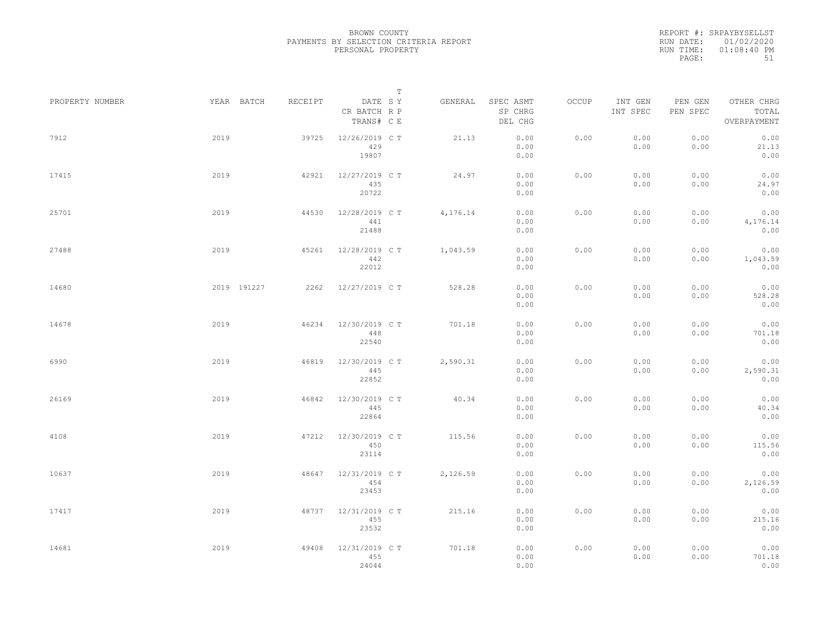REPORT #: SRPAYBYSELLST RUN DATE: 01/02/2020 RUN TIME: 01:08:40 PM PAGE: 51

|                 |      |             |         |                                       | T |          |                                 |       |                     |                     |                                    |  |
|-----------------|------|-------------|---------|---------------------------------------|---|----------|---------------------------------|-------|---------------------|---------------------|------------------------------------|--|
| PROPERTY NUMBER |      | YEAR BATCH  | RECEIPT | DATE SY<br>CR BATCH R P<br>TRANS# C E |   | GENERAL  | SPEC ASMT<br>SP CHRG<br>DEL CHG | OCCUP | INT GEN<br>INT SPEC | PEN GEN<br>PEN SPEC | OTHER CHRG<br>TOTAL<br>OVERPAYMENT |  |
| 7912            | 2019 |             | 39725   | 12/26/2019 C T<br>429<br>19807        |   | 21.13    | 0.00<br>0.00<br>0.00            | 0.00  | 0.00<br>0.00        | 0.00<br>0.00        | 0.00<br>21.13<br>0.00              |  |
| 17415           | 2019 |             | 42921   | 12/27/2019 C T<br>435<br>20722        |   | 24.97    | 0.00<br>0.00<br>0.00            | 0.00  | 0.00<br>0.00        | 0.00<br>0.00        | 0.00<br>24.97<br>0.00              |  |
| 25701           | 2019 |             | 44530   | 12/28/2019 C T<br>441<br>21488        |   | 4,176.14 | 0.00<br>0.00<br>0.00            | 0.00  | 0.00<br>0.00        | 0.00<br>0.00        | 0.00<br>4,176.14<br>0.00           |  |
| 27488           | 2019 |             | 45261   | 12/28/2019 C T<br>442<br>22012        |   | 1,043.59 | 0.00<br>0.00<br>0.00            | 0.00  | 0.00<br>0.00        | 0.00<br>0.00        | 0.00<br>1,043.59<br>0.00           |  |
| 14680           |      | 2019 191227 | 2262    | 12/27/2019 C T                        |   | 528.28   | 0.00<br>0.00<br>0.00            | 0.00  | 0.00<br>0.00        | 0.00<br>0.00        | 0.00<br>528.28<br>0.00             |  |
| 14678           | 2019 |             | 46234   | 12/30/2019 C T<br>448<br>22540        |   | 701.18   | 0.00<br>0.00<br>0.00            | 0.00  | 0.00<br>0.00        | 0.00<br>0.00        | 0.00<br>701.18<br>0.00             |  |
| 6990            | 2019 |             | 46819   | 12/30/2019 C T<br>445<br>22852        |   | 2,590.31 | 0.00<br>0.00<br>0.00            | 0.00  | 0.00<br>0.00        | 0.00<br>0.00        | 0.00<br>2,590.31<br>0.00           |  |
| 26169           | 2019 |             | 46842   | 12/30/2019 C T<br>445<br>22864        |   | 40.34    | 0.00<br>0.00<br>0.00            | 0.00  | 0.00<br>0.00        | 0.00<br>0.00        | 0.00<br>40.34<br>0.00              |  |
| 4108            | 2019 |             | 47212   | 12/30/2019 C T<br>450<br>23114        |   | 115.56   | 0.00<br>0.00<br>0.00            | 0.00  | 0.00<br>0.00        | 0.00<br>0.00        | 0.00<br>115.56<br>0.00             |  |
| 10637           | 2019 |             | 48647   | 12/31/2019 C T<br>454<br>23453        |   | 2,126.59 | 0.00<br>0.00<br>0.00            | 0.00  | 0.00<br>0.00        | 0.00<br>0.00        | 0.00<br>2,126.59<br>0.00           |  |
| 17417           | 2019 |             | 48737   | 12/31/2019 C T<br>455<br>23532        |   | 215.16   | 0.00<br>0.00<br>0.00            | 0.00  | 0.00<br>0.00        | 0.00<br>0.00        | 0.00<br>215.16<br>0.00             |  |
| 14681           | 2019 |             | 49408   | 12/31/2019 C T<br>455<br>24044        |   | 701.18   | 0.00<br>0.00<br>0.00            | 0.00  | 0.00<br>0.00        | 0.00<br>0.00        | 0.00<br>701.18<br>0.00             |  |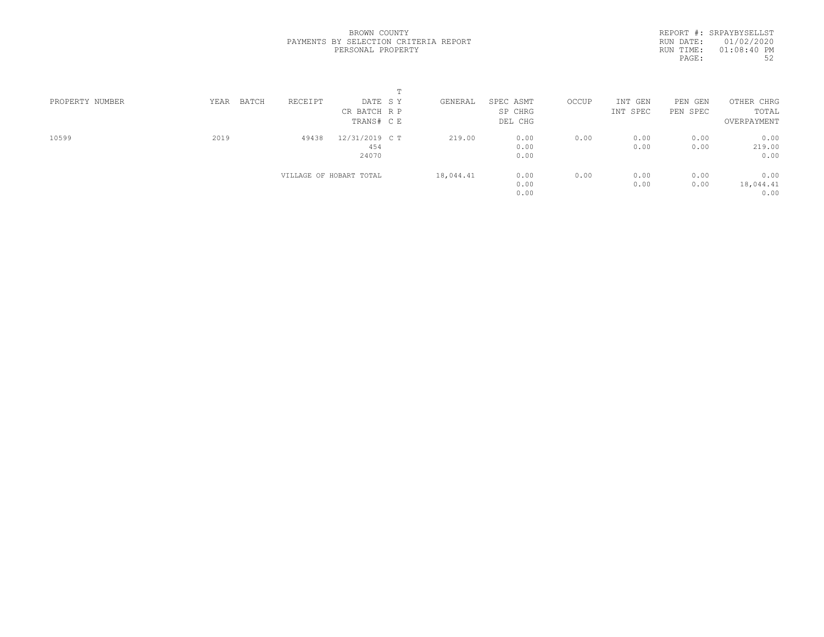REPORT #: SRPAYBYSELLST RUN DATE: 01/02/2020 RUN TIME: 01:08:40 PM PAGE: 52

|                 |               |         |                         | $\blacksquare$ |           |           |       |          |          |             |  |
|-----------------|---------------|---------|-------------------------|----------------|-----------|-----------|-------|----------|----------|-------------|--|
| PROPERTY NUMBER | BATCH<br>YEAR | RECEIPT | DATE SY                 |                | GENERAL   | SPEC ASMT | OCCUP | INT GEN  | PEN GEN  | OTHER CHRG  |  |
|                 |               |         | CR BATCH R P            |                |           | SP CHRG   |       | INT SPEC | PEN SPEC | TOTAL       |  |
|                 |               |         | TRANS# C E              |                |           | DEL CHG   |       |          |          | OVERPAYMENT |  |
| 10599           | 2019          | 49438   | 12/31/2019 C T          |                | 219.00    | 0.00      | 0.00  | 0.00     | 0.00     | 0.00        |  |
|                 |               |         | 454                     |                |           | 0.00      |       | 0.00     | 0.00     | 219.00      |  |
|                 |               |         | 24070                   |                |           | 0.00      |       |          |          | 0.00        |  |
|                 |               |         | VILLAGE OF HOBART TOTAL |                | 18,044.41 | 0.00      | 0.00  | 0.00     | 0.00     | 0.00        |  |
|                 |               |         |                         |                |           | 0.00      |       | 0.00     | 0.00     | 18,044.41   |  |
|                 |               |         |                         |                |           | 0.00      |       |          |          | 0.00        |  |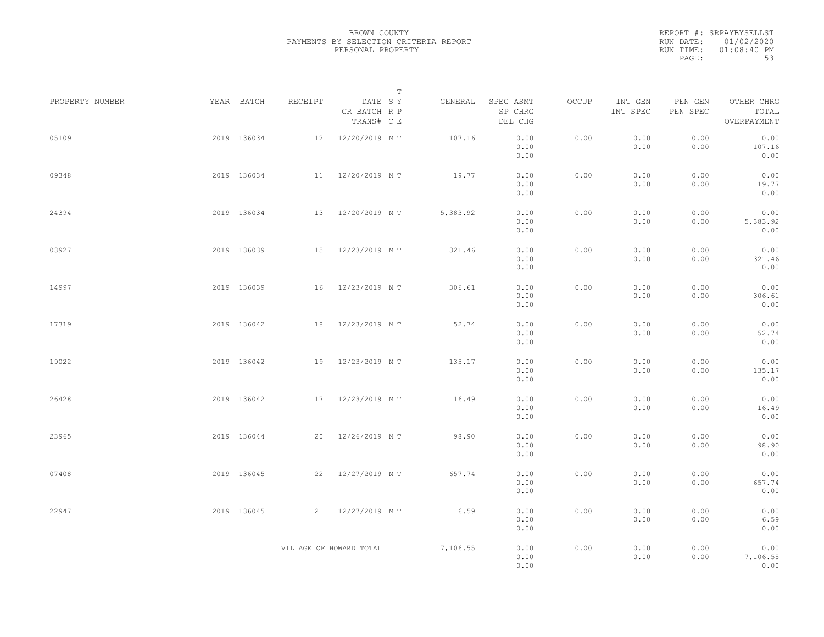|           | REPORT #: SRPAYBYSELLST |
|-----------|-------------------------|
|           | RUN DATE: 01/02/2020    |
| RUN TIME: | $01:08:40$ PM           |
| PAGE:     | 53                      |

|                 |             |                         |                                       | $\mathbb T$ |          |                                 |       |                     |                     |                                    |  |
|-----------------|-------------|-------------------------|---------------------------------------|-------------|----------|---------------------------------|-------|---------------------|---------------------|------------------------------------|--|
| PROPERTY NUMBER | YEAR BATCH  | RECEIPT                 | DATE SY<br>CR BATCH R P<br>TRANS# C E |             | GENERAL  | SPEC ASMT<br>SP CHRG<br>DEL CHG | OCCUP | INT GEN<br>INT SPEC | PEN GEN<br>PEN SPEC | OTHER CHRG<br>TOTAL<br>OVERPAYMENT |  |
| 05109           | 2019 136034 |                         | 12 12/20/2019 MT                      |             | 107.16   | 0.00<br>0.00<br>0.00            | 0.00  | 0.00<br>0.00        | 0.00<br>0.00        | 0.00<br>107.16<br>0.00             |  |
| 09348           | 2019 136034 |                         | 11 12/20/2019 MT                      |             | 19.77    | 0.00<br>0.00<br>0.00            | 0.00  | 0.00<br>0.00        | 0.00<br>0.00        | 0.00<br>19.77<br>0.00              |  |
| 24394           | 2019 136034 |                         | 13 12/20/2019 MT                      |             | 5,383.92 | 0.00<br>0.00<br>0.00            | 0.00  | 0.00<br>0.00        | 0.00<br>0.00        | 0.00<br>5,383.92<br>0.00           |  |
| 03927           | 2019 136039 |                         | 15 12/23/2019 MT                      |             | 321.46   | 0.00<br>0.00<br>0.00            | 0.00  | 0.00<br>0.00        | 0.00<br>0.00        | 0.00<br>321.46<br>0.00             |  |
| 14997           | 2019 136039 |                         | 16 12/23/2019 MT                      |             | 306.61   | 0.00<br>0.00<br>0.00            | 0.00  | 0.00<br>0.00        | 0.00<br>0.00        | 0.00<br>306.61<br>0.00             |  |
| 17319           | 2019 136042 | 18                      | 12/23/2019 MT                         |             | 52.74    | 0.00<br>0.00<br>0.00            | 0.00  | 0.00<br>0.00        | 0.00<br>0.00        | 0.00<br>52.74<br>0.00              |  |
| 19022           | 2019 136042 |                         | 19 12/23/2019 MT                      |             | 135.17   | 0.00<br>0.00<br>0.00            | 0.00  | 0.00<br>0.00        | 0.00<br>0.00        | 0.00<br>135.17<br>0.00             |  |
| 26428           | 2019 136042 |                         | 17 12/23/2019 MT                      |             | 16.49    | 0.00<br>0.00<br>0.00            | 0.00  | 0.00<br>0.00        | 0.00<br>0.00        | 0.00<br>16.49<br>0.00              |  |
| 23965           | 2019 136044 |                         | 20 12/26/2019 MT                      |             | 98.90    | 0.00<br>0.00<br>0.00            | 0.00  | 0.00<br>0.00        | 0.00<br>0.00        | 0.00<br>98.90<br>0.00              |  |
| 07408           | 2019 136045 |                         | 22 12/27/2019 MT                      |             | 657.74   | 0.00<br>0.00<br>0.00            | 0.00  | 0.00<br>0.00        | 0.00<br>0.00        | 0.00<br>657.74<br>0.00             |  |
| 22947           | 2019 136045 |                         | 21 12/27/2019 MT                      |             | 6.59     | 0.00<br>0.00<br>0.00            | 0.00  | 0.00<br>0.00        | 0.00<br>0.00        | 0.00<br>6.59<br>0.00               |  |
|                 |             | VILLAGE OF HOWARD TOTAL |                                       |             | 7,106.55 | 0.00<br>0.00<br>0.00            | 0.00  | 0.00<br>0.00        | 0.00<br>0.00        | 0.00<br>7,106.55<br>0.00           |  |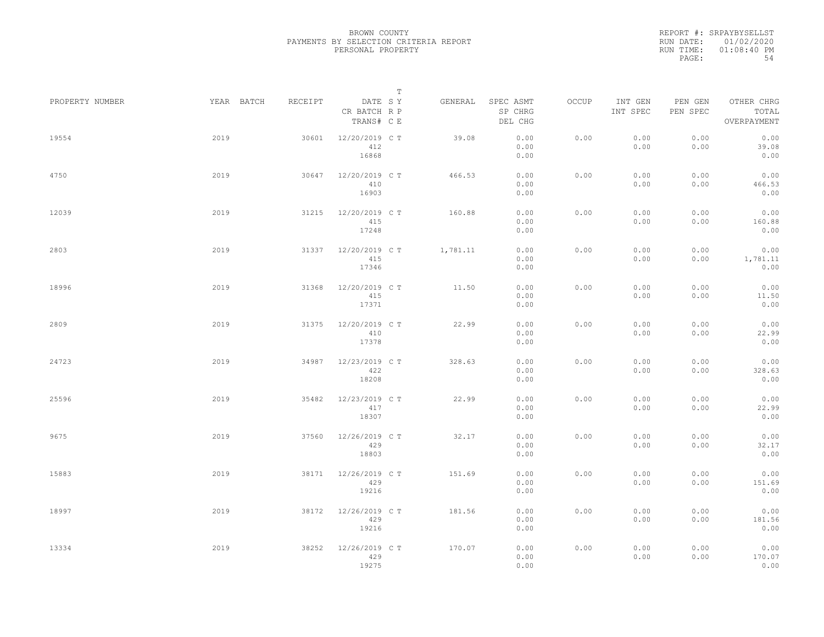REPORT #: SRPAYBYSELLST RUN DATE: 01/02/2020 RUN TIME: 01:08:40 PM PAGE: 54

|                 |            |         | $\mathbb T$                           |          |                                 |       |                     |                     |                                    |
|-----------------|------------|---------|---------------------------------------|----------|---------------------------------|-------|---------------------|---------------------|------------------------------------|
| PROPERTY NUMBER | YEAR BATCH | RECEIPT | DATE SY<br>CR BATCH R P<br>TRANS# C E | GENERAL  | SPEC ASMT<br>SP CHRG<br>DEL CHG | OCCUP | INT GEN<br>INT SPEC | PEN GEN<br>PEN SPEC | OTHER CHRG<br>TOTAL<br>OVERPAYMENT |
| 19554           | 2019       | 30601   | 12/20/2019 C T<br>412<br>16868        | 39.08    | 0.00<br>0.00<br>0.00            | 0.00  | 0.00<br>0.00        | 0.00<br>0.00        | 0.00<br>39.08<br>0.00              |
| 4750            | 2019       | 30647   | 12/20/2019 C T<br>410<br>16903        | 466.53   | 0.00<br>0.00<br>0.00            | 0.00  | 0.00<br>0.00        | 0.00<br>0.00        | 0.00<br>466.53<br>0.00             |
| 12039           | 2019       | 31215   | 12/20/2019 C T<br>415<br>17248        | 160.88   | 0.00<br>0.00<br>0.00            | 0.00  | 0.00<br>0.00        | 0.00<br>0.00        | 0.00<br>160.88<br>0.00             |
| 2803            | 2019       | 31337   | 12/20/2019 C T<br>415<br>17346        | 1,781.11 | 0.00<br>0.00<br>0.00            | 0.00  | 0.00<br>0.00        | 0.00<br>0.00        | 0.00<br>1,781.11<br>0.00           |
| 18996           | 2019       | 31368   | 12/20/2019 C T<br>415<br>17371        | 11.50    | 0.00<br>0.00<br>0.00            | 0.00  | 0.00<br>0.00        | 0.00<br>0.00        | 0.00<br>11.50<br>0.00              |
| 2809            | 2019       | 31375   | 12/20/2019 C T<br>410<br>17378        | 22.99    | 0.00<br>0.00<br>0.00            | 0.00  | 0.00<br>0.00        | 0.00<br>0.00        | 0.00<br>22.99<br>0.00              |
| 24723           | 2019       | 34987   | 12/23/2019 C T<br>422<br>18208        | 328.63   | 0.00<br>0.00<br>0.00            | 0.00  | 0.00<br>0.00        | 0.00<br>0.00        | 0.00<br>328.63<br>0.00             |
| 25596           | 2019       | 35482   | 12/23/2019 C T<br>417<br>18307        | 22.99    | 0.00<br>0.00<br>0.00            | 0.00  | 0.00<br>0.00        | 0.00<br>0.00        | 0.00<br>22.99<br>0.00              |
| 9675            | 2019       | 37560   | 12/26/2019 C T<br>429<br>18803        | 32.17    | 0.00<br>0.00<br>0.00            | 0.00  | 0.00<br>0.00        | 0.00<br>0.00        | 0.00<br>32.17<br>0.00              |
| 15883           | 2019       | 38171   | 12/26/2019 C T<br>429<br>19216        | 151.69   | 0.00<br>0.00<br>0.00            | 0.00  | 0.00<br>0.00        | 0.00<br>0.00        | 0.00<br>151.69<br>0.00             |
| 18997           | 2019       | 38172   | 12/26/2019 C T<br>429<br>19216        | 181.56   | 0.00<br>0.00<br>0.00            | 0.00  | 0.00<br>0.00        | 0.00<br>0.00        | 0.00<br>181.56<br>0.00             |
| 13334           | 2019       | 38252   | 12/26/2019 C T<br>429<br>19275        | 170.07   | 0.00<br>0.00<br>0.00            | 0.00  | 0.00<br>0.00        | 0.00<br>0.00        | 0.00<br>170.07<br>0.00             |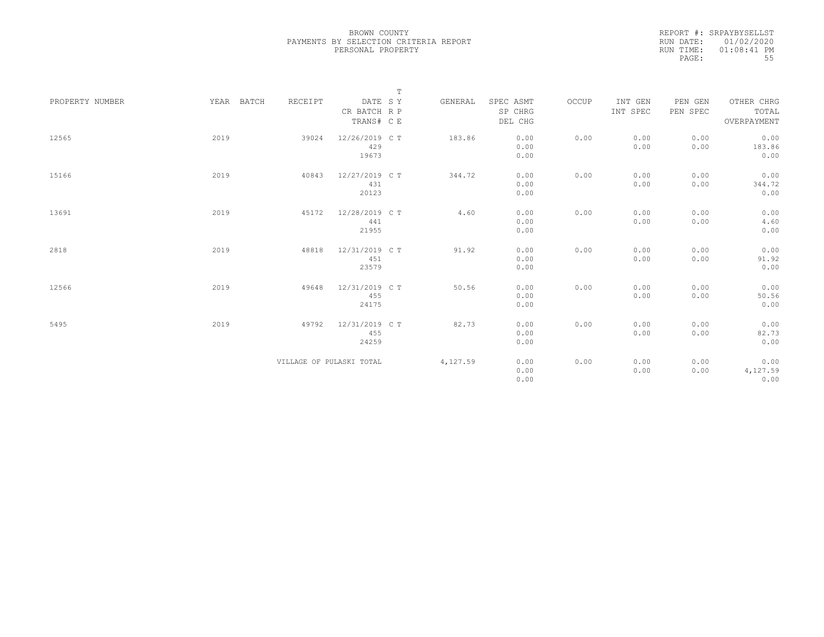REPORT #: SRPAYBYSELLST RUN DATE: 01/02/2020 RUN TIME: 01:08:41 PM PAGE: 55

|                 |            |         |                                       | $\mathbb T$ |          |                                 |       |                     |                     |                                    |
|-----------------|------------|---------|---------------------------------------|-------------|----------|---------------------------------|-------|---------------------|---------------------|------------------------------------|
| PROPERTY NUMBER | YEAR BATCH | RECEIPT | DATE SY<br>CR BATCH R P<br>TRANS# C E |             | GENERAL  | SPEC ASMT<br>SP CHRG<br>DEL CHG | OCCUP | INT GEN<br>INT SPEC | PEN GEN<br>PEN SPEC | OTHER CHRG<br>TOTAL<br>OVERPAYMENT |
| 12565           | 2019       | 39024   | 12/26/2019 C T<br>429<br>19673        |             | 183.86   | 0.00<br>0.00<br>0.00            | 0.00  | 0.00<br>0.00        | 0.00<br>0.00        | 0.00<br>183.86<br>0.00             |
| 15166           | 2019       | 40843   | 12/27/2019 C T<br>431<br>20123        |             | 344.72   | 0.00<br>0.00<br>0.00            | 0.00  | 0.00<br>0.00        | 0.00<br>0.00        | 0.00<br>344.72<br>0.00             |
| 13691           | 2019       | 45172   | 12/28/2019 C T<br>441<br>21955        |             | 4.60     | 0.00<br>0.00<br>0.00            | 0.00  | 0.00<br>0.00        | 0.00<br>0.00        | 0.00<br>4.60<br>0.00               |
| 2818            | 2019       | 48818   | 12/31/2019 C T<br>451<br>23579        |             | 91.92    | 0.00<br>0.00<br>0.00            | 0.00  | 0.00<br>0.00        | 0.00<br>0.00        | 0.00<br>91.92<br>0.00              |
| 12566           | 2019       | 49648   | 12/31/2019 C T<br>455<br>24175        |             | 50.56    | 0.00<br>0.00<br>0.00            | 0.00  | 0.00<br>0.00        | 0.00<br>0.00        | 0.00<br>50.56<br>0.00              |
| 5495            | 2019       | 49792   | 12/31/2019 C T<br>455<br>24259        |             | 82.73    | 0.00<br>0.00<br>0.00            | 0.00  | 0.00<br>0.00        | 0.00<br>0.00        | 0.00<br>82.73<br>0.00              |
|                 |            |         | VILLAGE OF PULASKI TOTAL              |             | 4,127.59 | 0.00<br>0.00<br>0.00            | 0.00  | 0.00<br>0.00        | 0.00<br>0.00        | 0.00<br>4,127.59<br>0.00           |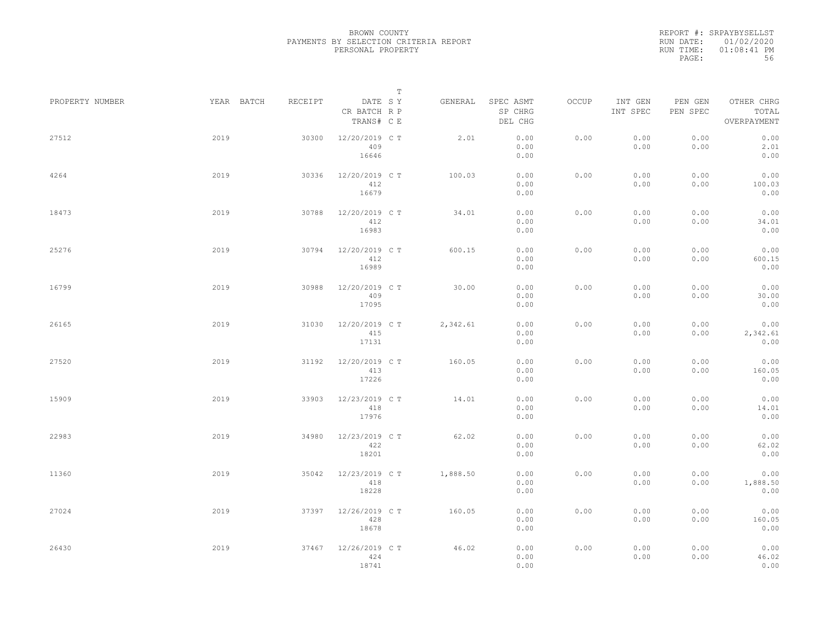REPORT #: SRPAYBYSELLST RUN DATE: 01/02/2020 RUN TIME: 01:08:41 PM PAGE: 56

|                 |            |         |                                       | $\mathbb T$ |                                 |       |                     |                     |                                    |  |
|-----------------|------------|---------|---------------------------------------|-------------|---------------------------------|-------|---------------------|---------------------|------------------------------------|--|
| PROPERTY NUMBER | YEAR BATCH | RECEIPT | DATE SY<br>CR BATCH R P<br>TRANS# C E | GENERAL     | SPEC ASMT<br>SP CHRG<br>DEL CHG | OCCUP | INT GEN<br>INT SPEC | PEN GEN<br>PEN SPEC | OTHER CHRG<br>TOTAL<br>OVERPAYMENT |  |
| 27512           | 2019       | 30300   | 12/20/2019 C T<br>409<br>16646        | 2.01        | 0.00<br>0.00<br>0.00            | 0.00  | 0.00<br>0.00        | 0.00<br>0.00        | 0.00<br>2.01<br>0.00               |  |
| 4264            | 2019       | 30336   | 12/20/2019 C T<br>412<br>16679        | 100.03      | 0.00<br>0.00<br>0.00            | 0.00  | 0.00<br>0.00        | 0.00<br>0.00        | 0.00<br>100.03<br>0.00             |  |
| 18473           | 2019       | 30788   | 12/20/2019 C T<br>412<br>16983        | 34.01       | 0.00<br>0.00<br>0.00            | 0.00  | 0.00<br>0.00        | 0.00<br>0.00        | 0.00<br>34.01<br>0.00              |  |
| 25276           | 2019       | 30794   | 12/20/2019 C T<br>412<br>16989        | 600.15      | 0.00<br>0.00<br>0.00            | 0.00  | 0.00<br>0.00        | 0.00<br>0.00        | 0.00<br>600.15<br>0.00             |  |
| 16799           | 2019       | 30988   | 12/20/2019 C T<br>409<br>17095        | 30.00       | 0.00<br>0.00<br>0.00            | 0.00  | 0.00<br>0.00        | 0.00<br>0.00        | 0.00<br>30.00<br>0.00              |  |
| 26165           | 2019       | 31030   | 12/20/2019 C T<br>415<br>17131        | 2,342.61    | 0.00<br>0.00<br>0.00            | 0.00  | 0.00<br>0.00        | 0.00<br>0.00        | 0.00<br>2,342.61<br>0.00           |  |
| 27520           | 2019       | 31192   | 12/20/2019 C T<br>413<br>17226        | 160.05      | 0.00<br>0.00<br>0.00            | 0.00  | 0.00<br>0.00        | 0.00<br>0.00        | 0.00<br>160.05<br>0.00             |  |
| 15909           | 2019       | 33903   | 12/23/2019 C T<br>418<br>17976        | 14.01       | 0.00<br>0.00<br>0.00            | 0.00  | 0.00<br>0.00        | 0.00<br>0.00        | 0.00<br>14.01<br>0.00              |  |
| 22983           | 2019       | 34980   | 12/23/2019 C T<br>422<br>18201        | 62.02       | 0.00<br>0.00<br>0.00            | 0.00  | 0.00<br>0.00        | 0.00<br>0.00        | 0.00<br>62.02<br>0.00              |  |
| 11360           | 2019       | 35042   | 12/23/2019 C T<br>418<br>18228        | 1,888.50    | 0.00<br>0.00<br>0.00            | 0.00  | 0.00<br>0.00        | 0.00<br>0.00        | 0.00<br>1,888.50<br>0.00           |  |
| 27024           | 2019       | 37397   | 12/26/2019 C T<br>428<br>18678        | 160.05      | 0.00<br>0.00<br>0.00            | 0.00  | 0.00<br>0.00        | 0.00<br>0.00        | 0.00<br>160.05<br>0.00             |  |
| 26430           | 2019       | 37467   | 12/26/2019 C T<br>424<br>18741        | 46.02       | 0.00<br>0.00<br>0.00            | 0.00  | 0.00<br>0.00        | 0.00<br>0.00        | 0.00<br>46.02<br>0.00              |  |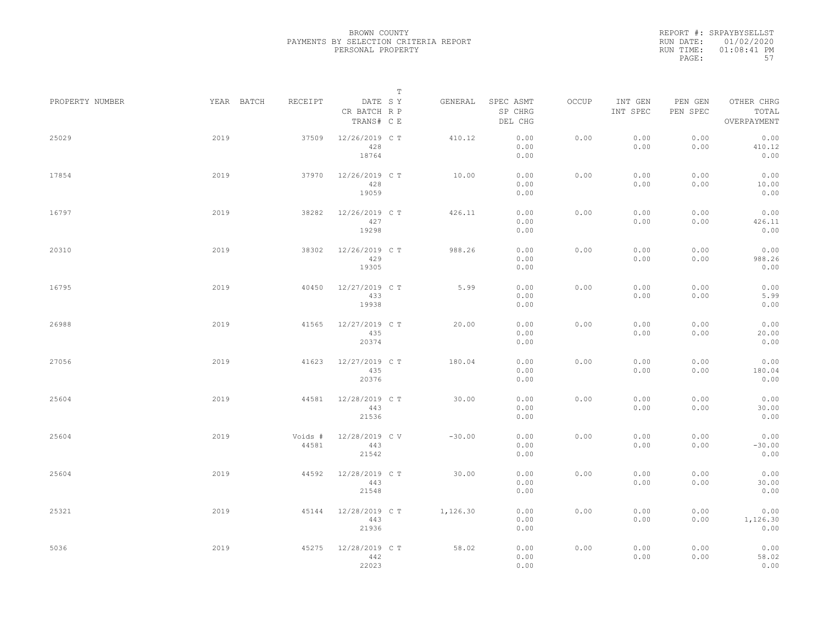REPORT #: SRPAYBYSELLST RUN DATE: 01/02/2020 RUN TIME: 01:08:41 PM PAGE: 57

|                 |      |                       |                                       | $\mathbb T$ |          |                                 |       |                     |                     |                                    |  |
|-----------------|------|-----------------------|---------------------------------------|-------------|----------|---------------------------------|-------|---------------------|---------------------|------------------------------------|--|
| PROPERTY NUMBER |      | YEAR BATCH<br>RECEIPT | DATE SY<br>CR BATCH R P<br>TRANS# C E |             | GENERAL  | SPEC ASMT<br>SP CHRG<br>DEL CHG | OCCUP | INT GEN<br>INT SPEC | PEN GEN<br>PEN SPEC | OTHER CHRG<br>TOTAL<br>OVERPAYMENT |  |
| 25029           | 2019 | 37509                 | 12/26/2019 C T<br>428<br>18764        |             | 410.12   | 0.00<br>0.00<br>0.00            | 0.00  | 0.00<br>0.00        | 0.00<br>0.00        | 0.00<br>410.12<br>0.00             |  |
| 17854           | 2019 | 37970                 | 12/26/2019 C T<br>428<br>19059        |             | 10.00    | 0.00<br>0.00<br>0.00            | 0.00  | 0.00<br>0.00        | 0.00<br>0.00        | 0.00<br>10.00<br>0.00              |  |
| 16797           | 2019 | 38282                 | 12/26/2019 C T<br>427<br>19298        |             | 426.11   | 0.00<br>0.00<br>0.00            | 0.00  | 0.00<br>0.00        | 0.00<br>0.00        | 0.00<br>426.11<br>0.00             |  |
| 20310           | 2019 | 38302                 | 12/26/2019 C T<br>429<br>19305        |             | 988.26   | 0.00<br>0.00<br>0.00            | 0.00  | 0.00<br>0.00        | 0.00<br>0.00        | 0.00<br>988.26<br>0.00             |  |
| 16795           | 2019 | 40450                 | 12/27/2019 C T<br>433<br>19938        |             | 5.99     | 0.00<br>0.00<br>0.00            | 0.00  | 0.00<br>0.00        | 0.00<br>0.00        | 0.00<br>5.99<br>0.00               |  |
| 26988           | 2019 | 41565                 | 12/27/2019 C T<br>435<br>20374        |             | 20.00    | 0.00<br>0.00<br>0.00            | 0.00  | 0.00<br>0.00        | 0.00<br>0.00        | 0.00<br>20.00<br>0.00              |  |
| 27056           | 2019 | 41623                 | 12/27/2019 C T<br>435<br>20376        |             | 180.04   | 0.00<br>0.00<br>0.00            | 0.00  | 0.00<br>0.00        | 0.00<br>0.00        | 0.00<br>180.04<br>0.00             |  |
| 25604           | 2019 | 44581                 | 12/28/2019 C T<br>443<br>21536        |             | 30.00    | 0.00<br>0.00<br>0.00            | 0.00  | 0.00<br>0.00        | 0.00<br>0.00        | 0.00<br>30.00<br>0.00              |  |
| 25604           | 2019 | Voids #<br>44581      | 12/28/2019 CV<br>443<br>21542         |             | $-30.00$ | 0.00<br>0.00<br>0.00            | 0.00  | 0.00<br>0.00        | 0.00<br>0.00        | 0.00<br>$-30.00$<br>0.00           |  |
| 25604           | 2019 | 44592                 | 12/28/2019 C T<br>443<br>21548        |             | 30.00    | 0.00<br>0.00<br>0.00            | 0.00  | 0.00<br>0.00        | 0.00<br>0.00        | 0.00<br>30.00<br>0.00              |  |
| 25321           | 2019 | 45144                 | 12/28/2019 C T<br>443<br>21936        |             | 1,126.30 | 0.00<br>0.00<br>0.00            | 0.00  | 0.00<br>0.00        | 0.00<br>0.00        | 0.00<br>1,126.30<br>0.00           |  |
| 5036            | 2019 | 45275                 | 12/28/2019 C T<br>442<br>22023        |             | 58.02    | 0.00<br>0.00<br>0.00            | 0.00  | 0.00<br>0.00        | 0.00<br>0.00        | 0.00<br>58.02<br>0.00              |  |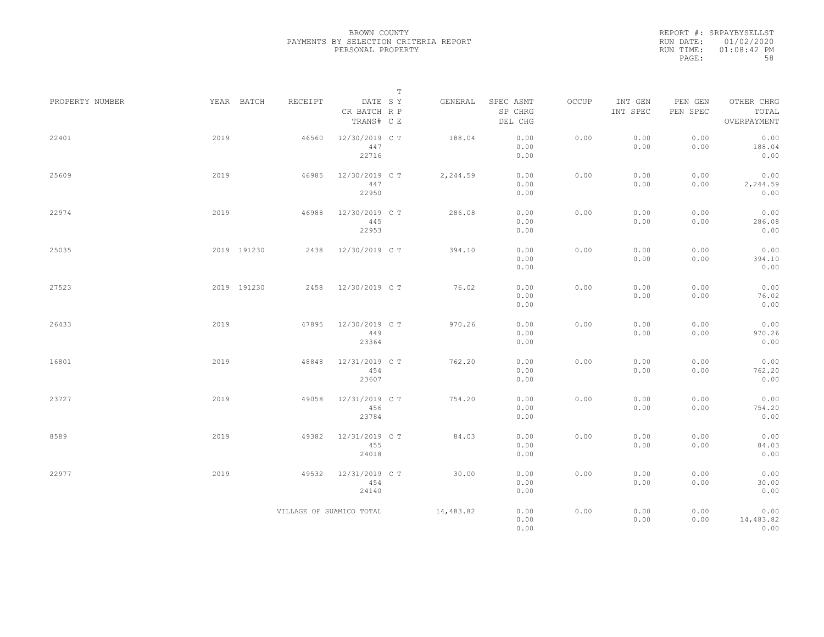REPORT #: SRPAYBYSELLST RUN DATE: 01/02/2020 RUN TIME: 01:08:42 PM PAGE: 58

|                 |             |                          |                                       | $\mathbb T$ |           |                                 |       |                     |                     |                                    |
|-----------------|-------------|--------------------------|---------------------------------------|-------------|-----------|---------------------------------|-------|---------------------|---------------------|------------------------------------|
| PROPERTY NUMBER | YEAR BATCH  | RECEIPT                  | DATE SY<br>CR BATCH R P<br>TRANS# C E |             | GENERAL   | SPEC ASMT<br>SP CHRG<br>DEL CHG | OCCUP | INT GEN<br>INT SPEC | PEN GEN<br>PEN SPEC | OTHER CHRG<br>TOTAL<br>OVERPAYMENT |
| 22401           | 2019        | 46560                    | 12/30/2019 C T<br>447<br>22716        |             | 188.04    | 0.00<br>0.00<br>0.00            | 0.00  | 0.00<br>0.00        | 0.00<br>0.00        | 0.00<br>188.04<br>0.00             |
| 25609           | 2019        | 46985                    | 12/30/2019 C T<br>447<br>22950        |             | 2,244.59  | 0.00<br>0.00<br>0.00            | 0.00  | 0.00<br>0.00        | 0.00<br>0.00        | 0.00<br>2,244.59<br>0.00           |
| 22974           | 2019        | 46988                    | 12/30/2019 C T<br>445<br>22953        |             | 286.08    | 0.00<br>0.00<br>0.00            | 0.00  | 0.00<br>0.00        | 0.00<br>0.00        | 0.00<br>286.08<br>0.00             |
| 25035           | 2019 191230 | 2438                     | 12/30/2019 C T                        |             | 394.10    | 0.00<br>0.00<br>0.00            | 0.00  | 0.00<br>0.00        | 0.00<br>0.00        | 0.00<br>394.10<br>0.00             |
| 27523           | 2019 191230 | 2458                     | 12/30/2019 C T                        |             | 76.02     | 0.00<br>0.00<br>0.00            | 0.00  | 0.00<br>0.00        | 0.00<br>0.00        | 0.00<br>76.02<br>0.00              |
| 26433           | 2019        | 47895                    | 12/30/2019 C T<br>449<br>23364        |             | 970.26    | 0.00<br>0.00<br>0.00            | 0.00  | 0.00<br>0.00        | 0.00<br>0.00        | 0.00<br>970.26<br>0.00             |
| 16801           | 2019        | 48848                    | 12/31/2019 C T<br>454<br>23607        |             | 762.20    | 0.00<br>0.00<br>0.00            | 0.00  | 0.00<br>0.00        | 0.00<br>0.00        | 0.00<br>762.20<br>0.00             |
| 23727           | 2019        | 49058                    | 12/31/2019 C T<br>456<br>23784        |             | 754.20    | 0.00<br>0.00<br>0.00            | 0.00  | 0.00<br>0.00        | 0.00<br>0.00        | 0.00<br>754.20<br>0.00             |
| 8589            | 2019        | 49382                    | 12/31/2019 C T<br>455<br>24018        |             | 84.03     | 0.00<br>0.00<br>0.00            | 0.00  | 0.00<br>0.00        | 0.00<br>0.00        | 0.00<br>84.03<br>0.00              |
| 22977           | 2019        | 49532                    | 12/31/2019 C T<br>454<br>24140        |             | 30.00     | 0.00<br>0.00<br>0.00            | 0.00  | 0.00<br>0.00        | 0.00<br>0.00        | 0.00<br>30.00<br>0.00              |
|                 |             | VILLAGE OF SUAMICO TOTAL |                                       |             | 14,483.82 | 0.00<br>0.00<br>0.00            | 0.00  | 0.00<br>0.00        | 0.00<br>0.00        | 0.00<br>14,483.82<br>0.00          |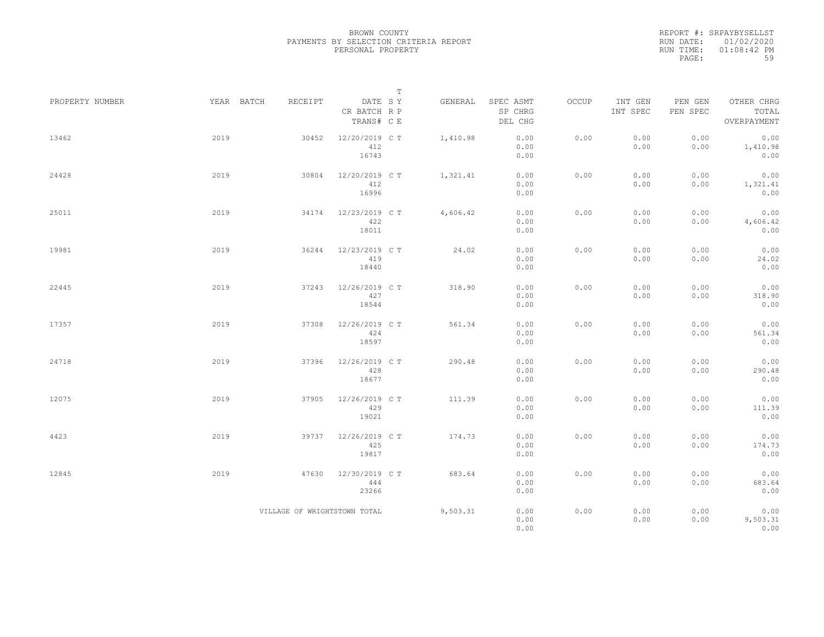REPORT #: SRPAYBYSELLST RUN DATE: 01/02/2020 RUN TIME: 01:08:42 PM PAGE: 59

|                 |            |                              | $\mathbb T$                           |          |                                 |              |                     |                     |                                    |  |
|-----------------|------------|------------------------------|---------------------------------------|----------|---------------------------------|--------------|---------------------|---------------------|------------------------------------|--|
| PROPERTY NUMBER | YEAR BATCH | RECEIPT                      | DATE SY<br>CR BATCH R P<br>TRANS# C E | GENERAL  | SPEC ASMT<br>SP CHRG<br>DEL CHG | <b>OCCUP</b> | INT GEN<br>INT SPEC | PEN GEN<br>PEN SPEC | OTHER CHRG<br>TOTAL<br>OVERPAYMENT |  |
| 13462           | 2019       | 30452                        | 12/20/2019 C T<br>412<br>16743        | 1,410.98 | 0.00<br>0.00<br>0.00            | 0.00         | 0.00<br>0.00        | 0.00<br>0.00        | 0.00<br>1,410.98<br>0.00           |  |
| 24428           | 2019       | 30804                        | 12/20/2019 C T<br>412<br>16996        | 1,321.41 | 0.00<br>0.00<br>0.00            | 0.00         | 0.00<br>0.00        | 0.00<br>0.00        | 0.00<br>1,321.41<br>0.00           |  |
| 25011           | 2019       | 34174                        | 12/23/2019 C T<br>422<br>18011        | 4,606.42 | 0.00<br>0.00<br>0.00            | 0.00         | 0.00<br>0.00        | 0.00<br>0.00        | 0.00<br>4,606.42<br>0.00           |  |
| 19981           | 2019       | 36244                        | 12/23/2019 C T<br>419<br>18440        | 24.02    | 0.00<br>0.00<br>0.00            | 0.00         | 0.00<br>0.00        | 0.00<br>0.00        | 0.00<br>24.02<br>0.00              |  |
| 22445           | 2019       | 37243                        | 12/26/2019 C T<br>427<br>18544        | 318.90   | 0.00<br>0.00<br>0.00            | 0.00         | 0.00<br>0.00        | 0.00<br>0.00        | 0.00<br>318.90<br>0.00             |  |
| 17357           | 2019       | 37308                        | 12/26/2019 C T<br>424<br>18597        | 561.34   | 0.00<br>0.00<br>0.00            | 0.00         | 0.00<br>0.00        | 0.00<br>0.00        | 0.00<br>561.34<br>0.00             |  |
| 24718           | 2019       | 37396                        | 12/26/2019 C T<br>428<br>18677        | 290.48   | 0.00<br>0.00<br>0.00            | 0.00         | 0.00<br>0.00        | 0.00<br>0.00        | 0.00<br>290.48<br>0.00             |  |
| 12075           | 2019       | 37905                        | 12/26/2019 C T<br>429<br>19021        | 111.39   | 0.00<br>0.00<br>0.00            | 0.00         | 0.00<br>0.00        | 0.00<br>0.00        | 0.00<br>111.39<br>0.00             |  |
| 4423            | 2019       | 39737                        | 12/26/2019 C T<br>425<br>19817        | 174.73   | 0.00<br>0.00<br>0.00            | 0.00         | 0.00<br>0.00        | 0.00<br>0.00        | 0.00<br>174.73<br>0.00             |  |
| 12845           | 2019       | 47630                        | 12/30/2019 C T<br>444<br>23266        | 683.64   | 0.00<br>0.00<br>0.00            | 0.00         | 0.00<br>0.00        | 0.00<br>0.00        | 0.00<br>683.64<br>0.00             |  |
|                 |            | VILLAGE OF WRIGHTSTOWN TOTAL |                                       | 9,503.31 | 0.00<br>0.00<br>0.00            | 0.00         | 0.00<br>0.00        | 0.00<br>0.00        | 0.00<br>9,503.31<br>0.00           |  |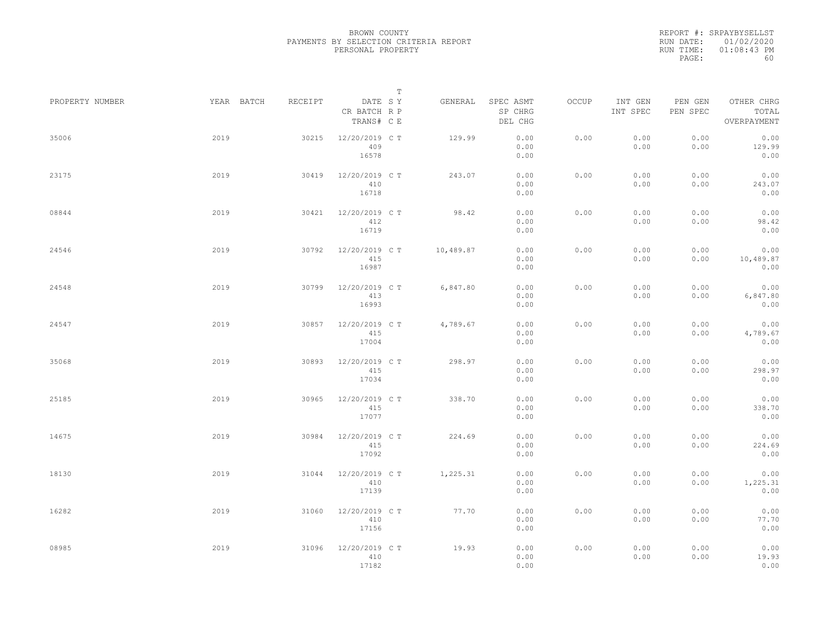REPORT #: SRPAYBYSELLST RUN DATE: 01/02/2020 RUN TIME: 01:08:43 PM PAGE: 60

|                 |            |         |                                       | $\mathbb T$ |                                 |       |                     |                     |                                    |  |
|-----------------|------------|---------|---------------------------------------|-------------|---------------------------------|-------|---------------------|---------------------|------------------------------------|--|
| PROPERTY NUMBER | YEAR BATCH | RECEIPT | DATE SY<br>CR BATCH R P<br>TRANS# C E | GENERAL     | SPEC ASMT<br>SP CHRG<br>DEL CHG | OCCUP | INT GEN<br>INT SPEC | PEN GEN<br>PEN SPEC | OTHER CHRG<br>TOTAL<br>OVERPAYMENT |  |
| 35006           | 2019       | 30215   | 12/20/2019 C T<br>409<br>16578        | 129.99      | 0.00<br>0.00<br>0.00            | 0.00  | 0.00<br>0.00        | 0.00<br>0.00        | 0.00<br>129.99<br>0.00             |  |
| 23175           | 2019       | 30419   | 12/20/2019 C T<br>410<br>16718        | 243.07      | 0.00<br>0.00<br>0.00            | 0.00  | 0.00<br>0.00        | 0.00<br>0.00        | 0.00<br>243.07<br>0.00             |  |
| 08844           | 2019       | 30421   | 12/20/2019 C T<br>412<br>16719        | 98.42       | 0.00<br>0.00<br>0.00            | 0.00  | 0.00<br>0.00        | 0.00<br>0.00        | 0.00<br>98.42<br>0.00              |  |
| 24546           | 2019       | 30792   | 12/20/2019 C T<br>415<br>16987        | 10,489.87   | 0.00<br>0.00<br>0.00            | 0.00  | 0.00<br>0.00        | 0.00<br>0.00        | 0.00<br>10,489.87<br>0.00          |  |
| 24548           | 2019       | 30799   | 12/20/2019 C T<br>413<br>16993        | 6,847.80    | 0.00<br>0.00<br>0.00            | 0.00  | 0.00<br>0.00        | 0.00<br>0.00        | 0.00<br>6,847.80<br>0.00           |  |
| 24547           | 2019       | 30857   | 12/20/2019 C T<br>415<br>17004        | 4,789.67    | 0.00<br>0.00<br>0.00            | 0.00  | 0.00<br>0.00        | 0.00<br>0.00        | 0.00<br>4,789.67<br>0.00           |  |
| 35068           | 2019       | 30893   | 12/20/2019 C T<br>415<br>17034        | 298.97      | 0.00<br>0.00<br>0.00            | 0.00  | 0.00<br>0.00        | 0.00<br>0.00        | 0.00<br>298.97<br>0.00             |  |
| 25185           | 2019       | 30965   | 12/20/2019 C T<br>415<br>17077        | 338.70      | 0.00<br>0.00<br>0.00            | 0.00  | 0.00<br>0.00        | 0.00<br>0.00        | 0.00<br>338.70<br>0.00             |  |
| 14675           | 2019       | 30984   | 12/20/2019 C T<br>415<br>17092        | 224.69      | 0.00<br>0.00<br>0.00            | 0.00  | 0.00<br>0.00        | 0.00<br>0.00        | 0.00<br>224.69<br>0.00             |  |
| 18130           | 2019       | 31044   | 12/20/2019 C T<br>410<br>17139        | 1,225.31    | 0.00<br>0.00<br>0.00            | 0.00  | 0.00<br>0.00        | 0.00<br>0.00        | 0.00<br>1,225.31<br>0.00           |  |
| 16282           | 2019       | 31060   | 12/20/2019 C T<br>410<br>17156        | 77.70       | 0.00<br>0.00<br>0.00            | 0.00  | 0.00<br>0.00        | 0.00<br>0.00        | 0.00<br>77.70<br>0.00              |  |
| 08985           | 2019       | 31096   | 12/20/2019 C T<br>410<br>17182        | 19.93       | 0.00<br>0.00<br>0.00            | 0.00  | 0.00<br>0.00        | 0.00<br>0.00        | 0.00<br>19.93<br>0.00              |  |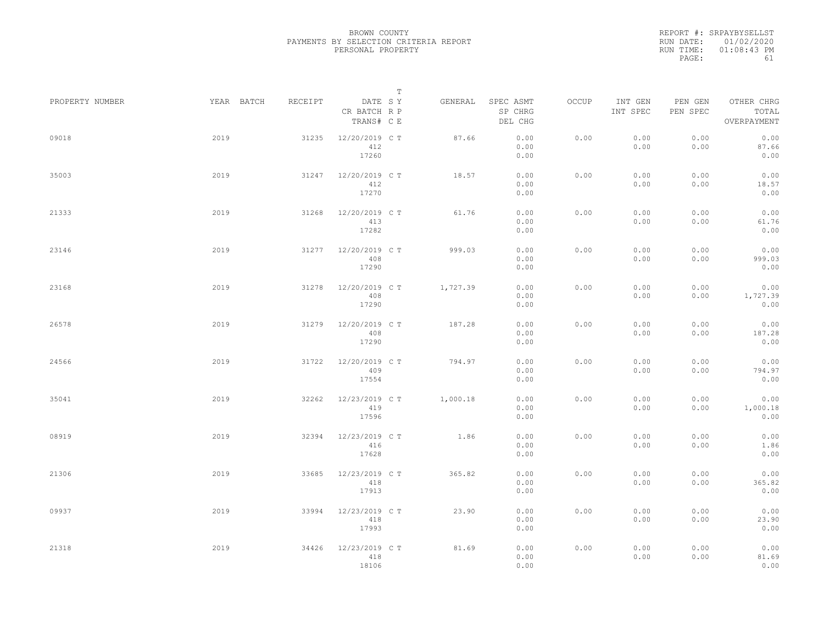REPORT #: SRPAYBYSELLST RUN DATE: 01/02/2020 RUN TIME: 01:08:43 PM PAGE: 61

|                 |            |         |                                       | $\mathbb T$ |                                 |       |                     |                     |                                    |  |
|-----------------|------------|---------|---------------------------------------|-------------|---------------------------------|-------|---------------------|---------------------|------------------------------------|--|
| PROPERTY NUMBER | YEAR BATCH | RECEIPT | DATE SY<br>CR BATCH R P<br>TRANS# C E | GENERAL     | SPEC ASMT<br>SP CHRG<br>DEL CHG | OCCUP | INT GEN<br>INT SPEC | PEN GEN<br>PEN SPEC | OTHER CHRG<br>TOTAL<br>OVERPAYMENT |  |
| 09018           | 2019       | 31235   | 12/20/2019 C T<br>412<br>17260        | 87.66       | 0.00<br>0.00<br>0.00            | 0.00  | 0.00<br>0.00        | 0.00<br>0.00        | 0.00<br>87.66<br>0.00              |  |
| 35003           | 2019       | 31247   | 12/20/2019 C T<br>412<br>17270        | 18.57       | 0.00<br>0.00<br>0.00            | 0.00  | 0.00<br>0.00        | 0.00<br>0.00        | 0.00<br>18.57<br>0.00              |  |
| 21333           | 2019       | 31268   | 12/20/2019 C T<br>413<br>17282        | 61.76       | 0.00<br>0.00<br>0.00            | 0.00  | 0.00<br>0.00        | 0.00<br>0.00        | 0.00<br>61.76<br>0.00              |  |
| 23146           | 2019       | 31277   | 12/20/2019 C T<br>408<br>17290        | 999.03      | 0.00<br>0.00<br>0.00            | 0.00  | 0.00<br>0.00        | 0.00<br>0.00        | 0.00<br>999.03<br>0.00             |  |
| 23168           | 2019       | 31278   | 12/20/2019 C T<br>408<br>17290        | 1,727.39    | 0.00<br>0.00<br>0.00            | 0.00  | 0.00<br>0.00        | 0.00<br>0.00        | 0.00<br>1,727.39<br>0.00           |  |
| 26578           | 2019       | 31279   | 12/20/2019 C T<br>408<br>17290        | 187.28      | 0.00<br>0.00<br>0.00            | 0.00  | 0.00<br>0.00        | 0.00<br>0.00        | 0.00<br>187.28<br>0.00             |  |
| 24566           | 2019       | 31722   | 12/20/2019 C T<br>409<br>17554        | 794.97      | 0.00<br>0.00<br>0.00            | 0.00  | 0.00<br>0.00        | 0.00<br>0.00        | 0.00<br>794.97<br>0.00             |  |
| 35041           | 2019       | 32262   | 12/23/2019 C T<br>419<br>17596        | 1,000.18    | 0.00<br>0.00<br>0.00            | 0.00  | 0.00<br>0.00        | 0.00<br>0.00        | 0.00<br>1,000.18<br>0.00           |  |
| 08919           | 2019       | 32394   | 12/23/2019 C T<br>416<br>17628        | 1.86        | 0.00<br>0.00<br>0.00            | 0.00  | 0.00<br>0.00        | 0.00<br>0.00        | 0.00<br>1.86<br>0.00               |  |
| 21306           | 2019       | 33685   | 12/23/2019 C T<br>418<br>17913        | 365.82      | 0.00<br>0.00<br>0.00            | 0.00  | 0.00<br>0.00        | 0.00<br>0.00        | 0.00<br>365.82<br>0.00             |  |
| 09937           | 2019       | 33994   | 12/23/2019 C T<br>418<br>17993        | 23.90       | 0.00<br>0.00<br>0.00            | 0.00  | 0.00<br>0.00        | 0.00<br>0.00        | 0.00<br>23.90<br>0.00              |  |
| 21318           | 2019       | 34426   | 12/23/2019 C T<br>418<br>18106        | 81.69       | 0.00<br>0.00<br>0.00            | 0.00  | 0.00<br>0.00        | 0.00<br>0.00        | 0.00<br>81.69<br>0.00              |  |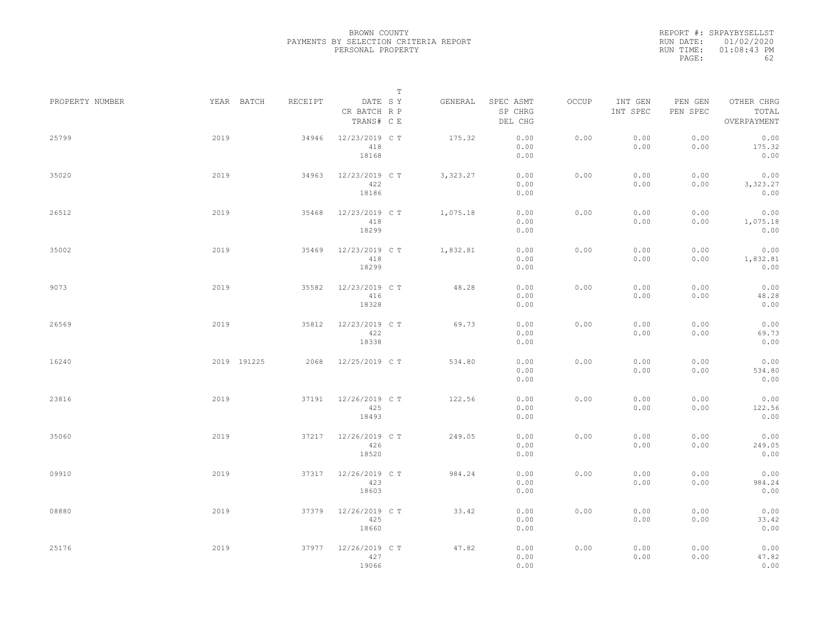REPORT #: SRPAYBYSELLST RUN DATE: 01/02/2020 RUN TIME: 01:08:43 PM PAGE: 62

|                 |      |             |         |                                       | $\mathbb T$ |          |                                 |       |                     |                     |                                    |  |
|-----------------|------|-------------|---------|---------------------------------------|-------------|----------|---------------------------------|-------|---------------------|---------------------|------------------------------------|--|
| PROPERTY NUMBER |      | YEAR BATCH  | RECEIPT | DATE SY<br>CR BATCH R P<br>TRANS# C E |             | GENERAL  | SPEC ASMT<br>SP CHRG<br>DEL CHG | OCCUP | INT GEN<br>INT SPEC | PEN GEN<br>PEN SPEC | OTHER CHRG<br>TOTAL<br>OVERPAYMENT |  |
| 25799           | 2019 |             | 34946   | 12/23/2019 C T<br>418<br>18168        |             | 175.32   | 0.00<br>0.00<br>0.00            | 0.00  | 0.00<br>0.00        | 0.00<br>0.00        | 0.00<br>175.32<br>0.00             |  |
| 35020           | 2019 |             | 34963   | 12/23/2019 C T<br>422<br>18186        |             | 3,323.27 | 0.00<br>0.00<br>0.00            | 0.00  | 0.00<br>0.00        | 0.00<br>0.00        | 0.00<br>3,323.27<br>0.00           |  |
| 26512           | 2019 |             | 35468   | 12/23/2019 C T<br>418<br>18299        |             | 1,075.18 | 0.00<br>0.00<br>0.00            | 0.00  | 0.00<br>0.00        | 0.00<br>0.00        | 0.00<br>1,075.18<br>0.00           |  |
| 35002           | 2019 |             | 35469   | 12/23/2019 C T<br>418<br>18299        |             | 1,832.81 | 0.00<br>0.00<br>0.00            | 0.00  | 0.00<br>0.00        | 0.00<br>0.00        | 0.00<br>1,832.81<br>0.00           |  |
| 9073            | 2019 |             | 35582   | 12/23/2019 C T<br>416<br>18328        |             | 48.28    | 0.00<br>0.00<br>0.00            | 0.00  | 0.00<br>0.00        | 0.00<br>0.00        | 0.00<br>48.28<br>0.00              |  |
| 26569           | 2019 |             | 35812   | 12/23/2019 C T<br>422<br>18338        |             | 69.73    | 0.00<br>0.00<br>0.00            | 0.00  | 0.00<br>0.00        | 0.00<br>0.00        | 0.00<br>69.73<br>0.00              |  |
| 16240           |      | 2019 191225 | 2068    | 12/25/2019 C T                        |             | 534.80   | 0.00<br>0.00<br>0.00            | 0.00  | 0.00<br>0.00        | 0.00<br>0.00        | 0.00<br>534.80<br>0.00             |  |
| 23816           | 2019 |             | 37191   | 12/26/2019 C T<br>425<br>18493        |             | 122.56   | 0.00<br>0.00<br>0.00            | 0.00  | 0.00<br>0.00        | 0.00<br>0.00        | 0.00<br>122.56<br>0.00             |  |
| 35060           | 2019 |             | 37217   | 12/26/2019 C T<br>426<br>18520        |             | 249.05   | 0.00<br>0.00<br>0.00            | 0.00  | 0.00<br>0.00        | 0.00<br>0.00        | 0.00<br>249.05<br>0.00             |  |
| 09910           | 2019 |             | 37317   | 12/26/2019 C T<br>423<br>18603        |             | 984.24   | 0.00<br>0.00<br>0.00            | 0.00  | 0.00<br>0.00        | 0.00<br>0.00        | 0.00<br>984.24<br>0.00             |  |
| 08880           | 2019 |             | 37379   | 12/26/2019 C T<br>425<br>18660        |             | 33.42    | 0.00<br>0.00<br>0.00            | 0.00  | 0.00<br>0.00        | 0.00<br>0.00        | 0.00<br>33.42<br>0.00              |  |
| 25176           | 2019 |             | 37977   | 12/26/2019 C T<br>427<br>19066        |             | 47.82    | 0.00<br>0.00<br>0.00            | 0.00  | 0.00<br>0.00        | 0.00<br>0.00        | 0.00<br>47.82<br>0.00              |  |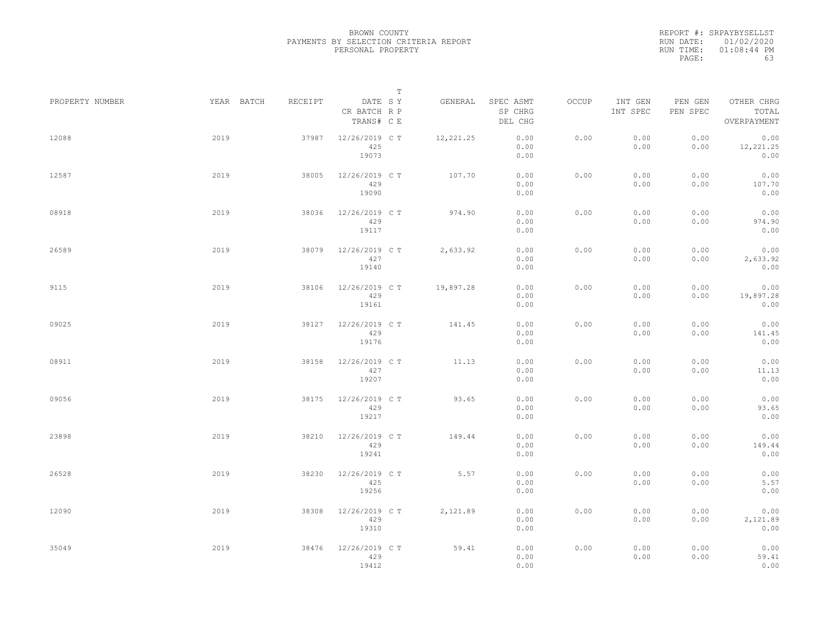REPORT #: SRPAYBYSELLST RUN DATE: 01/02/2020 RUN TIME: 01:08:44 PM PAGE: 63

|                 |            |         | $\mathbb T$                           |           |                                 |       |                     |                     |                                    |
|-----------------|------------|---------|---------------------------------------|-----------|---------------------------------|-------|---------------------|---------------------|------------------------------------|
| PROPERTY NUMBER | YEAR BATCH | RECEIPT | DATE SY<br>CR BATCH R P<br>TRANS# C E | GENERAL   | SPEC ASMT<br>SP CHRG<br>DEL CHG | OCCUP | INT GEN<br>INT SPEC | PEN GEN<br>PEN SPEC | OTHER CHRG<br>TOTAL<br>OVERPAYMENT |
| 12088           | 2019       | 37987   | 12/26/2019 C T<br>425<br>19073        | 12,221.25 | 0.00<br>0.00<br>0.00            | 0.00  | 0.00<br>0.00        | 0.00<br>0.00        | 0.00<br>12,221.25<br>0.00          |
| 12587           | 2019       | 38005   | 12/26/2019 C T<br>429<br>19090        | 107.70    | 0.00<br>0.00<br>0.00            | 0.00  | 0.00<br>0.00        | 0.00<br>0.00        | 0.00<br>107.70<br>0.00             |
| 08918           | 2019       | 38036   | 12/26/2019 C T<br>429<br>19117        | 974.90    | 0.00<br>0.00<br>0.00            | 0.00  | 0.00<br>0.00        | 0.00<br>0.00        | 0.00<br>974.90<br>0.00             |
| 26589           | 2019       | 38079   | 12/26/2019 C T<br>427<br>19140        | 2,633.92  | 0.00<br>0.00<br>0.00            | 0.00  | 0.00<br>0.00        | 0.00<br>0.00        | 0.00<br>2,633.92<br>0.00           |
| 9115            | 2019       | 38106   | 12/26/2019 C T<br>429<br>19161        | 19,897.28 | 0.00<br>0.00<br>0.00            | 0.00  | 0.00<br>0.00        | 0.00<br>0.00        | 0.00<br>19,897.28<br>0.00          |
| 09025           | 2019       | 38127   | 12/26/2019 C T<br>429<br>19176        | 141.45    | 0.00<br>0.00<br>0.00            | 0.00  | 0.00<br>0.00        | 0.00<br>0.00        | 0.00<br>141.45<br>0.00             |
| 08911           | 2019       | 38158   | 12/26/2019 C T<br>427<br>19207        | 11.13     | 0.00<br>0.00<br>0.00            | 0.00  | 0.00<br>0.00        | 0.00<br>0.00        | 0.00<br>11.13<br>0.00              |
| 09056           | 2019       | 38175   | 12/26/2019 C T<br>429<br>19217        | 93.65     | 0.00<br>0.00<br>0.00            | 0.00  | 0.00<br>0.00        | 0.00<br>0.00        | 0.00<br>93.65<br>0.00              |
| 23898           | 2019       | 38210   | 12/26/2019 C T<br>429<br>19241        | 149.44    | 0.00<br>0.00<br>0.00            | 0.00  | 0.00<br>0.00        | 0.00<br>0.00        | 0.00<br>149.44<br>0.00             |
| 26528           | 2019       | 38230   | 12/26/2019 C T<br>425<br>19256        | 5.57      | 0.00<br>0.00<br>0.00            | 0.00  | 0.00<br>0.00        | 0.00<br>0.00        | 0.00<br>5.57<br>0.00               |
| 12090           | 2019       | 38308   | 12/26/2019 C T<br>429<br>19310        | 2,121.89  | 0.00<br>0.00<br>0.00            | 0.00  | 0.00<br>0.00        | 0.00<br>0.00        | 0.00<br>2,121.89<br>0.00           |
| 35049           | 2019       | 38476   | 12/26/2019 C T<br>429<br>19412        | 59.41     | 0.00<br>0.00<br>0.00            | 0.00  | 0.00<br>0.00        | 0.00<br>0.00        | 0.00<br>59.41<br>0.00              |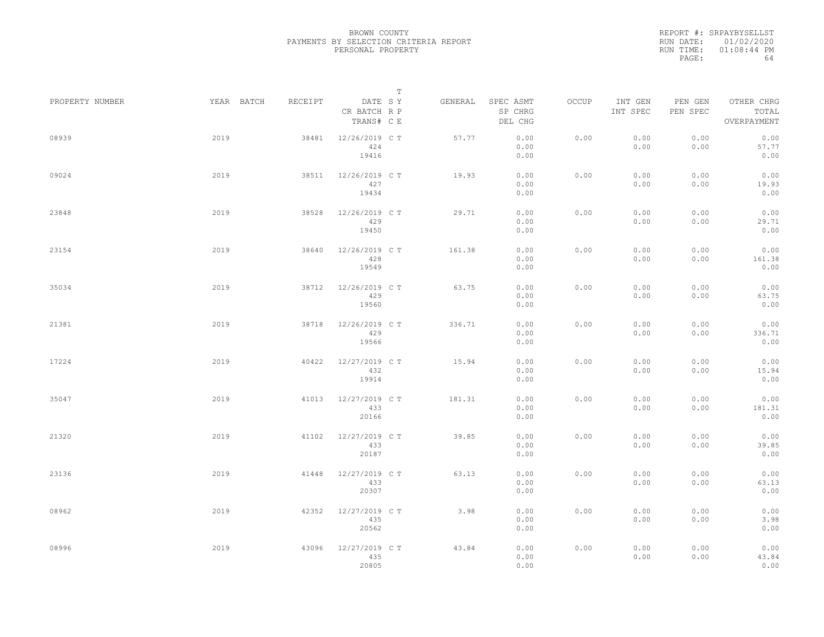REPORT #: SRPAYBYSELLST RUN DATE: 01/02/2020 RUN TIME: 01:08:44 PM PAGE: 64

|                 |            |         |                                       | $\mathbb T$ |                                 |       |                     |                     |                                    |  |
|-----------------|------------|---------|---------------------------------------|-------------|---------------------------------|-------|---------------------|---------------------|------------------------------------|--|
| PROPERTY NUMBER | YEAR BATCH | RECEIPT | DATE SY<br>CR BATCH R P<br>TRANS# C E | GENERAL     | SPEC ASMT<br>SP CHRG<br>DEL CHG | OCCUP | INT GEN<br>INT SPEC | PEN GEN<br>PEN SPEC | OTHER CHRG<br>TOTAL<br>OVERPAYMENT |  |
| 08939           | 2019       | 38481   | 12/26/2019 C T<br>424<br>19416        | 57.77       | 0.00<br>0.00<br>0.00            | 0.00  | 0.00<br>0.00        | 0.00<br>0.00        | 0.00<br>57.77<br>0.00              |  |
| 09024           | 2019       | 38511   | 12/26/2019 C T<br>427<br>19434        | 19.93       | 0.00<br>0.00<br>0.00            | 0.00  | 0.00<br>0.00        | 0.00<br>0.00        | 0.00<br>19.93<br>0.00              |  |
| 23848           | 2019       | 38528   | 12/26/2019 C T<br>429<br>19450        | 29.71       | 0.00<br>0.00<br>0.00            | 0.00  | 0.00<br>0.00        | 0.00<br>0.00        | 0.00<br>29.71<br>0.00              |  |
| 23154           | 2019       | 38640   | 12/26/2019 C T<br>428<br>19549        | 161.38      | 0.00<br>0.00<br>0.00            | 0.00  | 0.00<br>0.00        | 0.00<br>0.00        | 0.00<br>161.38<br>0.00             |  |
| 35034           | 2019       | 38712   | 12/26/2019 C T<br>429<br>19560        | 63.75       | 0.00<br>0.00<br>0.00            | 0.00  | 0.00<br>0.00        | 0.00<br>0.00        | 0.00<br>63.75<br>0.00              |  |
| 21381           | 2019       | 38718   | 12/26/2019 C T<br>429<br>19566        | 336.71      | 0.00<br>0.00<br>0.00            | 0.00  | 0.00<br>0.00        | 0.00<br>0.00        | 0.00<br>336.71<br>0.00             |  |
| 17224           | 2019       | 40422   | 12/27/2019 C T<br>432<br>19914        | 15.94       | 0.00<br>0.00<br>0.00            | 0.00  | 0.00<br>0.00        | 0.00<br>0.00        | 0.00<br>15.94<br>0.00              |  |
| 35047           | 2019       | 41013   | 12/27/2019 C T<br>433<br>20166        | 181.31      | 0.00<br>0.00<br>0.00            | 0.00  | 0.00<br>0.00        | 0.00<br>0.00        | 0.00<br>181.31<br>0.00             |  |
| 21320           | 2019       | 41102   | 12/27/2019 C T<br>433<br>20187        | 39.85       | 0.00<br>0.00<br>0.00            | 0.00  | 0.00<br>0.00        | 0.00<br>0.00        | 0.00<br>39.85<br>0.00              |  |
| 23136           | 2019       | 41448   | 12/27/2019 C T<br>433<br>20307        | 63.13       | 0.00<br>0.00<br>0.00            | 0.00  | 0.00<br>0.00        | 0.00<br>0.00        | 0.00<br>63.13<br>0.00              |  |
| 08962           | 2019       | 42352   | 12/27/2019 C T<br>435<br>20562        | 3.98        | 0.00<br>0.00<br>0.00            | 0.00  | 0.00<br>0.00        | 0.00<br>0.00        | 0.00<br>3.98<br>0.00               |  |
| 08996           | 2019       | 43096   | 12/27/2019 C T<br>435<br>20805        | 43.84       | 0.00<br>0.00<br>0.00            | 0.00  | 0.00<br>0.00        | 0.00<br>0.00        | 0.00<br>43.84<br>0.00              |  |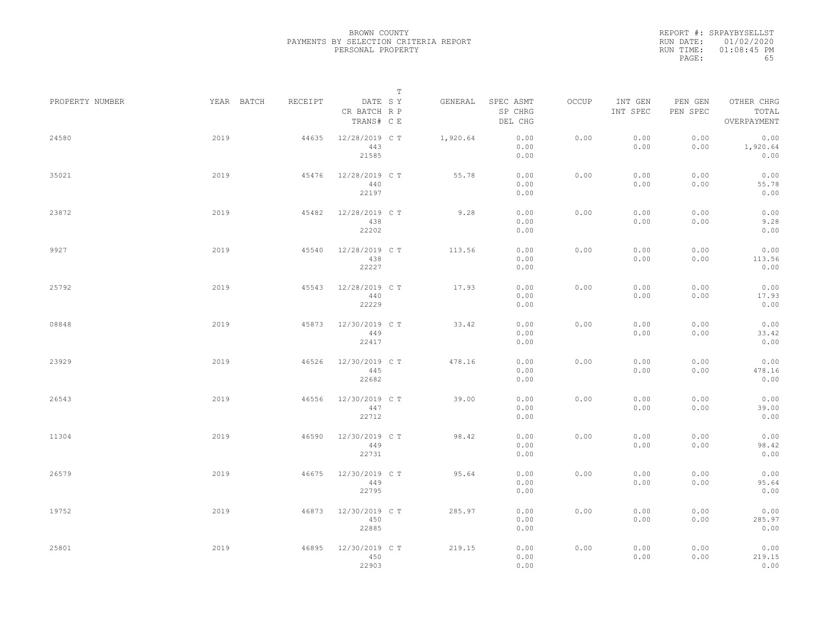REPORT #: SRPAYBYSELLST RUN DATE: 01/02/2020 RUN TIME: 01:08:45 PM PAGE: 65

|                 |            |         | $\mathbb T$                           |          |                                 |       |                     |                     |                                    |
|-----------------|------------|---------|---------------------------------------|----------|---------------------------------|-------|---------------------|---------------------|------------------------------------|
| PROPERTY NUMBER | YEAR BATCH | RECEIPT | DATE SY<br>CR BATCH R P<br>TRANS# C E | GENERAL  | SPEC ASMT<br>SP CHRG<br>DEL CHG | OCCUP | INT GEN<br>INT SPEC | PEN GEN<br>PEN SPEC | OTHER CHRG<br>TOTAL<br>OVERPAYMENT |
| 24580           | 2019       | 44635   | 12/28/2019 C T<br>443<br>21585        | 1,920.64 | 0.00<br>0.00<br>0.00            | 0.00  | 0.00<br>0.00        | 0.00<br>0.00        | 0.00<br>1,920.64<br>0.00           |
| 35021           | 2019       | 45476   | 12/28/2019 C T<br>440<br>22197        | 55.78    | 0.00<br>0.00<br>0.00            | 0.00  | 0.00<br>0.00        | 0.00<br>0.00        | 0.00<br>55.78<br>0.00              |
| 23872           | 2019       | 45482   | 12/28/2019 C T<br>438<br>22202        | 9.28     | 0.00<br>0.00<br>0.00            | 0.00  | 0.00<br>0.00        | 0.00<br>0.00        | 0.00<br>9.28<br>0.00               |
| 9927            | 2019       | 45540   | 12/28/2019 C T<br>438<br>22227        | 113.56   | 0.00<br>0.00<br>0.00            | 0.00  | 0.00<br>0.00        | 0.00<br>0.00        | 0.00<br>113.56<br>0.00             |
| 25792           | 2019       | 45543   | 12/28/2019 C T<br>440<br>22229        | 17.93    | 0.00<br>0.00<br>0.00            | 0.00  | 0.00<br>0.00        | 0.00<br>0.00        | 0.00<br>17.93<br>0.00              |
| 08848           | 2019       | 45873   | 12/30/2019 C T<br>449<br>22417        | 33.42    | 0.00<br>0.00<br>0.00            | 0.00  | 0.00<br>0.00        | 0.00<br>0.00        | 0.00<br>33.42<br>0.00              |
| 23929           | 2019       | 46526   | 12/30/2019 C T<br>445<br>22682        | 478.16   | 0.00<br>0.00<br>0.00            | 0.00  | 0.00<br>0.00        | 0.00<br>0.00        | 0.00<br>478.16<br>0.00             |
| 26543           | 2019       | 46556   | 12/30/2019 C T<br>447<br>22712        | 39.00    | 0.00<br>0.00<br>0.00            | 0.00  | 0.00<br>0.00        | 0.00<br>0.00        | 0.00<br>39.00<br>0.00              |
| 11304           | 2019       | 46590   | 12/30/2019 C T<br>449<br>22731        | 98.42    | 0.00<br>0.00<br>0.00            | 0.00  | 0.00<br>0.00        | 0.00<br>0.00        | 0.00<br>98.42<br>0.00              |
| 26579           | 2019       | 46675   | 12/30/2019 C T<br>449<br>22795        | 95.64    | 0.00<br>0.00<br>0.00            | 0.00  | 0.00<br>0.00        | 0.00<br>0.00        | 0.00<br>95.64<br>0.00              |
| 19752           | 2019       | 46873   | 12/30/2019 C T<br>450<br>22885        | 285.97   | 0.00<br>0.00<br>0.00            | 0.00  | 0.00<br>0.00        | 0.00<br>0.00        | 0.00<br>285.97<br>0.00             |
| 25801           | 2019       | 46895   | 12/30/2019 C T<br>450<br>22903        | 219.15   | 0.00<br>0.00<br>0.00            | 0.00  | 0.00<br>0.00        | 0.00<br>0.00        | 0.00<br>219.15<br>0.00             |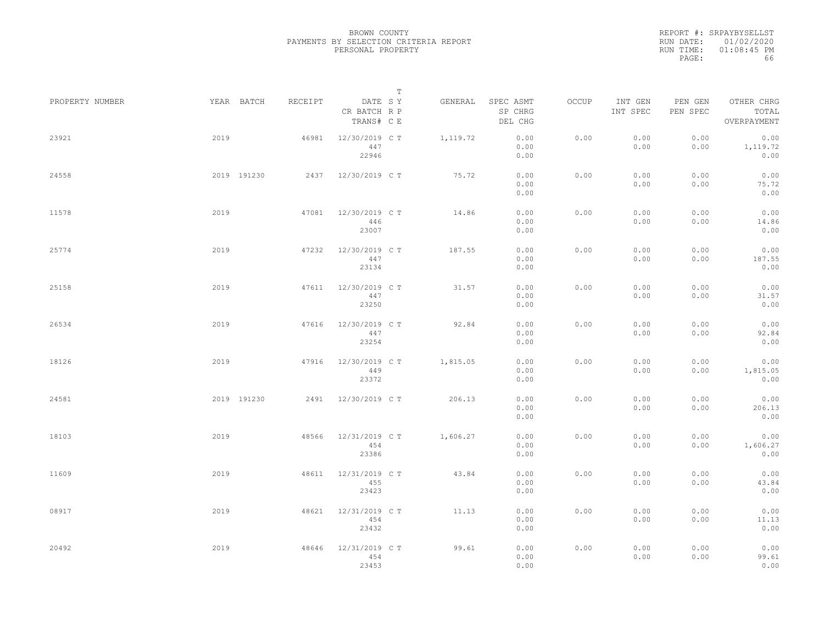REPORT #: SRPAYBYSELLST RUN DATE: 01/02/2020 RUN TIME: 01:08:45 PM PAGE: 66

|                 |      |             |         |                                       | $\mathbb T$ |          |                                 |       |                     |                     |                                    |  |
|-----------------|------|-------------|---------|---------------------------------------|-------------|----------|---------------------------------|-------|---------------------|---------------------|------------------------------------|--|
| PROPERTY NUMBER |      | YEAR BATCH  | RECEIPT | DATE SY<br>CR BATCH R P<br>TRANS# C E |             | GENERAL  | SPEC ASMT<br>SP CHRG<br>DEL CHG | OCCUP | INT GEN<br>INT SPEC | PEN GEN<br>PEN SPEC | OTHER CHRG<br>TOTAL<br>OVERPAYMENT |  |
| 23921           | 2019 |             | 46981   | 12/30/2019 C T<br>447<br>22946        |             | 1,119.72 | 0.00<br>0.00<br>0.00            | 0.00  | 0.00<br>0.00        | 0.00<br>0.00        | 0.00<br>1,119.72<br>0.00           |  |
| 24558           |      | 2019 191230 |         | 2437 12/30/2019 CT                    |             | 75.72    | 0.00<br>0.00<br>0.00            | 0.00  | 0.00<br>0.00        | 0.00<br>0.00        | 0.00<br>75.72<br>0.00              |  |
| 11578           | 2019 |             | 47081   | 12/30/2019 C T<br>446<br>23007        |             | 14.86    | 0.00<br>0.00<br>0.00            | 0.00  | 0.00<br>0.00        | 0.00<br>0.00        | 0.00<br>14.86<br>0.00              |  |
| 25774           | 2019 |             | 47232   | 12/30/2019 C T<br>447<br>23134        |             | 187.55   | 0.00<br>0.00<br>0.00            | 0.00  | 0.00<br>0.00        | 0.00<br>0.00        | 0.00<br>187.55<br>0.00             |  |
| 25158           | 2019 |             | 47611   | 12/30/2019 C T<br>447<br>23250        |             | 31.57    | 0.00<br>0.00<br>0.00            | 0.00  | 0.00<br>0.00        | 0.00<br>0.00        | 0.00<br>31.57<br>0.00              |  |
| 26534           | 2019 |             | 47616   | 12/30/2019 C T<br>447<br>23254        |             | 92.84    | 0.00<br>0.00<br>0.00            | 0.00  | 0.00<br>0.00        | 0.00<br>0.00        | 0.00<br>92.84<br>0.00              |  |
| 18126           | 2019 |             | 47916   | 12/30/2019 C T<br>449<br>23372        |             | 1,815.05 | 0.00<br>0.00<br>0.00            | 0.00  | 0.00<br>0.00        | 0.00<br>0.00        | 0.00<br>1,815.05<br>0.00           |  |
| 24581           |      | 2019 191230 | 2491    | 12/30/2019 C T                        |             | 206.13   | 0.00<br>0.00<br>0.00            | 0.00  | 0.00<br>0.00        | 0.00<br>0.00        | 0.00<br>206.13<br>0.00             |  |
| 18103           | 2019 |             | 48566   | 12/31/2019 C T<br>454<br>23386        |             | 1,606.27 | 0.00<br>0.00<br>0.00            | 0.00  | 0.00<br>0.00        | 0.00<br>0.00        | 0.00<br>1,606.27<br>0.00           |  |
| 11609           | 2019 |             | 48611   | 12/31/2019 C T<br>455<br>23423        |             | 43.84    | 0.00<br>0.00<br>0.00            | 0.00  | 0.00<br>0.00        | 0.00<br>0.00        | 0.00<br>43.84<br>0.00              |  |
| 08917           | 2019 |             | 48621   | 12/31/2019 C T<br>454<br>23432        |             | 11.13    | 0.00<br>0.00<br>0.00            | 0.00  | 0.00<br>0.00        | 0.00<br>0.00        | 0.00<br>11.13<br>0.00              |  |
| 20492           | 2019 |             | 48646   | 12/31/2019 C T<br>454<br>23453        |             | 99.61    | 0.00<br>0.00<br>0.00            | 0.00  | 0.00<br>0.00        | 0.00<br>0.00        | 0.00<br>99.61<br>0.00              |  |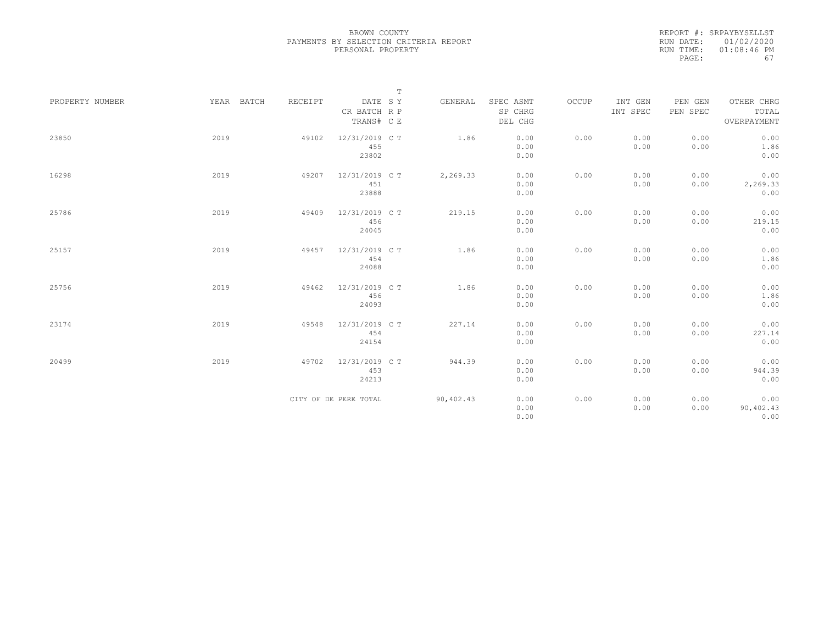REPORT #: SRPAYBYSELLST RUN DATE: 01/02/2020 RUN TIME: 01:08:46 PM PAGE: 67

|                 |            |         |                                | $\mathbb T$ |                      |       |                     |                     |                           |
|-----------------|------------|---------|--------------------------------|-------------|----------------------|-------|---------------------|---------------------|---------------------------|
| PROPERTY NUMBER | YEAR BATCH | RECEIPT | DATE SY<br>CR BATCH R P        | GENERAL     | SPEC ASMT<br>SP CHRG | OCCUP | INT GEN<br>INT SPEC | PEN GEN<br>PEN SPEC | OTHER CHRG<br>TOTAL       |
|                 |            |         | TRANS# C E                     |             | DEL CHG              |       |                     |                     | OVERPAYMENT               |
| 23850           | 2019       | 49102   | 12/31/2019 C T<br>455<br>23802 | 1.86        | 0.00<br>0.00<br>0.00 | 0.00  | 0.00<br>0.00        | 0.00<br>0.00        | 0.00<br>1.86<br>0.00      |
| 16298           | 2019       | 49207   | 12/31/2019 C T<br>451<br>23888 | 2,269.33    | 0.00<br>0.00<br>0.00 | 0.00  | 0.00<br>0.00        | 0.00<br>0.00        | 0.00<br>2,269.33<br>0.00  |
| 25786           | 2019       | 49409   | 12/31/2019 C T<br>456<br>24045 | 219.15      | 0.00<br>0.00<br>0.00 | 0.00  | 0.00<br>0.00        | 0.00<br>0.00        | 0.00<br>219.15<br>0.00    |
| 25157           | 2019       | 49457   | 12/31/2019 C T<br>454<br>24088 | 1.86        | 0.00<br>0.00<br>0.00 | 0.00  | 0.00<br>0.00        | 0.00<br>0.00        | 0.00<br>1.86<br>0.00      |
| 25756           | 2019       | 49462   | 12/31/2019 C T<br>456<br>24093 | 1.86        | 0.00<br>0.00<br>0.00 | 0.00  | 0.00<br>0.00        | 0.00<br>0.00        | 0.00<br>1.86<br>0.00      |
| 23174           | 2019       | 49548   | 12/31/2019 C T<br>454<br>24154 | 227.14      | 0.00<br>0.00<br>0.00 | 0.00  | 0.00<br>0.00        | 0.00<br>0.00        | 0.00<br>227.14<br>0.00    |
| 20499           | 2019       | 49702   | 12/31/2019 C T<br>453<br>24213 | 944.39      | 0.00<br>0.00<br>0.00 | 0.00  | 0.00<br>0.00        | 0.00<br>0.00        | 0.00<br>944.39<br>0.00    |
|                 |            |         | CITY OF DE PERE TOTAL          | 90,402.43   | 0.00<br>0.00<br>0.00 | 0.00  | 0.00<br>0.00        | 0.00<br>0.00        | 0.00<br>90,402.43<br>0.00 |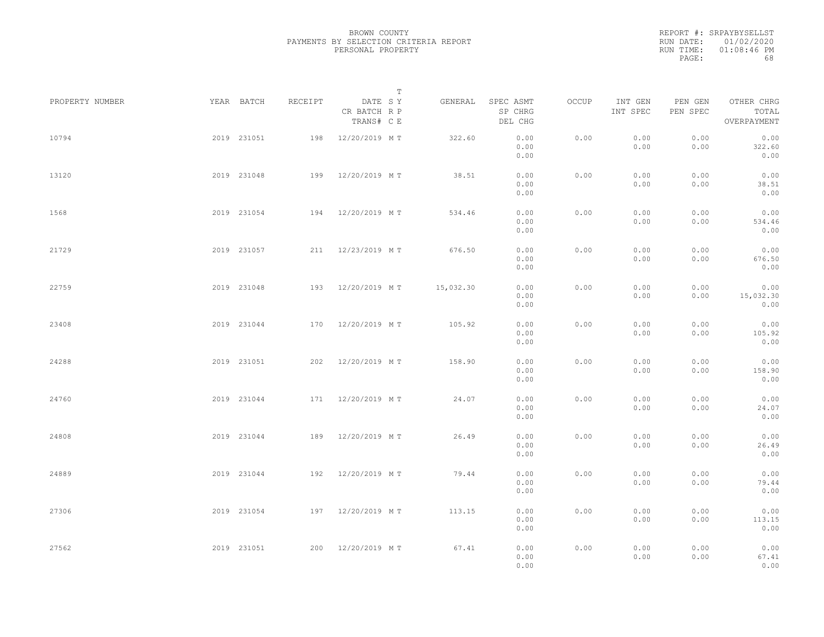BROWN COUNTY PAYMENTS BY SELECTION CRITERIA REPORT PERSONAL PROPERTY

REPORT #: SRPAYBYSELLST RUN DATE: 01/02/2020 RUN TIME: 01:08:46 PM PAGE: 68

|                 |             |         | $\mathbb T$                           |           |                                 |       |                     |                     |                                    |  |
|-----------------|-------------|---------|---------------------------------------|-----------|---------------------------------|-------|---------------------|---------------------|------------------------------------|--|
| PROPERTY NUMBER | YEAR BATCH  | RECEIPT | DATE SY<br>CR BATCH R P<br>TRANS# C E | GENERAL   | SPEC ASMT<br>SP CHRG<br>DEL CHG | OCCUP | INT GEN<br>INT SPEC | PEN GEN<br>PEN SPEC | OTHER CHRG<br>TOTAL<br>OVERPAYMENT |  |
| 10794           | 2019 231051 | 198     | 12/20/2019 M T                        | 322.60    | 0.00<br>0.00<br>0.00            | 0.00  | 0.00<br>0.00        | 0.00<br>0.00        | 0.00<br>322.60<br>0.00             |  |
| 13120           | 2019 231048 |         | 199 12/20/2019 MT                     | 38.51     | 0.00<br>0.00<br>0.00            | 0.00  | 0.00<br>0.00        | 0.00<br>0.00        | 0.00<br>38.51<br>0.00              |  |
| 1568            | 2019 231054 |         | 194 12/20/2019 MT                     | 534.46    | 0.00<br>0.00<br>0.00            | 0.00  | 0.00<br>0.00        | 0.00<br>0.00        | 0.00<br>534.46<br>0.00             |  |
| 21729           | 2019 231057 |         | 211 12/23/2019 MT                     | 676.50    | 0.00<br>0.00<br>0.00            | 0.00  | 0.00<br>0.00        | 0.00<br>0.00        | 0.00<br>676.50<br>0.00             |  |
| 22759           | 2019 231048 |         | 193 12/20/2019 MT                     | 15,032.30 | 0.00<br>0.00<br>0.00            | 0.00  | 0.00<br>0.00        | 0.00<br>0.00        | 0.00<br>15,032.30<br>0.00          |  |
| 23408           | 2019 231044 | 170     | 12/20/2019 MT                         | 105.92    | 0.00<br>0.00<br>0.00            | 0.00  | 0.00<br>0.00        | 0.00<br>0.00        | 0.00<br>105.92<br>0.00             |  |
| 24288           | 2019 231051 | 202     | 12/20/2019 MT                         | 158.90    | 0.00<br>0.00<br>0.00            | 0.00  | 0.00<br>0.00        | 0.00<br>0.00        | 0.00<br>158.90<br>0.00             |  |
| 24760           | 2019 231044 |         | 171 12/20/2019 MT                     | 24.07     | 0.00<br>0.00<br>0.00            | 0.00  | 0.00<br>0.00        | 0.00<br>0.00        | 0.00<br>24.07<br>0.00              |  |
| 24808           | 2019 231044 | 189     | 12/20/2019 MT                         | 26.49     | 0.00<br>0.00<br>0.00            | 0.00  | 0.00<br>0.00        | 0.00<br>0.00        | 0.00<br>26.49<br>0.00              |  |
| 24889           | 2019 231044 |         | 192 12/20/2019 MT                     | 79.44     | 0.00<br>0.00<br>0.00            | 0.00  | 0.00<br>0.00        | 0.00<br>0.00        | 0.00<br>79.44<br>0.00              |  |
| 27306           | 2019 231054 |         | 197 12/20/2019 MT                     | 113.15    | 0.00<br>0.00<br>0.00            | 0.00  | 0.00<br>0.00        | 0.00<br>0.00        | 0.00<br>113.15<br>0.00             |  |
| 27562           | 2019 231051 |         | 200 12/20/2019 MT                     | 67.41     | 0.00<br>0.00<br>0.00            | 0.00  | 0.00<br>0.00        | 0.00<br>0.00        | 0.00<br>67.41<br>0.00              |  |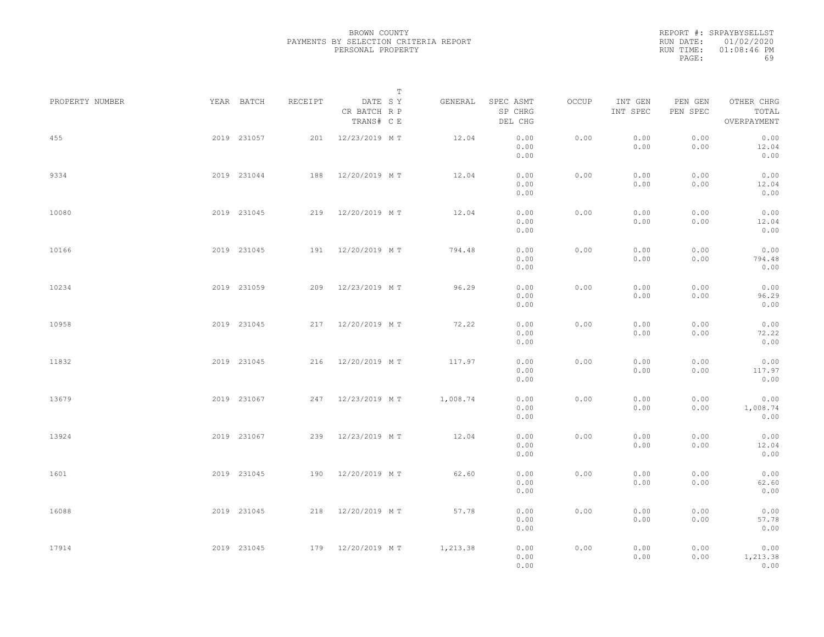|           | REPORT #: SRPAYBYSELLST |
|-----------|-------------------------|
|           | RUN DATE: 01/02/2020    |
| RUN TIME: | $01:08:46$ PM           |
| PAGE:     | 69                      |

|                 |             |             |         |                                       | T |          |                                 |       |                     |                     |                                    |  |
|-----------------|-------------|-------------|---------|---------------------------------------|---|----------|---------------------------------|-------|---------------------|---------------------|------------------------------------|--|
| PROPERTY NUMBER |             | YEAR BATCH  | RECEIPT | DATE SY<br>CR BATCH R P<br>TRANS# C E |   | GENERAL  | SPEC ASMT<br>SP CHRG<br>DEL CHG | OCCUP | INT GEN<br>INT SPEC | PEN GEN<br>PEN SPEC | OTHER CHRG<br>TOTAL<br>OVERPAYMENT |  |
| 455             |             | 2019 231057 |         | 201 12/23/2019 MT                     |   | 12.04    | 0.00<br>0.00<br>0.00            | 0.00  | 0.00<br>0.00        | 0.00<br>0.00        | 0.00<br>12.04<br>0.00              |  |
| 9334            |             | 2019 231044 |         | 188 12/20/2019 MT                     |   | 12.04    | 0.00<br>0.00<br>0.00            | 0.00  | 0.00<br>0.00        | 0.00<br>0.00        | 0.00<br>12.04<br>0.00              |  |
| 10080           |             | 2019 231045 |         | 219 12/20/2019 MT                     |   | 12.04    | 0.00<br>0.00<br>0.00            | 0.00  | 0.00<br>0.00        | 0.00<br>0.00        | 0.00<br>12.04<br>0.00              |  |
| 10166           |             | 2019 231045 |         | 191 12/20/2019 MT                     |   | 794.48   | 0.00<br>0.00<br>0.00            | 0.00  | 0.00<br>0.00        | 0.00<br>0.00        | 0.00<br>794.48<br>0.00             |  |
| 10234           |             | 2019 231059 |         | 209 12/23/2019 MT                     |   | 96.29    | 0.00<br>0.00<br>0.00            | 0.00  | 0.00<br>0.00        | 0.00<br>0.00        | 0.00<br>96.29<br>0.00              |  |
| 10958           |             | 2019 231045 | 217     | 12/20/2019 MT                         |   | 72.22    | 0.00<br>0.00<br>0.00            | 0.00  | 0.00<br>0.00        | 0.00<br>0.00        | 0.00<br>72.22<br>0.00              |  |
| 11832           |             | 2019 231045 |         | 216 12/20/2019 MT                     |   | 117.97   | 0.00<br>0.00<br>0.00            | 0.00  | 0.00<br>0.00        | 0.00<br>0.00        | 0.00<br>117.97<br>0.00             |  |
| 13679           |             | 2019 231067 |         | 247 12/23/2019 MT                     |   | 1,008.74 | 0.00<br>0.00<br>0.00            | 0.00  | 0.00<br>0.00        | 0.00<br>0.00        | 0.00<br>1,008.74<br>0.00           |  |
| 13924           |             | 2019 231067 |         | 239 12/23/2019 MT                     |   | 12.04    | 0.00<br>0.00<br>0.00            | 0.00  | 0.00<br>0.00        | 0.00<br>0.00        | 0.00<br>12.04<br>0.00              |  |
| 1601            |             | 2019 231045 |         | 190 12/20/2019 MT                     |   | 62.60    | 0.00<br>0.00<br>0.00            | 0.00  | 0.00<br>0.00        | 0.00<br>0.00        | 0.00<br>62.60<br>0.00              |  |
| 16088           |             | 2019 231045 |         | 218 12/20/2019 MT                     |   | 57.78    | 0.00<br>0.00                    | 0.00  | 0.00<br>0.00        | 0.00<br>0.00        | 0.00<br>57.78                      |  |
| 17914           | 2019 231045 |             |         | 179 12/20/2019 MT                     |   | 1,213.38 | 0.00<br>0.00<br>0.00<br>0.00    | 0.00  | 0.00<br>0.00        | 0.00<br>0.00        | 0.00<br>0.00<br>1,213.38<br>0.00   |  |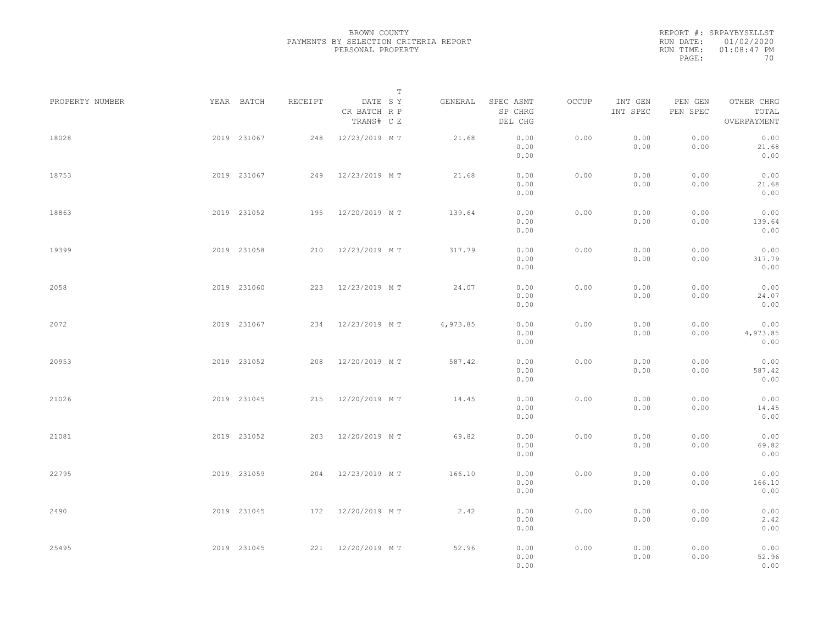REPORT #: SRPAYBYSELLST RUN DATE: 01/02/2020 RUN TIME: 01:08:47 PM PAGE: 70

|                 |             |         |                                       | $\mathbb T$ |          |                                 |       |                     |                     |                                    |  |
|-----------------|-------------|---------|---------------------------------------|-------------|----------|---------------------------------|-------|---------------------|---------------------|------------------------------------|--|
| PROPERTY NUMBER | YEAR BATCH  | RECEIPT | DATE SY<br>CR BATCH R P<br>TRANS# C E |             | GENERAL  | SPEC ASMT<br>SP CHRG<br>DEL CHG | OCCUP | INT GEN<br>INT SPEC | PEN GEN<br>PEN SPEC | OTHER CHRG<br>TOTAL<br>OVERPAYMENT |  |
| 18028           | 2019 231067 | 248     | 12/23/2019 MT                         |             | 21.68    | 0.00<br>0.00<br>0.00            | 0.00  | 0.00<br>0.00        | 0.00<br>0.00        | 0.00<br>21.68<br>0.00              |  |
| 18753           | 2019 231067 |         | 249 12/23/2019 MT                     |             | 21.68    | 0.00<br>0.00<br>0.00            | 0.00  | 0.00<br>0.00        | 0.00<br>0.00        | 0.00<br>21.68<br>0.00              |  |
| 18863           | 2019 231052 |         | 195 12/20/2019 MT                     |             | 139.64   | 0.00<br>0.00<br>0.00            | 0.00  | 0.00<br>0.00        | 0.00<br>0.00        | 0.00<br>139.64<br>0.00             |  |
| 19399           | 2019 231058 |         | 210 12/23/2019 MT                     |             | 317.79   | 0.00<br>0.00<br>0.00            | 0.00  | 0.00<br>0.00        | 0.00<br>0.00        | 0.00<br>317.79<br>0.00             |  |
| 2058            | 2019 231060 |         | 223 12/23/2019 MT                     |             | 24.07    | 0.00<br>0.00<br>0.00            | 0.00  | 0.00<br>0.00        | 0.00<br>0.00        | 0.00<br>24.07<br>0.00              |  |
| 2072            | 2019 231067 |         | 234 12/23/2019 MT                     |             | 4,973.85 | 0.00<br>0.00<br>0.00            | 0.00  | 0.00<br>0.00        | 0.00<br>0.00        | 0.00<br>4,973.85<br>0.00           |  |
| 20953           | 2019 231052 | 208     | 12/20/2019 MT                         |             | 587.42   | 0.00<br>0.00<br>0.00            | 0.00  | 0.00<br>0.00        | 0.00<br>0.00        | 0.00<br>587.42<br>0.00             |  |
| 21026           | 2019 231045 |         | 215 12/20/2019 MT                     |             | 14.45    | 0.00<br>0.00<br>0.00            | 0.00  | 0.00<br>0.00        | 0.00<br>0.00        | 0.00<br>14.45<br>0.00              |  |
| 21081           | 2019 231052 |         | 203 12/20/2019 MT                     |             | 69.82    | 0.00<br>0.00<br>0.00            | 0.00  | 0.00<br>0.00        | 0.00<br>0.00        | 0.00<br>69.82<br>0.00              |  |
| 22795           | 2019 231059 |         | 204 12/23/2019 MT                     |             | 166.10   | 0.00<br>0.00<br>0.00            | 0.00  | 0.00<br>0.00        | 0.00<br>0.00        | 0.00<br>166.10<br>0.00             |  |
| 2490            | 2019 231045 |         | 172 12/20/2019 MT                     |             | 2.42     | 0.00<br>0.00<br>0.00            | 0.00  | 0.00<br>0.00        | 0.00<br>0.00        | 0.00<br>2.42<br>0.00               |  |
| 25495           | 2019 231045 |         | 221 12/20/2019 MT                     |             | 52.96    | 0.00<br>0.00<br>0.00            | 0.00  | 0.00<br>0.00        | 0.00<br>0.00        | 0.00<br>52.96<br>0.00              |  |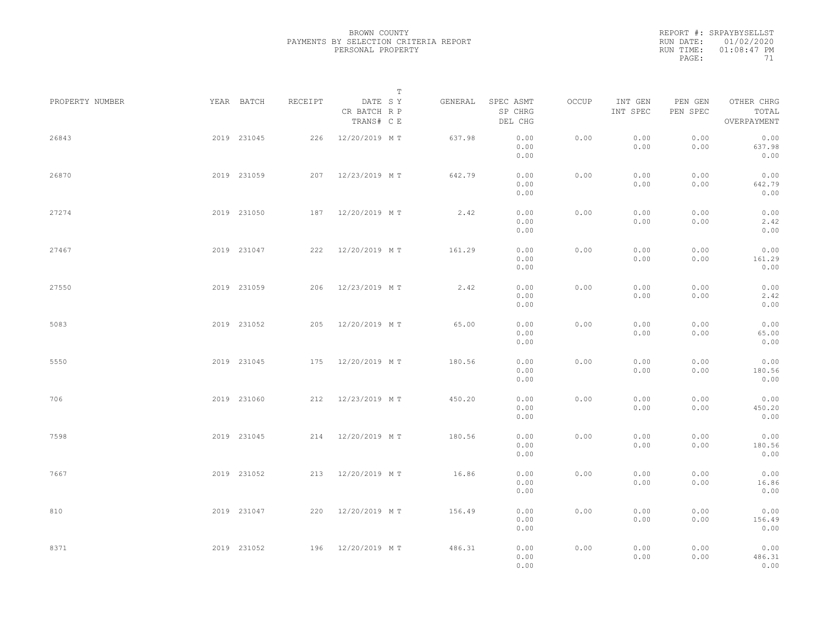|           | REPORT #: SRPAYBYSELLST |
|-----------|-------------------------|
|           | RUN DATE: 01/02/2020    |
| RUN TIME: | $01:08:47$ PM           |
| PAGE:     | 71                      |

|                 |             |         | $\mathbb T$                           |         |                                 |       |                     |                     |                                    |  |
|-----------------|-------------|---------|---------------------------------------|---------|---------------------------------|-------|---------------------|---------------------|------------------------------------|--|
| PROPERTY NUMBER | YEAR BATCH  | RECEIPT | DATE SY<br>CR BATCH R P<br>TRANS# C E | GENERAL | SPEC ASMT<br>SP CHRG<br>DEL CHG | OCCUP | INT GEN<br>INT SPEC | PEN GEN<br>PEN SPEC | OTHER CHRG<br>TOTAL<br>OVERPAYMENT |  |
| 26843           | 2019 231045 |         | 226 12/20/2019 MT                     | 637.98  | 0.00<br>0.00<br>0.00            | 0.00  | 0.00<br>0.00        | 0.00<br>0.00        | 0.00<br>637.98<br>0.00             |  |
| 26870           | 2019 231059 |         | 207 12/23/2019 MT                     | 642.79  | 0.00<br>0.00<br>0.00            | 0.00  | 0.00<br>0.00        | 0.00<br>0.00        | 0.00<br>642.79<br>0.00             |  |
| 27274           | 2019 231050 |         | 187 12/20/2019 MT                     | 2.42    | 0.00<br>0.00<br>0.00            | 0.00  | 0.00<br>0.00        | 0.00<br>0.00        | 0.00<br>2.42<br>0.00               |  |
| 27467           | 2019 231047 |         | 222 12/20/2019 MT                     | 161.29  | 0.00<br>0.00<br>0.00            | 0.00  | 0.00<br>0.00        | 0.00<br>0.00        | 0.00<br>161.29<br>0.00             |  |
| 27550           | 2019 231059 |         | 206 12/23/2019 MT                     | 2.42    | 0.00<br>0.00<br>0.00            | 0.00  | 0.00<br>0.00        | 0.00<br>0.00        | 0.00<br>2.42<br>0.00               |  |
| 5083            | 2019 231052 | 205     | 12/20/2019 MT                         | 65.00   | 0.00<br>0.00<br>0.00            | 0.00  | 0.00<br>0.00        | 0.00<br>0.00        | 0.00<br>65.00<br>0.00              |  |
| 5550            | 2019 231045 |         | 175 12/20/2019 MT                     | 180.56  | 0.00<br>0.00<br>0.00            | 0.00  | 0.00<br>0.00        | 0.00<br>0.00        | 0.00<br>180.56<br>0.00             |  |
| 706             | 2019 231060 |         | 212 12/23/2019 MT                     | 450.20  | 0.00<br>0.00<br>0.00            | 0.00  | 0.00<br>0.00        | 0.00<br>0.00        | 0.00<br>450.20<br>0.00             |  |
| 7598            | 2019 231045 |         | 214 12/20/2019 MT                     | 180.56  | 0.00<br>0.00<br>0.00            | 0.00  | 0.00<br>0.00        | 0.00<br>0.00        | 0.00<br>180.56<br>0.00             |  |
| 7667            | 2019 231052 |         | 213 12/20/2019 MT                     | 16.86   | 0.00<br>0.00<br>0.00            | 0.00  | 0.00<br>0.00        | 0.00<br>0.00        | 0.00<br>16.86<br>0.00              |  |
| 810             | 2019 231047 |         | 220 12/20/2019 MT                     | 156.49  | 0.00<br>0.00<br>0.00            | 0.00  | 0.00<br>0.00        | 0.00<br>0.00        | 0.00<br>156.49<br>0.00             |  |
| 8371            | 2019 231052 |         | 196 12/20/2019 MT                     | 486.31  | 0.00<br>0.00<br>0.00            | 0.00  | 0.00<br>0.00        | 0.00<br>0.00        | 0.00<br>486.31<br>0.00             |  |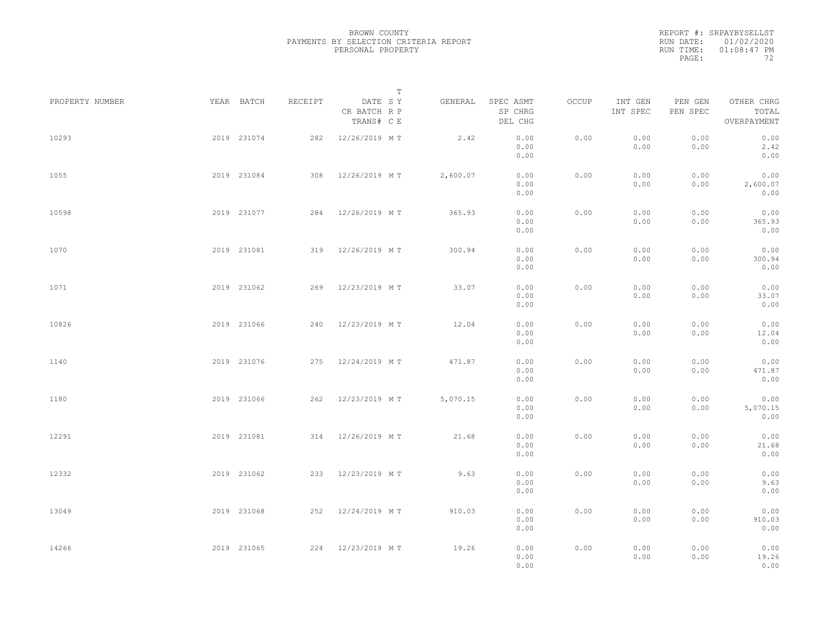REPORT #: SRPAYBYSELLST RUN DATE: 01/02/2020 RUN TIME: 01:08:47 PM PAGE: 72

|                 |             |         |                                       | $\mathbb T$ |          |                                 |       |                     |                     |                                    |  |
|-----------------|-------------|---------|---------------------------------------|-------------|----------|---------------------------------|-------|---------------------|---------------------|------------------------------------|--|
| PROPERTY NUMBER | YEAR BATCH  | RECEIPT | DATE SY<br>CR BATCH R P<br>TRANS# C E |             | GENERAL  | SPEC ASMT<br>SP CHRG<br>DEL CHG | OCCUP | INT GEN<br>INT SPEC | PEN GEN<br>PEN SPEC | OTHER CHRG<br>TOTAL<br>OVERPAYMENT |  |
| 10293           | 2019 231074 |         | 282 12/26/2019 MT                     |             | 2.42     | 0.00<br>0.00<br>0.00            | 0.00  | 0.00<br>0.00        | 0.00<br>0.00        | 0.00<br>2.42<br>0.00               |  |
| 1055            | 2019 231084 |         | 308 12/26/2019 MT                     |             | 2,600.07 | 0.00<br>0.00<br>0.00            | 0.00  | 0.00<br>0.00        | 0.00<br>0.00        | 0.00<br>2,600.07<br>0.00           |  |
| 10598           | 2019 231077 |         | 284 12/26/2019 MT                     |             | 365.93   | 0.00<br>0.00<br>0.00            | 0.00  | 0.00<br>0.00        | 0.00<br>0.00        | 0.00<br>365.93<br>0.00             |  |
| 1070            | 2019 231081 |         | 319 12/26/2019 MT                     |             | 300.94   | 0.00<br>0.00<br>0.00            | 0.00  | 0.00<br>0.00        | 0.00<br>0.00        | 0.00<br>300.94<br>0.00             |  |
| 1071            | 2019 231062 |         | 269 12/23/2019 MT                     |             | 33.07    | 0.00<br>0.00<br>0.00            | 0.00  | 0.00<br>0.00        | 0.00<br>0.00        | 0.00<br>33.07<br>0.00              |  |
| 10826           | 2019 231066 | 240     | 12/23/2019 MT                         |             | 12.04    | 0.00<br>0.00<br>0.00            | 0.00  | 0.00<br>0.00        | 0.00<br>0.00        | 0.00<br>12.04<br>0.00              |  |
| 1140            | 2019 231076 |         | 275 12/24/2019 MT                     |             | 471.87   | 0.00<br>0.00<br>0.00            | 0.00  | 0.00<br>0.00        | 0.00<br>0.00        | 0.00<br>471.87<br>0.00             |  |
| 1180            | 2019 231066 |         | 262 12/23/2019 MT                     |             | 5,070.15 | 0.00<br>0.00<br>0.00            | 0.00  | 0.00<br>0.00        | 0.00<br>0.00        | 0.00<br>5,070.15<br>0.00           |  |
| 12291           | 2019 231081 |         | 314 12/26/2019 MT                     |             | 21.68    | 0.00<br>0.00<br>0.00            | 0.00  | 0.00<br>0.00        | 0.00<br>0.00        | 0.00<br>21.68<br>0.00              |  |
| 12332           | 2019 231062 |         | 233 12/23/2019 MT                     |             | 9.63     | 0.00<br>0.00<br>0.00            | 0.00  | 0.00<br>0.00        | 0.00<br>0.00        | 0.00<br>9.63<br>0.00               |  |
| 13049           | 2019 231068 |         | 252 12/24/2019 MT                     |             | 910.03   | 0.00<br>0.00<br>0.00            | 0.00  | 0.00<br>0.00        | 0.00<br>0.00        | 0.00<br>910.03<br>0.00             |  |
| 14266           | 2019 231065 |         | 224 12/23/2019 MT                     |             | 19.26    | 0.00<br>0.00<br>0.00            | 0.00  | 0.00<br>0.00        | 0.00<br>0.00        | 0.00<br>19.26<br>0.00              |  |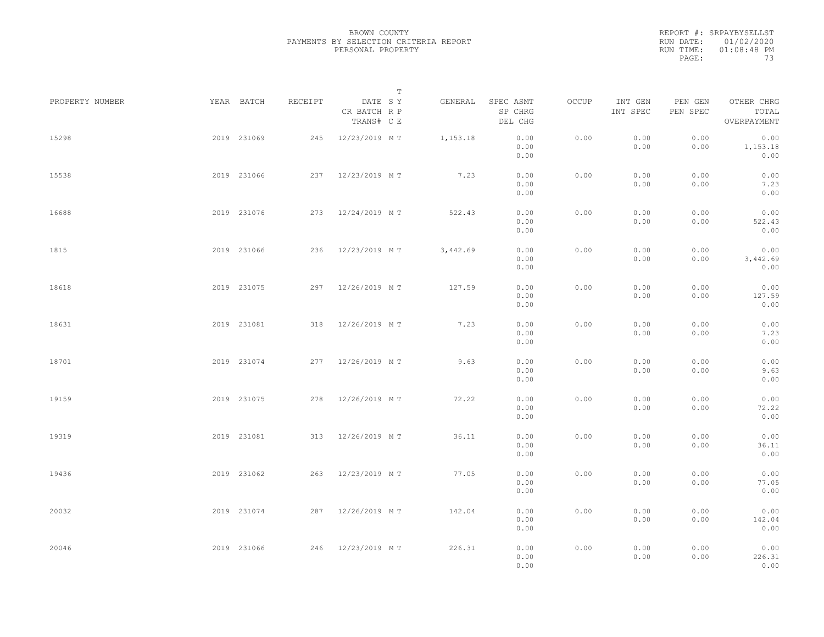|           | REPORT #: SRPAYBYSELLST |
|-----------|-------------------------|
|           | RUN DATE: 01/02/2020    |
| RUN TIME: | $01:08:48$ PM           |
| PAGE:     | 73                      |

|                 |             |             |         |                                       | $\mathbb T$ |          |                                 |       |                     |                     |                                    |  |
|-----------------|-------------|-------------|---------|---------------------------------------|-------------|----------|---------------------------------|-------|---------------------|---------------------|------------------------------------|--|
| PROPERTY NUMBER |             | YEAR BATCH  | RECEIPT | DATE SY<br>CR BATCH R P<br>TRANS# C E |             | GENERAL  | SPEC ASMT<br>SP CHRG<br>DEL CHG | OCCUP | INT GEN<br>INT SPEC | PEN GEN<br>PEN SPEC | OTHER CHRG<br>TOTAL<br>OVERPAYMENT |  |
| 15298           |             | 2019 231069 |         | 245 12/23/2019 MT                     |             | 1,153.18 | 0.00<br>0.00<br>0.00            | 0.00  | 0.00<br>0.00        | 0.00<br>0.00        | 0.00<br>1,153.18<br>0.00           |  |
| 15538           |             | 2019 231066 |         | 237 12/23/2019 MT                     |             | 7.23     | 0.00<br>0.00<br>0.00            | 0.00  | 0.00<br>0.00        | 0.00<br>0.00        | 0.00<br>7.23<br>0.00               |  |
| 16688           |             | 2019 231076 |         | 273 12/24/2019 MT                     |             | 522.43   | 0.00<br>0.00<br>0.00            | 0.00  | 0.00<br>0.00        | 0.00<br>0.00        | 0.00<br>522.43<br>0.00             |  |
| 1815            |             | 2019 231066 |         | 236 12/23/2019 MT                     |             | 3,442.69 | 0.00<br>0.00<br>0.00            | 0.00  | 0.00<br>0.00        | 0.00<br>0.00        | 0.00<br>3,442.69<br>0.00           |  |
| 18618           |             | 2019 231075 |         | 297 12/26/2019 MT                     |             | 127.59   | 0.00<br>0.00<br>0.00            | 0.00  | 0.00<br>0.00        | 0.00<br>0.00        | 0.00<br>127.59<br>0.00             |  |
| 18631           |             | 2019 231081 | 318     | 12/26/2019 MT                         |             | 7.23     | 0.00<br>0.00<br>0.00            | 0.00  | 0.00<br>0.00        | 0.00<br>0.00        | 0.00<br>7.23<br>0.00               |  |
| 18701           |             | 2019 231074 |         | 277 12/26/2019 MT                     |             | 9.63     | 0.00<br>0.00<br>0.00            | 0.00  | 0.00<br>0.00        | 0.00<br>0.00        | 0.00<br>9.63<br>0.00               |  |
| 19159           |             | 2019 231075 |         | 278 12/26/2019 MT                     |             | 72.22    | 0.00<br>0.00<br>0.00            | 0.00  | 0.00<br>0.00        | 0.00<br>0.00        | 0.00<br>72.22<br>0.00              |  |
| 19319           |             | 2019 231081 |         | 313 12/26/2019 MT                     |             | 36.11    | 0.00<br>0.00<br>0.00            | 0.00  | 0.00<br>0.00        | 0.00<br>0.00        | 0.00<br>36.11<br>0.00              |  |
| 19436           |             | 2019 231062 |         | 263 12/23/2019 MT                     |             | 77.05    | 0.00<br>0.00<br>0.00            | 0.00  | 0.00<br>0.00        | 0.00<br>0.00        | 0.00<br>77.05<br>0.00              |  |
| 20032           |             | 2019 231074 |         | 287 12/26/2019 MT                     |             | 142.04   | 0.00<br>0.00                    | 0.00  | 0.00<br>0.00        | 0.00<br>0.00        | 0.00<br>142.04                     |  |
| 20046           | 2019 231066 |             |         | 246 12/23/2019 MT                     |             | 226.31   | 0.00<br>0.00<br>0.00<br>0.00    | 0.00  | 0.00<br>0.00        | 0.00<br>0.00        | 0.00<br>0.00<br>226.31<br>0.00     |  |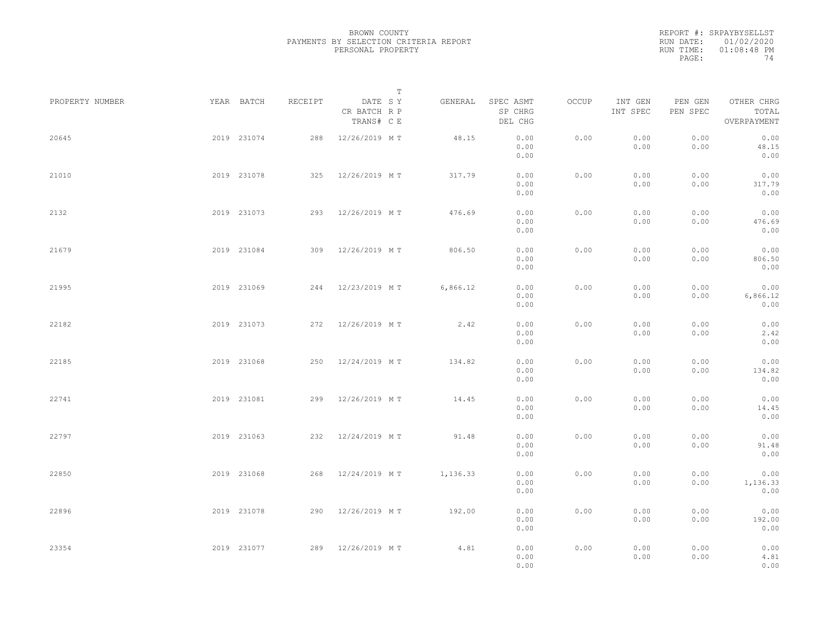| REPORT #: SRPAYBYSELLST |
|-------------------------|
| RUN DATE: 01/02/2020    |
| $01:08:48$ PM           |
| 74                      |
|                         |

|                 |             |             |         |                                       | $\mathbb T$ |          |                                 |       |                     |                     |                                    |  |
|-----------------|-------------|-------------|---------|---------------------------------------|-------------|----------|---------------------------------|-------|---------------------|---------------------|------------------------------------|--|
| PROPERTY NUMBER |             | YEAR BATCH  | RECEIPT | DATE SY<br>CR BATCH R P<br>TRANS# C E |             | GENERAL  | SPEC ASMT<br>SP CHRG<br>DEL CHG | OCCUP | INT GEN<br>INT SPEC | PEN GEN<br>PEN SPEC | OTHER CHRG<br>TOTAL<br>OVERPAYMENT |  |
| 20645           |             | 2019 231074 |         | 288 12/26/2019 MT                     |             | 48.15    | 0.00<br>0.00<br>0.00            | 0.00  | 0.00<br>0.00        | 0.00<br>0.00        | 0.00<br>48.15<br>0.00              |  |
| 21010           |             | 2019 231078 |         | 325 12/26/2019 MT                     |             | 317.79   | 0.00<br>0.00<br>0.00            | 0.00  | 0.00<br>0.00        | 0.00<br>0.00        | 0.00<br>317.79<br>0.00             |  |
| 2132            |             | 2019 231073 |         | 293 12/26/2019 MT                     |             | 476.69   | 0.00<br>0.00<br>0.00            | 0.00  | 0.00<br>0.00        | 0.00<br>0.00        | 0.00<br>476.69<br>0.00             |  |
| 21679           |             | 2019 231084 |         | 309 12/26/2019 MT                     |             | 806.50   | 0.00<br>0.00<br>0.00            | 0.00  | 0.00<br>0.00        | 0.00<br>0.00        | 0.00<br>806.50<br>0.00             |  |
| 21995           |             | 2019 231069 |         | 244 12/23/2019 MT                     |             | 6,866.12 | 0.00<br>0.00<br>0.00            | 0.00  | 0.00<br>0.00        | 0.00<br>0.00        | 0.00<br>6,866.12<br>0.00           |  |
| 22182           |             | 2019 231073 |         | 272 12/26/2019 MT                     |             | 2.42     | 0.00<br>0.00<br>0.00            | 0.00  | 0.00<br>0.00        | 0.00<br>0.00        | 0.00<br>2.42<br>0.00               |  |
| 22185           |             | 2019 231068 | 250     | 12/24/2019 M T                        |             | 134.82   | 0.00<br>0.00<br>0.00            | 0.00  | 0.00<br>0.00        | 0.00<br>0.00        | 0.00<br>134.82<br>0.00             |  |
| 22741           |             | 2019 231081 |         | 299 12/26/2019 MT                     |             | 14.45    | 0.00<br>0.00<br>0.00            | 0.00  | 0.00<br>0.00        | 0.00<br>0.00        | 0.00<br>14.45<br>0.00              |  |
| 22797           |             | 2019 231063 |         | 232 12/24/2019 MT                     |             | 91.48    | 0.00<br>0.00<br>0.00            | 0.00  | 0.00<br>0.00        | 0.00<br>0.00        | 0.00<br>91.48<br>0.00              |  |
| 22850           |             | 2019 231068 |         | 268 12/24/2019 MT                     |             | 1,136.33 | 0.00<br>0.00<br>0.00            | 0.00  | 0.00<br>0.00        | 0.00<br>0.00        | 0.00<br>1,136.33<br>0.00           |  |
| 22896           |             | 2019 231078 |         | 290 12/26/2019 MT                     |             | 192.00   | 0.00<br>0.00<br>0.00            | 0.00  | 0.00<br>0.00        | 0.00<br>0.00        | 0.00<br>192.00<br>0.00             |  |
| 23354           | 2019 231077 |             |         | 289 12/26/2019 MT                     |             | 4.81     | 0.00<br>0.00<br>0.00            | 0.00  | 0.00<br>0.00        | 0.00<br>0.00        | 0.00<br>4.81<br>0.00               |  |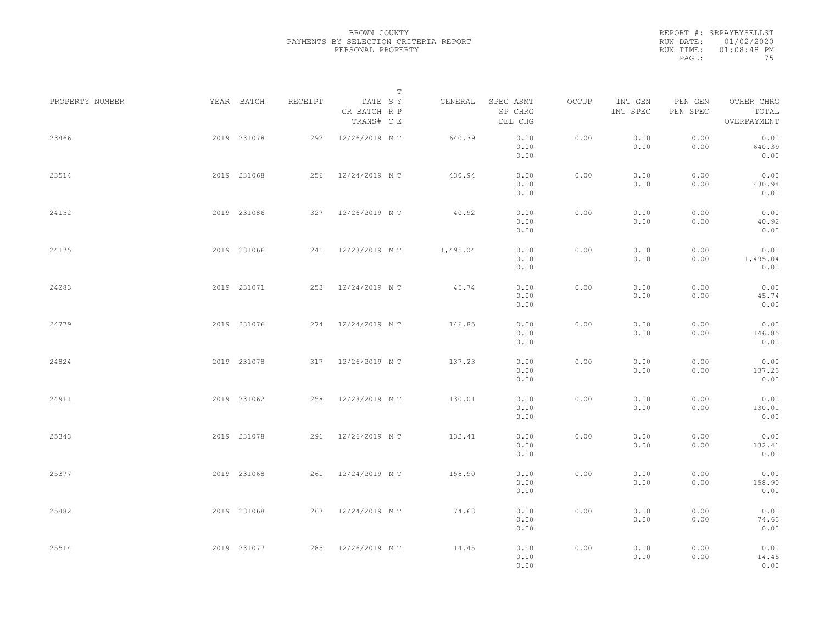|           | REPORT #: SRPAYBYSELLST |
|-----------|-------------------------|
|           | RUN DATE: 01/02/2020    |
| RUN TIME: | $01:08:48$ PM           |
| PAGE:     | 75                      |

|                 |             |             |         |                                       | T |          |                                 |       |                     |                     |                                    |  |
|-----------------|-------------|-------------|---------|---------------------------------------|---|----------|---------------------------------|-------|---------------------|---------------------|------------------------------------|--|
| PROPERTY NUMBER |             | YEAR BATCH  | RECEIPT | DATE SY<br>CR BATCH R P<br>TRANS# C E |   | GENERAL  | SPEC ASMT<br>SP CHRG<br>DEL CHG | OCCUP | INT GEN<br>INT SPEC | PEN GEN<br>PEN SPEC | OTHER CHRG<br>TOTAL<br>OVERPAYMENT |  |
| 23466           |             | 2019 231078 |         | 292 12/26/2019 MT                     |   | 640.39   | 0.00<br>0.00<br>0.00            | 0.00  | 0.00<br>0.00        | 0.00<br>0.00        | 0.00<br>640.39<br>0.00             |  |
| 23514           |             | 2019 231068 |         | 256 12/24/2019 MT                     |   | 430.94   | 0.00<br>0.00<br>0.00            | 0.00  | 0.00<br>0.00        | 0.00<br>0.00        | 0.00<br>430.94<br>0.00             |  |
| 24152           |             | 2019 231086 |         | 327 12/26/2019 MT                     |   | 40.92    | 0.00<br>0.00<br>0.00            | 0.00  | 0.00<br>0.00        | 0.00<br>0.00        | 0.00<br>40.92<br>0.00              |  |
| 24175           |             | 2019 231066 |         | 241 12/23/2019 MT                     |   | 1,495.04 | 0.00<br>0.00<br>0.00            | 0.00  | 0.00<br>0.00        | 0.00<br>0.00        | 0.00<br>1,495.04<br>0.00           |  |
| 24283           |             | 2019 231071 |         | 253 12/24/2019 MT                     |   | 45.74    | 0.00<br>0.00<br>0.00            | 0.00  | 0.00<br>0.00        | 0.00<br>0.00        | 0.00<br>45.74<br>0.00              |  |
| 24779           |             | 2019 231076 |         | 274 12/24/2019 MT                     |   | 146.85   | 0.00<br>0.00<br>0.00            | 0.00  | 0.00<br>0.00        | 0.00<br>0.00        | 0.00<br>146.85<br>0.00             |  |
| 24824           |             | 2019 231078 |         | 317 12/26/2019 MT                     |   | 137.23   | 0.00<br>0.00<br>0.00            | 0.00  | 0.00<br>0.00        | 0.00<br>0.00        | 0.00<br>137.23<br>0.00             |  |
| 24911           |             | 2019 231062 |         | 258 12/23/2019 MT                     |   | 130.01   | 0.00<br>0.00<br>0.00            | 0.00  | 0.00<br>0.00        | 0.00<br>0.00        | 0.00<br>130.01<br>0.00             |  |
| 25343           |             | 2019 231078 |         | 291 12/26/2019 MT                     |   | 132.41   | 0.00<br>0.00<br>0.00            | 0.00  | 0.00<br>0.00        | 0.00<br>0.00        | 0.00<br>132.41<br>0.00             |  |
| 25377           |             | 2019 231068 |         | 261 12/24/2019 MT                     |   | 158.90   | 0.00<br>0.00<br>0.00            | 0.00  | 0.00<br>0.00        | 0.00<br>0.00        | 0.00<br>158.90<br>0.00             |  |
| 25482           |             | 2019 231068 |         | 267 12/24/2019 MT                     |   | 74.63    | 0.00<br>0.00<br>0.00            | 0.00  | 0.00<br>0.00        | 0.00<br>0.00        | 0.00<br>74.63<br>0.00              |  |
| 25514           | 2019 231077 |             |         | 285 12/26/2019 MT                     |   | 14.45    | 0.00<br>0.00<br>0.00            | 0.00  | 0.00<br>0.00        | 0.00<br>0.00        | 0.00<br>14.45<br>0.00              |  |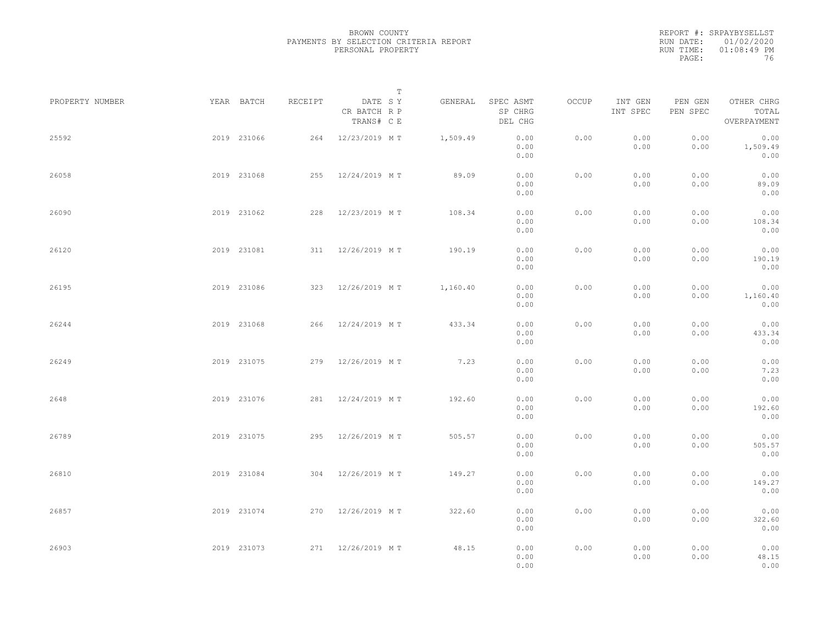PAYMENTS BY SELECTION CRITERIA REPORT

 $0.00$  0.00

| PROPERTY NUMBER | YEAR BATCH  |             | RECEIPT | DATE SY<br>CR BATCH R P<br>TRANS# C E | T<br>GENERAL                    | SPEC ASMT<br>SP CHRG<br>DEL CHG | OCCUP         | INT GEN<br>INT SPEC | PEN GEN<br>PEN SPEC | OTHER CHRG<br>TOTAL<br>OVERPAYMENT |
|-----------------|-------------|-------------|---------|---------------------------------------|---------------------------------|---------------------------------|---------------|---------------------|---------------------|------------------------------------|
| 25592           | 2019 231066 |             |         |                                       | 264 12/23/2019 MT 1,509.49 0.00 | 0.00<br>0.00                    | 0.00          | 0.00<br>0.00        | 0.00<br>0.00        | 0.00<br>1,509.49<br>0.00           |
| 26058           |             | 2019 231068 |         | 255 12/24/2019 MT                     | 89.09                           | 0.00<br>0.00<br>0.00            | 0.00          | 0.00<br>0.00        | 0.00<br>0.00        | 0.00<br>89.09<br>0.00              |
| 26090           | 2019 231062 |             |         | 228 12/23/2019 MT                     | 108.34                          | 0.00<br>0.00<br>0.00            | 0.00          | 0.00<br>0.00        | 0.00<br>0.00        | 0.00<br>108.34<br>0.00             |
| 26120           |             | 2019 231081 |         | 311 12/26/2019 MT                     | 190.19                          | 0.00<br>0.00<br>0.00            | 0.00          | 0.00<br>0.00        | 0.00<br>0.00        | 0.00<br>190.19<br>0.00             |
| 26195           | 2019 231086 |             |         | 323 12/26/2019 MT                     | 1,160.40                        | 0.00<br>0.00<br>0.00            | 0.00          | 0.00<br>0.00        | 0.00<br>0.00        | 0.00<br>1,160.40<br>0.00           |
| 26244           |             | 2019 231068 |         | 266 12/24/2019 MT                     | 433.34                          | 0.00<br>0.00<br>0.00            | 0.00          | 0.00<br>0.00        | 0.00<br>0.00        | 0.00<br>433.34<br>0.00             |
| 26249           |             | 2019 231075 |         | 279 12/26/2019 MT                     | 7.23                            | 0.00<br>0.00<br>0.00            | 0.00          | 0.00<br>0.00        | 0.00<br>0.00        | 0.00<br>7.23<br>0.00               |
| 2648            | 2019 231076 |             |         | 281 12/24/2019 MT                     | 192.60                          | 0.00<br>0.00<br>0.00            | 0.00          | 0.00<br>0.00        | 0.00<br>0.00        | 0.00<br>192.60<br>0.00             |
| 26789           |             |             |         | 2019 231075 295 12/26/2019 MT         | 505.57                          | 0.00<br>0.00<br>0.00            | 0.00          | 0.00<br>0.00        | 0.00<br>0.00        | 0.00<br>505.57<br>0.00             |
| 26910           |             | 2010 231094 |         | 304 12/26/2010 M.T                    | 11027                           | $\cap$ $\cap$                   | $\cap$ $\cap$ | $\cap$ $\cap$       | $\cap$ $\cap$       | $\cap$ $\cap$                      |

BROWN COUNTY

PERSONAL PROPERTY

| といいつ  | LUID LUIUIU | ムンマー | IZ/ZU/ZUIJ NI I | JUJ.J <i>I</i> | $\cup \cdot \cup \cup$<br>0.00<br>0.00 | $\cup$ . $\cup$ $\cup$ | $\cup \cdot \cup \cup$<br>0.00 | $\cup \cdot \cup \cup$<br>0.00 | $\cup$ . $\cup$<br>505.57<br>0.00 |
|-------|-------------|------|-----------------|----------------|----------------------------------------|------------------------|--------------------------------|--------------------------------|-----------------------------------|
| 26810 | 2019 231084 | 304  | 12/26/2019 MT   | 149.27         | 0.00<br>0.00<br>0.00                   | 0.00                   | 0.00<br>0.00                   | 0.00<br>0.00                   | 0.00<br>149.27<br>0.00            |
| 26857 | 2019 231074 | 270  | 12/26/2019 MT   | 322.60         | 0.00<br>0.00<br>0.00                   | 0.00                   | 0.00<br>0.00                   | 0.00<br>0.00                   | 0.00<br>322.60<br>0.00            |
| 26903 | 2019 231073 | 271  | 12/26/2019 MT   | 48.15          | 0.00<br>0.00                           | 0.00                   | 0.00<br>0.00                   | 0.00<br>0.00                   | 0.00<br>48.15                     |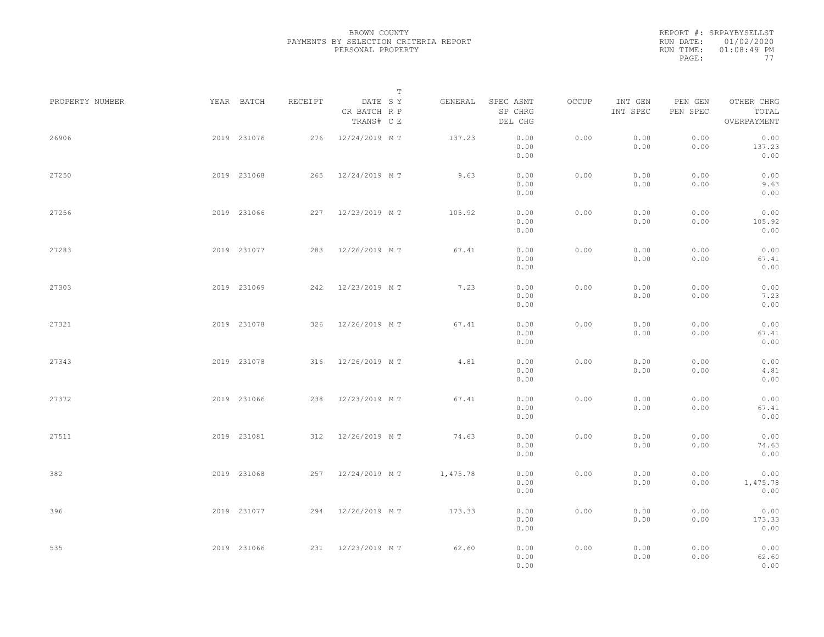|           | REPORT #: SRPAYBYSELLST |
|-----------|-------------------------|
|           | RUN DATE: 01/02/2020    |
| RUN TIME: | $01:08:49$ PM           |
| PAGE:     | 77                      |

|                 |             |         |                                       | T     |          |                                 |       |                     |                     |                                    |  |
|-----------------|-------------|---------|---------------------------------------|-------|----------|---------------------------------|-------|---------------------|---------------------|------------------------------------|--|
| PROPERTY NUMBER | YEAR BATCH  | RECEIPT | DATE SY<br>CR BATCH R P<br>TRANS# C E |       | GENERAL  | SPEC ASMT<br>SP CHRG<br>DEL CHG | OCCUP | INT GEN<br>INT SPEC | PEN GEN<br>PEN SPEC | OTHER CHRG<br>TOTAL<br>OVERPAYMENT |  |
| 26906           | 2019 231076 |         | 276 12/24/2019 MT                     |       | 137.23   | 0.00<br>0.00<br>0.00            | 0.00  | 0.00<br>0.00        | 0.00<br>0.00        | 0.00<br>137.23<br>0.00             |  |
| 27250           | 2019 231068 |         | 265 12/24/2019 MT                     |       | 9.63     | 0.00<br>0.00<br>0.00            | 0.00  | 0.00<br>0.00        | 0.00<br>0.00        | 0.00<br>9.63<br>0.00               |  |
| 27256           | 2019 231066 |         | 227 12/23/2019 MT                     |       | 105.92   | 0.00<br>0.00<br>0.00            | 0.00  | 0.00<br>0.00        | 0.00<br>0.00        | 0.00<br>105.92<br>0.00             |  |
| 27283           | 2019 231077 |         | 283 12/26/2019 MT                     |       | 67.41    | 0.00<br>0.00<br>0.00            | 0.00  | 0.00<br>0.00        | 0.00<br>0.00        | 0.00<br>67.41<br>0.00              |  |
| 27303           | 2019 231069 |         | 242 12/23/2019 MT                     |       | 7.23     | 0.00<br>0.00<br>0.00            | 0.00  | 0.00<br>0.00        | 0.00<br>0.00        | 0.00<br>7.23<br>0.00               |  |
| 27321           | 2019 231078 |         | 326 12/26/2019 MT                     |       | 67.41    | 0.00<br>0.00<br>0.00            | 0.00  | 0.00<br>0.00        | 0.00<br>0.00        | 0.00<br>67.41<br>0.00              |  |
| 27343           | 2019 231078 |         | 316 12/26/2019 MT                     |       | 4.81     | 0.00<br>0.00<br>0.00            | 0.00  | 0.00<br>0.00        | 0.00<br>0.00        | 0.00<br>4.81<br>0.00               |  |
| 27372           | 2019 231066 |         | 238 12/23/2019 MT                     |       | 67.41    | 0.00<br>0.00<br>0.00            | 0.00  | 0.00<br>0.00        | 0.00<br>0.00        | 0.00<br>67.41<br>0.00              |  |
| 27511           | 2019 231081 |         | 312 12/26/2019 MT                     |       | 74.63    | 0.00<br>0.00<br>0.00            | 0.00  | 0.00<br>0.00        | 0.00<br>0.00        | 0.00<br>74.63<br>0.00              |  |
| 382             | 2019 231068 |         | 257 12/24/2019 MT                     |       | 1,475.78 | 0.00<br>0.00<br>0.00            | 0.00  | 0.00<br>0.00        | 0.00<br>0.00        | 0.00<br>1,475.78<br>0.00           |  |
| 396             | 2019 231077 |         | 294 12/26/2019 MT                     |       | 173.33   | 0.00<br>0.00<br>0.00            | 0.00  | 0.00<br>0.00        | 0.00<br>0.00        | 0.00<br>173.33<br>0.00             |  |
| 535             | 2019 231066 |         | 231 12/23/2019 MT                     | 62.60 |          | 0.00<br>0.00<br>0.00            | 0.00  | 0.00<br>0.00        | 0.00<br>0.00        | 0.00<br>62.60<br>0.00              |  |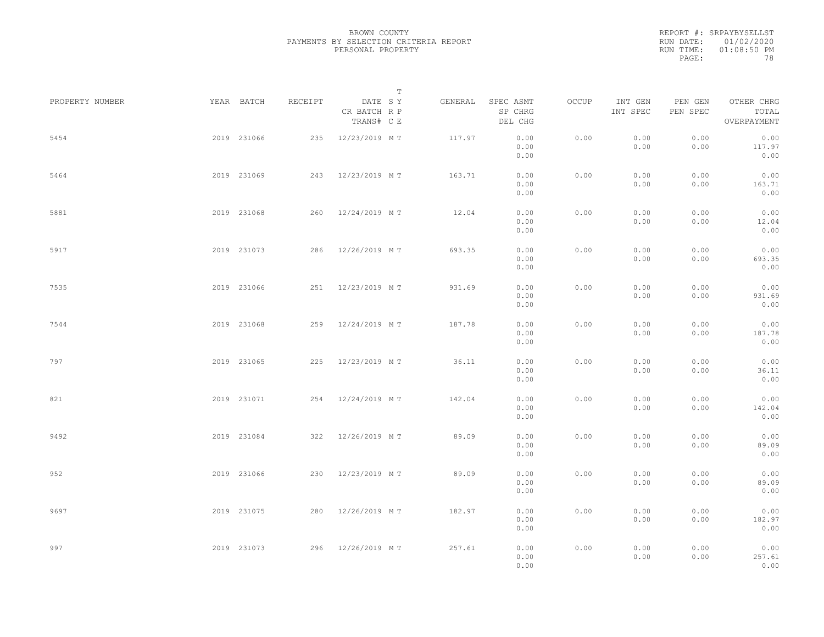REPORT #: SRPAYBYSELLST RUN DATE: 01/02/2020 RUN TIME: 01:08:50 PM PAGE: 78

|                 |             |         | $\mathbb T$                           |         |                                 |       |                     |                     |                                    |  |
|-----------------|-------------|---------|---------------------------------------|---------|---------------------------------|-------|---------------------|---------------------|------------------------------------|--|
| PROPERTY NUMBER | YEAR BATCH  | RECEIPT | DATE SY<br>CR BATCH R P<br>TRANS# C E | GENERAL | SPEC ASMT<br>SP CHRG<br>DEL CHG | OCCUP | INT GEN<br>INT SPEC | PEN GEN<br>PEN SPEC | OTHER CHRG<br>TOTAL<br>OVERPAYMENT |  |
| 5454            | 2019 231066 |         | 235 12/23/2019 MT                     | 117.97  | 0.00<br>0.00<br>0.00            | 0.00  | 0.00<br>0.00        | 0.00<br>0.00        | 0.00<br>117.97<br>0.00             |  |
| 5464            | 2019 231069 |         | 243 12/23/2019 MT                     | 163.71  | 0.00<br>0.00<br>0.00            | 0.00  | 0.00<br>0.00        | 0.00<br>0.00        | 0.00<br>163.71<br>0.00             |  |
| 5881            | 2019 231068 |         | 260 12/24/2019 MT                     | 12.04   | 0.00<br>0.00<br>0.00            | 0.00  | 0.00<br>0.00        | 0.00<br>0.00        | 0.00<br>12.04<br>0.00              |  |
| 5917            | 2019 231073 |         | 286 12/26/2019 MT                     | 693.35  | 0.00<br>0.00<br>0.00            | 0.00  | 0.00<br>0.00        | 0.00<br>0.00        | 0.00<br>693.35<br>0.00             |  |
| 7535            | 2019 231066 |         | 251 12/23/2019 MT                     | 931.69  | 0.00<br>0.00<br>0.00            | 0.00  | 0.00<br>0.00        | 0.00<br>0.00        | 0.00<br>931.69<br>0.00             |  |
| 7544            | 2019 231068 |         | 259 12/24/2019 MT                     | 187.78  | 0.00<br>0.00<br>0.00            | 0.00  | 0.00<br>0.00        | 0.00<br>0.00        | 0.00<br>187.78<br>0.00             |  |
| 797             | 2019 231065 | 225     | 12/23/2019 MT                         | 36.11   | 0.00<br>0.00                    | 0.00  | 0.00<br>0.00        | 0.00<br>0.00        | 0.00<br>36.11                      |  |
| 821             | 2019 231071 |         | 254 12/24/2019 MT                     | 142.04  | 0.00<br>0.00<br>0.00            | 0.00  | 0.00<br>0.00        | 0.00<br>0.00        | 0.00<br>0.00<br>142.04<br>0.00     |  |
| 9492            | 2019 231084 |         | 322 12/26/2019 MT                     | 89.09   | 0.00<br>0.00<br>0.00            | 0.00  | 0.00<br>0.00        | 0.00<br>0.00        | 0.00<br>89.09                      |  |
| 952             | 2019 231066 |         | 230 12/23/2019 MT                     | 89.09   | 0.00<br>0.00<br>0.00            | 0.00  | 0.00<br>0.00        | 0.00<br>0.00        | 0.00<br>0.00<br>89.09              |  |
| 9697            | 2019 231075 |         | 280 12/26/2019 MT                     | 182.97  | 0.00<br>0.00<br>0.00            | 0.00  | 0.00<br>0.00        | 0.00<br>0.00        | 0.00<br>0.00<br>182.97             |  |
| 997             | 2019 231073 |         | 296 12/26/2019 MT                     | 257.61  | 0.00<br>0.00<br>0.00<br>0.00    | 0.00  | 0.00<br>0.00        | 0.00<br>0.00        | 0.00<br>0.00<br>257.61<br>0.00     |  |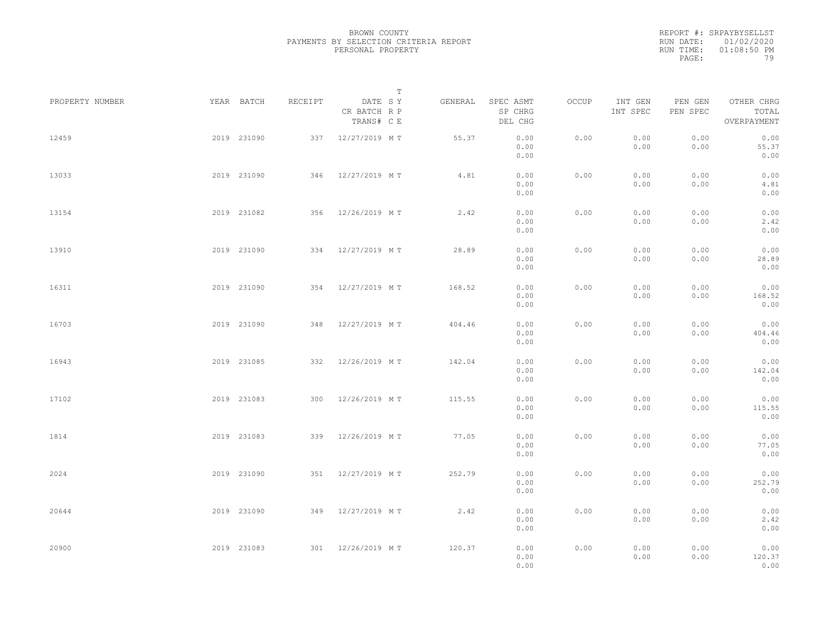|           | REPORT #: SRPAYBYSELLST |
|-----------|-------------------------|
|           | RUN DATE: 01/02/2020    |
| RUN TIME: | $01:08:50$ PM           |
| PAGE:     | 79                      |

| PROPERTY NUMBER | YEAR BATCH  | RECEIPT | DATE SY                    | $\mathbb T$ | GENERAL | SPEC ASMT            | OCCUP | INT GEN      | PEN GEN      | OTHER CHRG             |  |
|-----------------|-------------|---------|----------------------------|-------------|---------|----------------------|-------|--------------|--------------|------------------------|--|
|                 |             |         | CR BATCH R P<br>TRANS# C E |             |         | SP CHRG<br>DEL CHG   |       | INT SPEC     | PEN SPEC     | TOTAL<br>OVERPAYMENT   |  |
| 12459           | 2019 231090 |         | 337 12/27/2019 MT          |             | 55.37   | 0.00<br>0.00<br>0.00 | 0.00  | 0.00<br>0.00 | 0.00<br>0.00 | 0.00<br>55.37<br>0.00  |  |
| 13033           | 2019 231090 |         | 346 12/27/2019 MT          |             | 4.81    | 0.00<br>0.00<br>0.00 | 0.00  | 0.00<br>0.00 | 0.00<br>0.00 | 0.00<br>4.81<br>0.00   |  |
| 13154           | 2019 231082 |         | 356 12/26/2019 MT          |             | 2.42    | 0.00<br>0.00<br>0.00 | 0.00  | 0.00<br>0.00 | 0.00<br>0.00 | 0.00<br>2.42<br>0.00   |  |
| 13910           | 2019 231090 |         | 334 12/27/2019 MT          |             | 28.89   | 0.00<br>0.00<br>0.00 | 0.00  | 0.00<br>0.00 | 0.00<br>0.00 | 0.00<br>28.89<br>0.00  |  |
| 16311           | 2019 231090 |         | 354 12/27/2019 MT          |             | 168.52  | 0.00<br>0.00<br>0.00 | 0.00  | 0.00<br>0.00 | 0.00<br>0.00 | 0.00<br>168.52<br>0.00 |  |
| 16703           | 2019 231090 | 348     | 12/27/2019 MT              |             | 404.46  | 0.00<br>0.00<br>0.00 | 0.00  | 0.00<br>0.00 | 0.00<br>0.00 | 0.00<br>404.46<br>0.00 |  |
| 16943           | 2019 231085 | 332     | 12/26/2019 MT              |             | 142.04  | 0.00<br>0.00<br>0.00 | 0.00  | 0.00<br>0.00 | 0.00<br>0.00 | 0.00<br>142.04<br>0.00 |  |
| 17102           | 2019 231083 |         | 300 12/26/2019 MT          |             | 115.55  | 0.00<br>0.00<br>0.00 | 0.00  | 0.00<br>0.00 | 0.00<br>0.00 | 0.00<br>115.55<br>0.00 |  |
| 1814            | 2019 231083 |         | 339 12/26/2019 MT          |             | 77.05   | 0.00<br>0.00<br>0.00 | 0.00  | 0.00<br>0.00 | 0.00<br>0.00 | 0.00<br>77.05<br>0.00  |  |
| 2024            | 2019 231090 |         | 351 12/27/2019 MT          |             | 252.79  | 0.00<br>0.00<br>0.00 | 0.00  | 0.00<br>0.00 | 0.00<br>0.00 | 0.00<br>252.79<br>0.00 |  |
| 20644           | 2019 231090 |         | 349 12/27/2019 MT          |             | 2.42    | 0.00<br>0.00<br>0.00 | 0.00  | 0.00<br>0.00 | 0.00<br>0.00 | 0.00<br>2.42<br>0.00   |  |
| 20900           | 2019 231083 |         | 301 12/26/2019 MT          |             | 120.37  | 0.00<br>0.00<br>0.00 | 0.00  | 0.00<br>0.00 | 0.00<br>0.00 | 0.00<br>120.37<br>0.00 |  |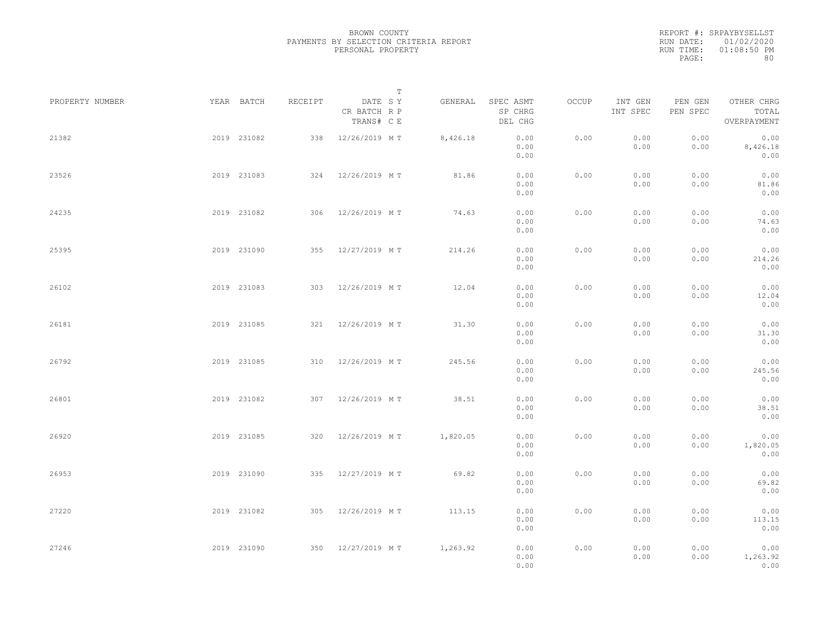|           | REPORT #: SRPAYBYSELLST |
|-----------|-------------------------|
|           | RUN DATE: 01/02/2020    |
| RUN TIME: | $01:08:50$ PM           |
| PAGE:     | 80                      |

|                 |             |         |                                       | T |          |                                 |       |                     |                     |                                    |  |
|-----------------|-------------|---------|---------------------------------------|---|----------|---------------------------------|-------|---------------------|---------------------|------------------------------------|--|
| PROPERTY NUMBER | YEAR BATCH  | RECEIPT | DATE SY<br>CR BATCH R P<br>TRANS# C E |   | GENERAL  | SPEC ASMT<br>SP CHRG<br>DEL CHG | OCCUP | INT GEN<br>INT SPEC | PEN GEN<br>PEN SPEC | OTHER CHRG<br>TOTAL<br>OVERPAYMENT |  |
| 21382           | 2019 231082 | 338     | 12/26/2019 M T                        |   | 8,426.18 | 0.00<br>0.00<br>0.00            | 0.00  | 0.00<br>0.00        | 0.00<br>0.00        | 0.00<br>8,426.18<br>0.00           |  |
| 23526           | 2019 231083 |         | 324 12/26/2019 MT                     |   | 81.86    | 0.00<br>0.00<br>0.00            | 0.00  | 0.00<br>0.00        | 0.00<br>0.00        | 0.00<br>81.86<br>0.00              |  |
| 24235           | 2019 231082 |         | 306 12/26/2019 MT                     |   | 74.63    | 0.00<br>0.00<br>0.00            | 0.00  | 0.00<br>0.00        | 0.00<br>0.00        | 0.00<br>74.63<br>0.00              |  |
| 25395           | 2019 231090 |         | 355 12/27/2019 MT                     |   | 214.26   | 0.00<br>0.00<br>0.00            | 0.00  | 0.00<br>0.00        | 0.00<br>0.00        | 0.00<br>214.26<br>0.00             |  |
| 26102           | 2019 231083 |         | 303 12/26/2019 MT                     |   | 12.04    | 0.00<br>0.00<br>0.00            | 0.00  | 0.00<br>0.00        | 0.00<br>0.00        | 0.00<br>12.04<br>0.00              |  |
| 26181           | 2019 231085 |         | 321 12/26/2019 MT                     |   | 31.30    | 0.00<br>0.00<br>0.00            | 0.00  | 0.00<br>0.00        | 0.00<br>0.00        | 0.00<br>31.30<br>0.00              |  |
| 26792           | 2019 231085 | 310     | 12/26/2019 M T                        |   | 245.56   | 0.00<br>0.00<br>0.00            | 0.00  | 0.00<br>0.00        | 0.00<br>0.00        | 0.00<br>245.56<br>0.00             |  |
| 26801           | 2019 231082 |         | 307 12/26/2019 MT                     |   | 38.51    | 0.00<br>0.00<br>0.00            | 0.00  | 0.00<br>0.00        | 0.00<br>0.00        | 0.00<br>38.51<br>0.00              |  |
| 26920           | 2019 231085 |         | 320 12/26/2019 MT                     |   | 1,820.05 | 0.00<br>0.00<br>0.00            | 0.00  | 0.00<br>0.00        | 0.00<br>0.00        | 0.00<br>1,820.05<br>0.00           |  |
| 26953           | 2019 231090 |         | 335 12/27/2019 MT                     |   | 69.82    | 0.00<br>0.00<br>0.00            | 0.00  | 0.00<br>0.00        | 0.00<br>0.00        | 0.00<br>69.82<br>0.00              |  |
| 27220           | 2019 231082 | 305     | 12/26/2019 MT                         |   | 113.15   | 0.00<br>0.00<br>0.00            | 0.00  | 0.00<br>0.00        | 0.00<br>0.00        | 0.00<br>113.15<br>0.00             |  |
| 27246           | 2019 231090 |         | 350 12/27/2019 MT                     |   | 1,263.92 | 0.00<br>0.00<br>0.00            | 0.00  | 0.00<br>0.00        | 0.00<br>0.00        | 0.00<br>1,263.92<br>0.00           |  |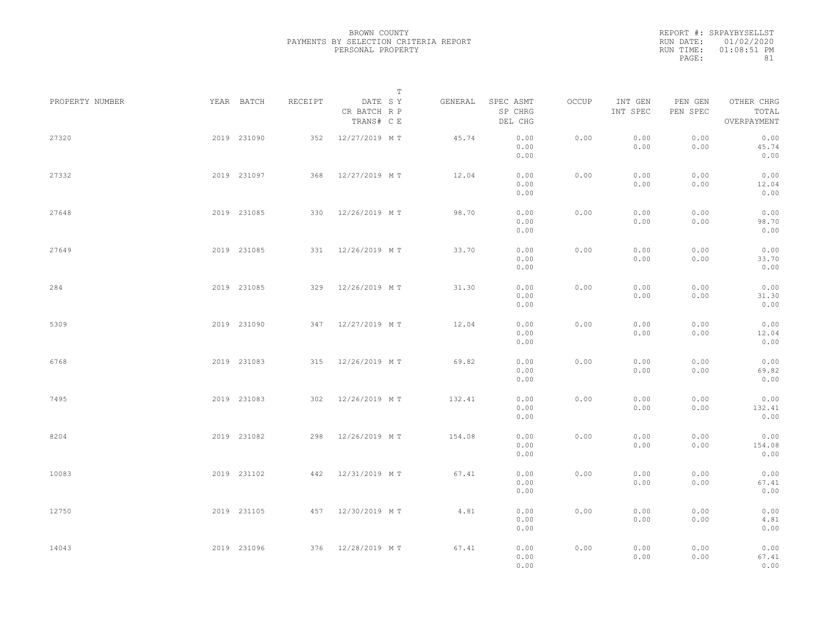|           | REPORT #: SRPAYBYSELLST |
|-----------|-------------------------|
|           | RUN DATE: 01/02/2020    |
| RUN TIME: | $01:08:51$ PM           |
| PAGE:     | 81                      |

|                 |             |             |         |                                       | $\mathbb T$ |         |                                 |       |                     |                     |                                    |  |
|-----------------|-------------|-------------|---------|---------------------------------------|-------------|---------|---------------------------------|-------|---------------------|---------------------|------------------------------------|--|
| PROPERTY NUMBER |             | YEAR BATCH  | RECEIPT | DATE SY<br>CR BATCH R P<br>TRANS# C E |             | GENERAL | SPEC ASMT<br>SP CHRG<br>DEL CHG | OCCUP | INT GEN<br>INT SPEC | PEN GEN<br>PEN SPEC | OTHER CHRG<br>TOTAL<br>OVERPAYMENT |  |
| 27320           |             | 2019 231090 |         | 352 12/27/2019 MT                     |             | 45.74   | 0.00<br>0.00<br>0.00            | 0.00  | 0.00<br>0.00        | 0.00<br>0.00        | 0.00<br>45.74<br>0.00              |  |
| 27332           |             | 2019 231097 |         | 368 12/27/2019 MT                     |             | 12.04   | 0.00<br>0.00<br>0.00            | 0.00  | 0.00<br>0.00        | 0.00<br>0.00        | 0.00<br>12.04<br>0.00              |  |
| 27648           |             | 2019 231085 |         | 330 12/26/2019 MT                     |             | 98.70   | 0.00<br>0.00<br>0.00            | 0.00  | 0.00<br>0.00        | 0.00<br>0.00        | 0.00<br>98.70<br>0.00              |  |
| 27649           |             | 2019 231085 |         | 331 12/26/2019 MT                     |             | 33.70   | 0.00<br>0.00<br>0.00            | 0.00  | 0.00<br>0.00        | 0.00<br>0.00        | 0.00<br>33.70<br>0.00              |  |
| 284             |             | 2019 231085 |         | 329 12/26/2019 MT                     |             | 31.30   | 0.00<br>0.00<br>0.00            | 0.00  | 0.00<br>0.00        | 0.00<br>0.00        | 0.00<br>31.30<br>0.00              |  |
| 5309            |             | 2019 231090 |         | 347 12/27/2019 MT                     |             | 12.04   | 0.00<br>0.00<br>0.00            | 0.00  | 0.00<br>0.00        | 0.00<br>0.00        | 0.00<br>12.04<br>0.00              |  |
| 6768            |             | 2019 231083 | 315     | 12/26/2019 MT                         |             | 69.82   | 0.00<br>0.00<br>0.00            | 0.00  | 0.00<br>0.00        | 0.00<br>0.00        | 0.00<br>69.82<br>0.00              |  |
| 7495            |             | 2019 231083 |         | 302 12/26/2019 MT                     |             | 132.41  | 0.00<br>0.00<br>0.00            | 0.00  | 0.00<br>0.00        | 0.00<br>0.00        | 0.00<br>132.41<br>0.00             |  |
| 8204            |             | 2019 231082 | 298     | 12/26/2019 MT                         |             | 154.08  | 0.00<br>0.00<br>0.00            | 0.00  | 0.00<br>0.00        | 0.00<br>0.00        | 0.00<br>154.08<br>0.00             |  |
| 10083           |             | 2019 231102 |         | 442 12/31/2019 MT                     |             | 67.41   | 0.00<br>0.00<br>0.00            | 0.00  | 0.00<br>0.00        | 0.00<br>0.00        | 0.00<br>67.41<br>0.00              |  |
| 12750           |             | 2019 231105 |         | 457 12/30/2019 MT                     |             | 4.81    | 0.00<br>0.00<br>0.00            | 0.00  | 0.00<br>0.00        | 0.00<br>0.00        | 0.00<br>4.81<br>0.00               |  |
| 14043           | 2019 231096 |             |         | 376 12/28/2019 MT                     |             | 67.41   | 0.00<br>0.00<br>0.00            | 0.00  | 0.00<br>0.00        | 0.00<br>0.00        | 0.00<br>67.41<br>0.00              |  |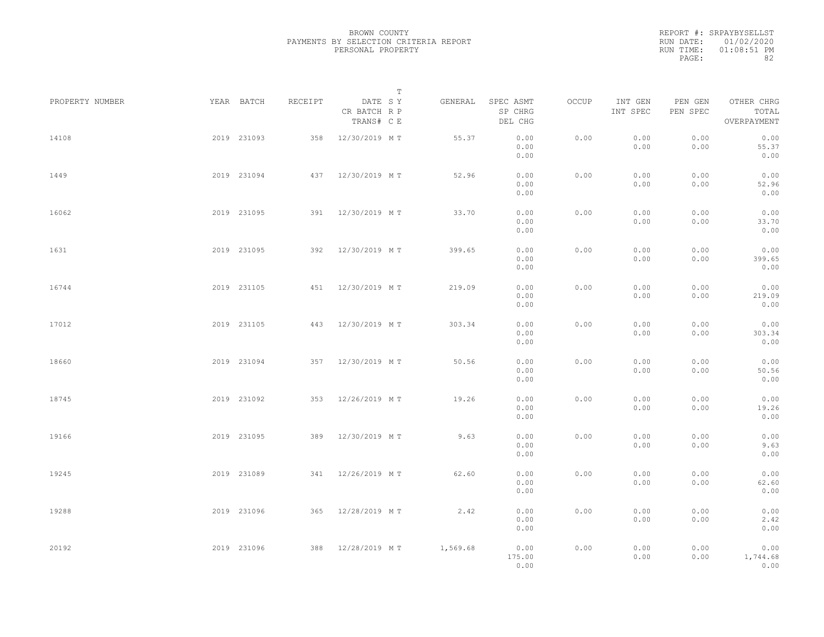|           | REPORT #: SRPAYBYSELLST |
|-----------|-------------------------|
|           | RUN DATE: 01/02/2020    |
| RUN TIME: | $01:08:51$ PM           |
| PAGE:     | 82                      |

|                 |             |             |         |                                       | $\mathbb T$ |          |                                 |       |                     |                     |                                    |  |
|-----------------|-------------|-------------|---------|---------------------------------------|-------------|----------|---------------------------------|-------|---------------------|---------------------|------------------------------------|--|
| PROPERTY NUMBER |             | YEAR BATCH  | RECEIPT | DATE SY<br>CR BATCH R P<br>TRANS# C E |             | GENERAL  | SPEC ASMT<br>SP CHRG<br>DEL CHG | OCCUP | INT GEN<br>INT SPEC | PEN GEN<br>PEN SPEC | OTHER CHRG<br>TOTAL<br>OVERPAYMENT |  |
| 14108           |             | 2019 231093 |         | 358 12/30/2019 MT                     |             | 55.37    | 0.00<br>0.00<br>0.00            | 0.00  | 0.00<br>0.00        | 0.00<br>0.00        | 0.00<br>55.37<br>0.00              |  |
| 1449            |             | 2019 231094 |         | 437 12/30/2019 MT                     |             | 52.96    | 0.00<br>0.00<br>0.00            | 0.00  | 0.00<br>0.00        | 0.00<br>0.00        | 0.00<br>52.96<br>0.00              |  |
| 16062           |             | 2019 231095 |         | 391 12/30/2019 MT                     |             | 33.70    | 0.00<br>0.00<br>0.00            | 0.00  | 0.00<br>0.00        | 0.00<br>0.00        | 0.00<br>33.70<br>0.00              |  |
| 1631            |             | 2019 231095 |         | 392 12/30/2019 MT                     |             | 399.65   | 0.00<br>0.00<br>0.00            | 0.00  | 0.00<br>0.00        | 0.00<br>0.00        | 0.00<br>399.65<br>0.00             |  |
| 16744           |             | 2019 231105 |         | 451 12/30/2019 MT                     |             | 219.09   | 0.00<br>0.00<br>0.00            | 0.00  | 0.00<br>0.00        | 0.00<br>0.00        | 0.00<br>219.09<br>0.00             |  |
| 17012           |             | 2019 231105 | 443     | 12/30/2019 MT                         |             | 303.34   | 0.00<br>0.00<br>0.00            | 0.00  | 0.00<br>0.00        | 0.00<br>0.00        | 0.00<br>303.34<br>0.00             |  |
| 18660           |             | 2019 231094 |         | 357 12/30/2019 MT                     |             | 50.56    | 0.00<br>0.00<br>0.00            | 0.00  | 0.00<br>0.00        | 0.00<br>0.00        | 0.00<br>50.56<br>0.00              |  |
| 18745           |             | 2019 231092 |         | 353 12/26/2019 MT                     |             | 19.26    | 0.00<br>0.00<br>0.00            | 0.00  | 0.00<br>0.00        | 0.00<br>0.00        | 0.00<br>19.26<br>0.00              |  |
| 19166           |             | 2019 231095 |         | 389 12/30/2019 MT                     |             | 9.63     | 0.00<br>0.00<br>0.00            | 0.00  | 0.00<br>0.00        | 0.00<br>0.00        | 0.00<br>9.63<br>0.00               |  |
| 19245           |             | 2019 231089 |         | 341 12/26/2019 MT                     |             | 62.60    | 0.00<br>0.00<br>0.00            | 0.00  | 0.00<br>0.00        | 0.00<br>0.00        | 0.00<br>62.60<br>0.00              |  |
| 19288           |             | 2019 231096 |         | 365 12/28/2019 MT                     |             | 2.42     | 0.00<br>0.00<br>0.00            | 0.00  | 0.00<br>0.00        | 0.00<br>0.00        | 0.00<br>2.42<br>0.00               |  |
| 20192           | 2019 231096 |             |         | 388 12/28/2019 MT                     |             | 1,569.68 | 0.00<br>175.00<br>0.00          | 0.00  | 0.00<br>0.00        | 0.00<br>0.00        | 0.00<br>1,744.68<br>0.00           |  |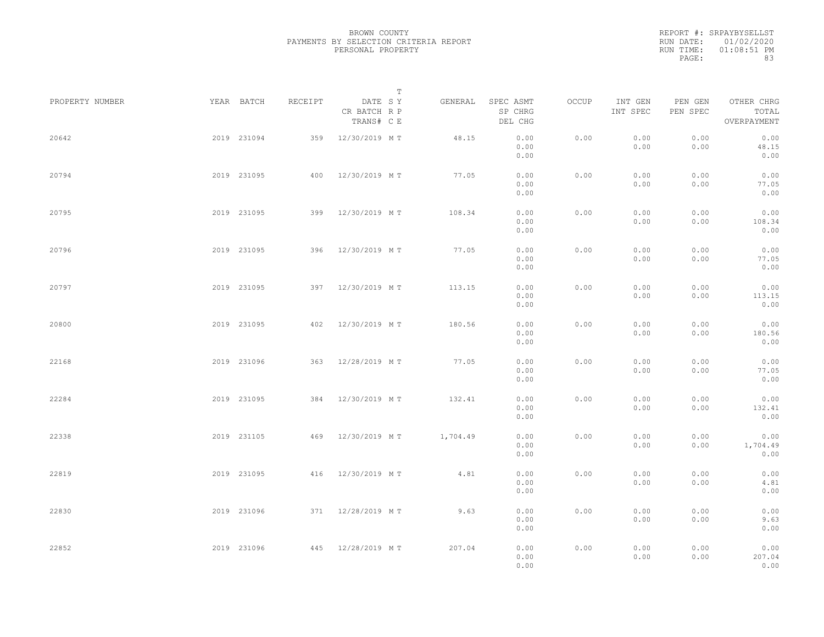|           | REPORT #: SRPAYBYSELLST |
|-----------|-------------------------|
|           | RUN DATE: 01/02/2020    |
| RUN TIME: | $01:08:51$ PM           |
| PAGE:     | 83                      |

|                 |             |             |         | $\mathbb T$                           |          |                                 |       |                     |                     |                                    |  |
|-----------------|-------------|-------------|---------|---------------------------------------|----------|---------------------------------|-------|---------------------|---------------------|------------------------------------|--|
| PROPERTY NUMBER |             | YEAR BATCH  | RECEIPT | DATE SY<br>CR BATCH R P<br>TRANS# C E | GENERAL  | SPEC ASMT<br>SP CHRG<br>DEL CHG | OCCUP | INT GEN<br>INT SPEC | PEN GEN<br>PEN SPEC | OTHER CHRG<br>TOTAL<br>OVERPAYMENT |  |
| 20642           |             | 2019 231094 | 359     | 12/30/2019 MT                         | 48.15    | 0.00<br>0.00<br>0.00            | 0.00  | 0.00<br>0.00        | 0.00<br>0.00        | 0.00<br>48.15<br>0.00              |  |
| 20794           |             | 2019 231095 | 400     | 12/30/2019 MT                         | 77.05    | 0.00<br>0.00<br>0.00            | 0.00  | 0.00<br>0.00        | 0.00<br>0.00        | 0.00<br>77.05<br>0.00              |  |
| 20795           |             | 2019 231095 | 399     | 12/30/2019 MT                         | 108.34   | 0.00<br>0.00<br>0.00            | 0.00  | 0.00<br>0.00        | 0.00<br>0.00        | 0.00<br>108.34<br>0.00             |  |
| 20796           |             | 2019 231095 |         | 396 12/30/2019 MT                     | 77.05    | 0.00<br>0.00<br>0.00            | 0.00  | 0.00<br>0.00        | 0.00<br>0.00        | 0.00<br>77.05<br>0.00              |  |
| 20797           |             | 2019 231095 |         | 397 12/30/2019 MT                     | 113.15   | 0.00<br>0.00<br>0.00            | 0.00  | 0.00<br>0.00        | 0.00<br>0.00        | 0.00<br>113.15<br>0.00             |  |
| 20800           |             | 2019 231095 | 402     | 12/30/2019 MT                         | 180.56   | 0.00<br>0.00<br>0.00            | 0.00  | 0.00<br>0.00        | 0.00<br>0.00        | 0.00<br>180.56<br>0.00             |  |
| 22168           |             | 2019 231096 | 363     | 12/28/2019 MT                         | 77.05    | 0.00<br>0.00<br>0.00            | 0.00  | 0.00<br>0.00        | 0.00<br>0.00        | 0.00<br>77.05<br>0.00              |  |
| 22284           |             | 2019 231095 | 384     | 12/30/2019 MT                         | 132.41   | 0.00<br>0.00<br>0.00            | 0.00  | 0.00<br>0.00        | 0.00<br>0.00        | 0.00<br>132.41<br>0.00             |  |
| 22338           |             | 2019 231105 | 469     | 12/30/2019 MT                         | 1,704.49 | 0.00<br>0.00<br>0.00            | 0.00  | 0.00<br>0.00        | 0.00<br>0.00        | 0.00<br>1,704.49<br>0.00           |  |
| 22819           |             | 2019 231095 |         | 416 12/30/2019 MT                     | 4.81     | 0.00<br>0.00<br>0.00            | 0.00  | 0.00<br>0.00        | 0.00<br>0.00        | 0.00<br>4.81<br>0.00               |  |
| 22830           |             | 2019 231096 |         | 371 12/28/2019 MT                     | 9.63     | 0.00<br>0.00                    | 0.00  | 0.00<br>0.00        | 0.00<br>0.00        | 0.00<br>9.63<br>0.00               |  |
| 22852           | 2019 231096 |             |         | 445 12/28/2019 MT                     | 207.04   | 0.00<br>0.00<br>0.00<br>0.00    | 0.00  | 0.00<br>0.00        | 0.00<br>0.00        | 0.00<br>207.04<br>0.00             |  |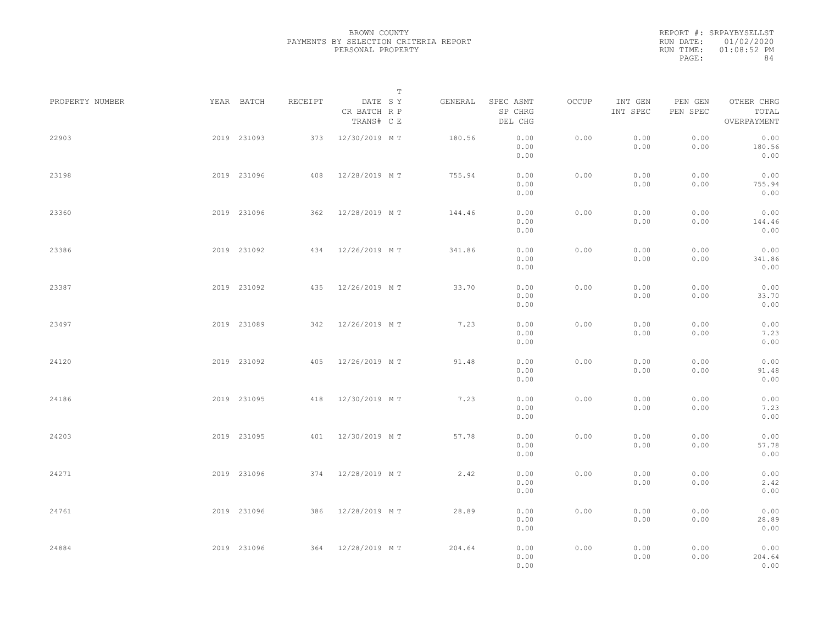|           | REPORT #: SRPAYBYSELLST |
|-----------|-------------------------|
|           | RUN DATE: 01/02/2020    |
| RUN TIME: | $01:08:52$ PM           |
| PAGE:     | 84                      |

|                 |             |             |         | $\mathbb T$                           |         |                                 |       |                     |                     |                                    |  |
|-----------------|-------------|-------------|---------|---------------------------------------|---------|---------------------------------|-------|---------------------|---------------------|------------------------------------|--|
| PROPERTY NUMBER |             | YEAR BATCH  | RECEIPT | DATE SY<br>CR BATCH R P<br>TRANS# C E | GENERAL | SPEC ASMT<br>SP CHRG<br>DEL CHG | OCCUP | INT GEN<br>INT SPEC | PEN GEN<br>PEN SPEC | OTHER CHRG<br>TOTAL<br>OVERPAYMENT |  |
| 22903           |             | 2019 231093 |         | 373 12/30/2019 MT                     | 180.56  | 0.00<br>0.00<br>0.00            | 0.00  | 0.00<br>0.00        | 0.00<br>0.00        | 0.00<br>180.56<br>0.00             |  |
| 23198           |             | 2019 231096 |         | 408 12/28/2019 MT                     | 755.94  | 0.00<br>0.00<br>0.00            | 0.00  | 0.00<br>0.00        | 0.00<br>0.00        | 0.00<br>755.94<br>0.00             |  |
| 23360           |             | 2019 231096 |         | 362 12/28/2019 MT                     | 144.46  | 0.00<br>0.00<br>0.00            | 0.00  | 0.00<br>0.00        | 0.00<br>0.00        | 0.00<br>144.46<br>0.00             |  |
| 23386           |             | 2019 231092 |         | 434 12/26/2019 MT                     | 341.86  | 0.00<br>0.00<br>0.00            | 0.00  | 0.00<br>0.00        | 0.00<br>0.00        | 0.00<br>341.86<br>0.00             |  |
| 23387           |             | 2019 231092 |         | 435 12/26/2019 MT                     | 33.70   | 0.00<br>0.00<br>0.00            | 0.00  | 0.00<br>0.00        | 0.00<br>0.00        | 0.00<br>33.70<br>0.00              |  |
| 23497           |             | 2019 231089 |         | 342 12/26/2019 MT                     | 7.23    | 0.00<br>0.00<br>0.00            | 0.00  | 0.00<br>0.00        | 0.00<br>0.00        | 0.00<br>7.23<br>0.00               |  |
| 24120           |             | 2019 231092 | 405     | 12/26/2019 MT                         | 91.48   | 0.00<br>0.00<br>0.00            | 0.00  | 0.00<br>0.00        | 0.00<br>0.00        | 0.00<br>91.48<br>0.00              |  |
| 24186           |             | 2019 231095 | 418     | 12/30/2019 MT                         | 7.23    | 0.00<br>0.00<br>0.00            | 0.00  | 0.00<br>0.00        | 0.00<br>0.00        | 0.00<br>7.23<br>0.00               |  |
| 24203           |             | 2019 231095 | 401     | 12/30/2019 MT                         | 57.78   | 0.00<br>0.00<br>0.00            | 0.00  | 0.00<br>0.00        | 0.00<br>0.00        | 0.00<br>57.78<br>0.00              |  |
| 24271           |             | 2019 231096 |         | 374 12/28/2019 MT                     | 2.42    | 0.00<br>0.00<br>0.00            | 0.00  | 0.00<br>0.00        | 0.00<br>0.00        | 0.00<br>2.42<br>0.00               |  |
| 24761           |             | 2019 231096 |         | 386 12/28/2019 MT                     | 28.89   | 0.00<br>0.00<br>0.00            | 0.00  | 0.00<br>0.00        | 0.00<br>0.00        | 0.00<br>28.89<br>0.00              |  |
| 24884           | 2019 231096 |             |         | 364 12/28/2019 MT                     | 204.64  | 0.00<br>0.00<br>0.00            | 0.00  | 0.00<br>0.00        | 0.00<br>0.00        | 0.00<br>204.64<br>0.00             |  |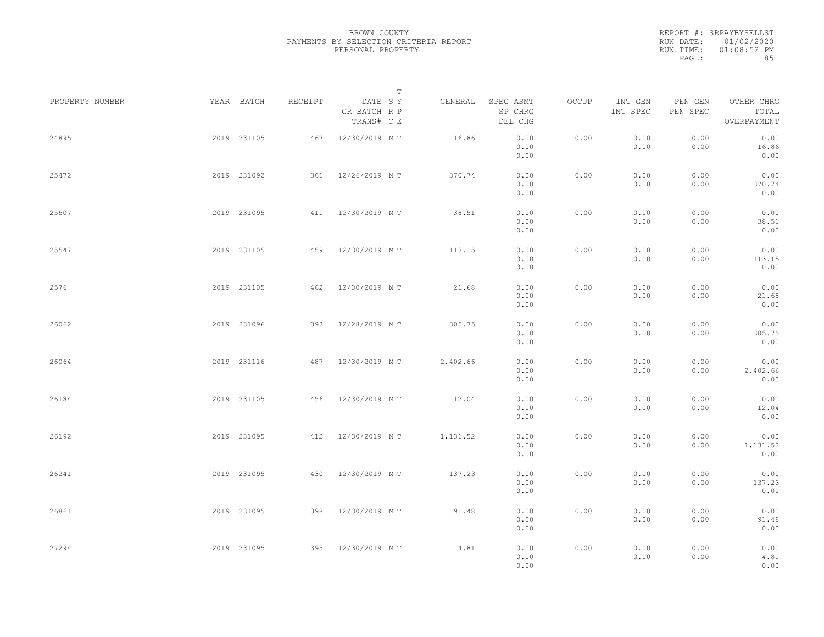|           | REPORT #: SRPAYBYSELLST |
|-----------|-------------------------|
|           | RUN DATE: 01/02/2020    |
| RUN TIME: | $01:08:52$ PM           |
| PAGE:     | 85                      |

|                 |             |             |         |                                       | $\mathbb T$ |          |                                 |       |                     |                     |                                    |  |
|-----------------|-------------|-------------|---------|---------------------------------------|-------------|----------|---------------------------------|-------|---------------------|---------------------|------------------------------------|--|
| PROPERTY NUMBER |             | YEAR BATCH  | RECEIPT | DATE SY<br>CR BATCH R P<br>TRANS# C E |             | GENERAL  | SPEC ASMT<br>SP CHRG<br>DEL CHG | OCCUP | INT GEN<br>INT SPEC | PEN GEN<br>PEN SPEC | OTHER CHRG<br>TOTAL<br>OVERPAYMENT |  |
| 24895           |             | 2019 231105 |         | 467 12/30/2019 MT                     |             | 16.86    | 0.00<br>0.00<br>0.00            | 0.00  | 0.00<br>0.00        | 0.00<br>0.00        | 0.00<br>16.86<br>0.00              |  |
| 25472           |             | 2019 231092 |         | 361 12/26/2019 MT                     |             | 370.74   | 0.00<br>0.00<br>0.00            | 0.00  | 0.00<br>0.00        | 0.00<br>0.00        | 0.00<br>370.74<br>0.00             |  |
| 25507           |             | 2019 231095 |         | 411 12/30/2019 MT                     |             | 38.51    | 0.00<br>0.00<br>0.00            | 0.00  | 0.00<br>0.00        | 0.00<br>0.00        | 0.00<br>38.51<br>0.00              |  |
| 25547           |             | 2019 231105 |         | 459 12/30/2019 MT                     |             | 113.15   | 0.00<br>0.00<br>0.00            | 0.00  | 0.00<br>0.00        | 0.00<br>0.00        | 0.00<br>113.15<br>0.00             |  |
| 2576            |             | 2019 231105 |         | 462 12/30/2019 MT                     |             | 21.68    | 0.00<br>0.00<br>0.00            | 0.00  | 0.00<br>0.00        | 0.00<br>0.00        | 0.00<br>21.68<br>0.00              |  |
| 26062           |             | 2019 231096 | 393     | 12/28/2019 MT                         |             | 305.75   | 0.00<br>0.00<br>0.00            | 0.00  | 0.00<br>0.00        | 0.00<br>0.00        | 0.00<br>305.75<br>0.00             |  |
| 26064           |             | 2019 231116 | 487     | 12/30/2019 MT                         |             | 2,402.66 | 0.00<br>0.00<br>0.00            | 0.00  | 0.00<br>0.00        | 0.00<br>0.00        | 0.00<br>2,402.66<br>0.00           |  |
| 26184           |             | 2019 231105 |         | 456 12/30/2019 MT                     |             | 12.04    | 0.00<br>0.00<br>0.00            | 0.00  | 0.00<br>0.00        | 0.00<br>0.00        | 0.00<br>12.04<br>0.00              |  |
| 26192           |             | 2019 231095 |         | 412 12/30/2019 MT                     |             | 1,131.52 | 0.00<br>0.00<br>0.00            | 0.00  | 0.00<br>0.00        | 0.00<br>0.00        | 0.00<br>1,131.52<br>0.00           |  |
| 26241           |             | 2019 231095 |         | 430 12/30/2019 MT                     |             | 137.23   | 0.00<br>0.00<br>0.00            | 0.00  | 0.00<br>0.00        | 0.00<br>0.00        | 0.00<br>137.23<br>0.00             |  |
| 26861           |             | 2019 231095 |         | 398 12/30/2019 MT                     |             | 91.48    | 0.00<br>0.00                    | 0.00  | 0.00<br>0.00        | 0.00<br>0.00        | 0.00<br>91.48                      |  |
| 27294           | 2019 231095 |             |         | 395 12/30/2019 MT                     |             | 4.81     | 0.00<br>0.00<br>0.00<br>0.00    | 0.00  | 0.00<br>0.00        | 0.00<br>0.00        | 0.00<br>0.00<br>4.81<br>0.00       |  |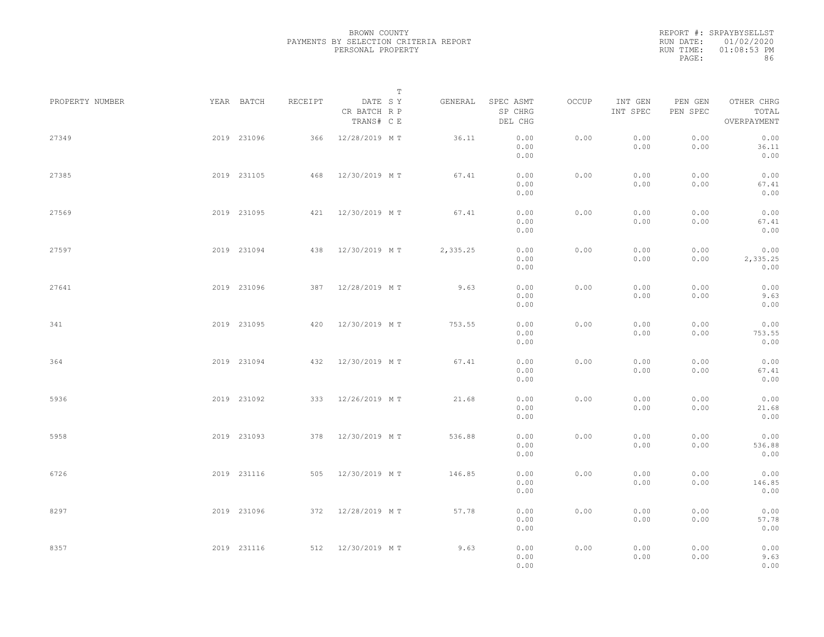|           | REPORT #: SRPAYBYSELLST |
|-----------|-------------------------|
|           | RUN DATE: 01/02/2020    |
| RUN TIME: | $01:08:53$ PM           |
| PAGE:     | 86                      |

|                 |             |             |         |                                       | T |          |                                 |       |                     |                     |                                    |  |
|-----------------|-------------|-------------|---------|---------------------------------------|---|----------|---------------------------------|-------|---------------------|---------------------|------------------------------------|--|
| PROPERTY NUMBER |             | YEAR BATCH  | RECEIPT | DATE SY<br>CR BATCH R P<br>TRANS# C E |   | GENERAL  | SPEC ASMT<br>SP CHRG<br>DEL CHG | OCCUP | INT GEN<br>INT SPEC | PEN GEN<br>PEN SPEC | OTHER CHRG<br>TOTAL<br>OVERPAYMENT |  |
| 27349           |             | 2019 231096 | 366     | 12/28/2019 MT                         |   | 36.11    | 0.00<br>0.00<br>0.00            | 0.00  | 0.00<br>0.00        | 0.00<br>0.00        | 0.00<br>36.11<br>0.00              |  |
| 27385           |             | 2019 231105 |         | 468 12/30/2019 MT                     |   | 67.41    | 0.00<br>0.00<br>0.00            | 0.00  | 0.00<br>0.00        | 0.00<br>0.00        | 0.00<br>67.41<br>0.00              |  |
| 27569           |             | 2019 231095 |         | 421 12/30/2019 MT                     |   | 67.41    | 0.00<br>0.00<br>0.00            | 0.00  | 0.00<br>0.00        | 0.00<br>0.00        | 0.00<br>67.41<br>0.00              |  |
| 27597           |             | 2019 231094 |         | 438 12/30/2019 MT                     |   | 2,335.25 | 0.00<br>0.00<br>0.00            | 0.00  | 0.00<br>0.00        | 0.00<br>0.00        | 0.00<br>2,335.25<br>0.00           |  |
| 27641           |             | 2019 231096 |         | 387 12/28/2019 MT                     |   | 9.63     | 0.00<br>0.00<br>0.00            | 0.00  | 0.00<br>0.00        | 0.00<br>0.00        | 0.00<br>9.63<br>0.00               |  |
| 341             |             | 2019 231095 |         | 420 12/30/2019 MT                     |   | 753.55   | 0.00<br>0.00<br>0.00            | 0.00  | 0.00<br>0.00        | 0.00<br>0.00        | 0.00<br>753.55<br>0.00             |  |
| 364             |             | 2019 231094 | 432     | 12/30/2019 MT                         |   | 67.41    | 0.00<br>0.00<br>0.00            | 0.00  | 0.00<br>0.00        | 0.00<br>0.00        | 0.00<br>67.41<br>0.00              |  |
| 5936            |             | 2019 231092 |         | 333 12/26/2019 MT                     |   | 21.68    | 0.00<br>0.00<br>0.00            | 0.00  | 0.00<br>0.00        | 0.00<br>0.00        | 0.00<br>21.68<br>0.00              |  |
| 5958            |             | 2019 231093 |         | 378 12/30/2019 MT                     |   | 536.88   | 0.00<br>0.00<br>0.00            | 0.00  | 0.00<br>0.00        | 0.00<br>0.00        | 0.00<br>536.88<br>0.00             |  |
| 6726            |             | 2019 231116 |         | 505 12/30/2019 MT                     |   | 146.85   | 0.00<br>0.00<br>0.00            | 0.00  | 0.00<br>0.00        | 0.00<br>0.00        | 0.00<br>146.85<br>0.00             |  |
| 8297            |             | 2019 231096 |         | 372 12/28/2019 MT                     |   | 57.78    | 0.00<br>0.00<br>0.00            | 0.00  | 0.00<br>0.00        | 0.00<br>0.00        | 0.00<br>57.78<br>0.00              |  |
| 8357            | 2019 231116 |             |         | 512 12/30/2019 MT                     |   | 9.63     | 0.00<br>0.00<br>0.00            | 0.00  | 0.00<br>0.00        | 0.00<br>0.00        | 0.00<br>9.63<br>0.00               |  |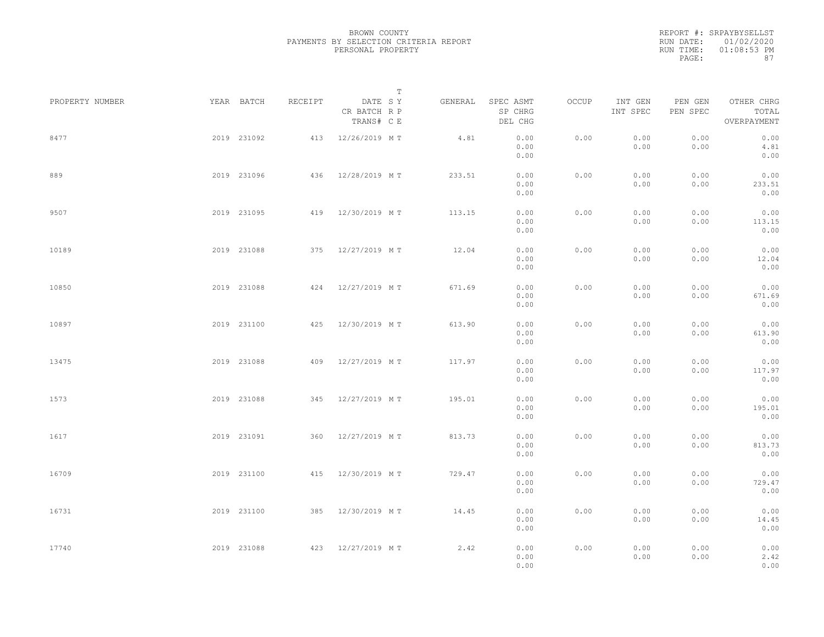|           | REPORT #: SRPAYBYSELLST |
|-----------|-------------------------|
|           | RUN DATE: 01/02/2020    |
| RUN TIME: | $01:08:53$ PM           |
| PAGE:     | 87                      |

|                 |             |             |         | T                                     |         |                                 |       |                     |                     |                                    |  |
|-----------------|-------------|-------------|---------|---------------------------------------|---------|---------------------------------|-------|---------------------|---------------------|------------------------------------|--|
| PROPERTY NUMBER |             | YEAR BATCH  | RECEIPT | DATE SY<br>CR BATCH R P<br>TRANS# C E | GENERAL | SPEC ASMT<br>SP CHRG<br>DEL CHG | OCCUP | INT GEN<br>INT SPEC | PEN GEN<br>PEN SPEC | OTHER CHRG<br>TOTAL<br>OVERPAYMENT |  |
| 8477            |             | 2019 231092 |         | 413 12/26/2019 MT                     | 4.81    | 0.00<br>0.00<br>0.00            | 0.00  | 0.00<br>0.00        | 0.00<br>0.00        | 0.00<br>4.81<br>0.00               |  |
| 889             |             | 2019 231096 |         | 436 12/28/2019 MT                     | 233.51  | 0.00<br>0.00<br>0.00            | 0.00  | 0.00<br>0.00        | 0.00<br>0.00        | 0.00<br>233.51<br>0.00             |  |
| 9507            |             | 2019 231095 |         | 419 12/30/2019 MT                     | 113.15  | 0.00<br>0.00<br>0.00            | 0.00  | 0.00<br>0.00        | 0.00<br>0.00        | 0.00<br>113.15<br>0.00             |  |
| 10189           |             | 2019 231088 |         | 375 12/27/2019 MT                     | 12.04   | 0.00<br>0.00<br>0.00            | 0.00  | 0.00<br>0.00        | 0.00<br>0.00        | 0.00<br>12.04<br>0.00              |  |
| 10850           |             | 2019 231088 |         | 424 12/27/2019 MT                     | 671.69  | 0.00<br>0.00<br>0.00            | 0.00  | 0.00<br>0.00        | 0.00<br>0.00        | 0.00<br>671.69<br>0.00             |  |
| 10897           |             | 2019 231100 |         | 425 12/30/2019 MT                     | 613.90  | 0.00<br>0.00<br>0.00            | 0.00  | 0.00<br>0.00        | 0.00<br>0.00        | 0.00<br>613.90<br>0.00             |  |
| 13475           |             | 2019 231088 | 409     | 12/27/2019 MT                         | 117.97  | 0.00<br>0.00<br>0.00            | 0.00  | 0.00<br>0.00        | 0.00<br>0.00        | 0.00<br>117.97<br>0.00             |  |
| 1573            |             | 2019 231088 |         | 345 12/27/2019 MT                     | 195.01  | 0.00<br>0.00<br>0.00            | 0.00  | 0.00<br>0.00        | 0.00<br>0.00        | 0.00<br>195.01<br>0.00             |  |
| 1617            |             | 2019 231091 | 360     | 12/27/2019 MT                         | 813.73  | 0.00<br>0.00<br>0.00            | 0.00  | 0.00<br>0.00        | 0.00<br>0.00        | 0.00<br>813.73<br>0.00             |  |
| 16709           |             | 2019 231100 |         | 415 12/30/2019 MT                     | 729.47  | 0.00<br>0.00<br>0.00            | 0.00  | 0.00<br>0.00        | 0.00<br>0.00        | 0.00<br>729.47<br>0.00             |  |
| 16731           |             | 2019 231100 |         | 385 12/30/2019 MT                     | 14.45   | 0.00<br>0.00<br>0.00            | 0.00  | 0.00<br>0.00        | 0.00<br>0.00        | 0.00<br>14.45<br>0.00              |  |
| 17740           | 2019 231088 |             |         | 423 12/27/2019 MT                     | 2.42    | 0.00<br>0.00<br>0.00            | 0.00  | 0.00<br>0.00        | 0.00<br>0.00        | 0.00<br>2.42<br>0.00               |  |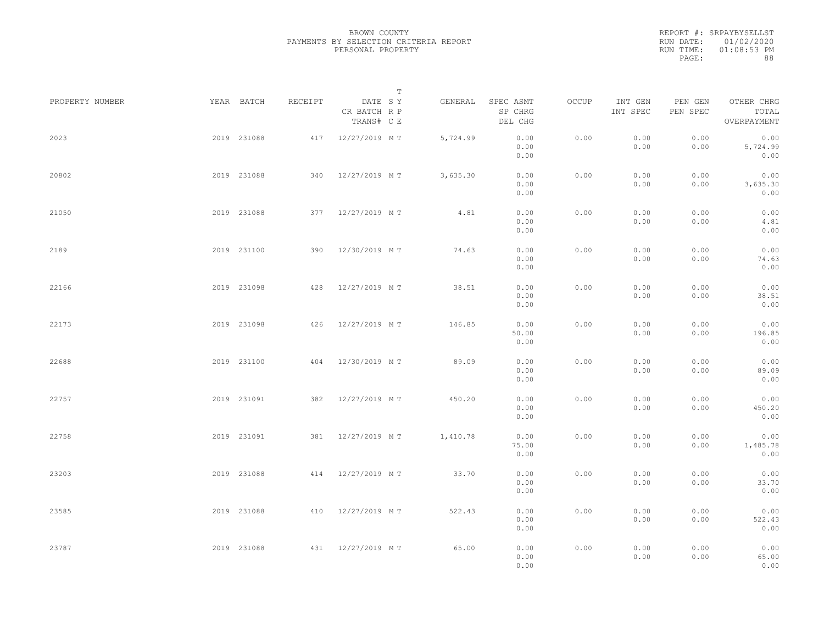|           | REPORT #: SRPAYBYSELLST |
|-----------|-------------------------|
|           | RUN DATE: 01/02/2020    |
| RUN TIME: | $01:08:53$ PM           |
| PAGE:     | 88                      |

|                 |             |             |         |                                       | $\mathbb T$ |          |                                 |       |                     |                     |                                    |  |
|-----------------|-------------|-------------|---------|---------------------------------------|-------------|----------|---------------------------------|-------|---------------------|---------------------|------------------------------------|--|
| PROPERTY NUMBER |             | YEAR BATCH  | RECEIPT | DATE SY<br>CR BATCH R P<br>TRANS# C E |             | GENERAL  | SPEC ASMT<br>SP CHRG<br>DEL CHG | OCCUP | INT GEN<br>INT SPEC | PEN GEN<br>PEN SPEC | OTHER CHRG<br>TOTAL<br>OVERPAYMENT |  |
| 2023            |             | 2019 231088 |         | 417 12/27/2019 MT                     |             | 5,724.99 | 0.00<br>0.00<br>0.00            | 0.00  | 0.00<br>0.00        | 0.00<br>0.00        | 0.00<br>5,724.99<br>0.00           |  |
| 20802           |             | 2019 231088 |         | 340 12/27/2019 MT                     |             | 3,635.30 | 0.00<br>0.00<br>0.00            | 0.00  | 0.00<br>0.00        | 0.00<br>0.00        | 0.00<br>3,635.30<br>0.00           |  |
| 21050           |             | 2019 231088 |         | 377 12/27/2019 MT                     |             | 4.81     | 0.00<br>0.00<br>0.00            | 0.00  | 0.00<br>0.00        | 0.00<br>0.00        | 0.00<br>4.81<br>0.00               |  |
| 2189            |             | 2019 231100 |         | 390 12/30/2019 MT                     |             | 74.63    | 0.00<br>0.00<br>0.00            | 0.00  | 0.00<br>0.00        | 0.00<br>0.00        | 0.00<br>74.63<br>0.00              |  |
| 22166           |             | 2019 231098 |         | 428 12/27/2019 MT                     |             | 38.51    | 0.00<br>0.00<br>0.00            | 0.00  | 0.00<br>0.00        | 0.00<br>0.00        | 0.00<br>38.51<br>0.00              |  |
| 22173           |             | 2019 231098 | 426     | 12/27/2019 MT                         |             | 146.85   | 0.00<br>50.00<br>0.00           | 0.00  | 0.00<br>0.00        | 0.00<br>0.00        | 0.00<br>196.85<br>0.00             |  |
| 22688           |             | 2019 231100 | 404     | 12/30/2019 MT                         |             | 89.09    | 0.00<br>0.00<br>0.00            | 0.00  | 0.00<br>0.00        | 0.00<br>0.00        | 0.00<br>89.09<br>0.00              |  |
| 22757           |             | 2019 231091 |         | 382 12/27/2019 MT                     |             | 450.20   | 0.00<br>0.00<br>0.00            | 0.00  | 0.00<br>0.00        | 0.00<br>0.00        | 0.00<br>450.20<br>0.00             |  |
| 22758           |             | 2019 231091 |         | 381 12/27/2019 MT                     |             | 1,410.78 | 0.00<br>75.00<br>0.00           | 0.00  | 0.00<br>0.00        | 0.00<br>0.00        | 0.00<br>1,485.78<br>0.00           |  |
| 23203           |             | 2019 231088 |         | 414 12/27/2019 MT                     |             | 33.70    | 0.00<br>0.00<br>0.00            | 0.00  | 0.00<br>0.00        | 0.00<br>0.00        | 0.00<br>33.70<br>0.00              |  |
| 23585           |             | 2019 231088 |         | 410 12/27/2019 MT                     |             | 522.43   | 0.00<br>0.00<br>0.00            | 0.00  | 0.00<br>0.00        | 0.00<br>0.00        | 0.00<br>522.43<br>0.00             |  |
| 23787           | 2019 231088 |             |         | 431 12/27/2019 MT                     |             | 65.00    | 0.00<br>0.00<br>0.00            | 0.00  | 0.00<br>0.00        | 0.00<br>0.00        | 0.00<br>65.00<br>0.00              |  |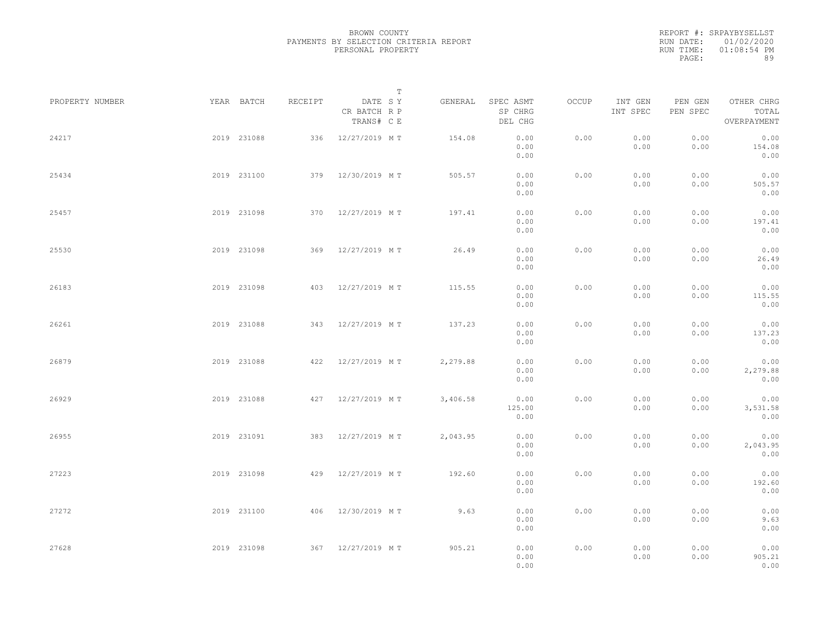|           | REPORT #: SRPAYBYSELLST |
|-----------|-------------------------|
|           | RUN DATE: 01/02/2020    |
| RUN TIME: | $01:08:54$ PM           |
| PAGE:     | 89                      |

|                 |             |             |         |                                       | $\mathbb T$ |          |                                 |       |                     |                     |                                    |  |
|-----------------|-------------|-------------|---------|---------------------------------------|-------------|----------|---------------------------------|-------|---------------------|---------------------|------------------------------------|--|
| PROPERTY NUMBER |             | YEAR BATCH  | RECEIPT | DATE SY<br>CR BATCH R P<br>TRANS# C E |             | GENERAL  | SPEC ASMT<br>SP CHRG<br>DEL CHG | OCCUP | INT GEN<br>INT SPEC | PEN GEN<br>PEN SPEC | OTHER CHRG<br>TOTAL<br>OVERPAYMENT |  |
| 24217           |             | 2019 231088 |         | 336 12/27/2019 MT                     |             | 154.08   | 0.00<br>0.00<br>0.00            | 0.00  | 0.00<br>0.00        | 0.00<br>0.00        | 0.00<br>154.08<br>0.00             |  |
| 25434           |             | 2019 231100 |         | 379 12/30/2019 MT                     |             | 505.57   | 0.00<br>0.00<br>0.00            | 0.00  | 0.00<br>0.00        | 0.00<br>0.00        | 0.00<br>505.57<br>0.00             |  |
| 25457           |             | 2019 231098 |         | 370 12/27/2019 MT                     |             | 197.41   | 0.00<br>0.00<br>0.00            | 0.00  | 0.00<br>0.00        | 0.00<br>0.00        | 0.00<br>197.41<br>0.00             |  |
| 25530           |             | 2019 231098 |         | 369 12/27/2019 MT                     |             | 26.49    | 0.00<br>0.00<br>0.00            | 0.00  | 0.00<br>0.00        | 0.00<br>0.00        | 0.00<br>26.49<br>0.00              |  |
| 26183           |             | 2019 231098 |         | 403 12/27/2019 MT                     |             | 115.55   | 0.00<br>0.00<br>0.00            | 0.00  | 0.00<br>0.00        | 0.00<br>0.00        | 0.00<br>115.55<br>0.00             |  |
| 26261           |             | 2019 231088 | 343     | 12/27/2019 MT                         |             | 137.23   | 0.00<br>0.00<br>0.00            | 0.00  | 0.00<br>0.00        | 0.00<br>0.00        | 0.00<br>137.23<br>0.00             |  |
| 26879           |             | 2019 231088 | 422     | 12/27/2019 MT                         |             | 2,279.88 | 0.00<br>0.00<br>0.00            | 0.00  | 0.00<br>0.00        | 0.00<br>0.00        | 0.00<br>2,279.88<br>0.00           |  |
| 26929           |             | 2019 231088 |         | 427 12/27/2019 MT                     |             | 3,406.58 | 0.00<br>125.00<br>0.00          | 0.00  | 0.00<br>0.00        | 0.00<br>0.00        | 0.00<br>3,531.58<br>0.00           |  |
| 26955           |             | 2019 231091 | 383     | 12/27/2019 MT                         |             | 2,043.95 | 0.00<br>0.00<br>0.00            | 0.00  | 0.00<br>0.00        | 0.00<br>0.00        | 0.00<br>2,043.95<br>0.00           |  |
| 27223           |             | 2019 231098 |         | 429 12/27/2019 MT                     |             | 192.60   | 0.00<br>0.00<br>0.00            | 0.00  | 0.00<br>0.00        | 0.00<br>0.00        | 0.00<br>192.60<br>0.00             |  |
| 27272           |             | 2019 231100 |         | 406 12/30/2019 MT                     |             | 9.63     | 0.00<br>0.00<br>0.00            | 0.00  | 0.00<br>0.00        | 0.00<br>0.00        | 0.00<br>9.63<br>0.00               |  |
| 27628           | 2019 231098 |             |         | 367 12/27/2019 MT                     |             | 905.21   | 0.00<br>0.00<br>0.00            | 0.00  | 0.00<br>0.00        | 0.00<br>0.00        | 0.00<br>905.21<br>0.00             |  |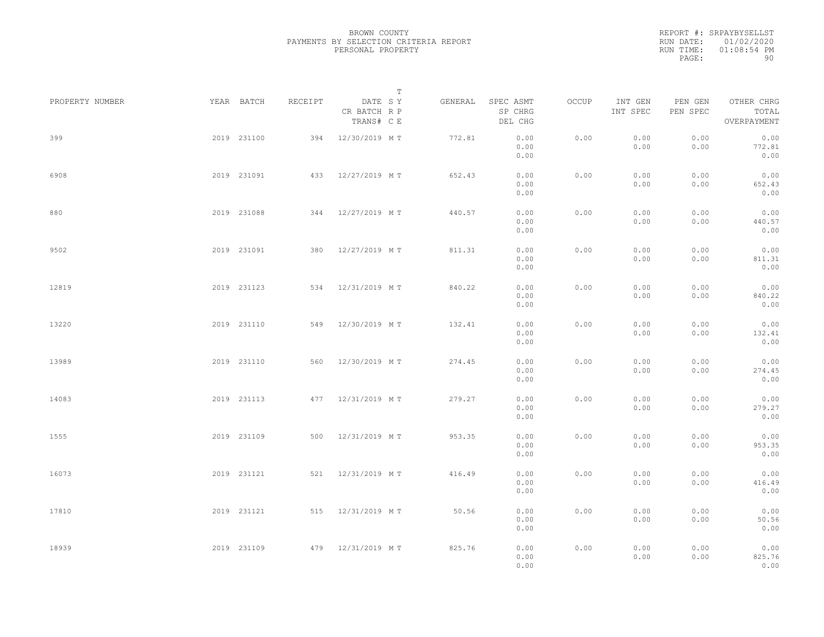|           | REPORT #: SRPAYBYSELLST |
|-----------|-------------------------|
|           | RUN DATE: 01/02/2020    |
| RUN TIME: | $01:08:54$ PM           |
| PAGE:     | 90                      |

|                 |             |             |         | $\mathbb T$                           |         |                                 |       |                     |                     |                                    |  |
|-----------------|-------------|-------------|---------|---------------------------------------|---------|---------------------------------|-------|---------------------|---------------------|------------------------------------|--|
| PROPERTY NUMBER |             | YEAR BATCH  | RECEIPT | DATE SY<br>CR BATCH R P<br>TRANS# C E | GENERAL | SPEC ASMT<br>SP CHRG<br>DEL CHG | OCCUP | INT GEN<br>INT SPEC | PEN GEN<br>PEN SPEC | OTHER CHRG<br>TOTAL<br>OVERPAYMENT |  |
| 399             |             | 2019 231100 |         | 394 12/30/2019 MT                     | 772.81  | 0.00<br>0.00<br>0.00            | 0.00  | 0.00<br>0.00        | 0.00<br>0.00        | 0.00<br>772.81<br>0.00             |  |
| 6908            |             | 2019 231091 |         | 433 12/27/2019 MT                     | 652.43  | 0.00<br>0.00<br>0.00            | 0.00  | 0.00<br>0.00        | 0.00<br>0.00        | 0.00<br>652.43<br>0.00             |  |
| 880             |             | 2019 231088 |         | 344 12/27/2019 MT                     | 440.57  | 0.00<br>0.00<br>0.00            | 0.00  | 0.00<br>0.00        | 0.00<br>0.00        | 0.00<br>440.57<br>0.00             |  |
| 9502            |             | 2019 231091 |         | 380 12/27/2019 MT                     | 811.31  | 0.00<br>0.00<br>0.00            | 0.00  | 0.00<br>0.00        | 0.00<br>0.00        | 0.00<br>811.31<br>0.00             |  |
| 12819           |             | 2019 231123 |         | 534 12/31/2019 MT                     | 840.22  | 0.00<br>0.00<br>0.00            | 0.00  | 0.00<br>0.00        | 0.00<br>0.00        | 0.00<br>840.22<br>0.00             |  |
| 13220           |             | 2019 231110 | 549     | 12/30/2019 MT                         | 132.41  | 0.00<br>0.00<br>0.00            | 0.00  | 0.00<br>0.00        | 0.00<br>0.00        | 0.00<br>132.41<br>0.00             |  |
| 13989           |             | 2019 231110 | 560     | 12/30/2019 MT                         | 274.45  | 0.00<br>0.00<br>0.00            | 0.00  | 0.00<br>0.00        | 0.00<br>0.00        | 0.00<br>274.45<br>0.00             |  |
| 14083           |             | 2019 231113 |         | 477 12/31/2019 MT                     | 279.27  | 0.00<br>0.00<br>0.00            | 0.00  | 0.00<br>0.00        | 0.00<br>0.00        | 0.00<br>279.27<br>0.00             |  |
| 1555            |             | 2019 231109 |         | 500 12/31/2019 MT                     | 953.35  | 0.00<br>0.00<br>0.00            | 0.00  | 0.00<br>0.00        | 0.00<br>0.00        | 0.00<br>953.35<br>0.00             |  |
| 16073           |             | 2019 231121 |         | 521 12/31/2019 MT                     | 416.49  | 0.00<br>0.00<br>0.00            | 0.00  | 0.00<br>0.00        | 0.00<br>0.00        | 0.00<br>416.49<br>0.00             |  |
| 17810           |             | 2019 231121 |         | 515 12/31/2019 MT                     | 50.56   | 0.00<br>0.00<br>0.00            | 0.00  | 0.00<br>0.00        | 0.00<br>0.00        | 0.00<br>50.56<br>0.00              |  |
| 18939           | 2019 231109 |             |         | 479 12/31/2019 MT                     | 825.76  | 0.00<br>0.00<br>0.00            | 0.00  | 0.00<br>0.00        | 0.00<br>0.00        | 0.00<br>825.76<br>0.00             |  |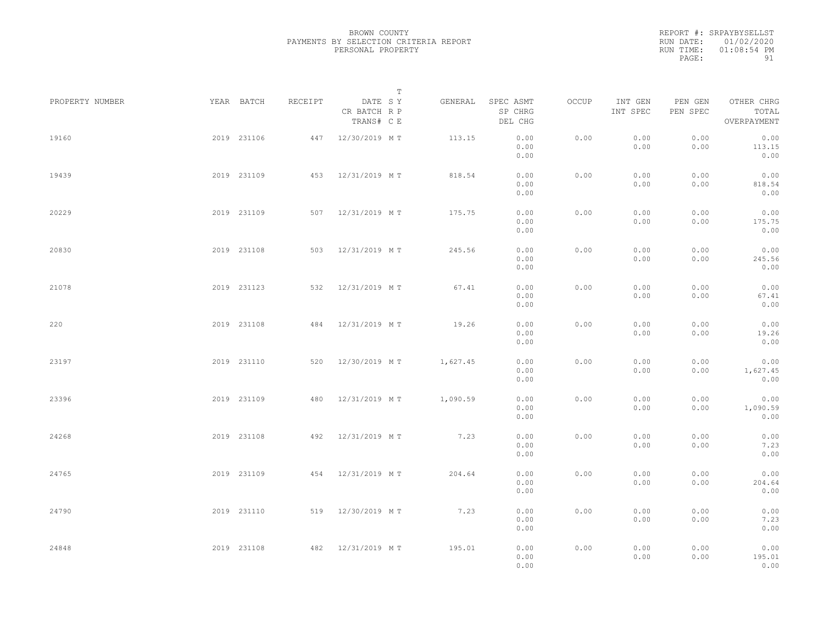REPORT #: SRPAYBYSELLST RUN DATE: 01/02/2020 RUN TIME: 01:08:54 PM PAGE: 91

|                 |             |         |                                       | $\mathbb T$ |          |                                 |       |                     |                     |                                    |  |
|-----------------|-------------|---------|---------------------------------------|-------------|----------|---------------------------------|-------|---------------------|---------------------|------------------------------------|--|
| PROPERTY NUMBER | YEAR BATCH  | RECEIPT | DATE SY<br>CR BATCH R P<br>TRANS# C E |             | GENERAL  | SPEC ASMT<br>SP CHRG<br>DEL CHG | OCCUP | INT GEN<br>INT SPEC | PEN GEN<br>PEN SPEC | OTHER CHRG<br>TOTAL<br>OVERPAYMENT |  |
| 19160           | 2019 231106 |         | 447 12/30/2019 MT                     |             | 113.15   | 0.00<br>0.00<br>0.00            | 0.00  | 0.00<br>0.00        | 0.00<br>0.00        | 0.00<br>113.15<br>0.00             |  |
| 19439           | 2019 231109 |         | 453 12/31/2019 MT                     |             | 818.54   | 0.00<br>0.00<br>0.00            | 0.00  | 0.00<br>0.00        | 0.00<br>0.00        | 0.00<br>818.54<br>0.00             |  |
| 20229           | 2019 231109 |         | 507 12/31/2019 MT                     |             | 175.75   | 0.00<br>0.00<br>0.00            | 0.00  | 0.00<br>0.00        | 0.00<br>0.00        | 0.00<br>175.75<br>0.00             |  |
| 20830           | 2019 231108 |         | 503 12/31/2019 MT                     |             | 245.56   | 0.00<br>0.00<br>0.00            | 0.00  | 0.00<br>0.00        | 0.00<br>0.00        | 0.00<br>245.56<br>0.00             |  |
| 21078           | 2019 231123 |         | 532 12/31/2019 MT                     |             | 67.41    | 0.00<br>0.00<br>0.00            | 0.00  | 0.00<br>0.00        | 0.00<br>0.00        | 0.00<br>67.41<br>0.00              |  |
| 220             | 2019 231108 | 484     | 12/31/2019 MT                         |             | 19.26    | 0.00<br>0.00<br>0.00            | 0.00  | 0.00<br>0.00        | 0.00<br>0.00        | 0.00<br>19.26<br>0.00              |  |
| 23197           | 2019 231110 | 520     | 12/30/2019 MT                         |             | 1,627.45 | 0.00<br>0.00<br>0.00            | 0.00  | 0.00<br>0.00        | 0.00<br>0.00        | 0.00<br>1,627.45<br>0.00           |  |
| 23396           | 2019 231109 | 480     | 12/31/2019 MT                         |             | 1,090.59 | 0.00<br>0.00<br>0.00            | 0.00  | 0.00<br>0.00        | 0.00<br>0.00        | 0.00<br>1,090.59<br>0.00           |  |
| 24268           | 2019 231108 |         | 492 12/31/2019 MT                     |             | 7.23     | 0.00<br>0.00<br>0.00            | 0.00  | 0.00<br>0.00        | 0.00<br>0.00        | 0.00<br>7.23<br>0.00               |  |
| 24765           | 2019 231109 |         | 454 12/31/2019 MT                     |             | 204.64   | 0.00<br>0.00<br>0.00            | 0.00  | 0.00<br>0.00        | 0.00<br>0.00        | 0.00<br>204.64<br>0.00             |  |
| 24790           | 2019 231110 |         | 519 12/30/2019 MT                     |             | 7.23     | 0.00<br>0.00<br>0.00            | 0.00  | 0.00<br>0.00        | 0.00<br>0.00        | 0.00<br>7.23<br>0.00               |  |
| 24848           | 2019 231108 |         | 482 12/31/2019 MT                     |             | 195.01   | 0.00<br>0.00<br>0.00            | 0.00  | 0.00<br>0.00        | 0.00<br>0.00        | 0.00<br>195.01<br>0.00             |  |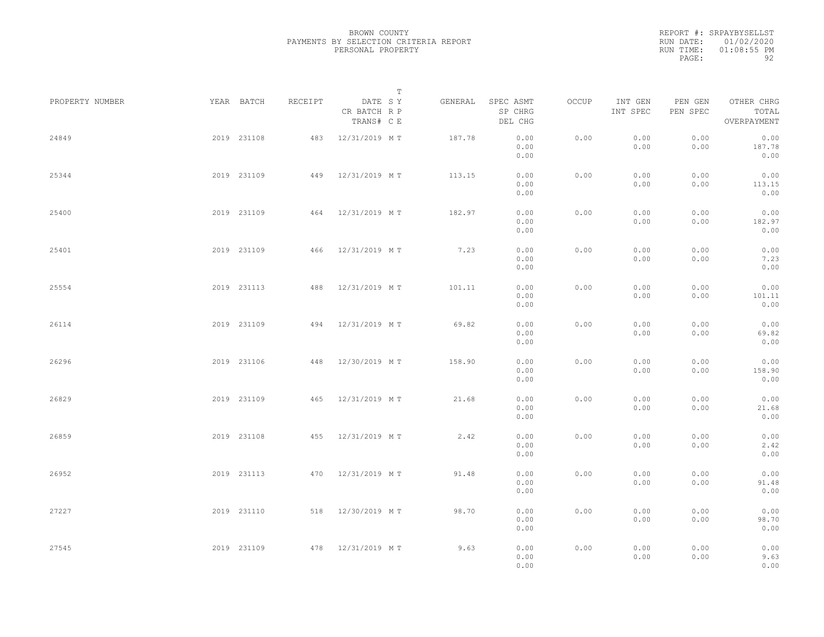|           | REPORT #: SRPAYBYSELLST |
|-----------|-------------------------|
|           | RUN DATE: 01/02/2020    |
| RUN TIME: | $01:08:55$ PM           |
| PAGE:     | 92                      |

|                 |             |             |         |                                       | $\mathbb T$ |                                 |       |                     |                     |                                    |  |
|-----------------|-------------|-------------|---------|---------------------------------------|-------------|---------------------------------|-------|---------------------|---------------------|------------------------------------|--|
| PROPERTY NUMBER |             | YEAR BATCH  | RECEIPT | DATE SY<br>CR BATCH R P<br>TRANS# C E | GENERAL     | SPEC ASMT<br>SP CHRG<br>DEL CHG | OCCUP | INT GEN<br>INT SPEC | PEN GEN<br>PEN SPEC | OTHER CHRG<br>TOTAL<br>OVERPAYMENT |  |
| 24849           |             | 2019 231108 | 483     | 12/31/2019 MT                         | 187.78      | 0.00<br>0.00<br>0.00            | 0.00  | 0.00<br>0.00        | 0.00<br>0.00        | 0.00<br>187.78<br>0.00             |  |
| 25344           |             | 2019 231109 |         | 449 12/31/2019 MT                     | 113.15      | 0.00<br>0.00<br>0.00            | 0.00  | 0.00<br>0.00        | 0.00<br>0.00        | 0.00<br>113.15<br>0.00             |  |
| 25400           |             | 2019 231109 |         | 464 12/31/2019 MT                     | 182.97      | 0.00<br>0.00<br>0.00            | 0.00  | 0.00<br>0.00        | 0.00<br>0.00        | 0.00<br>182.97<br>0.00             |  |
| 25401           |             | 2019 231109 |         | 466 12/31/2019 MT                     | 7.23        | 0.00<br>0.00<br>0.00            | 0.00  | 0.00<br>0.00        | 0.00<br>0.00        | 0.00<br>7.23<br>0.00               |  |
| 25554           |             | 2019 231113 | 488     | 12/31/2019 MT                         | 101.11      | 0.00<br>0.00<br>0.00            | 0.00  | 0.00<br>0.00        | 0.00<br>0.00        | 0.00<br>101.11<br>0.00             |  |
| 26114           |             | 2019 231109 | 494     | 12/31/2019 MT                         | 69.82       | 0.00<br>0.00<br>0.00            | 0.00  | 0.00<br>0.00        | 0.00<br>0.00        | 0.00<br>69.82<br>0.00              |  |
| 26296           |             | 2019 231106 | 448     | 12/30/2019 MT                         | 158.90      | 0.00<br>0.00<br>0.00            | 0.00  | 0.00<br>0.00        | 0.00<br>0.00        | 0.00<br>158.90<br>0.00             |  |
| 26829           |             | 2019 231109 | 465     | 12/31/2019 MT                         | 21.68       | 0.00<br>0.00<br>0.00            | 0.00  | 0.00<br>0.00        | 0.00<br>0.00        | 0.00<br>21.68<br>0.00              |  |
| 26859           |             | 2019 231108 | 455     | 12/31/2019 MT                         | 2.42        | 0.00<br>0.00<br>0.00            | 0.00  | 0.00<br>0.00        | 0.00<br>0.00        | 0.00<br>2.42<br>0.00               |  |
| 26952           |             | 2019 231113 |         | 470 12/31/2019 MT                     | 91.48       | 0.00<br>0.00<br>0.00            | 0.00  | 0.00<br>0.00        | 0.00<br>0.00        | 0.00<br>91.48<br>0.00              |  |
| 27227           |             | 2019 231110 |         | 518 12/30/2019 MT                     | 98.70       | 0.00<br>0.00<br>0.00            | 0.00  | 0.00<br>0.00        | 0.00<br>0.00        | 0.00<br>98.70<br>0.00              |  |
| 27545           | 2019 231109 |             |         | 478 12/31/2019 MT                     | 9.63        | 0.00<br>0.00<br>0.00            | 0.00  | 0.00<br>0.00        | 0.00<br>0.00        | 0.00<br>9.63<br>0.00               |  |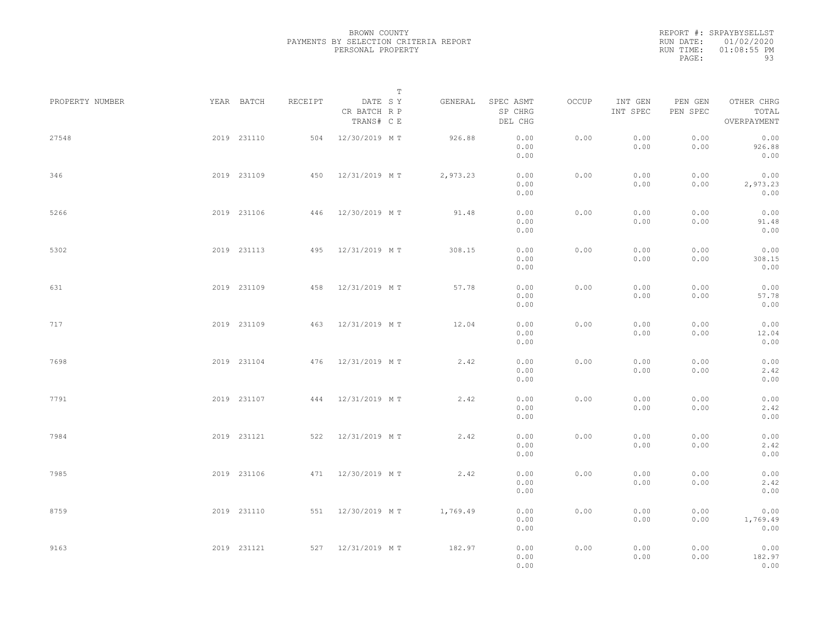REPORT #: SRPAYBYSELLST RUN DATE: 01/02/2020 RUN TIME: 01:08:55 PM PAGE: 93

|                 |             |         |                                       | T |          |                                 |       |                     |                     |                                    |  |
|-----------------|-------------|---------|---------------------------------------|---|----------|---------------------------------|-------|---------------------|---------------------|------------------------------------|--|
| PROPERTY NUMBER | YEAR BATCH  | RECEIPT | DATE SY<br>CR BATCH R P<br>TRANS# C E |   | GENERAL  | SPEC ASMT<br>SP CHRG<br>DEL CHG | OCCUP | INT GEN<br>INT SPEC | PEN GEN<br>PEN SPEC | OTHER CHRG<br>TOTAL<br>OVERPAYMENT |  |
| 27548           | 2019 231110 |         | 504 12/30/2019 MT                     |   | 926.88   | 0.00<br>0.00<br>0.00            | 0.00  | 0.00<br>0.00        | 0.00<br>0.00        | 0.00<br>926.88<br>0.00             |  |
| 346             | 2019 231109 |         | 450 12/31/2019 MT                     |   | 2,973.23 | 0.00<br>0.00<br>0.00            | 0.00  | 0.00<br>0.00        | 0.00<br>0.00        | 0.00<br>2,973.23<br>0.00           |  |
| 5266            | 2019 231106 |         | 446 12/30/2019 MT                     |   | 91.48    | 0.00<br>0.00<br>0.00            | 0.00  | 0.00<br>0.00        | 0.00<br>0.00        | 0.00<br>91.48<br>0.00              |  |
| 5302            | 2019 231113 |         | 495 12/31/2019 MT                     |   | 308.15   | 0.00<br>0.00<br>0.00            | 0.00  | 0.00<br>0.00        | 0.00<br>0.00        | 0.00<br>308.15<br>0.00             |  |
| 631             | 2019 231109 | 458     | 12/31/2019 MT                         |   | 57.78    | 0.00<br>0.00<br>0.00            | 0.00  | 0.00<br>0.00        | 0.00<br>0.00        | 0.00<br>57.78<br>0.00              |  |
| 717             | 2019 231109 | 463     | 12/31/2019 MT                         |   | 12.04    | 0.00<br>0.00<br>0.00            | 0.00  | 0.00<br>0.00        | 0.00<br>0.00        | 0.00<br>12.04<br>0.00              |  |
| 7698            | 2019 231104 |         | 476 12/31/2019 MT                     |   | 2.42     | 0.00<br>0.00<br>0.00            | 0.00  | 0.00<br>0.00        | 0.00<br>0.00        | 0.00<br>2.42<br>0.00               |  |
| 7791            | 2019 231107 |         | 444 12/31/2019 MT                     |   | 2.42     | 0.00<br>0.00<br>0.00            | 0.00  | 0.00<br>0.00        | 0.00<br>0.00        | 0.00<br>2.42<br>0.00               |  |
| 7984            | 2019 231121 |         | 522 12/31/2019 MT                     |   | 2.42     | 0.00<br>0.00<br>0.00            | 0.00  | 0.00<br>0.00        | 0.00<br>0.00        | 0.00<br>2.42<br>0.00               |  |
| 7985            | 2019 231106 |         | 471 12/30/2019 MT                     |   | 2.42     | 0.00<br>0.00<br>0.00            | 0.00  | 0.00<br>0.00        | 0.00<br>0.00        | 0.00<br>2.42<br>0.00               |  |
| 8759            | 2019 231110 |         | 551 12/30/2019 MT                     |   | 1,769.49 | 0.00<br>0.00<br>0.00            | 0.00  | 0.00<br>0.00        | 0.00<br>0.00        | 0.00<br>1,769.49<br>0.00           |  |
| 9163            | 2019 231121 |         | 527 12/31/2019 MT                     |   | 182.97   | 0.00<br>0.00<br>0.00            | 0.00  | 0.00<br>0.00        | 0.00<br>0.00        | 0.00<br>182.97<br>0.00             |  |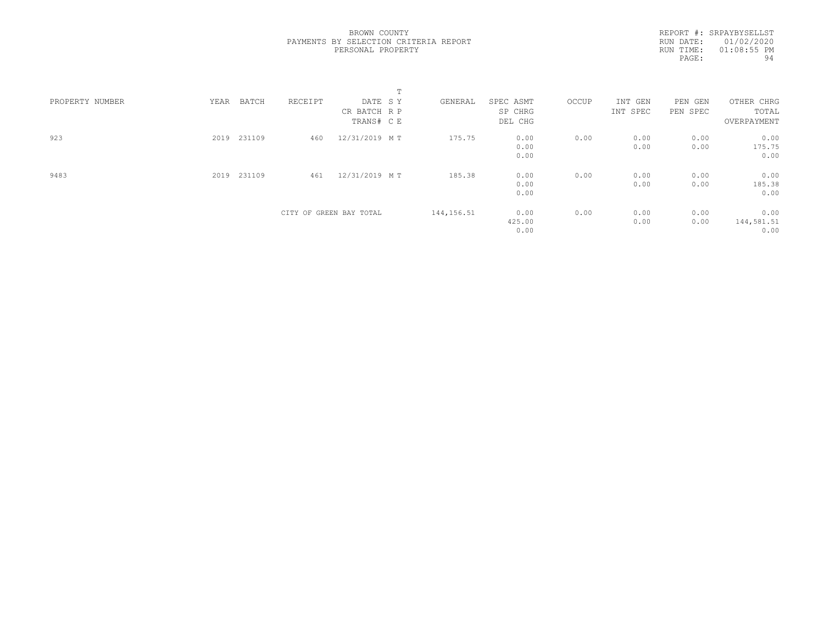REPORT #: SRPAYBYSELLST RUN DATE: 01/02/2020 RUN TIME: 01:08:55 PM PAGE: 94

|                 |      |        |         |                         | $\blacksquare$<br>÷. |             |           |       |          |          |             |  |
|-----------------|------|--------|---------|-------------------------|----------------------|-------------|-----------|-------|----------|----------|-------------|--|
| PROPERTY NUMBER | YEAR | BATCH  | RECEIPT | DATE SY                 |                      | GENERAL     | SPEC ASMT | OCCUP | INT GEN  | PEN GEN  | OTHER CHRG  |  |
|                 |      |        |         | CR BATCH R P            |                      |             | SP CHRG   |       | INT SPEC | PEN SPEC | TOTAL       |  |
|                 |      |        |         | TRANS# C E              |                      |             | DEL CHG   |       |          |          | OVERPAYMENT |  |
| 923             | 2019 | 231109 | 460     | 12/31/2019 MT           |                      | 175.75      | 0.00      | 0.00  | 0.00     | 0.00     | 0.00        |  |
|                 |      |        |         |                         |                      |             | 0.00      |       | 0.00     | 0.00     | 175.75      |  |
|                 |      |        |         |                         |                      |             | 0.00      |       |          |          | 0.00        |  |
| 9483            | 2019 | 231109 | 461     | 12/31/2019 MT           |                      | 185.38      | 0.00      | 0.00  | 0.00     | 0.00     | 0.00        |  |
|                 |      |        |         |                         |                      |             | 0.00      |       | 0.00     | 0.00     | 185.38      |  |
|                 |      |        |         |                         |                      |             | 0.00      |       |          |          | 0.00        |  |
|                 |      |        |         | CITY OF GREEN BAY TOTAL |                      | 144, 156.51 | 0.00      | 0.00  | 0.00     | 0.00     | 0.00        |  |
|                 |      |        |         |                         |                      |             | 425.00    |       | 0.00     | 0.00     | 144,581.51  |  |
|                 |      |        |         |                         |                      |             | 0.00      |       |          |          | 0.00        |  |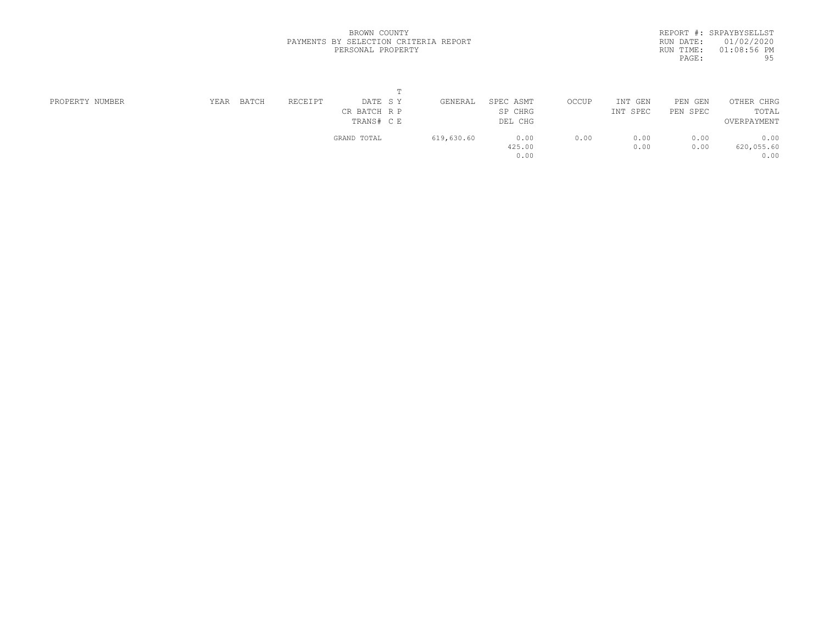|           | REPORT #: SRPAYBYSELLST |
|-----------|-------------------------|
|           | RUN DATE: 01/02/2020    |
| RUN TIME: | $01:08:56$ PM           |
| PAGE:     | 95                      |

| PROPERTY NUMBER | YEAR | BATCH | RECEIPT | DATE SY<br>CR BATCH R P<br>TRANS# C E | GENERAL    | SPEC ASMT<br>SP CHRG<br>DEL CHG | OCCUP | INT<br>GEN<br>INT SPEC | PEN GEN<br>PEN SPEC | OTHER CHRG<br>TOTAL<br>OVERPAYMENT |
|-----------------|------|-------|---------|---------------------------------------|------------|---------------------------------|-------|------------------------|---------------------|------------------------------------|
|                 |      |       |         | GRAND TOTAL                           | 619,630.60 | 0.00<br>425.00<br>0.00          | 0.00  | 0.00<br>0.00           | 0.00<br>0.00        | 0.00<br>620,055.60<br>0.00         |